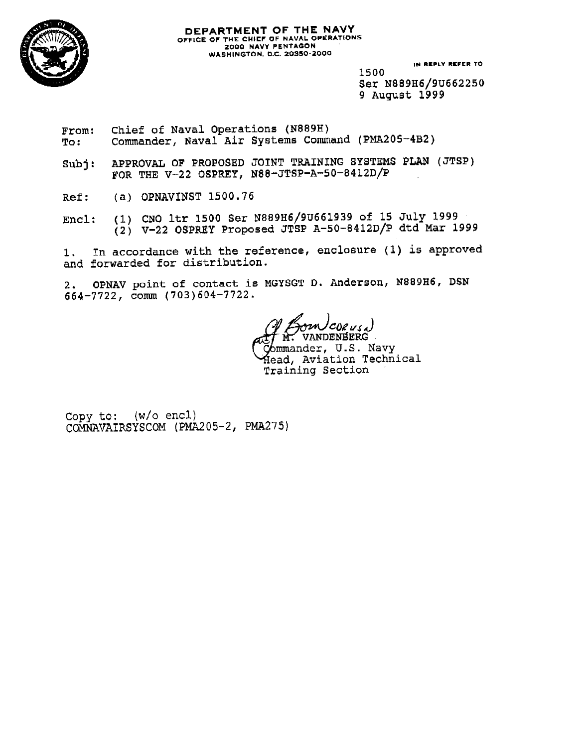

#### **DEPARTMENT OF THE NAVY**<br>OFFICE OF THE CHIEF OF NAVAL OPERATIONS 2000 NAVY PENTAGON **WASHINGTON, D.C. 20350-2000**

IN REPLY REFER TO

1500 Ser N889H6/9U662250 9 August 1999

- Chief of Naval Operations (N889H) From: Commander, Naval Air Systems Command (PMA205-4B2) To:
- APPROVAL OF PROPOSED JOINT TRAINING SYSTEMS PLAN (JTSP)  $\texttt{Subi}:$ FOR THE V-22 OSPREY, N88-JTSP-A-50-8412D/P
- (a) OPNAVINST 1500.76  $Ref:$
- (1) CNO ltr 1500 Ser N889H6/9U661939 of 15 July 1999 Encl:  $(2)$  V-22 OSPREY Proposed JTSP A-50-8412D/P dtd Mar 1999

In accordance with the reference, enclosure (1) is approved  $1 \cdot$ and forwarded for distribution.

OPNAV point of contact is MGYSGT D. Anderson, N889H6, DSN  $2.$  $664 - 7722$ , comm  $(703)604 - 7722$ .

CORUSA) **VANDENBERG** 

6mmander, U.S. Navy Head, Aviation Technical Training Section

Copy to: (w/o encl) COMNAVAIRSYSCOM (PMA205-2, PMA275)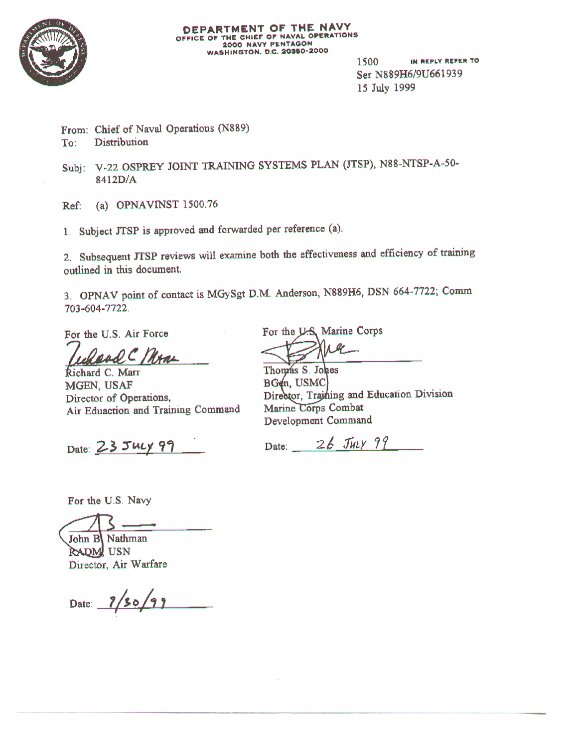

IN REPLY REFER TO 1500 Ser N889H6/9U661939 15 July 1999

From: Chief of Naval Operations (N889) Distribution To:

Subj: V-22 OSPREY JOINT TRAINING SYSTEMS PLAN (JTSP), N88-NTSP-A-50-8412D/A

(a) OPNAVINST  $1500.76$ Ref:

1. Subject JTSP is approved and forwarded per reference (a).

2. Subsequent JTSP reviews will examine both the effectiveness and efficiency of training outlined in this document.

3. OPNAV point of contact is MGySgt D.M. Anderson, N889H6, DSN 664-7722; Comm 703-604-7722.

For the U.S. Air Force

Raad C Mone

Richard C. Marr MGEN, USAF Director of Operations, Air Eduaction and Training Command

Date: 23 July 99

For the U.S. Marine Corps

Thomas S. Johes BGen, USMC Director, Training and Education Division Marine Corps Combat Development Command

Date:  $26$  July 99

For the U.S. Navy

John B Nathman

RADM USN Director, Air Warfare

Date: 7/30/99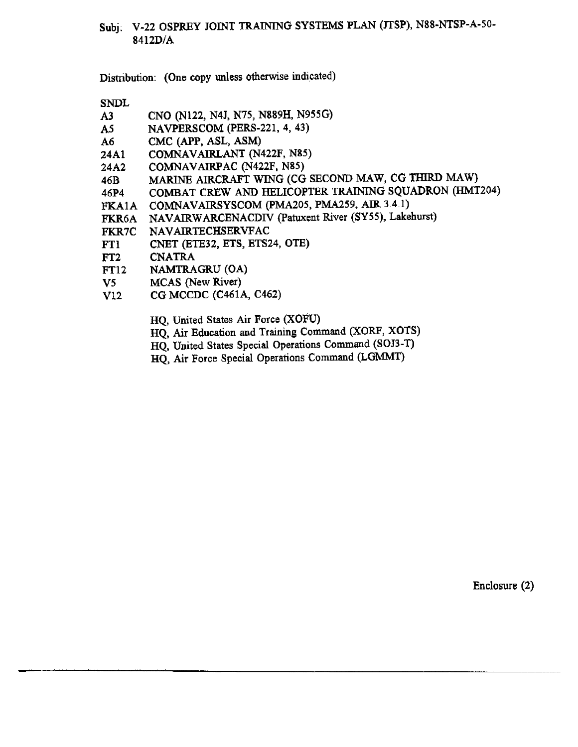### Subj. V-22 OSPREY JOINT TRAINING SYSTEMS PLAN (JTSP), N88-NTSP-A-50-8412D/A

Distribution: (One copy unless otherwise indicated)

**SNDL** 

- CNO (N122, N4J, N75, N889H, N955G)  $A3$
- NAVPERSCOM (PERS-221, 4, 43)  $A5$
- CMC (APP, ASL, ASM) **A6**
- COMNAVAIRLANT (N422F, N85) 24A1
- COMNAVAIRPAC (N422F, N85)  $24A2$
- MARINE AIRCRAFT WING (CG SECOND MAW, CG THIRD MAW) 46B
- COMBAT CREW AND HELICOPTER TRAINING SQUADRON (HMT204) 46P4
- FKA1A COMNAVAIRSYSCOM (PMA205, PMA259, AIR 3.4.1)
- NAVAIRWARCENACDIV (Patuxent River (SY55), Lakehurst) FKR6A
- NAVAIRTECHSERVFAC **FKR7C**
- CNET (ETE32, ETS, ETS24, OTE) FT1
- $FT2$ **CNATRA**
- **FT12** NAMTRAGRU (OA)
- $V5$ **MCAS** (New River)
- $V12$ CG MCCDC (C461A, C462)
	- HQ, United States Air Force (XOFU)
	- HQ, Air Education and Training Command (XORF, XOTS)
	- HQ, United States Special Operations Command (SOJ3-T)
	- HQ, Air Force Special Operations Command (LGMMT)

Enclosure  $(2)$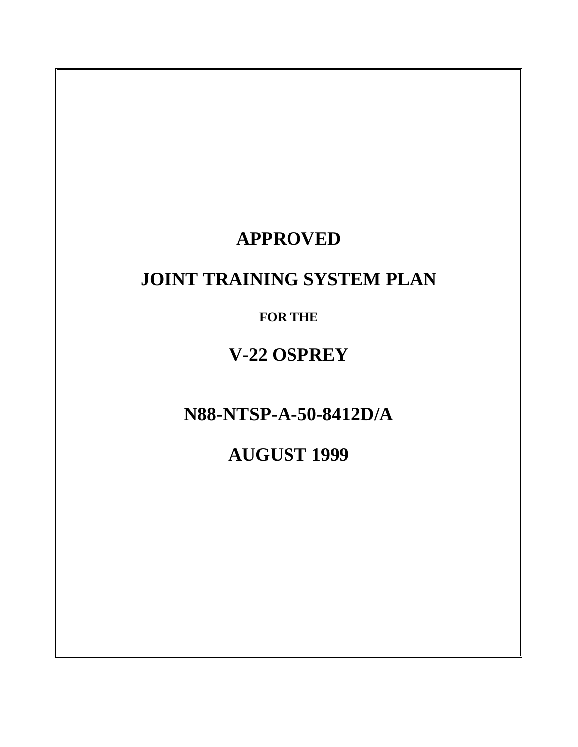## **APPROVED**

## **JOINT TRAINING SYSTEM PLAN**

**FOR THE**

**V-22 OSPREY**

**N88-NTSP-A-50-8412D/A**

**AUGUST 1999**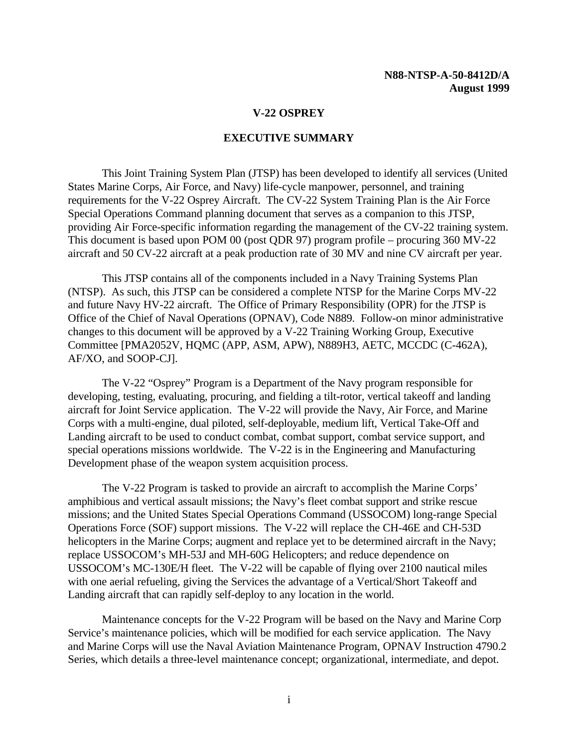#### **EXECUTIVE SUMMARY**

<span id="page-4-0"></span>This Joint Training System Plan (JTSP) has been developed to identify all services (United States Marine Corps, Air Force, and Navy) life-cycle manpower, personnel, and training requirements for the V-22 Osprey Aircraft. The CV-22 System Training Plan is the Air Force Special Operations Command planning document that serves as a companion to this JTSP, providing Air Force-specific information regarding the management of the CV-22 training system. This document is based upon POM 00 (post QDR 97) program profile – procuring 360 MV-22 aircraft and 50 CV-22 aircraft at a peak production rate of 30 MV and nine CV aircraft per year.

This JTSP contains all of the components included in a Navy Training Systems Plan (NTSP). As such, this JTSP can be considered a complete NTSP for the Marine Corps MV-22 and future Navy HV-22 aircraft. The Office of Primary Responsibility (OPR) for the JTSP is Office of the Chief of Naval Operations (OPNAV), Code N889. Follow-on minor administrative changes to this document will be approved by a V-22 Training Working Group, Executive Committee [PMA2052V, HQMC (APP, ASM, APW), N889H3, AETC, MCCDC (C-462A), AF/XO, and SOOP-CJ].

The V-22 "Osprey" Program is a Department of the Navy program responsible for developing, testing, evaluating, procuring, and fielding a tilt-rotor, vertical takeoff and landing aircraft for Joint Service application. The V-22 will provide the Navy, Air Force, and Marine Corps with a multi-engine, dual piloted, self-deployable, medium lift, Vertical Take-Off and Landing aircraft to be used to conduct combat, combat support, combat service support, and special operations missions worldwide. The V-22 is in the Engineering and Manufacturing Development phase of the weapon system acquisition process.

The V-22 Program is tasked to provide an aircraft to accomplish the Marine Corps' amphibious and vertical assault missions; the Navy's fleet combat support and strike rescue missions; and the United States Special Operations Command (USSOCOM) long-range Special Operations Force (SOF) support missions. The V-22 will replace the CH-46E and CH-53D helicopters in the Marine Corps; augment and replace yet to be determined aircraft in the Navy; replace USSOCOM's MH-53J and MH-60G Helicopters; and reduce dependence on USSOCOM's MC-130E/H fleet. The V-22 will be capable of flying over 2100 nautical miles with one aerial refueling, giving the Services the advantage of a Vertical/Short Takeoff and Landing aircraft that can rapidly self-deploy to any location in the world.

Maintenance concepts for the V-22 Program will be based on the Navy and Marine Corp Service's maintenance policies, which will be modified for each service application. The Navy and Marine Corps will use the Naval Aviation Maintenance Program, OPNAV Instruction 4790.2 Series, which details a three-level maintenance concept; organizational, intermediate, and depot.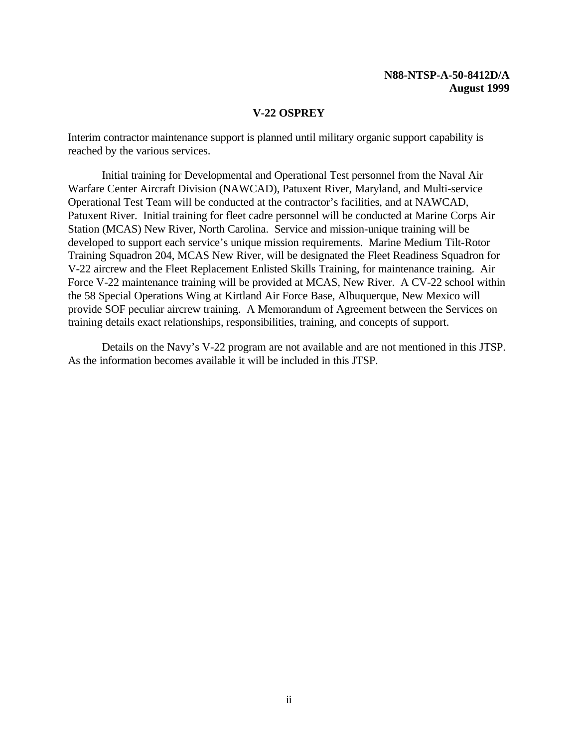#### **V-22 OSPREY**

Interim contractor maintenance support is planned until military organic support capability is reached by the various services.

Initial training for Developmental and Operational Test personnel from the Naval Air Warfare Center Aircraft Division (NAWCAD), Patuxent River, Maryland, and Multi-service Operational Test Team will be conducted at the contractor's facilities, and at NAWCAD, Patuxent River. Initial training for fleet cadre personnel will be conducted at Marine Corps Air Station (MCAS) New River, North Carolina. Service and mission-unique training will be developed to support each service's unique mission requirements. Marine Medium Tilt-Rotor Training Squadron 204, MCAS New River, will be designated the Fleet Readiness Squadron for V-22 aircrew and the Fleet Replacement Enlisted Skills Training, for maintenance training. Air Force V-22 maintenance training will be provided at MCAS, New River. A CV-22 school within the 58 Special Operations Wing at Kirtland Air Force Base, Albuquerque, New Mexico will provide SOF peculiar aircrew training. A Memorandum of Agreement between the Services on training details exact relationships, responsibilities, training, and concepts of support.

Details on the Navy's V-22 program are not available and are not mentioned in this JTSP. As the information becomes available it will be included in this JTSP.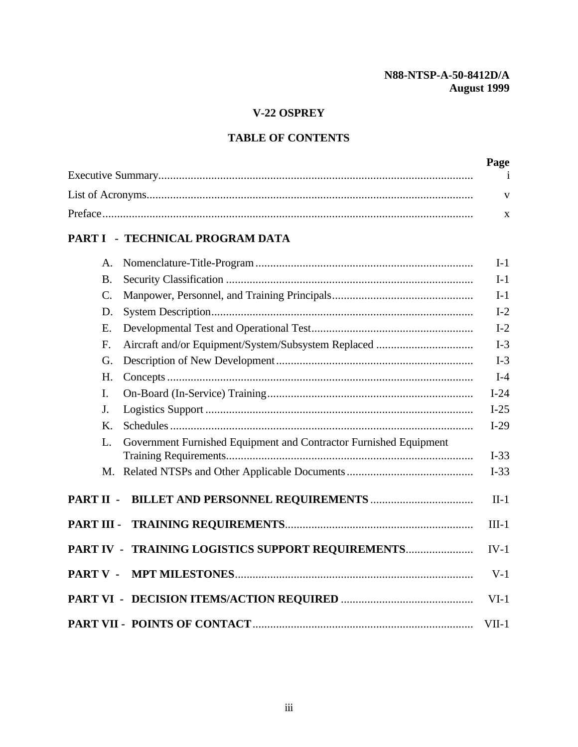## **V-22 OSPREY**

## **TABLE OF CONTENTS**

| Page |
|------|
|      |
|      |
|      |

## **[PART I - TECHNICAL PROGRAM DATA](#page-14-0)**

|                 | A.              |                                                                   | $I-1$   |
|-----------------|-----------------|-------------------------------------------------------------------|---------|
|                 | <b>B.</b>       |                                                                   | $I-1$   |
|                 | $\mathcal{C}$ . |                                                                   | $I-1$   |
|                 | D.              |                                                                   | $I-2$   |
|                 | Ε.              |                                                                   | $I-2$   |
|                 | F.              |                                                                   | $I-3$   |
|                 | G.              |                                                                   | $I-3$   |
|                 | H.              |                                                                   | $I-4$   |
|                 | I.              |                                                                   | $I-24$  |
|                 | J.              |                                                                   | $I-25$  |
|                 | K.              |                                                                   | $I-29$  |
|                 | L.              | Government Furnished Equipment and Contractor Furnished Equipment | $I-33$  |
|                 |                 |                                                                   | $I-33$  |
| PART II -       |                 |                                                                   | $II-1$  |
|                 |                 |                                                                   | $III-1$ |
|                 |                 | PART IV - TRAINING LOGISTICS SUPPORT REQUIREMENTS                 | $IV-1$  |
| <b>PART V -</b> |                 |                                                                   | $V-1$   |
|                 |                 |                                                                   | $VI-1$  |
|                 |                 |                                                                   | $VII-1$ |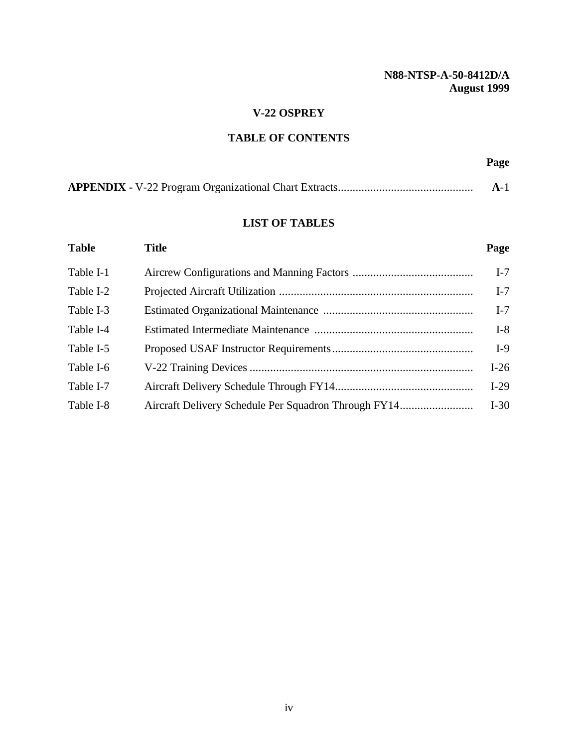#### **V-22 OSPREY**

## **TABLE OF CONTENTS**

## **Page**

|--|

#### **LIST OF TABLES**

| <b>Table</b> | <b>Title</b> | Page   |
|--------------|--------------|--------|
| Table I-1    |              | $I-7$  |
| Table I-2    |              | $I-7$  |
| Table I-3    |              | $I-7$  |
| Table I-4    |              | $I-8$  |
| Table I-5    |              | $I-9$  |
| Table I-6    |              | $I-26$ |
| Table I-7    |              | $I-29$ |
| Table I-8    |              | $I-30$ |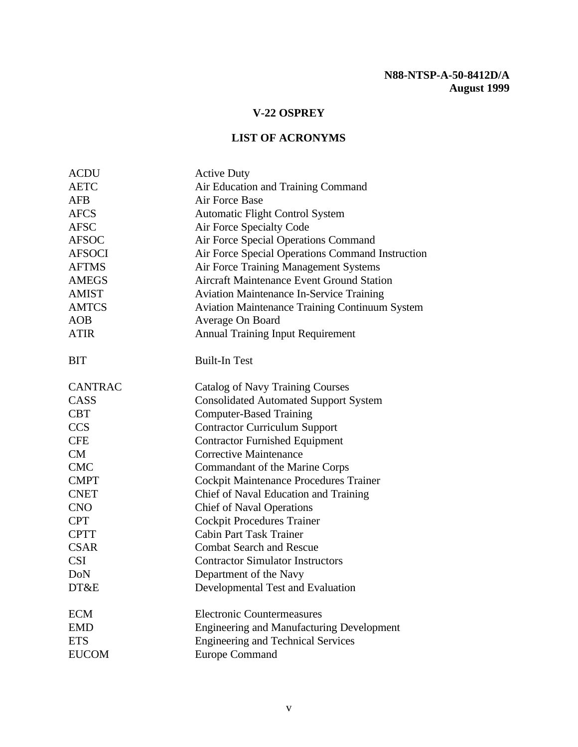<span id="page-8-0"></span>

| <b>ACDU</b>    | <b>Active Duty</b>                                    |  |
|----------------|-------------------------------------------------------|--|
| <b>AETC</b>    | Air Education and Training Command                    |  |
| <b>AFB</b>     | Air Force Base                                        |  |
| <b>AFCS</b>    | Automatic Flight Control System                       |  |
| <b>AFSC</b>    | Air Force Specialty Code                              |  |
| <b>AFSOC</b>   | Air Force Special Operations Command                  |  |
| <b>AFSOCI</b>  | Air Force Special Operations Command Instruction      |  |
| <b>AFTMS</b>   | Air Force Training Management Systems                 |  |
| <b>AMEGS</b>   | <b>Aircraft Maintenance Event Ground Station</b>      |  |
| <b>AMIST</b>   | <b>Aviation Maintenance In-Service Training</b>       |  |
| <b>AMTCS</b>   | <b>Aviation Maintenance Training Continuum System</b> |  |
| AOB            | Average On Board                                      |  |
| <b>ATIR</b>    | <b>Annual Training Input Requirement</b>              |  |
| <b>BIT</b>     | <b>Built-In Test</b>                                  |  |
| <b>CANTRAC</b> | Catalog of Navy Training Courses                      |  |
| CASS           | <b>Consolidated Automated Support System</b>          |  |
| <b>CBT</b>     | <b>Computer-Based Training</b>                        |  |
| <b>CCS</b>     | <b>Contractor Curriculum Support</b>                  |  |
| <b>CFE</b>     | <b>Contractor Furnished Equipment</b>                 |  |
| CM             | <b>Corrective Maintenance</b>                         |  |
| <b>CMC</b>     | Commandant of the Marine Corps                        |  |
| <b>CMPT</b>    | Cockpit Maintenance Procedures Trainer                |  |
| <b>CNET</b>    | Chief of Naval Education and Training                 |  |
| <b>CNO</b>     | <b>Chief of Naval Operations</b>                      |  |
| <b>CPT</b>     | <b>Cockpit Procedures Trainer</b>                     |  |
| <b>CPTT</b>    | <b>Cabin Part Task Trainer</b>                        |  |
| <b>CSAR</b>    | <b>Combat Search and Rescue</b>                       |  |
| <b>CSI</b>     | <b>Contractor Simulator Instructors</b>               |  |
| <b>DoN</b>     | Department of the Navy                                |  |
| DT&E           | Developmental Test and Evaluation                     |  |
| <b>ECM</b>     | <b>Electronic Countermeasures</b>                     |  |
| <b>EMD</b>     | <b>Engineering and Manufacturing Development</b>      |  |
| <b>ETS</b>     | <b>Engineering and Technical Services</b>             |  |
| <b>EUCOM</b>   | <b>Europe Command</b>                                 |  |
|                |                                                       |  |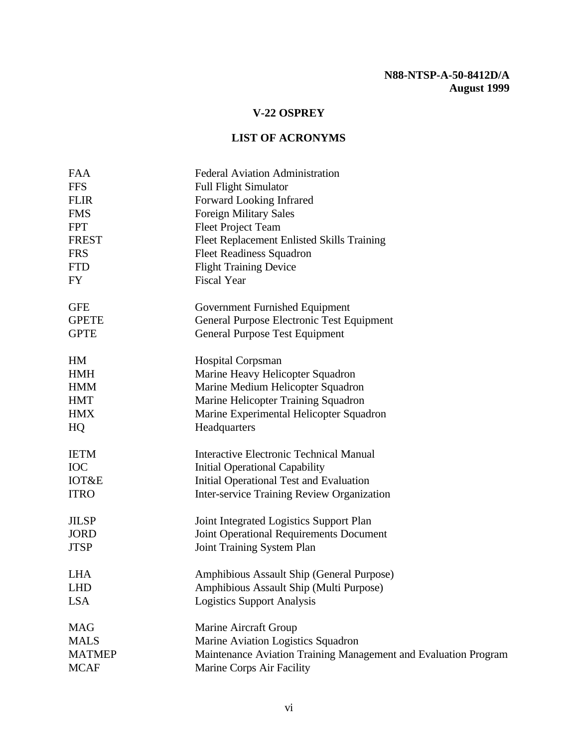| <b>FAA</b><br><b>FFS</b><br><b>FLIR</b><br><b>FMS</b><br><b>FPT</b><br><b>FREST</b><br><b>FRS</b><br><b>FTD</b> | <b>Federal Aviation Administration</b><br><b>Full Flight Simulator</b><br>Forward Looking Infrared<br><b>Foreign Military Sales</b><br><b>Fleet Project Team</b><br>Fleet Replacement Enlisted Skills Training<br><b>Fleet Readiness Squadron</b><br><b>Flight Training Device</b> |
|-----------------------------------------------------------------------------------------------------------------|------------------------------------------------------------------------------------------------------------------------------------------------------------------------------------------------------------------------------------------------------------------------------------|
| FY                                                                                                              | <b>Fiscal Year</b>                                                                                                                                                                                                                                                                 |
| <b>GFE</b><br><b>GPETE</b><br><b>GPTE</b>                                                                       | Government Furnished Equipment<br>General Purpose Electronic Test Equipment<br><b>General Purpose Test Equipment</b>                                                                                                                                                               |
| HM<br><b>HMH</b><br><b>HMM</b><br><b>HMT</b><br><b>HMX</b><br>HQ                                                | <b>Hospital Corpsman</b><br>Marine Heavy Helicopter Squadron<br>Marine Medium Helicopter Squadron<br>Marine Helicopter Training Squadron<br>Marine Experimental Helicopter Squadron<br>Headquarters                                                                                |
| <b>IETM</b><br><b>IOC</b><br><b>IOT&amp;E</b><br><b>ITRO</b>                                                    | <b>Interactive Electronic Technical Manual</b><br><b>Initial Operational Capability</b><br>Initial Operational Test and Evaluation<br><b>Inter-service Training Review Organization</b>                                                                                            |
| <b>JILSP</b><br><b>JORD</b><br><b>JTSP</b>                                                                      | Joint Integrated Logistics Support Plan<br><b>Joint Operational Requirements Document</b><br>Joint Training System Plan                                                                                                                                                            |
| <b>LHA</b><br>LHD<br><b>LSA</b>                                                                                 | Amphibious Assault Ship (General Purpose)<br><b>Amphibious Assault Ship (Multi Purpose)</b><br><b>Logistics Support Analysis</b>                                                                                                                                                   |
| <b>MAG</b><br><b>MALS</b><br><b>MATMEP</b><br><b>MCAF</b>                                                       | Marine Aircraft Group<br>Marine Aviation Logistics Squadron<br>Maintenance Aviation Training Management and Evaluation Program<br>Marine Corps Air Facility                                                                                                                        |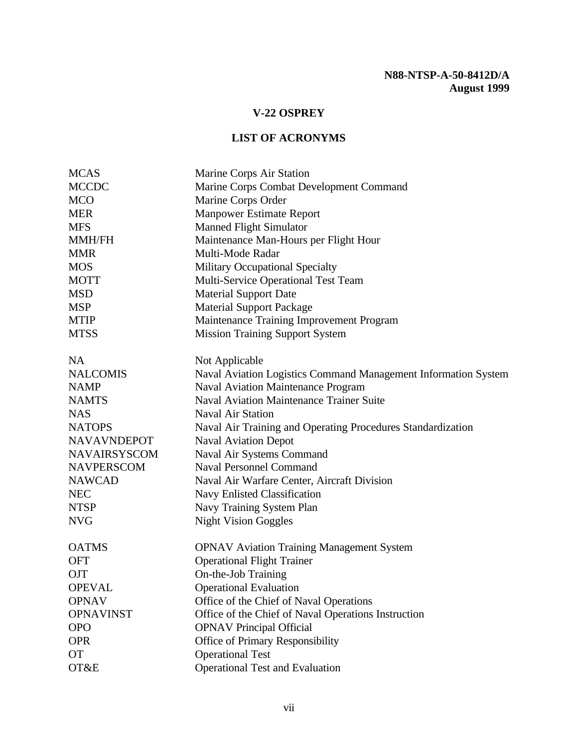| <b>MCAS</b>         | Marine Corps Air Station                                       |  |
|---------------------|----------------------------------------------------------------|--|
| <b>MCCDC</b>        | Marine Corps Combat Development Command                        |  |
| <b>MCO</b>          | Marine Corps Order                                             |  |
| <b>MER</b>          | <b>Manpower Estimate Report</b>                                |  |
| <b>MFS</b>          | <b>Manned Flight Simulator</b>                                 |  |
| <b>MMH/FH</b>       | Maintenance Man-Hours per Flight Hour                          |  |
| <b>MMR</b>          | Multi-Mode Radar                                               |  |
| <b>MOS</b>          | <b>Military Occupational Specialty</b>                         |  |
| <b>MOTT</b>         | Multi-Service Operational Test Team                            |  |
| <b>MSD</b>          | <b>Material Support Date</b>                                   |  |
| <b>MSP</b>          | <b>Material Support Package</b>                                |  |
| <b>MTIP</b>         | Maintenance Training Improvement Program                       |  |
| <b>MTSS</b>         | <b>Mission Training Support System</b>                         |  |
| <b>NA</b>           | Not Applicable                                                 |  |
| <b>NALCOMIS</b>     | Naval Aviation Logistics Command Management Information System |  |
| <b>NAMP</b>         | <b>Naval Aviation Maintenance Program</b>                      |  |
| <b>NAMTS</b>        | <b>Naval Aviation Maintenance Trainer Suite</b>                |  |
| <b>NAS</b>          | <b>Naval Air Station</b>                                       |  |
| <b>NATOPS</b>       | Naval Air Training and Operating Procedures Standardization    |  |
| <b>NAVAVNDEPOT</b>  | <b>Naval Aviation Depot</b>                                    |  |
| <b>NAVAIRSYSCOM</b> | Naval Air Systems Command                                      |  |
| <b>NAVPERSCOM</b>   | <b>Naval Personnel Command</b>                                 |  |
| <b>NAWCAD</b>       | Naval Air Warfare Center, Aircraft Division                    |  |
| <b>NEC</b>          | Navy Enlisted Classification                                   |  |
| <b>NTSP</b>         | Navy Training System Plan                                      |  |
| <b>NVG</b>          | <b>Night Vision Goggles</b>                                    |  |
| <b>OATMS</b>        | <b>OPNAV Aviation Training Management System</b>               |  |
| <b>OFT</b>          | <b>Operational Flight Trainer</b>                              |  |
| <b>OJT</b>          | On-the-Job Training                                            |  |
| <b>OPEVAL</b>       | <b>Operational Evaluation</b>                                  |  |
| <b>OPNAV</b>        | Office of the Chief of Naval Operations                        |  |
| <b>OPNAVINST</b>    | Office of the Chief of Naval Operations Instruction            |  |
| <b>OPO</b>          | <b>OPNAV Principal Official</b>                                |  |
| <b>OPR</b>          | Office of Primary Responsibility                               |  |
| <b>OT</b>           | <b>Operational Test</b>                                        |  |
| OT&E                | <b>Operational Test and Evaluation</b>                         |  |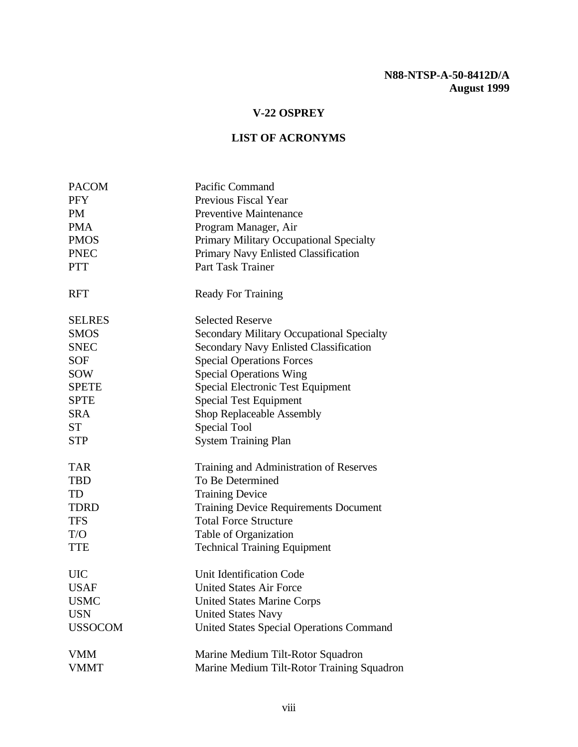| <b>PACOM</b>   | Pacific Command                                  |  |
|----------------|--------------------------------------------------|--|
| <b>PFY</b>     | Previous Fiscal Year                             |  |
| <b>PM</b>      | <b>Preventive Maintenance</b>                    |  |
| <b>PMA</b>     | Program Manager, Air                             |  |
| <b>PMOS</b>    | Primary Military Occupational Specialty          |  |
| <b>PNEC</b>    | Primary Navy Enlisted Classification             |  |
| <b>PTT</b>     | Part Task Trainer                                |  |
| <b>RFT</b>     | <b>Ready For Training</b>                        |  |
| <b>SELRES</b>  | <b>Selected Reserve</b>                          |  |
| <b>SMOS</b>    | <b>Secondary Military Occupational Specialty</b> |  |
| <b>SNEC</b>    | <b>Secondary Navy Enlisted Classification</b>    |  |
| <b>SOF</b>     | <b>Special Operations Forces</b>                 |  |
| <b>SOW</b>     | <b>Special Operations Wing</b>                   |  |
| <b>SPETE</b>   | <b>Special Electronic Test Equipment</b>         |  |
| SPTE           | <b>Special Test Equipment</b>                    |  |
| <b>SRA</b>     | Shop Replaceable Assembly                        |  |
| <b>ST</b>      | Special Tool                                     |  |
| <b>STP</b>     | <b>System Training Plan</b>                      |  |
| <b>TAR</b>     | Training and Administration of Reserves          |  |
| <b>TBD</b>     | To Be Determined                                 |  |
| TD             | <b>Training Device</b>                           |  |
| <b>TDRD</b>    | <b>Training Device Requirements Document</b>     |  |
| <b>TFS</b>     | <b>Total Force Structure</b>                     |  |
| T/O            | Table of Organization                            |  |
| <b>TTE</b>     | <b>Technical Training Equipment</b>              |  |
| <b>UIC</b>     | <b>Unit Identification Code</b>                  |  |
| <b>USAF</b>    | <b>United States Air Force</b>                   |  |
| <b>USMC</b>    | <b>United States Marine Corps</b>                |  |
| <b>USN</b>     | <b>United States Navy</b>                        |  |
| <b>USSOCOM</b> | <b>United States Special Operations Command</b>  |  |
| <b>VMM</b>     | Marine Medium Tilt-Rotor Squadron                |  |
| <b>VMMT</b>    | Marine Medium Tilt-Rotor Training Squadron       |  |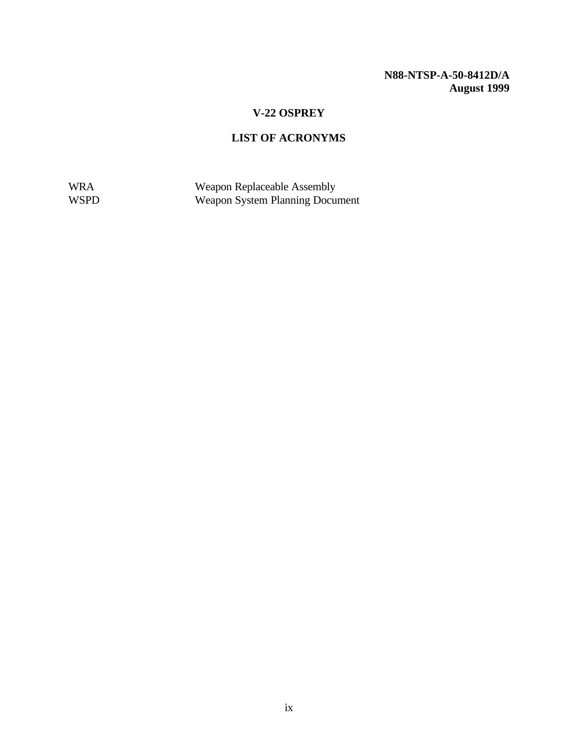## **V-22 OSPREY**

## **LIST OF ACRONYMS**

WRA Weapon Replaceable Assembly WSPD Weapon System Planning Document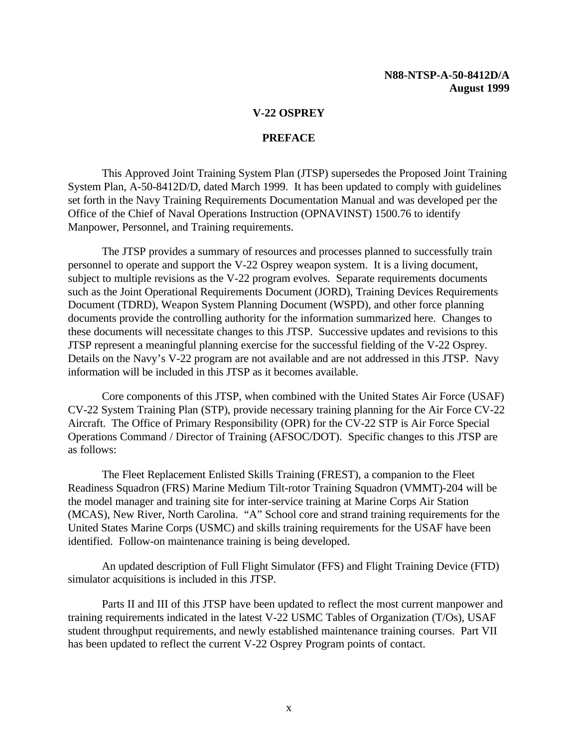#### **PREFACE**

<span id="page-13-0"></span>This Approved Joint Training System Plan (JTSP) supersedes the Proposed Joint Training System Plan, A-50-8412D/D, dated March 1999. It has been updated to comply with guidelines set forth in the Navy Training Requirements Documentation Manual and was developed per the Office of the Chief of Naval Operations Instruction (OPNAVINST) 1500.76 to identify Manpower, Personnel, and Training requirements.

The JTSP provides a summary of resources and processes planned to successfully train personnel to operate and support the V-22 Osprey weapon system. It is a living document, subject to multiple revisions as the V-22 program evolves. Separate requirements documents such as the Joint Operational Requirements Document (JORD), Training Devices Requirements Document (TDRD), Weapon System Planning Document (WSPD), and other force planning documents provide the controlling authority for the information summarized here. Changes to these documents will necessitate changes to this JTSP. Successive updates and revisions to this JTSP represent a meaningful planning exercise for the successful fielding of the V-22 Osprey. Details on the Navy's V-22 program are not available and are not addressed in this JTSP. Navy information will be included in this JTSP as it becomes available.

Core components of this JTSP, when combined with the United States Air Force (USAF) CV-22 System Training Plan (STP), provide necessary training planning for the Air Force CV-22 Aircraft. The Office of Primary Responsibility (OPR) for the CV-22 STP is Air Force Special Operations Command / Director of Training (AFSOC/DOT). Specific changes to this JTSP are as follows:

The Fleet Replacement Enlisted Skills Training (FREST), a companion to the Fleet Readiness Squadron (FRS) Marine Medium Tilt-rotor Training Squadron (VMMT)-204 will be the model manager and training site for inter-service training at Marine Corps Air Station (MCAS), New River, North Carolina. "A" School core and strand training requirements for the United States Marine Corps (USMC) and skills training requirements for the USAF have been identified. Follow-on maintenance training is being developed.

An updated description of Full Flight Simulator (FFS) and Flight Training Device (FTD) simulator acquisitions is included in this JTSP.

Parts II and III of this JTSP have been updated to reflect the most current manpower and training requirements indicated in the latest V-22 USMC Tables of Organization (T/Os), USAF student throughput requirements, and newly established maintenance training courses. Part VII has been updated to reflect the current V-22 Osprey Program points of contact.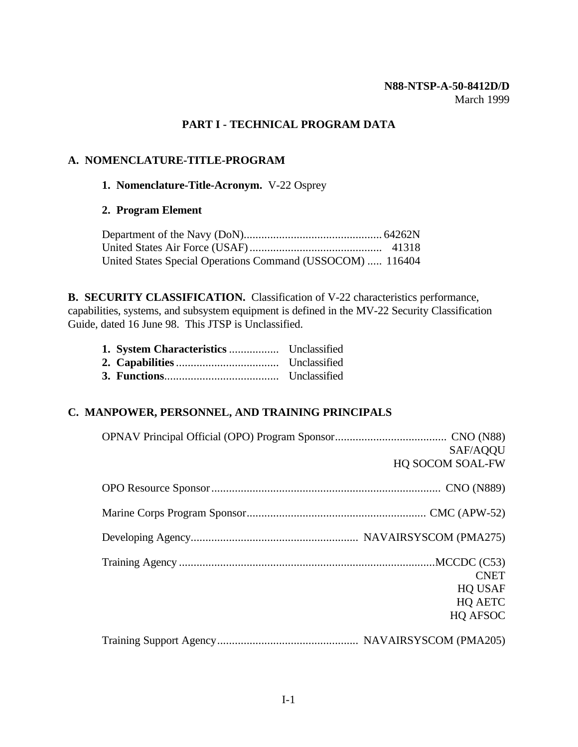#### **N88-NTSP-A-50-8412D/D** March 1999

## **PART I - TECHNICAL PROGRAM DATA**

#### <span id="page-14-0"></span>**A. NOMENCLATURE-TITLE-PROGRAM**

#### **1. Nomenclature-Title-Acronym.** V-22 Osprey

#### **2. Program Element**

| United States Special Operations Command (USSOCOM)  116404 |  |
|------------------------------------------------------------|--|

**B. SECURITY CLASSIFICATION.** Classification of V-22 characteristics performance, capabilities, systems, and subsystem equipment is defined in the MV-22 Security Classification Guide, dated 16 June 98. This JTSP is Unclassified.

### **C. MANPOWER, PERSONNEL, AND TRAINING PRINCIPALS**

| SAF/AQQU         |
|------------------|
| HQ SOCOM SOAL-FW |
|                  |
|                  |
|                  |
|                  |
| <b>CNET</b>      |
| <b>HQ USAF</b>   |
| HQ AETC          |
| HQ AFSOC         |
|                  |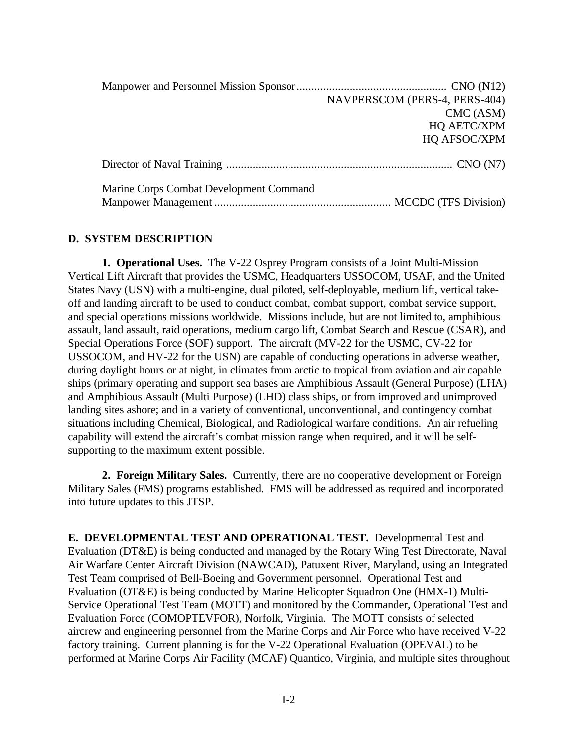<span id="page-15-0"></span>

|                                         | NAVPERSCOM (PERS-4, PERS-404) |
|-----------------------------------------|-------------------------------|
|                                         | CMC (ASM)                     |
|                                         | HQ AETC/XPM                   |
|                                         | HQ AFSOC/XPM                  |
|                                         |                               |
| Marine Corps Combat Development Command |                               |
|                                         |                               |

#### **D. SYSTEM DESCRIPTION**

**1. Operational Uses.** The V-22 Osprey Program consists of a Joint Multi-Mission Vertical Lift Aircraft that provides the USMC, Headquarters USSOCOM, USAF, and the United States Navy (USN) with a multi-engine, dual piloted, self-deployable, medium lift, vertical takeoff and landing aircraft to be used to conduct combat, combat support, combat service support, and special operations missions worldwide. Missions include, but are not limited to, amphibious assault, land assault, raid operations, medium cargo lift, Combat Search and Rescue (CSAR), and Special Operations Force (SOF) support. The aircraft (MV-22 for the USMC, CV-22 for USSOCOM, and HV-22 for the USN) are capable of conducting operations in adverse weather, during daylight hours or at night, in climates from arctic to tropical from aviation and air capable ships (primary operating and support sea bases are Amphibious Assault (General Purpose) (LHA) and Amphibious Assault (Multi Purpose) (LHD) class ships, or from improved and unimproved landing sites ashore; and in a variety of conventional, unconventional, and contingency combat situations including Chemical, Biological, and Radiological warfare conditions. An air refueling capability will extend the aircraft's combat mission range when required, and it will be selfsupporting to the maximum extent possible.

**2. Foreign Military Sales.** Currently, there are no cooperative development or Foreign Military Sales (FMS) programs established. FMS will be addressed as required and incorporated into future updates to this JTSP.

**E. DEVELOPMENTAL TEST AND OPERATIONAL TEST.** Developmental Test and Evaluation (DT&E) is being conducted and managed by the Rotary Wing Test Directorate, Naval Air Warfare Center Aircraft Division (NAWCAD), Patuxent River, Maryland, using an Integrated Test Team comprised of Bell-Boeing and Government personnel. Operational Test and Evaluation (OT&E) is being conducted by Marine Helicopter Squadron One (HMX-1) Multi-Service Operational Test Team (MOTT) and monitored by the Commander, Operational Test and Evaluation Force (COMOPTEVFOR), Norfolk, Virginia. The MOTT consists of selected aircrew and engineering personnel from the Marine Corps and Air Force who have received V-22 factory training. Current planning is for the V-22 Operational Evaluation (OPEVAL) to be performed at Marine Corps Air Facility (MCAF) Quantico, Virginia, and multiple sites throughout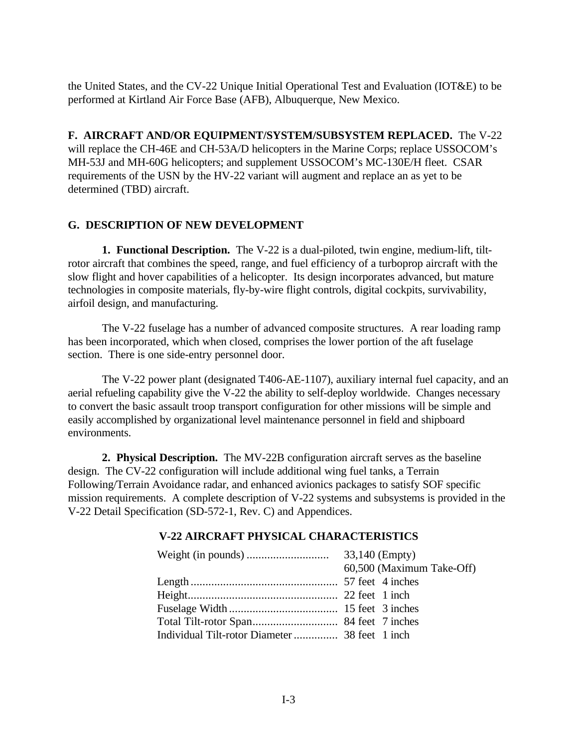<span id="page-16-0"></span>the United States, and the CV-22 Unique Initial Operational Test and Evaluation (IOT&E) to be performed at Kirtland Air Force Base (AFB), Albuquerque, New Mexico.

**F. AIRCRAFT AND/OR EQUIPMENT/SYSTEM/SUBSYSTEM REPLACED.** The V-22 will replace the CH-46E and CH-53A/D helicopters in the Marine Corps; replace USSOCOM's MH-53J and MH-60G helicopters; and supplement USSOCOM's MC-130E/H fleet. CSAR requirements of the USN by the HV-22 variant will augment and replace an as yet to be determined (TBD) aircraft.

## **G. DESCRIPTION OF NEW DEVELOPMENT**

**1. Functional Description.** The V-22 is a dual-piloted, twin engine, medium-lift, tiltrotor aircraft that combines the speed, range, and fuel efficiency of a turboprop aircraft with the slow flight and hover capabilities of a helicopter. Its design incorporates advanced, but mature technologies in composite materials, fly-by-wire flight controls, digital cockpits, survivability, airfoil design, and manufacturing.

The V-22 fuselage has a number of advanced composite structures. A rear loading ramp has been incorporated, which when closed, comprises the lower portion of the aft fuselage section. There is one side-entry personnel door.

The V-22 power plant (designated T406-AE-1107), auxiliary internal fuel capacity, and an aerial refueling capability give the V-22 the ability to self-deploy worldwide. Changes necessary to convert the basic assault troop transport configuration for other missions will be simple and easily accomplished by organizational level maintenance personnel in field and shipboard environments.

**2. Physical Description.** The MV-22B configuration aircraft serves as the baseline design. The CV-22 configuration will include additional wing fuel tanks, a Terrain Following/Terrain Avoidance radar, and enhanced avionics packages to satisfy SOF specific mission requirements. A complete description of V-22 systems and subsystems is provided in the V-22 Detail Specification (SD-572-1, Rev. C) and Appendices.

#### **V-22 AIRCRAFT PHYSICAL CHARACTERISTICS**

| 60,500 (Maximum Take-Off) |
|---------------------------|
|                           |
|                           |
|                           |
|                           |
|                           |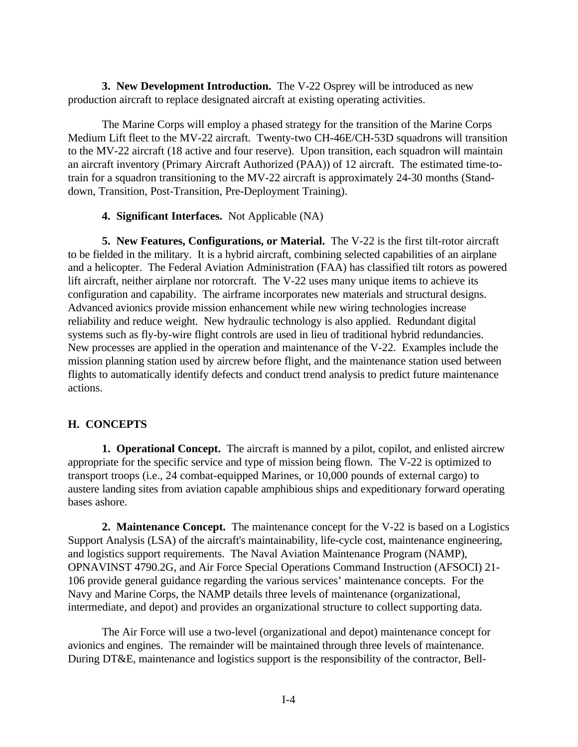<span id="page-17-0"></span>**3. New Development Introduction.** The V-22 Osprey will be introduced as new production aircraft to replace designated aircraft at existing operating activities.

The Marine Corps will employ a phased strategy for the transition of the Marine Corps Medium Lift fleet to the MV-22 aircraft. Twenty-two CH-46E/CH-53D squadrons will transition to the MV-22 aircraft (18 active and four reserve). Upon transition, each squadron will maintain an aircraft inventory (Primary Aircraft Authorized (PAA)) of 12 aircraft. The estimated time-totrain for a squadron transitioning to the MV-22 aircraft is approximately 24-30 months (Standdown, Transition, Post-Transition, Pre-Deployment Training).

#### **4. Significant Interfaces.** Not Applicable (NA)

**5. New Features, Configurations, or Material.** The V-22 is the first tilt-rotor aircraft to be fielded in the military. It is a hybrid aircraft, combining selected capabilities of an airplane and a helicopter. The Federal Aviation Administration (FAA) has classified tilt rotors as powered lift aircraft, neither airplane nor rotorcraft. The V-22 uses many unique items to achieve its configuration and capability. The airframe incorporates new materials and structural designs. Advanced avionics provide mission enhancement while new wiring technologies increase reliability and reduce weight. New hydraulic technology is also applied. Redundant digital systems such as fly-by-wire flight controls are used in lieu of traditional hybrid redundancies. New processes are applied in the operation and maintenance of the V-22. Examples include the mission planning station used by aircrew before flight, and the maintenance station used between flights to automatically identify defects and conduct trend analysis to predict future maintenance actions.

#### **H. CONCEPTS**

**1. Operational Concept.** The aircraft is manned by a pilot, copilot, and enlisted aircrew appropriate for the specific service and type of mission being flown. The V-22 is optimized to transport troops (i.e., 24 combat-equipped Marines, or 10,000 pounds of external cargo) to austere landing sites from aviation capable amphibious ships and expeditionary forward operating bases ashore.

**2. Maintenance Concept.** The maintenance concept for the V-22 is based on a Logistics Support Analysis (LSA) of the aircraft's maintainability, life-cycle cost, maintenance engineering, and logistics support requirements. The Naval Aviation Maintenance Program (NAMP), OPNAVINST 4790.2G, and Air Force Special Operations Command Instruction (AFSOCI) 21- 106 provide general guidance regarding the various services' maintenance concepts. For the Navy and Marine Corps, the NAMP details three levels of maintenance (organizational, intermediate, and depot) and provides an organizational structure to collect supporting data.

The Air Force will use a two-level (organizational and depot) maintenance concept for avionics and engines. The remainder will be maintained through three levels of maintenance. During DT&E, maintenance and logistics support is the responsibility of the contractor, Bell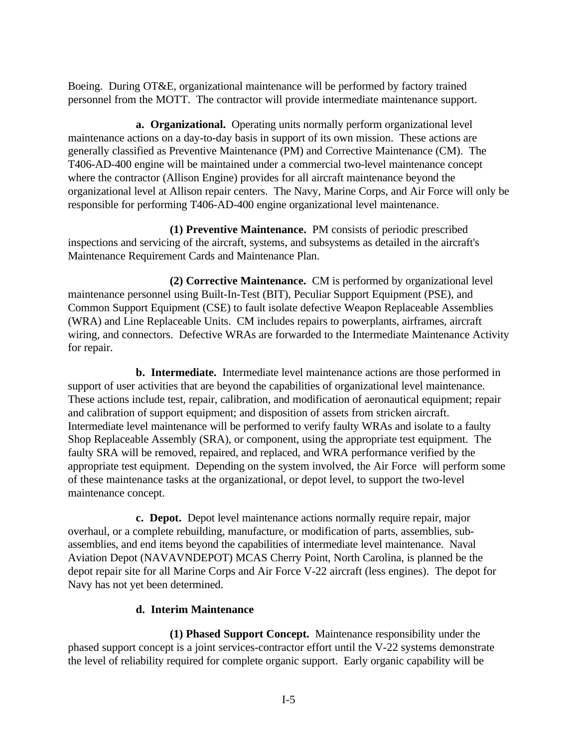Boeing. During OT&E, organizational maintenance will be performed by factory trained personnel from the MOTT. The contractor will provide intermediate maintenance support.

**a. Organizational.** Operating units normally perform organizational level maintenance actions on a day-to-day basis in support of its own mission. These actions are generally classified as Preventive Maintenance (PM) and Corrective Maintenance (CM). The T406-AD-400 engine will be maintained under a commercial two-level maintenance concept where the contractor (Allison Engine) provides for all aircraft maintenance beyond the organizational level at Allison repair centers. The Navy, Marine Corps, and Air Force will only be responsible for performing T406-AD-400 engine organizational level maintenance.

**(1) Preventive Maintenance.** PM consists of periodic prescribed inspections and servicing of the aircraft, systems, and subsystems as detailed in the aircraft's Maintenance Requirement Cards and Maintenance Plan.

**(2) Corrective Maintenance.** CM is performed by organizational level maintenance personnel using Built-In-Test (BIT), Peculiar Support Equipment (PSE), and Common Support Equipment (CSE) to fault isolate defective Weapon Replaceable Assemblies (WRA) and Line Replaceable Units. CM includes repairs to powerplants, airframes, aircraft wiring, and connectors. Defective WRAs are forwarded to the Intermediate Maintenance Activity for repair.

**b. Intermediate.** Intermediate level maintenance actions are those performed in support of user activities that are beyond the capabilities of organizational level maintenance. These actions include test, repair, calibration, and modification of aeronautical equipment; repair and calibration of support equipment; and disposition of assets from stricken aircraft. Intermediate level maintenance will be performed to verify faulty WRAs and isolate to a faulty Shop Replaceable Assembly (SRA), or component, using the appropriate test equipment. The faulty SRA will be removed, repaired, and replaced, and WRA performance verified by the appropriate test equipment. Depending on the system involved, the Air Force will perform some of these maintenance tasks at the organizational, or depot level, to support the two-level maintenance concept.

**c. Depot.** Depot level maintenance actions normally require repair, major overhaul, or a complete rebuilding, manufacture, or modification of parts, assemblies, subassemblies, and end items beyond the capabilities of intermediate level maintenance. Naval Aviation Depot (NAVAVNDEPOT) MCAS Cherry Point, North Carolina, is planned be the depot repair site for all Marine Corps and Air Force V-22 aircraft (less engines). The depot for Navy has not yet been determined.

#### **d. Interim Maintenance**

**(1) Phased Support Concept.** Maintenance responsibility under the phased support concept is a joint services-contractor effort until the V-22 systems demonstrate the level of reliability required for complete organic support. Early organic capability will be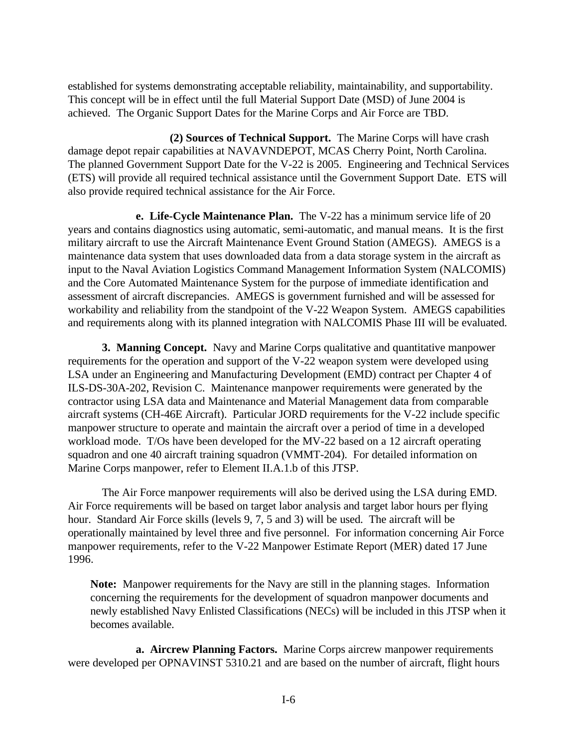established for systems demonstrating acceptable reliability, maintainability, and supportability. This concept will be in effect until the full Material Support Date (MSD) of June 2004 is achieved. The Organic Support Dates for the Marine Corps and Air Force are TBD.

**(2) Sources of Technical Support.** The Marine Corps will have crash damage depot repair capabilities at NAVAVNDEPOT, MCAS Cherry Point, North Carolina. The planned Government Support Date for the V-22 is 2005. Engineering and Technical Services (ETS) will provide all required technical assistance until the Government Support Date. ETS will also provide required technical assistance for the Air Force.

**e. Life-Cycle Maintenance Plan.** The V-22 has a minimum service life of 20 years and contains diagnostics using automatic, semi-automatic, and manual means. It is the first military aircraft to use the Aircraft Maintenance Event Ground Station (AMEGS). AMEGS is a maintenance data system that uses downloaded data from a data storage system in the aircraft as input to the Naval Aviation Logistics Command Management Information System (NALCOMIS) and the Core Automated Maintenance System for the purpose of immediate identification and assessment of aircraft discrepancies. AMEGS is government furnished and will be assessed for workability and reliability from the standpoint of the V-22 Weapon System. AMEGS capabilities and requirements along with its planned integration with NALCOMIS Phase III will be evaluated.

**3. Manning Concept.** Navy and Marine Corps qualitative and quantitative manpower requirements for the operation and support of the V-22 weapon system were developed using LSA under an Engineering and Manufacturing Development (EMD) contract per Chapter 4 of ILS-DS-30A-202, Revision C. Maintenance manpower requirements were generated by the contractor using LSA data and Maintenance and Material Management data from comparable aircraft systems (CH-46E Aircraft). Particular JORD requirements for the V-22 include specific manpower structure to operate and maintain the aircraft over a period of time in a developed workload mode. T/Os have been developed for the MV-22 based on a 12 aircraft operating squadron and one 40 aircraft training squadron (VMMT-204). For detailed information on Marine Corps manpower, refer to Element II.A.1.b of this JTSP.

The Air Force manpower requirements will also be derived using the LSA during EMD. Air Force requirements will be based on target labor analysis and target labor hours per flying hour. Standard Air Force skills (levels 9, 7, 5 and 3) will be used. The aircraft will be operationally maintained by level three and five personnel. For information concerning Air Force manpower requirements, refer to the V-22 Manpower Estimate Report (MER) dated 17 June 1996.

**Note:** Manpower requirements for the Navy are still in the planning stages. Information concerning the requirements for the development of squadron manpower documents and newly established Navy Enlisted Classifications (NECs) will be included in this JTSP when it becomes available.

**a. Aircrew Planning Factors.** Marine Corps aircrew manpower requirements were developed per OPNAVINST 5310.21 and are based on the number of aircraft, flight hours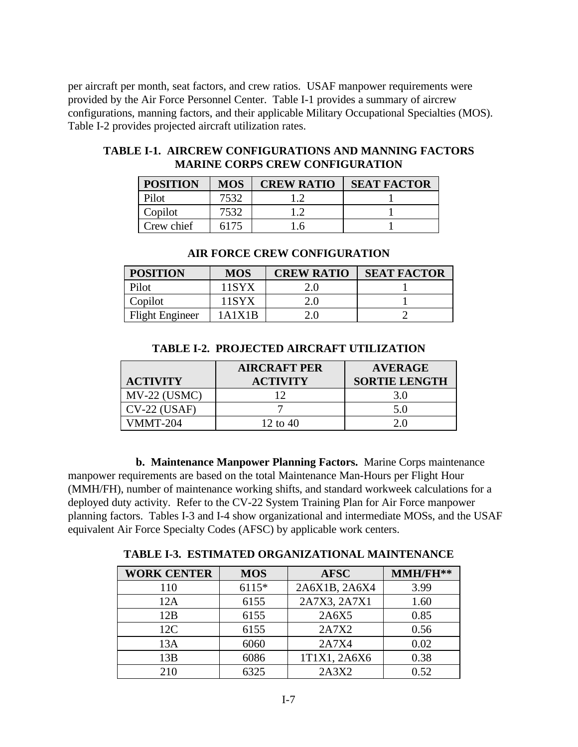<span id="page-20-0"></span>per aircraft per month, seat factors, and crew ratios. USAF manpower requirements were provided by the Air Force Personnel Center. Table I-1 provides a summary of aircrew configurations, manning factors, and their applicable Military Occupational Specialties (MOS). Table I-2 provides projected aircraft utilization rates.

#### **TABLE I-1. AIRCREW CONFIGURATIONS AND MANNING FACTORS MARINE CORPS CREW CONFIGURATION**

| <b>POSITION</b> | <b>MOS</b> | <b>CREW RATIO</b> | <b>SEAT FACTOR</b> |
|-----------------|------------|-------------------|--------------------|
| Pilot           | 7532       |                   |                    |
| Copilot         | 7532       |                   |                    |
| Crew chief      | 6175       | .6                |                    |

# **AIR FORCE CREW CONFIGURATION**

| <b>POSITION</b>        | <b>MOS</b>  | <b>CREW RATIO</b> | <b>SEAT FACTOR</b> |
|------------------------|-------------|-------------------|--------------------|
| Pilot                  | 11SYX       | 2.0               |                    |
| Copilot                | 11SYX       | 2.0               |                    |
| <b>Flight Engineer</b> | 1 A 1 X 1 R | 2 U               |                    |

| Pilot                  | 1 S V X | 2.0 |  |
|------------------------|---------|-----|--|
| Copilot                |         | 2.0 |  |
| <b>Flight Engineer</b> | Δ       | 2.0 |  |
|                        |         |     |  |

#### **ACTIVITY AIRCRAFT PER ACTIVITY AVERAGE SORTIE LENGTH** MV-22 (USMC) 12 3.0  $CV-22 (USAF)$  7 5.0 VMMT-204 12 to 40 2.0

#### **TABLE I-2. PROJECTED AIRCRAFT UTILIZATION**

**b. Maintenance Manpower Planning Factors.** Marine Corps maintenance manpower requirements are based on the total Maintenance Man-Hours per Flight Hour (MMH/FH), number of maintenance working shifts, and standard workweek calculations for a deployed duty activity. Refer to the CV-22 System Training Plan for Air Force manpower planning factors. Tables I-3 and I-4 show organizational and intermediate MOSs, and the USAF equivalent Air Force Specialty Codes (AFSC) by applicable work centers.

**TABLE I-3. ESTIMATED ORGANIZATIONAL MAINTENANCE**

| <b>WORK CENTER</b> | <b>MOS</b> | <b>AFSC</b>   | MMH/FH** |
|--------------------|------------|---------------|----------|
| 110                | $6115*$    | 2A6X1B, 2A6X4 | 3.99     |
| 12A                | 6155       | 2A7X3, 2A7X1  | 1.60     |
| 12B                | 6155       | 2A6X5         | 0.85     |
| 12C                | 6155       | 2A7X2         | 0.56     |
| 13A                | 6060       | 2A7X4         | 0.02     |
| 13B                | 6086       | 1T1X1, 2A6X6  | 0.38     |
| 210                | 6325       | 2A3X2         | 0.52     |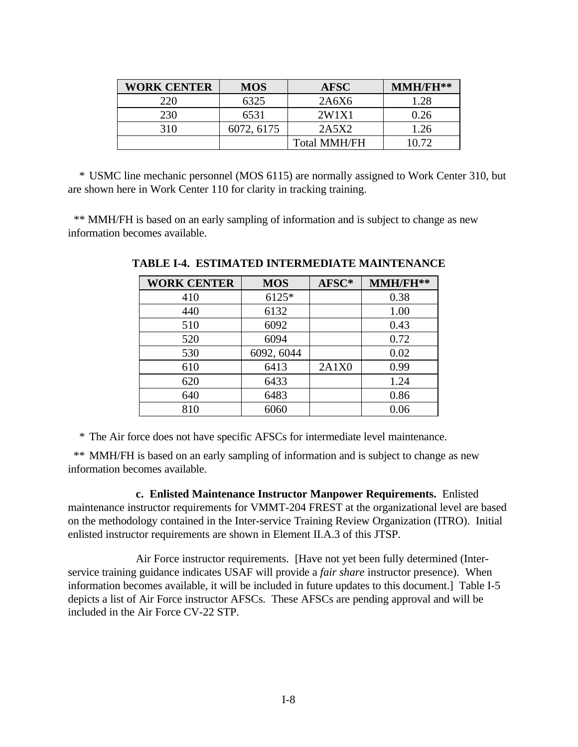<span id="page-21-0"></span>

| <b>WORK CENTER</b> | <b>MOS</b> | <b>AFSC</b>         | MMH/FH** |
|--------------------|------------|---------------------|----------|
| 220                | 6325       | 2A6X6               | 1.28     |
| 230                | 6531       | 2W1X1               | 0.26     |
| 310                | 6072, 6175 | 2A5X2               | 1.26     |
|                    |            | <b>Total MMH/FH</b> | 10.72    |

\* USMC line mechanic personnel (MOS 6115) are normally assigned to Work Center 310, but are shown here in Work Center 110 for clarity in tracking training.

 \*\* MMH/FH is based on an early sampling of information and is subject to change as new information becomes available.

| <b>WORK CENTER</b> | <b>MOS</b> | AFSC* | MMH/FH** |
|--------------------|------------|-------|----------|
| 410                | 6125*      |       | 0.38     |
| 440                | 6132       |       | 1.00     |
| 510                | 6092       |       | 0.43     |
| 520                | 6094       |       | 0.72     |
| 530                | 6092, 6044 |       | 0.02     |
| 610                | 6413       | 2A1X0 | 0.99     |
| 620                | 6433       |       | 1.24     |
| 640                | 6483       |       | 0.86     |
| 810                | 6060       |       | 0.06     |

**TABLE I-4. ESTIMATED INTERMEDIATE MAINTENANCE**

\* The Air force does not have specific AFSCs for intermediate level maintenance.

\*\* MMH/FH is based on an early sampling of information and is subject to change as new information becomes available.

**c. Enlisted Maintenance Instructor Manpower Requirements.** Enlisted maintenance instructor requirements for VMMT-204 FREST at the organizational level are based on the methodology contained in the Inter-service Training Review Organization (ITRO). Initial enlisted instructor requirements are shown in Element II.A.3 of this JTSP.

Air Force instructor requirements. [Have not yet been fully determined (Interservice training guidance indicates USAF will provide a *fair share* instructor presence). When information becomes available, it will be included in future updates to this document.] Table I-5 depicts a list of Air Force instructor AFSCs. These AFSCs are pending approval and will be included in the Air Force CV-22 STP.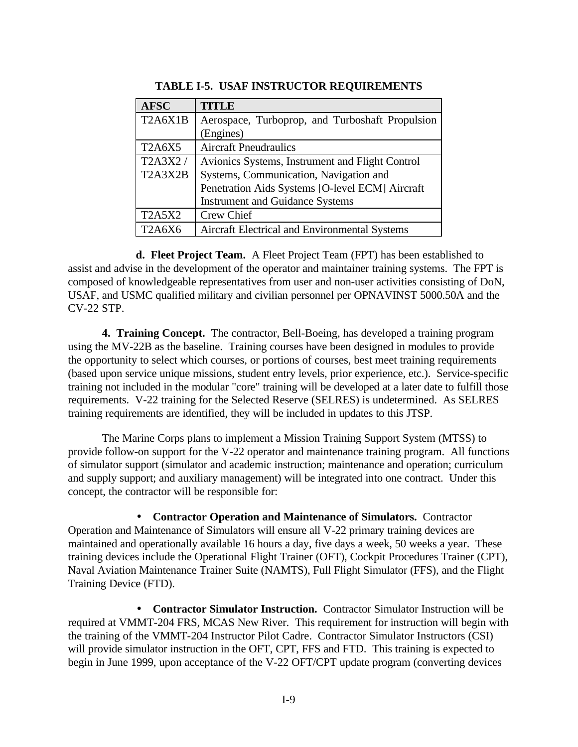<span id="page-22-0"></span>

| <b>AFSC</b>   | <b>TITLE</b>                                    |
|---------------|-------------------------------------------------|
| T2A6X1B       | Aerospace, Turboprop, and Turboshaft Propulsion |
|               | (Engines)                                       |
| <b>T2A6X5</b> | <b>Aircraft Pneudraulics</b>                    |
| T2A3X2/       | Avionics Systems, Instrument and Flight Control |
| T2A3X2B       | Systems, Communication, Navigation and          |
|               | Penetration Aids Systems [O-level ECM] Aircraft |
|               | <b>Instrument and Guidance Systems</b>          |
| <b>T2A5X2</b> | Crew Chief                                      |
| <b>T2A6X6</b> | Aircraft Electrical and Environmental Systems   |

**TABLE I-5. USAF INSTRUCTOR REQUIREMENTS**

**d. Fleet Project Team.** A Fleet Project Team (FPT) has been established to assist and advise in the development of the operator and maintainer training systems. The FPT is composed of knowledgeable representatives from user and non-user activities consisting of DoN, USAF, and USMC qualified military and civilian personnel per OPNAVINST 5000.50A and the CV-22 STP.

**4. Training Concept.** The contractor, Bell-Boeing, has developed a training program using the MV-22B as the baseline. Training courses have been designed in modules to provide the opportunity to select which courses, or portions of courses, best meet training requirements (based upon service unique missions, student entry levels, prior experience, etc.). Service-specific training not included in the modular "core" training will be developed at a later date to fulfill those requirements. V-22 training for the Selected Reserve (SELRES) is undetermined. As SELRES training requirements are identified, they will be included in updates to this JTSP.

The Marine Corps plans to implement a Mission Training Support System (MTSS) to provide follow-on support for the V-22 operator and maintenance training program. All functions of simulator support (simulator and academic instruction; maintenance and operation; curriculum and supply support; and auxiliary management) will be integrated into one contract. Under this concept, the contractor will be responsible for:

• **Contractor Operation and Maintenance of Simulators.** Contractor Operation and Maintenance of Simulators will ensure all V-22 primary training devices are maintained and operationally available 16 hours a day, five days a week, 50 weeks a year. These training devices include the Operational Flight Trainer (OFT), Cockpit Procedures Trainer (CPT), Naval Aviation Maintenance Trainer Suite (NAMTS), Full Flight Simulator (FFS), and the Flight Training Device (FTD).

• **Contractor Simulator Instruction.** Contractor Simulator Instruction will be required at VMMT-204 FRS, MCAS New River. This requirement for instruction will begin with the training of the VMMT-204 Instructor Pilot Cadre. Contractor Simulator Instructors (CSI) will provide simulator instruction in the OFT, CPT, FFS and FTD. This training is expected to begin in June 1999, upon acceptance of the V-22 OFT/CPT update program (converting devices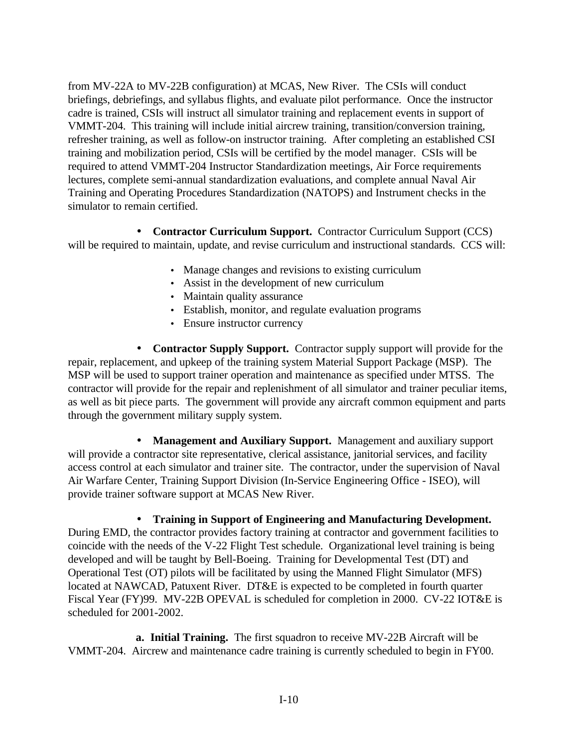from MV-22A to MV-22B configuration) at MCAS, New River. The CSIs will conduct briefings, debriefings, and syllabus flights, and evaluate pilot performance. Once the instructor cadre is trained, CSIs will instruct all simulator training and replacement events in support of VMMT-204. This training will include initial aircrew training, transition/conversion training, refresher training, as well as follow-on instructor training. After completing an established CSI training and mobilization period, CSIs will be certified by the model manager. CSIs will be required to attend VMMT-204 Instructor Standardization meetings, Air Force requirements lectures, complete semi-annual standardization evaluations, and complete annual Naval Air Training and Operating Procedures Standardization (NATOPS) and Instrument checks in the simulator to remain certified.

• **Contractor Curriculum Support.** Contractor Curriculum Support (CCS) will be required to maintain, update, and revise curriculum and instructional standards. CCS will:

- Manage changes and revisions to existing curriculum
- Assist in the development of new curriculum
- Maintain quality assurance
- Establish, monitor, and regulate evaluation programs
- Ensure instructor currency

• **Contractor Supply Support.** Contractor supply support will provide for the repair, replacement, and upkeep of the training system Material Support Package (MSP). The MSP will be used to support trainer operation and maintenance as specified under MTSS. The contractor will provide for the repair and replenishment of all simulator and trainer peculiar items, as well as bit piece parts. The government will provide any aircraft common equipment and parts through the government military supply system.

• **Management and Auxiliary Support.** Management and auxiliary support will provide a contractor site representative, clerical assistance, janitorial services, and facility access control at each simulator and trainer site. The contractor, under the supervision of Naval Air Warfare Center, Training Support Division (In-Service Engineering Office - ISEO), will provide trainer software support at MCAS New River.

• **Training in Support of Engineering and Manufacturing Development.** During EMD, the contractor provides factory training at contractor and government facilities to coincide with the needs of the V-22 Flight Test schedule. Organizational level training is being developed and will be taught by Bell-Boeing. Training for Developmental Test (DT) and Operational Test (OT) pilots will be facilitated by using the Manned Flight Simulator (MFS) located at NAWCAD, Patuxent River. DT&E is expected to be completed in fourth quarter Fiscal Year (FY)99. MV-22B OPEVAL is scheduled for completion in 2000. CV-22 IOT&E is scheduled for 2001-2002.

**a. Initial Training.** The first squadron to receive MV-22B Aircraft will be VMMT-204. Aircrew and maintenance cadre training is currently scheduled to begin in FY00.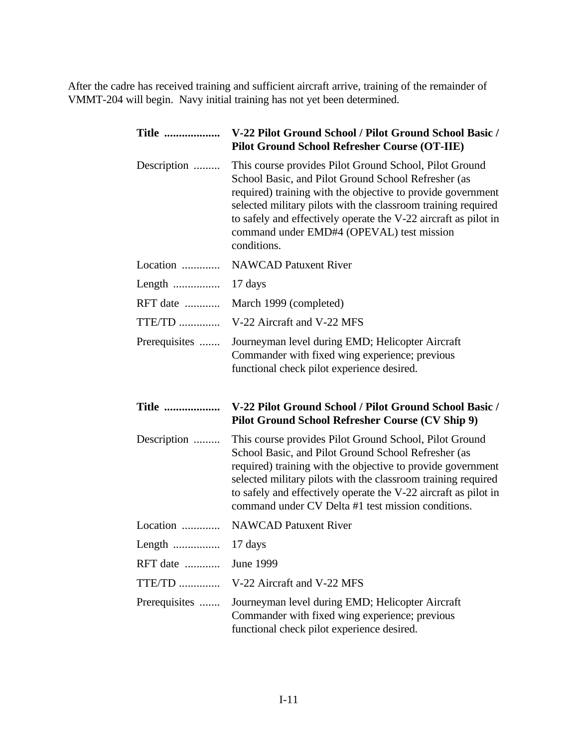After the cadre has received training and sufficient aircraft arrive, training of the remainder of VMMT-204 will begin. Navy initial training has not yet been determined.

| <b>Title </b> | V-22 Pilot Ground School / Pilot Ground School Basic /<br><b>Pilot Ground School Refresher Course (OT-IIE)</b>                                                                                                                                                                                                                                                               |
|---------------|------------------------------------------------------------------------------------------------------------------------------------------------------------------------------------------------------------------------------------------------------------------------------------------------------------------------------------------------------------------------------|
| Description   | This course provides Pilot Ground School, Pilot Ground<br>School Basic, and Pilot Ground School Refresher (as<br>required) training with the objective to provide government<br>selected military pilots with the classroom training required<br>to safely and effectively operate the V-22 aircraft as pilot in<br>command under EMD#4 (OPEVAL) test mission<br>conditions. |
| Location      | <b>NAWCAD Patuxent River</b>                                                                                                                                                                                                                                                                                                                                                 |
|               | 17 days                                                                                                                                                                                                                                                                                                                                                                      |
| RFT date      | March 1999 (completed)                                                                                                                                                                                                                                                                                                                                                       |
| $TTE/TD$      | V-22 Aircraft and V-22 MFS                                                                                                                                                                                                                                                                                                                                                   |
| Prerequisites | Journeyman level during EMD; Helicopter Aircraft<br>Commander with fixed wing experience; previous<br>functional check pilot experience desired.                                                                                                                                                                                                                             |
|               |                                                                                                                                                                                                                                                                                                                                                                              |
| <b>Title </b> | V-22 Pilot Ground School / Pilot Ground School Basic /<br>Pilot Ground School Refresher Course (CV Ship 9)                                                                                                                                                                                                                                                                   |
| Description   | This course provides Pilot Ground School, Pilot Ground<br>School Basic, and Pilot Ground School Refresher (as<br>required) training with the objective to provide government<br>selected military pilots with the classroom training required<br>to safely and effectively operate the V-22 aircraft as pilot in<br>command under CV Delta #1 test mission conditions.       |
| Location      | <b>NAWCAD Patuxent River</b>                                                                                                                                                                                                                                                                                                                                                 |
| Length        | 17 days                                                                                                                                                                                                                                                                                                                                                                      |
| RFT date      | June 1999                                                                                                                                                                                                                                                                                                                                                                    |
| $TTE/TD$      | V-22 Aircraft and V-22 MFS                                                                                                                                                                                                                                                                                                                                                   |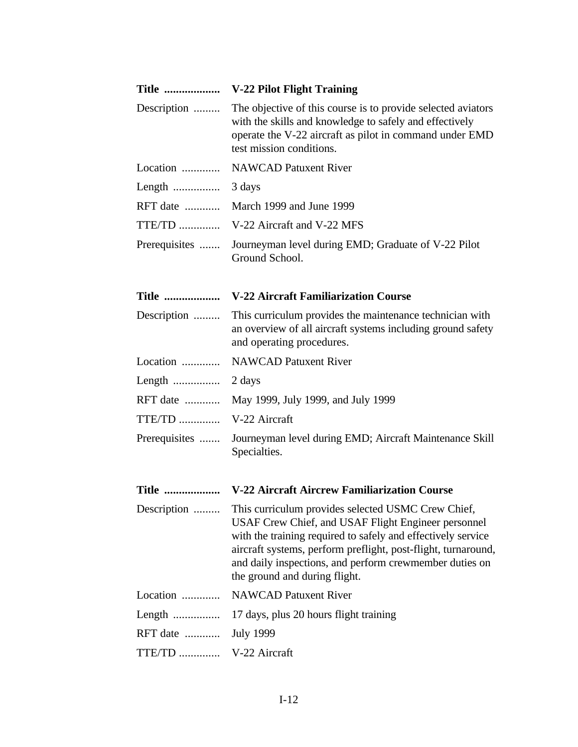| <b>Title </b> | <b>V-22 Pilot Flight Training</b>                                                                                                                                                                                                                                                                                                      |
|---------------|----------------------------------------------------------------------------------------------------------------------------------------------------------------------------------------------------------------------------------------------------------------------------------------------------------------------------------------|
| Description   | The objective of this course is to provide selected aviators<br>with the skills and knowledge to safely and effectively<br>operate the V-22 aircraft as pilot in command under EMD<br>test mission conditions.                                                                                                                         |
| Location      | <b>NAWCAD Patuxent River</b>                                                                                                                                                                                                                                                                                                           |
|               | 3 days                                                                                                                                                                                                                                                                                                                                 |
| RFT date      | March 1999 and June 1999                                                                                                                                                                                                                                                                                                               |
| $TTE/TD$      | V-22 Aircraft and V-22 MFS                                                                                                                                                                                                                                                                                                             |
| Prerequisites | Journeyman level during EMD; Graduate of V-22 Pilot<br>Ground School.                                                                                                                                                                                                                                                                  |
| <b>Title </b> | <b>V-22 Aircraft Familiarization Course</b>                                                                                                                                                                                                                                                                                            |
| Description   | This curriculum provides the maintenance technician with<br>an overview of all aircraft systems including ground safety<br>and operating procedures.                                                                                                                                                                                   |
| Location      | <b>NAWCAD Patuxent River</b>                                                                                                                                                                                                                                                                                                           |
| Length        | 2 days                                                                                                                                                                                                                                                                                                                                 |
| RFT date      | May 1999, July 1999, and July 1999                                                                                                                                                                                                                                                                                                     |
| $TTE/TD$      | V-22 Aircraft                                                                                                                                                                                                                                                                                                                          |
| Prerequisites | Journeyman level during EMD; Aircraft Maintenance Skill<br>Specialties.                                                                                                                                                                                                                                                                |
| <b>Title </b> | V-22 Aircraft Aircrew Familiarization Course                                                                                                                                                                                                                                                                                           |
| Description   | This curriculum provides selected USMC Crew Chief,<br>USAF Crew Chief, and USAF Flight Engineer personnel<br>with the training required to safely and effectively service<br>aircraft systems, perform preflight, post-flight, turnaround,<br>and daily inspections, and perform crewmember duties on<br>the ground and during flight. |
| Location      | <b>NAWCAD Patuxent River</b>                                                                                                                                                                                                                                                                                                           |
|               | 17 days, plus 20 hours flight training                                                                                                                                                                                                                                                                                                 |
| RFT date      | <b>July 1999</b>                                                                                                                                                                                                                                                                                                                       |
| TTE/TD        | V-22 Aircraft                                                                                                                                                                                                                                                                                                                          |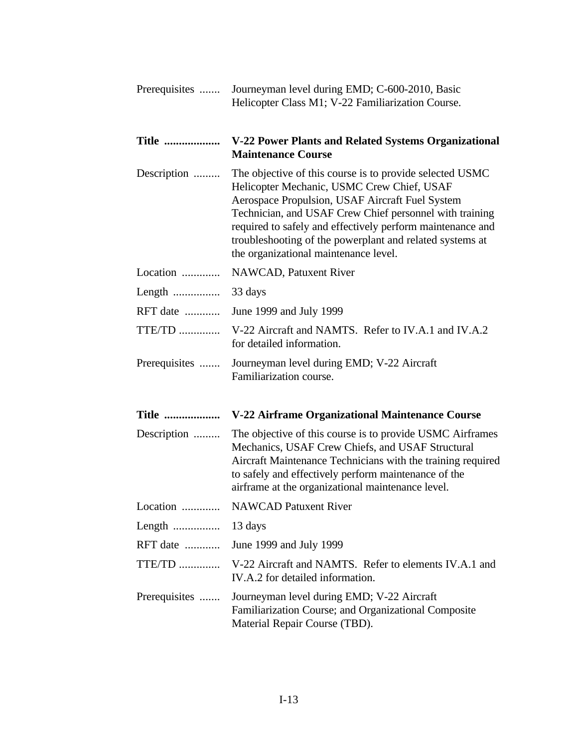| Prerequisites | Journeyman level during EMD; C-600-2010, Basic<br>Helicopter Class M1; V-22 Familiarization Course.                                                                                                                                                                                                                                                                                     |
|---------------|-----------------------------------------------------------------------------------------------------------------------------------------------------------------------------------------------------------------------------------------------------------------------------------------------------------------------------------------------------------------------------------------|
| <b>Title </b> | V-22 Power Plants and Related Systems Organizational<br><b>Maintenance Course</b>                                                                                                                                                                                                                                                                                                       |
| Description   | The objective of this course is to provide selected USMC<br>Helicopter Mechanic, USMC Crew Chief, USAF<br>Aerospace Propulsion, USAF Aircraft Fuel System<br>Technician, and USAF Crew Chief personnel with training<br>required to safely and effectively perform maintenance and<br>troubleshooting of the powerplant and related systems at<br>the organizational maintenance level. |
| Location      | NAWCAD, Patuxent River                                                                                                                                                                                                                                                                                                                                                                  |
| Length        | 33 days                                                                                                                                                                                                                                                                                                                                                                                 |
| RFT date      | June 1999 and July 1999                                                                                                                                                                                                                                                                                                                                                                 |
| TTE/TD        | V-22 Aircraft and NAMTS. Refer to IV.A.1 and IV.A.2<br>for detailed information.                                                                                                                                                                                                                                                                                                        |
| Prerequisites | Journeyman level during EMD; V-22 Aircraft<br>Familiarization course.                                                                                                                                                                                                                                                                                                                   |
| <b>Title </b> | V-22 Airframe Organizational Maintenance Course                                                                                                                                                                                                                                                                                                                                         |
| Description   | The objective of this course is to provide USMC Airframes<br>Mechanics, USAF Crew Chiefs, and USAF Structural<br>Aircraft Maintenance Technicians with the training required<br>to safely and effectively perform maintenance of the<br>airframe at the organizational maintenance level.                                                                                               |
| Location      | <b>NAWCAD Patuxent River</b>                                                                                                                                                                                                                                                                                                                                                            |
|               |                                                                                                                                                                                                                                                                                                                                                                                         |
| RFT date      | June 1999 and July 1999                                                                                                                                                                                                                                                                                                                                                                 |
|               | TTE/TD  V-22 Aircraft and NAMTS. Refer to elements IV.A.1 and<br>IV.A.2 for detailed information.                                                                                                                                                                                                                                                                                       |
| Prerequisites | Journeyman level during EMD; V-22 Aircraft<br>Familiarization Course; and Organizational Composite<br>Material Repair Course (TBD).                                                                                                                                                                                                                                                     |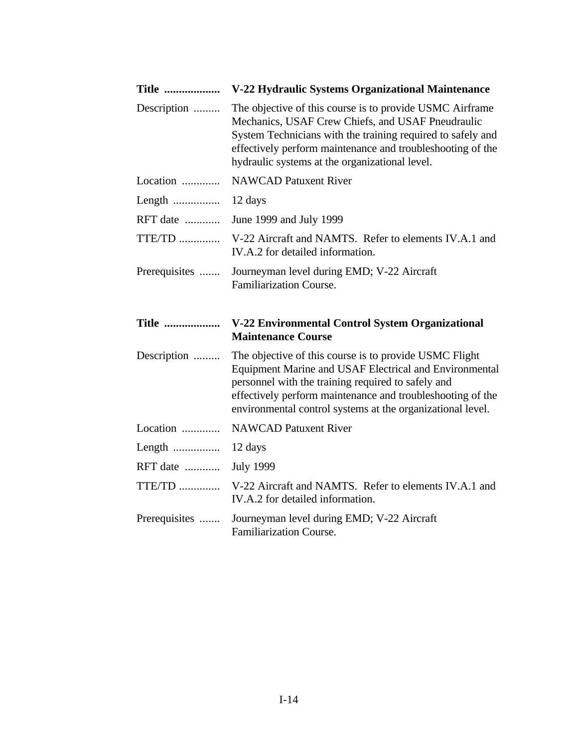| <b>Title </b> | V-22 Hydraulic Systems Organizational Maintenance                                                                                                                                                                                                                                                  |
|---------------|----------------------------------------------------------------------------------------------------------------------------------------------------------------------------------------------------------------------------------------------------------------------------------------------------|
| Description   | The objective of this course is to provide USMC Airframe<br>Mechanics, USAF Crew Chiefs, and USAF Pneudraulic<br>System Technicians with the training required to safely and<br>effectively perform maintenance and troubleshooting of the<br>hydraulic systems at the organizational level.       |
| Location      | <b>NAWCAD Patuxent River</b>                                                                                                                                                                                                                                                                       |
|               | 12 days                                                                                                                                                                                                                                                                                            |
| RFT date      | June 1999 and July 1999                                                                                                                                                                                                                                                                            |
| TTE/TD        | V-22 Aircraft and NAMTS. Refer to elements IV.A.1 and<br>IV.A.2 for detailed information.                                                                                                                                                                                                          |
| Prerequisites | Journeyman level during EMD; V-22 Aircraft<br>Familiarization Course.                                                                                                                                                                                                                              |
|               |                                                                                                                                                                                                                                                                                                    |
| <b>Title </b> | V-22 Environmental Control System Organizational<br><b>Maintenance Course</b>                                                                                                                                                                                                                      |
| Description   | The objective of this course is to provide USMC Flight<br>Equipment Marine and USAF Electrical and Environmental<br>personnel with the training required to safely and<br>effectively perform maintenance and troubleshooting of the<br>environmental control systems at the organizational level. |
| Location      | <b>NAWCAD Patuxent River</b>                                                                                                                                                                                                                                                                       |
|               | 12 days                                                                                                                                                                                                                                                                                            |
| RFT date      | <b>July 1999</b>                                                                                                                                                                                                                                                                                   |
| $TTE/TD$      | V-22 Aircraft and NAMTS. Refer to elements IV.A.1 and<br>IV.A.2 for detailed information.                                                                                                                                                                                                          |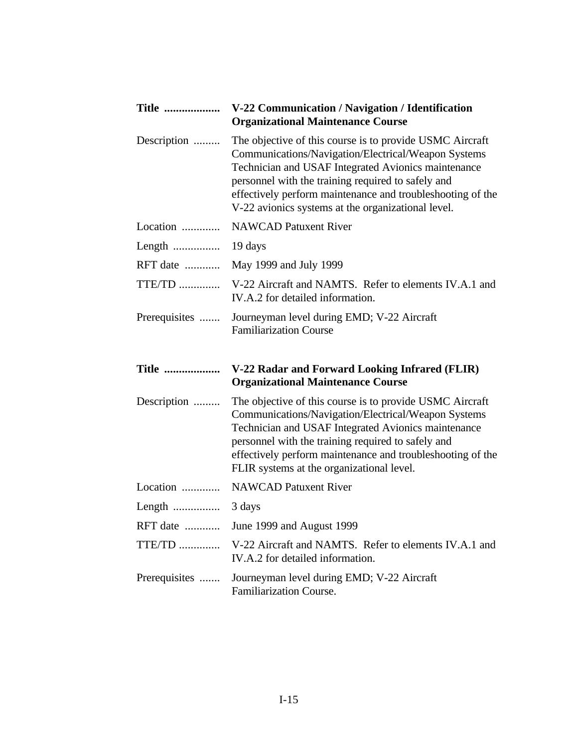| <b>Title </b> | V-22 Communication / Navigation / Identification<br><b>Organizational Maintenance Course</b>                                                                                                                                                                                                                                                     |
|---------------|--------------------------------------------------------------------------------------------------------------------------------------------------------------------------------------------------------------------------------------------------------------------------------------------------------------------------------------------------|
| Description   | The objective of this course is to provide USMC Aircraft<br>Communications/Navigation/Electrical/Weapon Systems<br>Technician and USAF Integrated Avionics maintenance<br>personnel with the training required to safely and<br>effectively perform maintenance and troubleshooting of the<br>V-22 avionics systems at the organizational level. |
| Location      | <b>NAWCAD Patuxent River</b>                                                                                                                                                                                                                                                                                                                     |
| Length        | 19 days                                                                                                                                                                                                                                                                                                                                          |
| RFT date      | May 1999 and July 1999                                                                                                                                                                                                                                                                                                                           |
| TTE/TD        | V-22 Aircraft and NAMTS. Refer to elements IV.A.1 and<br>IV.A.2 for detailed information.                                                                                                                                                                                                                                                        |
| Prerequisites | Journeyman level during EMD; V-22 Aircraft<br><b>Familiarization Course</b>                                                                                                                                                                                                                                                                      |
| <b>Title </b> | V-22 Radar and Forward Looking Infrared (FLIR)<br><b>Organizational Maintenance Course</b>                                                                                                                                                                                                                                                       |
| Description   | The objective of this course is to provide USMC Aircraft<br>Communications/Navigation/Electrical/Weapon Systems<br>Technician and USAF Integrated Avionics maintenance                                                                                                                                                                           |
|               | personnel with the training required to safely and<br>effectively perform maintenance and troubleshooting of the<br>FLIR systems at the organizational level.                                                                                                                                                                                    |
| Location      | <b>NAWCAD Patuxent River</b>                                                                                                                                                                                                                                                                                                                     |
| Length        | 3 days                                                                                                                                                                                                                                                                                                                                           |
| RFT date      | June 1999 and August 1999                                                                                                                                                                                                                                                                                                                        |
| $TTE/TD$      | V-22 Aircraft and NAMTS. Refer to elements IV.A.1 and<br>IV.A.2 for detailed information.                                                                                                                                                                                                                                                        |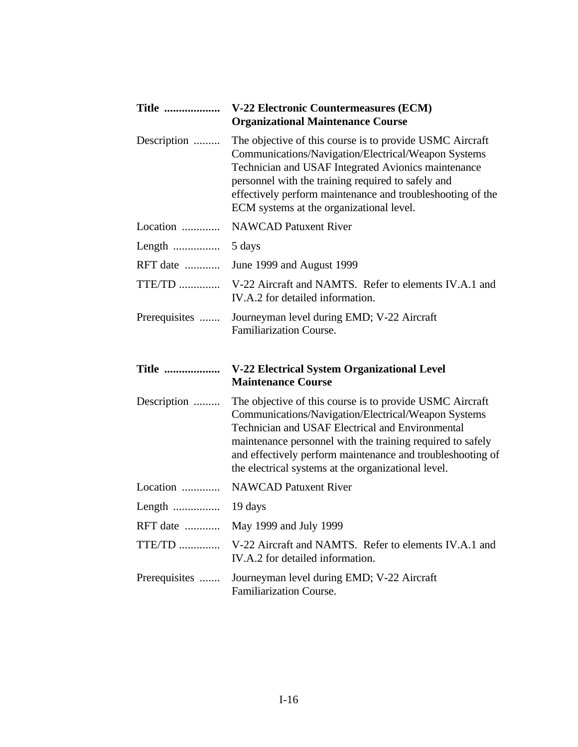| <b>Title </b> | V-22 Electronic Countermeasures (ECM)<br><b>Organizational Maintenance Course</b>                                                                                                                                                                                                                                                                      |
|---------------|--------------------------------------------------------------------------------------------------------------------------------------------------------------------------------------------------------------------------------------------------------------------------------------------------------------------------------------------------------|
| Description   | The objective of this course is to provide USMC Aircraft<br>Communications/Navigation/Electrical/Weapon Systems<br>Technician and USAF Integrated Avionics maintenance<br>personnel with the training required to safely and<br>effectively perform maintenance and troubleshooting of the<br>ECM systems at the organizational level.                 |
| Location      | <b>NAWCAD Patuxent River</b>                                                                                                                                                                                                                                                                                                                           |
|               | 5 days                                                                                                                                                                                                                                                                                                                                                 |
| RFT date      | June 1999 and August 1999                                                                                                                                                                                                                                                                                                                              |
| $TTE/TD$      | V-22 Aircraft and NAMTS. Refer to elements IV.A.1 and<br>IV.A.2 for detailed information.                                                                                                                                                                                                                                                              |
| Prerequisites | Journeyman level during EMD; V-22 Aircraft<br><b>Familiarization Course.</b>                                                                                                                                                                                                                                                                           |
| <b>Title </b> | V-22 Electrical System Organizational Level<br><b>Maintenance Course</b>                                                                                                                                                                                                                                                                               |
| Description   | The objective of this course is to provide USMC Aircraft<br>Communications/Navigation/Electrical/Weapon Systems<br>Technician and USAF Electrical and Environmental<br>maintenance personnel with the training required to safely<br>and effectively perform maintenance and troubleshooting of<br>the electrical systems at the organizational level. |
| Location      | <b>NAWCAD Patuxent River</b>                                                                                                                                                                                                                                                                                                                           |
|               |                                                                                                                                                                                                                                                                                                                                                        |
| RFT date      | May 1999 and July 1999                                                                                                                                                                                                                                                                                                                                 |
| $TTE/TD$      | V-22 Aircraft and NAMTS. Refer to elements IV.A.1 and<br>IV.A.2 for detailed information.                                                                                                                                                                                                                                                              |
| Prerequisites | Journeyman level during EMD; V-22 Aircraft<br>Familiarization Course.                                                                                                                                                                                                                                                                                  |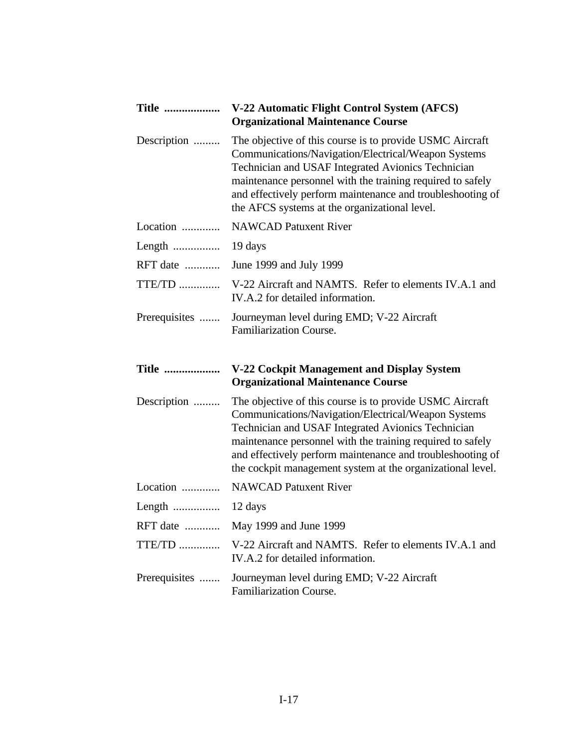| <b>Title </b> | V-22 Automatic Flight Control System (AFCS)<br><b>Organizational Maintenance Course</b>                                                                                                                                                                                                                                                                         |
|---------------|-----------------------------------------------------------------------------------------------------------------------------------------------------------------------------------------------------------------------------------------------------------------------------------------------------------------------------------------------------------------|
| Description   | The objective of this course is to provide USMC Aircraft<br>Communications/Navigation/Electrical/Weapon Systems<br>Technician and USAF Integrated Avionics Technician<br>maintenance personnel with the training required to safely<br>and effectively perform maintenance and troubleshooting of<br>the AFCS systems at the organizational level.              |
| Location      | <b>NAWCAD Patuxent River</b>                                                                                                                                                                                                                                                                                                                                    |
| Length        | 19 days                                                                                                                                                                                                                                                                                                                                                         |
| RFT date      | June 1999 and July 1999                                                                                                                                                                                                                                                                                                                                         |
| $TTE/TD$      | V-22 Aircraft and NAMTS. Refer to elements IV.A.1 and<br>IV.A.2 for detailed information.                                                                                                                                                                                                                                                                       |
| Prerequisites | Journeyman level during EMD; V-22 Aircraft<br><b>Familiarization Course.</b>                                                                                                                                                                                                                                                                                    |
| <b>Title </b> | V-22 Cockpit Management and Display System<br><b>Organizational Maintenance Course</b>                                                                                                                                                                                                                                                                          |
| Description   | The objective of this course is to provide USMC Aircraft<br>Communications/Navigation/Electrical/Weapon Systems<br>Technician and USAF Integrated Avionics Technician<br>maintenance personnel with the training required to safely<br>and effectively perform maintenance and troubleshooting of<br>the cockpit management system at the organizational level. |
| Location      | <b>NAWCAD Patuxent River</b>                                                                                                                                                                                                                                                                                                                                    |
|               |                                                                                                                                                                                                                                                                                                                                                                 |
| RFT date      | May 1999 and June 1999                                                                                                                                                                                                                                                                                                                                          |
| $TTE/TD$      | V-22 Aircraft and NAMTS. Refer to elements IV.A.1 and<br>IV.A.2 for detailed information.                                                                                                                                                                                                                                                                       |
| Prerequisites | Journeyman level during EMD; V-22 Aircraft<br>Familiarization Course.                                                                                                                                                                                                                                                                                           |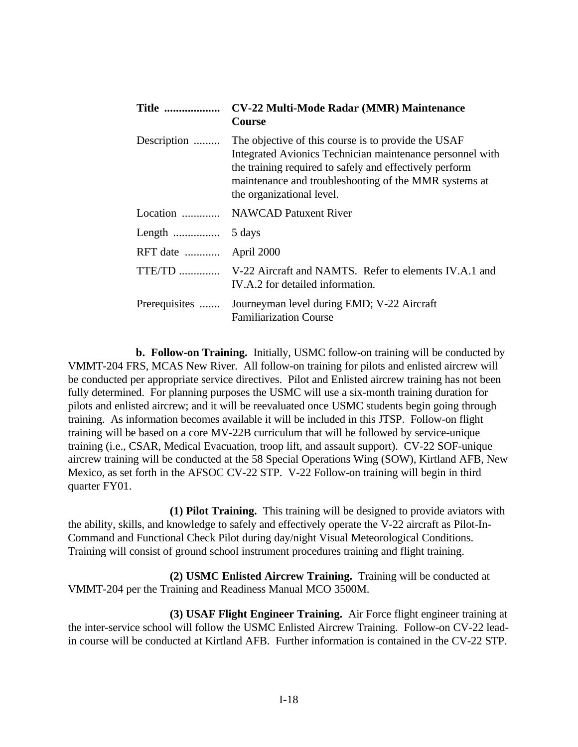| <b>Title </b> | <b>CV-22 Multi-Mode Radar (MMR) Maintenance</b><br><b>Course</b>                                                                                                                                                                                                  |
|---------------|-------------------------------------------------------------------------------------------------------------------------------------------------------------------------------------------------------------------------------------------------------------------|
| Description   | The objective of this course is to provide the USAF<br>Integrated Avionics Technician maintenance personnel with<br>the training required to safely and effectively perform<br>maintenance and troubleshooting of the MMR systems at<br>the organizational level. |
| Location      | <b>NAWCAD</b> Patuxent River                                                                                                                                                                                                                                      |
|               | 5 days                                                                                                                                                                                                                                                            |
| RFT date      | April 2000                                                                                                                                                                                                                                                        |
|               | TTE/TD  V-22 Aircraft and NAMTS. Refer to elements IV.A.1 and<br>IV.A.2 for detailed information.                                                                                                                                                                 |
| Prerequisites | Journeyman level during EMD; V-22 Aircraft<br><b>Familiarization Course</b>                                                                                                                                                                                       |

**b. Follow-on Training.** Initially, USMC follow-on training will be conducted by VMMT-204 FRS, MCAS New River. All follow-on training for pilots and enlisted aircrew will be conducted per appropriate service directives. Pilot and Enlisted aircrew training has not been fully determined. For planning purposes the USMC will use a six-month training duration for pilots and enlisted aircrew; and it will be reevaluated once USMC students begin going through training. As information becomes available it will be included in this JTSP. Follow-on flight training will be based on a core MV-22B curriculum that will be followed by service-unique training (i.e., CSAR, Medical Evacuation, troop lift, and assault support). CV-22 SOF-unique aircrew training will be conducted at the 58 Special Operations Wing (SOW), Kirtland AFB, New Mexico, as set forth in the AFSOC CV-22 STP. V-22 Follow-on training will begin in third quarter FY01.

**(1) Pilot Training.** This training will be designed to provide aviators with the ability, skills, and knowledge to safely and effectively operate the V-22 aircraft as Pilot-In-Command and Functional Check Pilot during day/night Visual Meteorological Conditions. Training will consist of ground school instrument procedures training and flight training.

**(2) USMC Enlisted Aircrew Training.** Training will be conducted at VMMT-204 per the Training and Readiness Manual MCO 3500M.

**(3) USAF Flight Engineer Training.** Air Force flight engineer training at the inter-service school will follow the USMC Enlisted Aircrew Training. Follow-on CV-22 leadin course will be conducted at Kirtland AFB. Further information is contained in the CV-22 STP.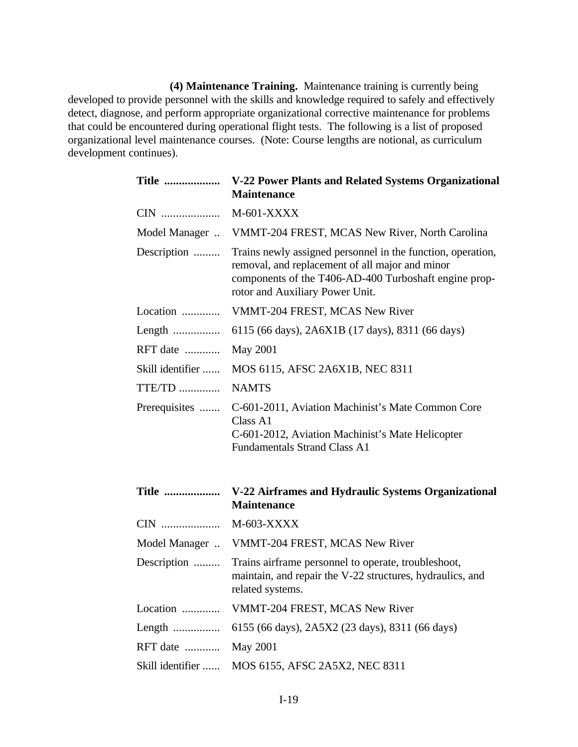**(4) Maintenance Training.** Maintenance training is currently being developed to provide personnel with the skills and knowledge required to safely and effectively detect, diagnose, and perform appropriate organizational corrective maintenance for problems that could be encountered during operational flight tests. The following is a list of proposed organizational level maintenance courses. (Note: Course lengths are notional, as curriculum development continues).

| <b>Title </b>    | V-22 Power Plants and Related Systems Organizational<br><b>Maintenance</b>                                                                                                                                 |
|------------------|------------------------------------------------------------------------------------------------------------------------------------------------------------------------------------------------------------|
| CIN              | $M-601-XXXX$                                                                                                                                                                                               |
| Model Manager    | VMMT-204 FREST, MCAS New River, North Carolina                                                                                                                                                             |
| Description      | Trains newly assigned personnel in the function, operation,<br>removal, and replacement of all major and minor<br>components of the T406-AD-400 Turboshaft engine prop-<br>rotor and Auxiliary Power Unit. |
| Location         | VMMT-204 FREST, MCAS New River                                                                                                                                                                             |
| Length           | 6115 (66 days), 2A6X1B (17 days), 8311 (66 days)                                                                                                                                                           |
| RFT date         | <b>May 2001</b>                                                                                                                                                                                            |
| Skill identifier | MOS 6115, AFSC 2A6X1B, NEC 8311                                                                                                                                                                            |
| TTE/TD           | <b>NAMTS</b>                                                                                                                                                                                               |
| Prerequisites    | C-601-2011, Aviation Machinist's Mate Common Core<br>Class A1<br>C-601-2012, Aviation Machinist's Mate Helicopter<br><b>Fundamentals Strand Class A1</b>                                                   |
| <b>Title </b>    | V-22 Airframes and Hydraulic Systems Organizational<br><b>Maintenance</b>                                                                                                                                  |
| CIN              | M-603-XXXX                                                                                                                                                                                                 |
| Model Manager    | VMMT-204 FREST, MCAS New River                                                                                                                                                                             |
| Description      | Trains airframe personnel to operate, troubleshoot,<br>maintain, and repair the V-22 structures, hydraulics, and<br>related systems.                                                                       |
| Location         | VMMT-204 FREST, MCAS New River                                                                                                                                                                             |
| Length           | 6155 (66 days), 2A5X2 (23 days), 8311 (66 days)                                                                                                                                                            |
| RFT date         | <b>May 2001</b>                                                                                                                                                                                            |
| Skill identifier | MOS 6155, AFSC 2A5X2, NEC 8311                                                                                                                                                                             |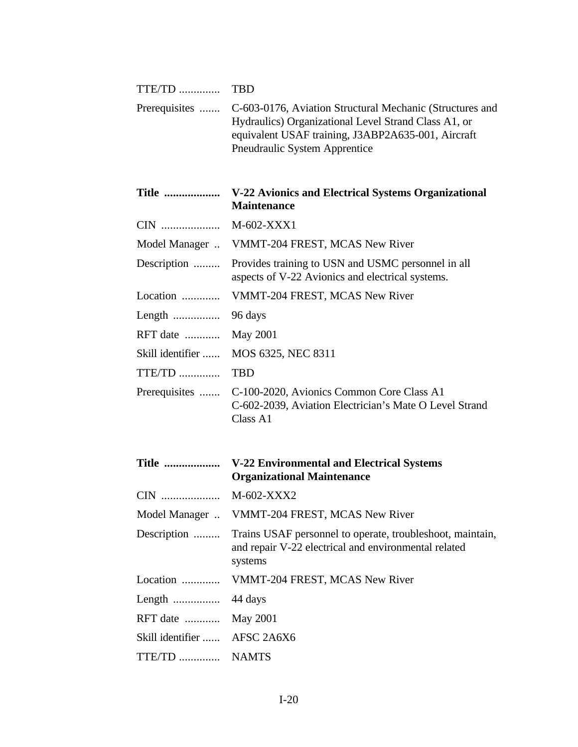| $TTE/TD$         | <b>TBD</b>                                                                                                                                                                                              |
|------------------|---------------------------------------------------------------------------------------------------------------------------------------------------------------------------------------------------------|
| Prerequisites    | C-603-0176, Aviation Structural Mechanic (Structures and<br>Hydraulics) Organizational Level Strand Class A1, or<br>equivalent USAF training, J3ABP2A635-001, Aircraft<br>Pneudraulic System Apprentice |
| <b>Title </b>    | V-22 Avionics and Electrical Systems Organizational<br><b>Maintenance</b>                                                                                                                               |
| CIN              | M-602-XXX1                                                                                                                                                                                              |
| Model Manager    | VMMT-204 FREST, MCAS New River                                                                                                                                                                          |
| Description      | Provides training to USN and USMC personnel in all<br>aspects of V-22 Avionics and electrical systems.                                                                                                  |
| Location         | VMMT-204 FREST, MCAS New River                                                                                                                                                                          |
| Length           | 96 days                                                                                                                                                                                                 |
| RFT date         | <b>May 2001</b>                                                                                                                                                                                         |
| Skill identifier | MOS 6325, NEC 8311                                                                                                                                                                                      |
| $TTE/TD$         | <b>TBD</b>                                                                                                                                                                                              |
| Prerequisites    | C-100-2020, Avionics Common Core Class A1<br>C-602-2039, Aviation Electrician's Mate O Level Strand<br>Class A1                                                                                         |
| <b>Title </b>    | <b>V-22 Environmental and Electrical Systems</b><br><b>Organizational Maintenance</b>                                                                                                                   |
| CIN              | M-602-XXX2                                                                                                                                                                                              |
| Model Manager    | VMMT-204 FREST, MCAS New River                                                                                                                                                                          |
| Description      | Trains USAF personnel to operate, troubleshoot, maintain,<br>and repair V-22 electrical and environmental related<br>systems                                                                            |
| Location         | VMMT-204 FREST, MCAS New River                                                                                                                                                                          |
|                  | 44 days                                                                                                                                                                                                 |
| RFT date         | May 2001                                                                                                                                                                                                |
| Skill identifier | AFSC 2A6X6                                                                                                                                                                                              |
| TTE/TD  NAMTS    |                                                                                                                                                                                                         |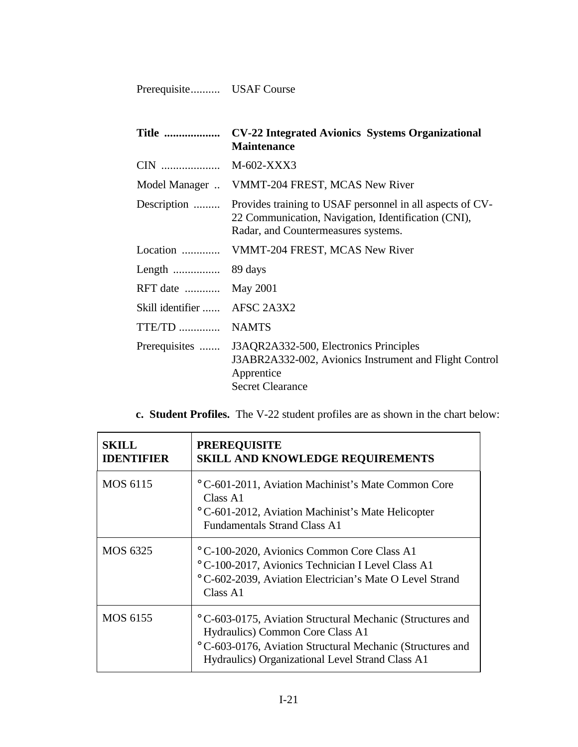Prerequisite.......... USAF Course

| <b>Title </b>                | <b>CV-22 Integrated Avionics Systems Organizational</b><br><b>Maintenance</b>                                                                           |
|------------------------------|---------------------------------------------------------------------------------------------------------------------------------------------------------|
|                              | M-602-XXX3                                                                                                                                              |
| Model Manager                | VMMT-204 FREST, MCAS New River                                                                                                                          |
| Description                  | Provides training to USAF personnel in all aspects of CV-<br>22 Communication, Navigation, Identification (CNI),<br>Radar, and Countermeasures systems. |
|                              | Location  VMMT-204 FREST, MCAS New River                                                                                                                |
|                              |                                                                                                                                                         |
| RFT date                     | <b>May 2001</b>                                                                                                                                         |
| Skill identifier  AFSC 2A3X2 |                                                                                                                                                         |
| TTE/TD                       | <b>NAMTS</b>                                                                                                                                            |
| Prerequisites                | J3AQR2A332-500, Electronics Principles<br>J3ABR2A332-002, Avionics Instrument and Flight Control<br>Apprentice<br><b>Secret Clearance</b>               |

**c. Student Profiles.** The V-22 student profiles are as shown in the chart below:

| SKILL.<br><b>IDENTIFIER</b> | <b>PREREQUISITE</b><br><b>SKILL AND KNOWLEDGE REQUIREMENTS</b>                                                                                                                                                             |
|-----------------------------|----------------------------------------------------------------------------------------------------------------------------------------------------------------------------------------------------------------------------|
| MOS 6115                    | ° C-601-2011, Aviation Machinist's Mate Common Core<br>Class A1<br><sup>o</sup> C-601-2012, Aviation Machinist's Mate Helicopter<br><b>Fundamentals Strand Class A1</b>                                                    |
| MOS 6325                    | <sup>o</sup> C-100-2020, Avionics Common Core Class A1<br>° C-100-2017, Avionics Technician I Level Class A1<br>° C-602-2039, Aviation Electrician's Mate O Level Strand<br>Class A1                                       |
| <b>MOS 6155</b>             | <sup>o</sup> C-603-0175, Aviation Structural Mechanic (Structures and<br>Hydraulics) Common Core Class A1<br>°C-603-0176, Aviation Structural Mechanic (Structures and<br>Hydraulics) Organizational Level Strand Class A1 |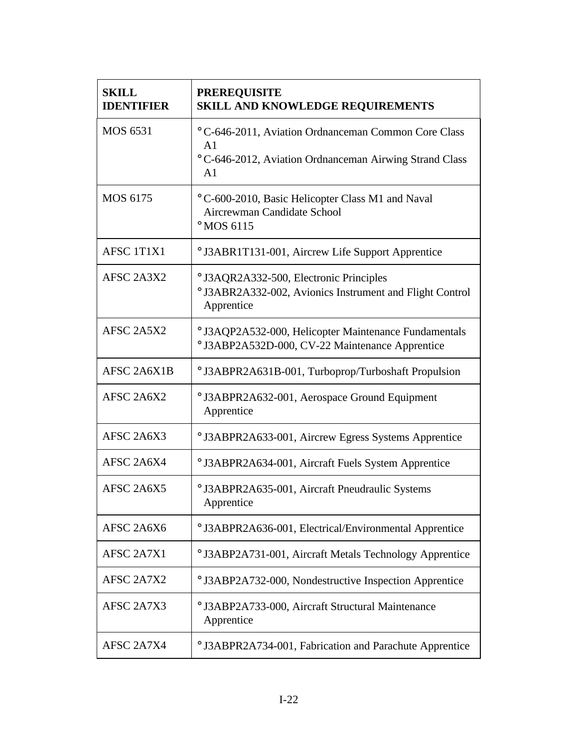| <b>SKILL</b><br><b>IDENTIFIER</b> | <b>PREREQUISITE</b><br>SKILL AND KNOWLEDGE REQUIREMENTS                                                                                 |
|-----------------------------------|-----------------------------------------------------------------------------------------------------------------------------------------|
| <b>MOS 6531</b>                   | ° C-646-2011, Aviation Ordnanceman Common Core Class<br>A1<br>° C-646-2012, Aviation Ordnanceman Airwing Strand Class<br>A <sub>1</sub> |
| <b>MOS 6175</b>                   | °C-600-2010, Basic Helicopter Class M1 and Naval<br>Aircrewman Candidate School<br>$^{\circ}$ MOS 6115                                  |
| AFSC 1T1X1                        | ° J3ABR1T131-001, Aircrew Life Support Apprentice                                                                                       |
| AFSC 2A3X2                        | ° J3AQR2A332-500, Electronic Principles<br>° J3ABR2A332-002, Avionics Instrument and Flight Control<br>Apprentice                       |
| AFSC 2A5X2                        | ° J3AQP2A532-000, Helicopter Maintenance Fundamentals<br>° J3ABP2A532D-000, CV-22 Maintenance Apprentice                                |
| AFSC 2A6X1B                       | ° J3ABPR2A631B-001, Turboprop/Turboshaft Propulsion                                                                                     |
| AFSC 2A6X2                        | ° J3ABPR2A632-001, Aerospace Ground Equipment<br>Apprentice                                                                             |
| AFSC 2A6X3                        | ° J3ABPR2A633-001, Aircrew Egress Systems Apprentice                                                                                    |
| AFSC 2A6X4                        | ° J3ABPR2A634-001, Aircraft Fuels System Apprentice                                                                                     |
| AFSC 2A6X5                        | ° J3ABPR2A635-001, Aircraft Pneudraulic Systems<br>Apprentice                                                                           |
| AFSC 2A6X6                        | ° J3ABPR2A636-001, Electrical/Environmental Apprentice                                                                                  |
| AFSC 2A7X1                        | ° J3ABP2A731-001, Aircraft Metals Technology Apprentice                                                                                 |
| AFSC 2A7X2                        | ° J3ABP2A732-000, Nondestructive Inspection Apprentice                                                                                  |
| AFSC 2A7X3                        | ° J3ABP2A733-000, Aircraft Structural Maintenance<br>Apprentice                                                                         |
| AFSC 2A7X4                        | ° J3ABPR2A734-001, Fabrication and Parachute Apprentice                                                                                 |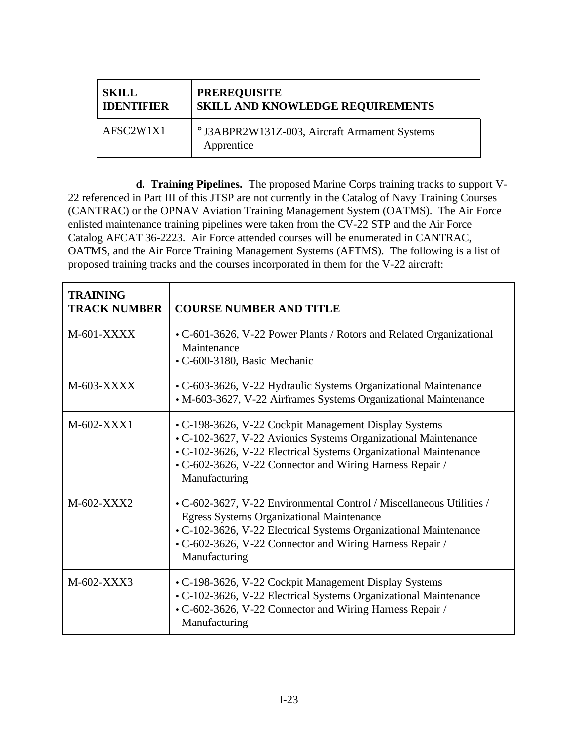| <b>SKILL</b>      | <b>PREREQUISITE</b>                                         |
|-------------------|-------------------------------------------------------------|
| <b>IDENTIFIER</b> | <b>SKILL AND KNOWLEDGE REQUIREMENTS</b>                     |
| AFSC2W1X1         | ° J3ABPR2W131Z-003, Aircraft Armament Systems<br>Apprentice |

**d. Training Pipelines.** The proposed Marine Corps training tracks to support V-22 referenced in Part III of this JTSP are not currently in the Catalog of Navy Training Courses (CANTRAC) or the OPNAV Aviation Training Management System (OATMS). The Air Force enlisted maintenance training pipelines were taken from the CV-22 STP and the Air Force Catalog AFCAT 36-2223. Air Force attended courses will be enumerated in CANTRAC, OATMS, and the Air Force Training Management Systems (AFTMS). The following is a list of proposed training tracks and the courses incorporated in them for the V-22 aircraft:

| <b>TRAINING</b><br><b>TRACK NUMBER</b> | <b>COURSE NUMBER AND TITLE</b>                                                                                                                                                                                                                                            |
|----------------------------------------|---------------------------------------------------------------------------------------------------------------------------------------------------------------------------------------------------------------------------------------------------------------------------|
| $M$ -601-XXXX                          | • C-601-3626, V-22 Power Plants / Rotors and Related Organizational<br>Maintenance<br>• C-600-3180, Basic Mechanic                                                                                                                                                        |
| M-603-XXXX                             | • C-603-3626, V-22 Hydraulic Systems Organizational Maintenance<br>• M-603-3627, V-22 Airframes Systems Organizational Maintenance                                                                                                                                        |
| M-602-XXX1                             | • C-198-3626, V-22 Cockpit Management Display Systems<br>• C-102-3627, V-22 Avionics Systems Organizational Maintenance<br>• C-102-3626, V-22 Electrical Systems Organizational Maintenance<br>• C-602-3626, V-22 Connector and Wiring Harness Repair /<br>Manufacturing  |
| M-602-XXX2                             | • C-602-3627, V-22 Environmental Control / Miscellaneous Utilities /<br><b>Egress Systems Organizational Maintenance</b><br>• C-102-3626, V-22 Electrical Systems Organizational Maintenance<br>• C-602-3626, V-22 Connector and Wiring Harness Repair /<br>Manufacturing |
| $M-602-XXX3$                           | • C-198-3626, V-22 Cockpit Management Display Systems<br>• C-102-3626, V-22 Electrical Systems Organizational Maintenance<br>• C-602-3626, V-22 Connector and Wiring Harness Repair /<br>Manufacturing                                                                    |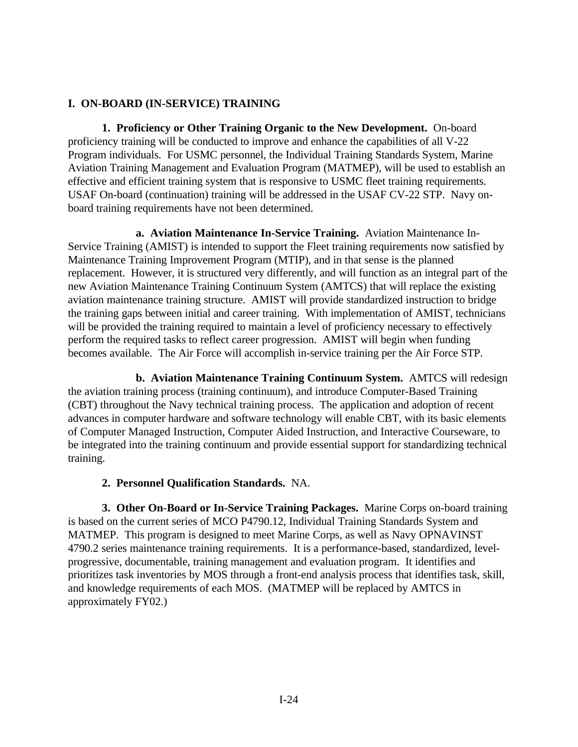## **I. ON-BOARD (IN-SERVICE) TRAINING**

**1. Proficiency or Other Training Organic to the New Development.** On-board proficiency training will be conducted to improve and enhance the capabilities of all V-22 Program individuals. For USMC personnel, the Individual Training Standards System, Marine Aviation Training Management and Evaluation Program (MATMEP), will be used to establish an effective and efficient training system that is responsive to USMC fleet training requirements. USAF On-board (continuation) training will be addressed in the USAF CV-22 STP. Navy onboard training requirements have not been determined.

**a. Aviation Maintenance In-Service Training.** Aviation Maintenance In-Service Training (AMIST) is intended to support the Fleet training requirements now satisfied by Maintenance Training Improvement Program (MTIP), and in that sense is the planned replacement. However, it is structured very differently, and will function as an integral part of the new Aviation Maintenance Training Continuum System (AMTCS) that will replace the existing aviation maintenance training structure. AMIST will provide standardized instruction to bridge the training gaps between initial and career training. With implementation of AMIST, technicians will be provided the training required to maintain a level of proficiency necessary to effectively perform the required tasks to reflect career progression. AMIST will begin when funding becomes available. The Air Force will accomplish in-service training per the Air Force STP.

**b. Aviation Maintenance Training Continuum System.** AMTCS will redesign the aviation training process (training continuum), and introduce Computer-Based Training (CBT) throughout the Navy technical training process. The application and adoption of recent advances in computer hardware and software technology will enable CBT, with its basic elements of Computer Managed Instruction, Computer Aided Instruction, and Interactive Courseware, to be integrated into the training continuum and provide essential support for standardizing technical training.

## **2. Personnel Qualification Standards.** NA.

**3. Other On-Board or In-Service Training Packages.** Marine Corps on-board training is based on the current series of MCO P4790.12, Individual Training Standards System and MATMEP. This program is designed to meet Marine Corps, as well as Navy OPNAVINST 4790.2 series maintenance training requirements. It is a performance-based, standardized, levelprogressive, documentable, training management and evaluation program. It identifies and prioritizes task inventories by MOS through a front-end analysis process that identifies task, skill, and knowledge requirements of each MOS. (MATMEP will be replaced by AMTCS in approximately FY02.)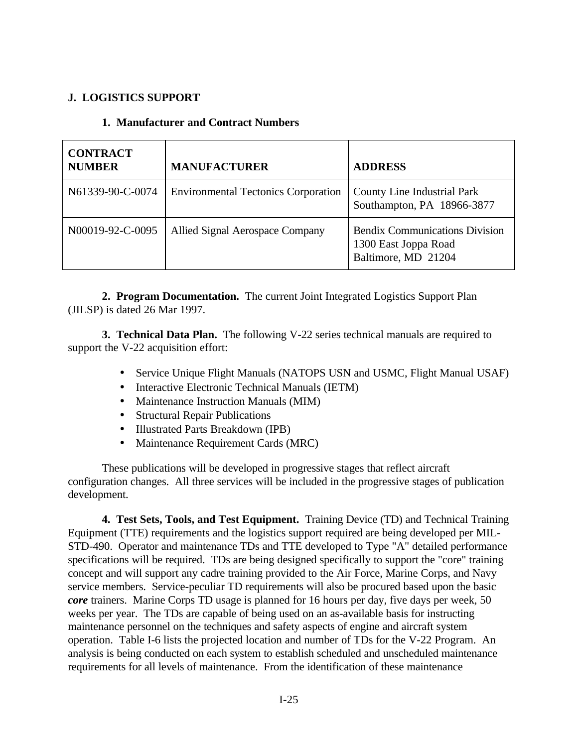## **J. LOGISTICS SUPPORT**

| <b>CONTRACT</b><br><b>NUMBER</b> | <b>MANUFACTURER</b>                        | <b>ADDRESS</b>                                                                       |
|----------------------------------|--------------------------------------------|--------------------------------------------------------------------------------------|
| N61339-90-C-0074                 | <b>Environmental Tectonics Corporation</b> | <b>County Line Industrial Park</b><br>Southampton, PA 18966-3877                     |
| N00019-92-C-0095                 | Allied Signal Aerospace Company            | <b>Bendix Communications Division</b><br>1300 East Joppa Road<br>Baltimore, MD 21204 |

## **1. Manufacturer and Contract Numbers**

**2. Program Documentation.** The current Joint Integrated Logistics Support Plan (JILSP) is dated 26 Mar 1997.

**3. Technical Data Plan.** The following V-22 series technical manuals are required to support the V-22 acquisition effort:

- Service Unique Flight Manuals (NATOPS USN and USMC, Flight Manual USAF)
- Interactive Electronic Technical Manuals (IETM)
- Maintenance Instruction Manuals (MIM)
- Structural Repair Publications
- Illustrated Parts Breakdown (IPB)
- Maintenance Requirement Cards (MRC)

These publications will be developed in progressive stages that reflect aircraft configuration changes. All three services will be included in the progressive stages of publication development.

**4. Test Sets, Tools, and Test Equipment.** Training Device (TD) and Technical Training Equipment (TTE) requirements and the logistics support required are being developed per MIL-STD-490. Operator and maintenance TDs and TTE developed to Type "A" detailed performance specifications will be required. TDs are being designed specifically to support the "core" training concept and will support any cadre training provided to the Air Force, Marine Corps, and Navy service members. Service-peculiar TD requirements will also be procured based upon the basic *core* trainers. Marine Corps TD usage is planned for 16 hours per day, five days per week, 50 weeks per year. The TDs are capable of being used on an as-available basis for instructing maintenance personnel on the techniques and safety aspects of engine and aircraft system operation. Table I-6 lists the projected location and number of TDs for the V-22 Program. An analysis is being conducted on each system to establish scheduled and unscheduled maintenance requirements for all levels of maintenance. From the identification of these maintenance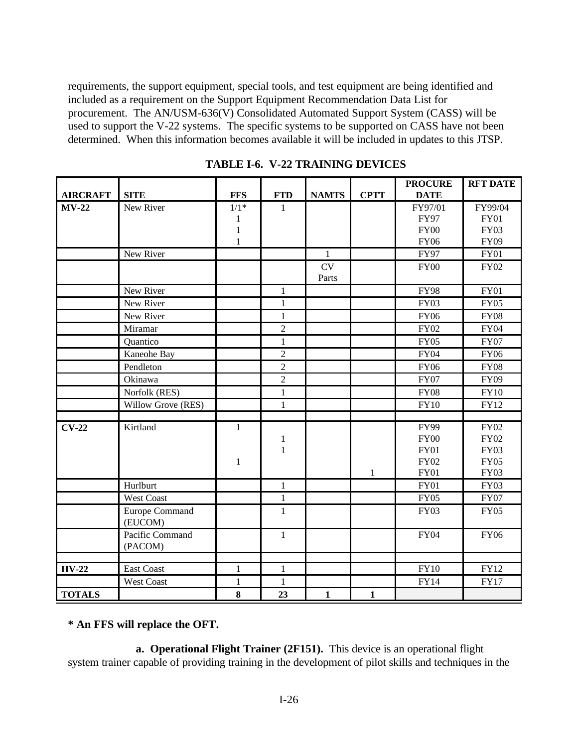requirements, the support equipment, special tools, and test equipment are being identified and included as a requirement on the Support Equipment Recommendation Data List for procurement. The AN/USM-636(V) Consolidated Automated Support System (CASS) will be used to support the V-22 systems. The specific systems to be supported on CASS have not been determined. When this information becomes available it will be included in updates to this JTSP.

|                 |                    |              |                |              |              | <b>PROCURE</b> | <b>RFT DATE</b> |
|-----------------|--------------------|--------------|----------------|--------------|--------------|----------------|-----------------|
| <b>AIRCRAFT</b> | <b>SITE</b>        | <b>FFS</b>   | <b>FTD</b>     | <b>NAMTS</b> | <b>CPTT</b>  | <b>DATE</b>    |                 |
| $MV-22$         | New River          | $1/1*$       | $\mathbf{1}$   |              |              | FY97/01        | FY99/04         |
|                 |                    | 1            |                |              |              | <b>FY97</b>    | <b>FY01</b>     |
|                 |                    | $\mathbf{1}$ |                |              |              | <b>FY00</b>    | <b>FY03</b>     |
|                 |                    | $\mathbf{1}$ |                |              |              | <b>FY06</b>    | <b>FY09</b>     |
|                 | New River          |              |                | $\mathbf{1}$ |              | <b>FY97</b>    | <b>FY01</b>     |
|                 |                    |              |                | CV           |              | <b>FY00</b>    | <b>FY02</b>     |
|                 |                    |              |                | Parts        |              |                |                 |
|                 | New River          |              | $\mathbf{1}$   |              |              | <b>FY98</b>    | <b>FY01</b>     |
|                 | New River          |              | $\mathbf{1}$   |              |              | <b>FY03</b>    | <b>FY05</b>     |
|                 | New River          |              | $\mathbf{1}$   |              |              | <b>FY06</b>    | <b>FY08</b>     |
|                 | Miramar            |              | $\overline{c}$ |              |              | <b>FY02</b>    | <b>FY04</b>     |
|                 | Quantico           |              | $\mathbf{1}$   |              |              | <b>FY05</b>    | <b>FY07</b>     |
|                 | Kaneohe Bay        |              | $\overline{2}$ |              |              | <b>FY04</b>    | <b>FY06</b>     |
|                 | Pendleton          |              | $\overline{c}$ |              |              | <b>FY06</b>    | <b>FY08</b>     |
|                 | Okinawa            |              | $\overline{2}$ |              |              | <b>FY07</b>    | <b>FY09</b>     |
|                 | Norfolk (RES)      |              | $\mathbf{1}$   |              |              | <b>FY08</b>    | <b>FY10</b>     |
|                 | Willow Grove (RES) |              | $\mathbf{1}$   |              |              | <b>FY10</b>    | <b>FY12</b>     |
|                 |                    |              |                |              |              |                |                 |
| $CV-22$         | Kirtland           | $\mathbf{1}$ |                |              |              | <b>FY99</b>    | <b>FY02</b>     |
|                 |                    |              | $\mathbf{1}$   |              |              | <b>FY00</b>    | <b>FY02</b>     |
|                 |                    |              | $\mathbf{1}$   |              |              | <b>FY01</b>    | <b>FY03</b>     |
|                 |                    | $\mathbf{1}$ |                |              |              | <b>FY02</b>    | <b>FY05</b>     |
|                 |                    |              |                |              | $\mathbf{1}$ | <b>FY01</b>    | <b>FY03</b>     |
|                 | Hurlburt           |              | $\mathbf{1}$   |              |              | <b>FY01</b>    | <b>FY03</b>     |
|                 | West Coast         |              | $\mathbf{1}$   |              |              | <b>FY05</b>    | <b>FY07</b>     |
|                 | Europe Command     |              | $\mathbf{1}$   |              |              | <b>FY03</b>    | <b>FY05</b>     |
|                 | (EUCOM)            |              |                |              |              |                |                 |
|                 | Pacific Command    |              | $\mathbf{1}$   |              |              | <b>FY04</b>    | <b>FY06</b>     |
|                 | (PACOM)            |              |                |              |              |                |                 |
|                 |                    |              |                |              |              |                |                 |
| <b>HV-22</b>    | <b>East Coast</b>  | $\mathbf{1}$ | $\mathbf{1}$   |              |              | <b>FY10</b>    | FY12            |
|                 | <b>West Coast</b>  | $\mathbf{1}$ | $\mathbf{1}$   |              |              | <b>FY14</b>    | <b>FY17</b>     |
| <b>TOTALS</b>   |                    | 8            | 23             | $\mathbf{1}$ | $\mathbf{1}$ |                |                 |

**TABLE I-6. V-22 TRAINING DEVICES**

# **\* An FFS will replace the OFT.**

**a. Operational Flight Trainer (2F151).** This device is an operational flight system trainer capable of providing training in the development of pilot skills and techniques in the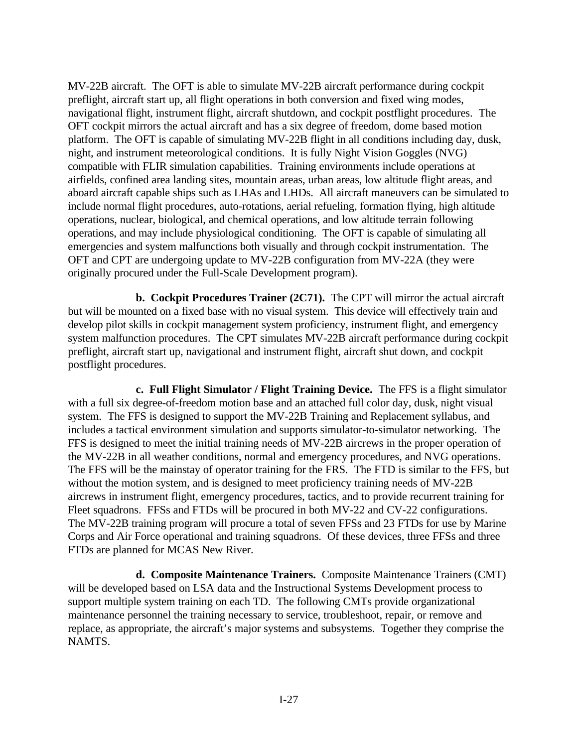MV-22B aircraft. The OFT is able to simulate MV-22B aircraft performance during cockpit preflight, aircraft start up, all flight operations in both conversion and fixed wing modes, navigational flight, instrument flight, aircraft shutdown, and cockpit postflight procedures. The OFT cockpit mirrors the actual aircraft and has a six degree of freedom, dome based motion platform. The OFT is capable of simulating MV-22B flight in all conditions including day, dusk, night, and instrument meteorological conditions. It is fully Night Vision Goggles (NVG) compatible with FLIR simulation capabilities. Training environments include operations at airfields, confined area landing sites, mountain areas, urban areas, low altitude flight areas, and aboard aircraft capable ships such as LHAs and LHDs. All aircraft maneuvers can be simulated to include normal flight procedures, auto-rotations, aerial refueling, formation flying, high altitude operations, nuclear, biological, and chemical operations, and low altitude terrain following operations, and may include physiological conditioning. The OFT is capable of simulating all emergencies and system malfunctions both visually and through cockpit instrumentation. The OFT and CPT are undergoing update to MV-22B configuration from MV-22A (they were originally procured under the Full-Scale Development program).

**b. Cockpit Procedures Trainer (2C71).** The CPT will mirror the actual aircraft but will be mounted on a fixed base with no visual system. This device will effectively train and develop pilot skills in cockpit management system proficiency, instrument flight, and emergency system malfunction procedures. The CPT simulates MV-22B aircraft performance during cockpit preflight, aircraft start up, navigational and instrument flight, aircraft shut down, and cockpit postflight procedures.

**c. Full Flight Simulator / Flight Training Device.** The FFS is a flight simulator with a full six degree-of-freedom motion base and an attached full color day, dusk, night visual system. The FFS is designed to support the MV-22B Training and Replacement syllabus, and includes a tactical environment simulation and supports simulator-to-simulator networking. The FFS is designed to meet the initial training needs of MV-22B aircrews in the proper operation of the MV-22B in all weather conditions, normal and emergency procedures, and NVG operations. The FFS will be the mainstay of operator training for the FRS. The FTD is similar to the FFS, but without the motion system, and is designed to meet proficiency training needs of MV-22B aircrews in instrument flight, emergency procedures, tactics, and to provide recurrent training for Fleet squadrons. FFSs and FTDs will be procured in both MV-22 and CV-22 configurations. The MV-22B training program will procure a total of seven FFSs and 23 FTDs for use by Marine Corps and Air Force operational and training squadrons. Of these devices, three FFSs and three FTDs are planned for MCAS New River.

**d. Composite Maintenance Trainers.** Composite Maintenance Trainers (CMT) will be developed based on LSA data and the Instructional Systems Development process to support multiple system training on each TD. The following CMTs provide organizational maintenance personnel the training necessary to service, troubleshoot, repair, or remove and replace, as appropriate, the aircraft's major systems and subsystems. Together they comprise the NAMTS.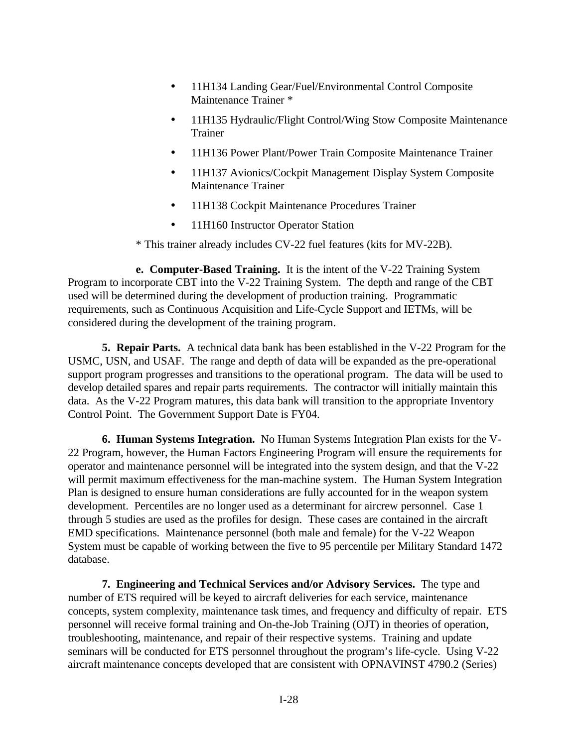- 11H134 Landing Gear/Fuel/Environmental Control Composite Maintenance Trainer \*
- 11H135 Hydraulic/Flight Control/Wing Stow Composite Maintenance Trainer
- 11H136 Power Plant/Power Train Composite Maintenance Trainer
- 11H137 Avionics/Cockpit Management Display System Composite Maintenance Trainer
- 11H138 Cockpit Maintenance Procedures Trainer
- 11H160 Instructor Operator Station

\* This trainer already includes CV-22 fuel features (kits for MV-22B).

**e. Computer-Based Training.** It is the intent of the V-22 Training System Program to incorporate CBT into the V-22 Training System. The depth and range of the CBT used will be determined during the development of production training. Programmatic requirements, such as Continuous Acquisition and Life-Cycle Support and IETMs, will be considered during the development of the training program.

**5. Repair Parts.** A technical data bank has been established in the V-22 Program for the USMC, USN, and USAF. The range and depth of data will be expanded as the pre-operational support program progresses and transitions to the operational program. The data will be used to develop detailed spares and repair parts requirements. The contractor will initially maintain this data. As the V-22 Program matures, this data bank will transition to the appropriate Inventory Control Point. The Government Support Date is FY04.

**6. Human Systems Integration.** No Human Systems Integration Plan exists for the V-22 Program, however, the Human Factors Engineering Program will ensure the requirements for operator and maintenance personnel will be integrated into the system design, and that the V-22 will permit maximum effectiveness for the man-machine system. The Human System Integration Plan is designed to ensure human considerations are fully accounted for in the weapon system development. Percentiles are no longer used as a determinant for aircrew personnel. Case 1 through 5 studies are used as the profiles for design. These cases are contained in the aircraft EMD specifications. Maintenance personnel (both male and female) for the V-22 Weapon System must be capable of working between the five to 95 percentile per Military Standard 1472 database.

**7. Engineering and Technical Services and/or Advisory Services.** The type and number of ETS required will be keyed to aircraft deliveries for each service, maintenance concepts, system complexity, maintenance task times, and frequency and difficulty of repair. ETS personnel will receive formal training and On-the-Job Training (OJT) in theories of operation, troubleshooting, maintenance, and repair of their respective systems. Training and update seminars will be conducted for ETS personnel throughout the program's life-cycle. Using V-22 aircraft maintenance concepts developed that are consistent with OPNAVINST 4790.2 (Series)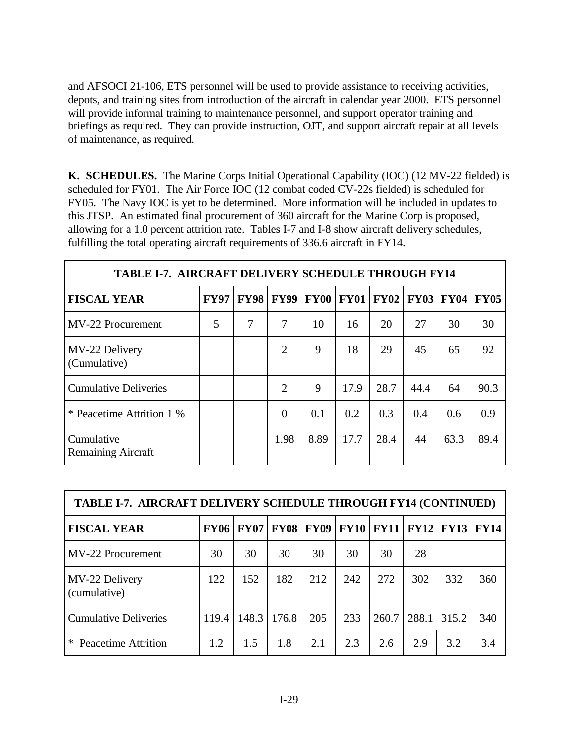and AFSOCI 21-106, ETS personnel will be used to provide assistance to receiving activities, depots, and training sites from introduction of the aircraft in calendar year 2000. ETS personnel will provide informal training to maintenance personnel, and support operator training and briefings as required. They can provide instruction, OJT, and support aircraft repair at all levels of maintenance, as required.

**K. SCHEDULES.** The Marine Corps Initial Operational Capability (IOC) (12 MV-22 fielded) is scheduled for FY01. The Air Force IOC (12 combat coded CV-22s fielded) is scheduled for FY05. The Navy IOC is yet to be determined. More information will be included in updates to this JTSP. An estimated final procurement of 360 aircraft for the Marine Corp is proposed, allowing for a 1.0 percent attrition rate. Tables I-7 and I-8 show aircraft delivery schedules, fulfilling the total operating aircraft requirements of 336.6 aircraft in FY14.

| <b>TABLE I-7. AIRCRAFT DELIVERY SCHEDULE THROUGH FY14</b> |             |             |                |             |      |                  |             |             |             |  |  |
|-----------------------------------------------------------|-------------|-------------|----------------|-------------|------|------------------|-------------|-------------|-------------|--|--|
| <b>FISCAL YEAR</b>                                        | <b>FY97</b> | <b>FY98</b> | <b>FY99</b>    | <b>FY00</b> |      | <b>FY01 FY02</b> | <b>FY03</b> | <b>FY04</b> | <b>FY05</b> |  |  |
| MV-22 Procurement                                         | 5           | 7           | 7              | 10          | 16   | 20               | 27          | 30          | 30          |  |  |
| MV-22 Delivery<br>(Cumulative)                            |             |             | $\overline{2}$ | 9           | 18   | 29               | 45          | 65          | 92          |  |  |
| <b>Cumulative Deliveries</b>                              |             |             | 2              | 9           | 17.9 | 28.7             | 44.4        | 64          | 90.3        |  |  |
| * Peacetime Attrition 1 %                                 |             |             | $\Omega$       | 0.1         | 0.2  | 0.3              | 0.4         | 0.6         | 0.9         |  |  |
| Cumulative<br><b>Remaining Aircraft</b>                   |             |             | 1.98           | 8.89        | 17.7 | 28.4             | 44          | 63.3        | 89.4        |  |  |

| <b>TABLE I-7. AIRCRAFT DELIVERY SCHEDULE THROUGH FY14 (CONTINUED)</b> |       |                    |             |             |     |                  |       |               |             |  |
|-----------------------------------------------------------------------|-------|--------------------|-------------|-------------|-----|------------------|-------|---------------|-------------|--|
| <b>FISCAL YEAR</b>                                                    |       | <b>FY06   FY07</b> | <b>FY08</b> | <b>FY09</b> |     | <b>FY10 FY11</b> |       | $ $ FY12 FY13 | <b>FY14</b> |  |
| MV-22 Procurement                                                     | 30    | 30                 | 30          | 30          | 30  | 30               | 28    |               |             |  |
| MV-22 Delivery<br>(cumulative)                                        | 122   | 152                | 182         | 212         | 242 | 272              | 302   | 332           | 360         |  |
| <b>Cumulative Deliveries</b>                                          | 119.4 | 148.3              | 176.8       | 205         | 233 | 260.7            | 288.1 | 315.2         | 340         |  |
| ∗<br>Peacetime Attrition                                              | 1.2   | 1.5                | 1.8         | 2.1         | 2.3 | 2.6              | 2.9   | 3.2           | 3.4         |  |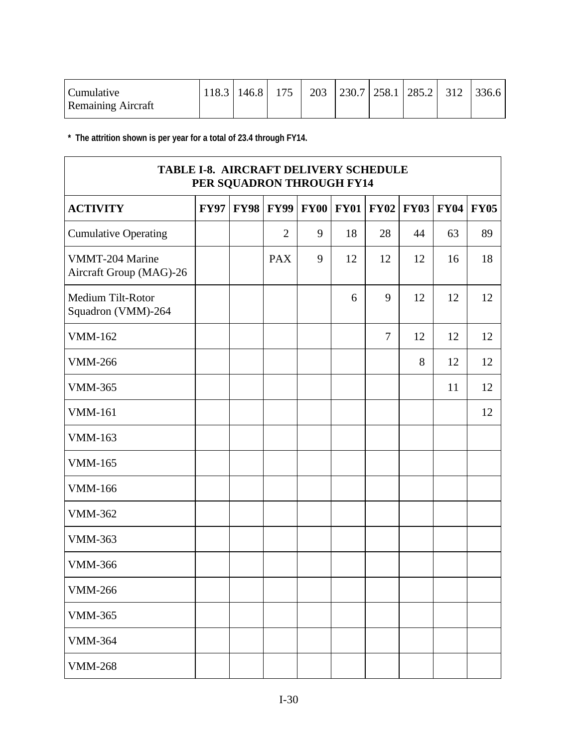| <b>Cumulative</b>         |  |  |  | 118.3   146.8   175   203   230.7   258.1   285.2   312   336.6 |  |
|---------------------------|--|--|--|-----------------------------------------------------------------|--|
| <b>Remaining Aircraft</b> |  |  |  |                                                                 |  |

**\* The attrition shown is per year for a total of 23.4 through FY14.**

| TABLE I-8. AIRCRAFT DELIVERY SCHEDULE<br>PER SQUADRON THROUGH FY14 |             |             |                |   |                  |                |             |             |             |  |
|--------------------------------------------------------------------|-------------|-------------|----------------|---|------------------|----------------|-------------|-------------|-------------|--|
| <b>ACTIVITY</b>                                                    | <b>FY97</b> | <b>FY98</b> | <b>FY99</b>    |   | <b>FY00 FY01</b> | <b>FY02</b>    | <b>FY03</b> | <b>FY04</b> | <b>FY05</b> |  |
| <b>Cumulative Operating</b>                                        |             |             | $\overline{2}$ | 9 | 18               | 28             | 44          | 63          | 89          |  |
| VMMT-204 Marine<br>Aircraft Group (MAG)-26                         |             |             | <b>PAX</b>     | 9 | 12               | 12             | 12          | 16          | 18          |  |
| Medium Tilt-Rotor<br>Squadron (VMM)-264                            |             |             |                |   | 6                | 9              | 12          | 12          | 12          |  |
| <b>VMM-162</b>                                                     |             |             |                |   |                  | $\overline{7}$ | 12          | 12          | 12          |  |
| <b>VMM-266</b>                                                     |             |             |                |   |                  |                | 8           | 12          | 12          |  |
| <b>VMM-365</b>                                                     |             |             |                |   |                  |                |             | 11          | 12          |  |
| <b>VMM-161</b>                                                     |             |             |                |   |                  |                |             |             | 12          |  |
| <b>VMM-163</b>                                                     |             |             |                |   |                  |                |             |             |             |  |
| <b>VMM-165</b>                                                     |             |             |                |   |                  |                |             |             |             |  |
| <b>VMM-166</b>                                                     |             |             |                |   |                  |                |             |             |             |  |
| <b>VMM-362</b>                                                     |             |             |                |   |                  |                |             |             |             |  |
| <b>VMM-363</b>                                                     |             |             |                |   |                  |                |             |             |             |  |
| <b>VMM-366</b>                                                     |             |             |                |   |                  |                |             |             |             |  |
| <b>VMM-266</b>                                                     |             |             |                |   |                  |                |             |             |             |  |
| <b>VMM-365</b>                                                     |             |             |                |   |                  |                |             |             |             |  |
| <b>VMM-364</b>                                                     |             |             |                |   |                  |                |             |             |             |  |
| <b>VMM-268</b>                                                     |             |             |                |   |                  |                |             |             |             |  |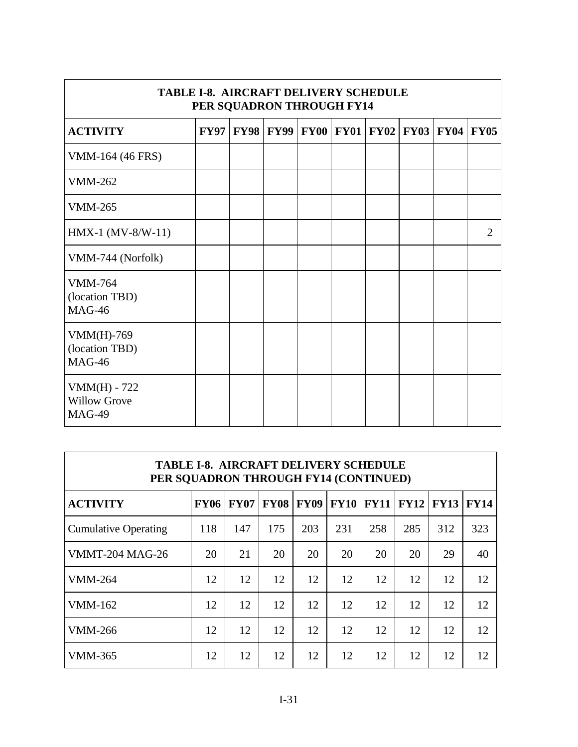| <b>TABLE I-8. AIRCRAFT DELIVERY SCHEDULE</b><br>PER SQUADRON THROUGH FY14 |             |             |  |                                                       |  |  |  |  |                             |  |  |
|---------------------------------------------------------------------------|-------------|-------------|--|-------------------------------------------------------|--|--|--|--|-----------------------------|--|--|
| <b>ACTIVITY</b>                                                           | <b>FY97</b> | <b>FY98</b> |  | <b>FY99   FY00   FY01   FY02   FY03   FY04   FY05</b> |  |  |  |  |                             |  |  |
| VMM-164 (46 FRS)                                                          |             |             |  |                                                       |  |  |  |  |                             |  |  |
| <b>VMM-262</b>                                                            |             |             |  |                                                       |  |  |  |  |                             |  |  |
| <b>VMM-265</b>                                                            |             |             |  |                                                       |  |  |  |  |                             |  |  |
| $HMX-1 (MV-8/W-11)$                                                       |             |             |  |                                                       |  |  |  |  | $\mathcal{D}_{\mathcal{L}}$ |  |  |
| VMM-744 (Norfolk)                                                         |             |             |  |                                                       |  |  |  |  |                             |  |  |
| <b>VMM-764</b><br>(location TBD)<br><b>MAG-46</b>                         |             |             |  |                                                       |  |  |  |  |                             |  |  |
| $VMM(H)-769$<br>(location TBD)<br><b>MAG-46</b>                           |             |             |  |                                                       |  |  |  |  |                             |  |  |
| $VMM(H) - 722$<br><b>Willow Grove</b><br><b>MAG-49</b>                    |             |             |  |                                                       |  |  |  |  |                             |  |  |

| <b>TABLE I-8. AIRCRAFT DELIVERY SCHEDULE</b><br>PER SOUADRON THROUGH FY14 (CONTINUED) |             |             |             |             |             |             |             |             |             |  |
|---------------------------------------------------------------------------------------|-------------|-------------|-------------|-------------|-------------|-------------|-------------|-------------|-------------|--|
| <b>ACTIVITY</b>                                                                       | <b>FY06</b> | <b>FY07</b> | <b>FY08</b> | <b>FY09</b> | <b>FY10</b> | <b>FY11</b> | <b>FY12</b> | <b>FY13</b> | <b>FY14</b> |  |
| <b>Cumulative Operating</b>                                                           | 118         | 147         | 175         | 203         | 231         | 258         | 285         | 312         | 323         |  |
| <b>VMMT-204 MAG-26</b>                                                                | 20          | 21          | 20          | 20          | 20          | 20          | 20          | 29          | 40          |  |
| <b>VMM-264</b>                                                                        | 12          | 12          | 12          | 12          | 12          | 12          | 12          | 12          | 12          |  |
| VMM-162                                                                               | 12          | 12          | 12          | 12          | 12          | 12          | 12          | 12          | 12          |  |
| <b>VMM-266</b>                                                                        | 12          | 12          | 12          | 12          | 12          | 12          | 12          | 12          | 12          |  |
| VMM-365                                                                               | 12          | 12          | 12          | 12          | 12          | 12          | 12          | 12          | 12          |  |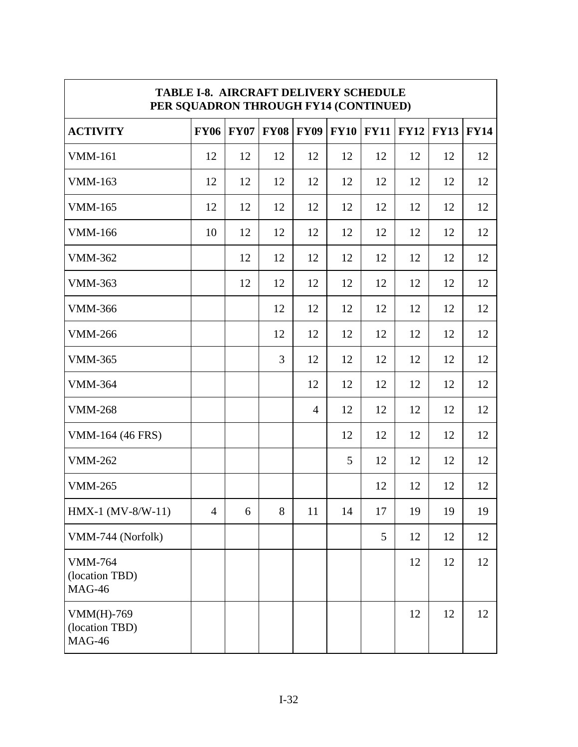| <b>TABLE I-8. AIRCRAFT DELIVERY SCHEDULE</b><br>PER SQUADRON THROUGH FY14 (CONTINUED) |                |             |             |                |             |             |             |             |             |  |
|---------------------------------------------------------------------------------------|----------------|-------------|-------------|----------------|-------------|-------------|-------------|-------------|-------------|--|
| <b>ACTIVITY</b>                                                                       | <b>FY06</b>    | <b>FY07</b> | <b>FY08</b> | <b>FY09</b>    | <b>FY10</b> | <b>FY11</b> | <b>FY12</b> | <b>FY13</b> | <b>FY14</b> |  |
| <b>VMM-161</b>                                                                        | 12             | 12          | 12          | 12             | 12          | 12          | 12          | 12          | 12          |  |
| <b>VMM-163</b>                                                                        | 12             | 12          | 12          | 12             | 12          | 12          | 12          | 12          | 12          |  |
| <b>VMM-165</b>                                                                        | 12             | 12          | 12          | 12             | 12          | 12          | 12          | 12          | 12          |  |
| <b>VMM-166</b>                                                                        | 10             | 12          | 12          | 12             | 12          | 12          | 12          | 12          | 12          |  |
| <b>VMM-362</b>                                                                        |                | 12          | 12          | 12             | 12          | 12          | 12          | 12          | 12          |  |
| <b>VMM-363</b>                                                                        |                | 12          | 12          | 12             | 12          | 12          | 12          | 12          | 12          |  |
| <b>VMM-366</b>                                                                        |                |             | 12          | 12             | 12          | 12          | 12          | 12          | 12          |  |
| <b>VMM-266</b>                                                                        |                |             | 12          | 12             | 12          | 12          | 12          | 12          | 12          |  |
| <b>VMM-365</b>                                                                        |                |             | 3           | 12             | 12          | 12          | 12          | 12          | 12          |  |
| <b>VMM-364</b>                                                                        |                |             |             | 12             | 12          | 12          | 12          | 12          | 12          |  |
| <b>VMM-268</b>                                                                        |                |             |             | $\overline{4}$ | 12          | 12          | 12          | 12          | 12          |  |
| VMM-164 (46 FRS)                                                                      |                |             |             |                | 12          | 12          | 12          | 12          | 12          |  |
| <b>VMM-262</b>                                                                        |                |             |             |                | 5           | 12          | 12          | 12          | 12          |  |
| <b>VMM-265</b>                                                                        |                |             |             |                |             | 12          | 12          | 12          | 12          |  |
| $HMX-1 (MV-8/W-11)$                                                                   | $\overline{4}$ | 6           | 8           | 11             | 14          | 17          | 19          | 19          | 19          |  |
| VMM-744 (Norfolk)                                                                     |                |             |             |                |             | 5           | 12          | 12          | 12          |  |
| <b>VMM-764</b><br>(location TBD)<br><b>MAG-46</b>                                     |                |             |             |                |             |             | 12          | 12          | 12          |  |
| $VMM(H)-769$<br>(location TBD)<br><b>MAG-46</b>                                       |                |             |             |                |             |             | 12          | 12          | 12          |  |

 $\overline{\phantom{0}}$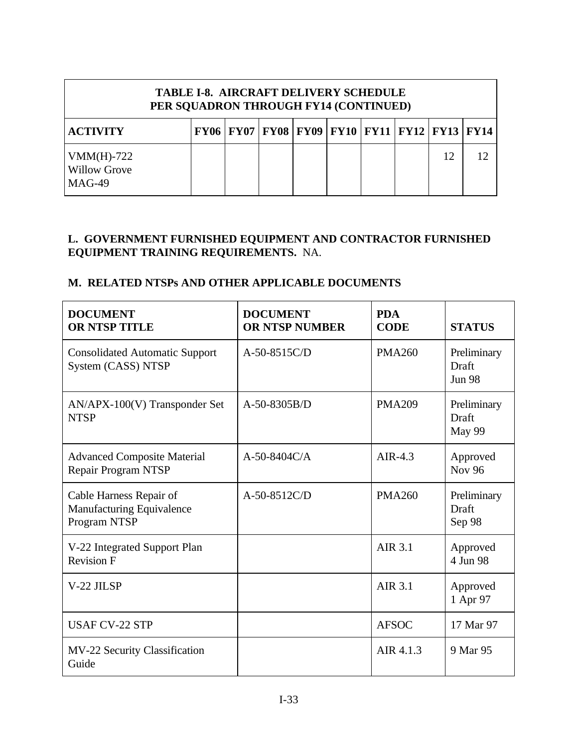| <b>TABLE I-8. AIRCRAFT DELIVERY SCHEDULE</b><br>PER SQUADRON THROUGH FY14 (CONTINUED) |  |  |                                                              |  |  |  |  |    |  |
|---------------------------------------------------------------------------------------|--|--|--------------------------------------------------------------|--|--|--|--|----|--|
| <b>ACTIVITY</b>                                                                       |  |  | FY06   FY07   FY08   FY09   FY10   FY11   FY12   FY13   FY14 |  |  |  |  |    |  |
| $VMM(H)-722$<br><b>Willow Grove</b><br>$MAG-49$                                       |  |  |                                                              |  |  |  |  | 12 |  |

# **L. GOVERNMENT FURNISHED EQUIPMENT AND CONTRACTOR FURNISHED EQUIPMENT TRAINING REQUIREMENTS.** NA.

# **M. RELATED NTSPs AND OTHER APPLICABLE DOCUMENTS**

| <b>DOCUMENT</b><br><b>OR NTSP TITLE</b>                              | <b>DOCUMENT</b><br><b>OR NTSP NUMBER</b> | <b>PDA</b><br><b>CODE</b> | <b>STATUS</b>                         |
|----------------------------------------------------------------------|------------------------------------------|---------------------------|---------------------------------------|
| <b>Consolidated Automatic Support</b><br>System (CASS) NTSP          | $A-50-8515C/D$                           | <b>PMA260</b>             | Preliminary<br>Draft<br><b>Jun 98</b> |
| $AN/APX-100(V)$ Transponder Set<br><b>NTSP</b>                       | A-50-8305B/D                             | <b>PMA209</b>             | Preliminary<br>Draft<br>May 99        |
| <b>Advanced Composite Material</b><br>Repair Program NTSP            | $A-50-8404C/A$                           | AIR-4.3                   | Approved<br>Nov 96                    |
| Cable Harness Repair of<br>Manufacturing Equivalence<br>Program NTSP | A-50-8512C/D                             | <b>PMA260</b>             | Preliminary<br>Draft<br>Sep 98        |
| V-22 Integrated Support Plan<br><b>Revision F</b>                    |                                          | AIR 3.1                   | Approved<br>4 Jun 98                  |
| V-22 JILSP                                                           |                                          | AIR 3.1                   | Approved<br>1 Apr 97                  |
| <b>USAF CV-22 STP</b>                                                |                                          | <b>AFSOC</b>              | 17 Mar 97                             |
| MV-22 Security Classification<br>Guide                               |                                          | AIR 4.1.3                 | 9 Mar 95                              |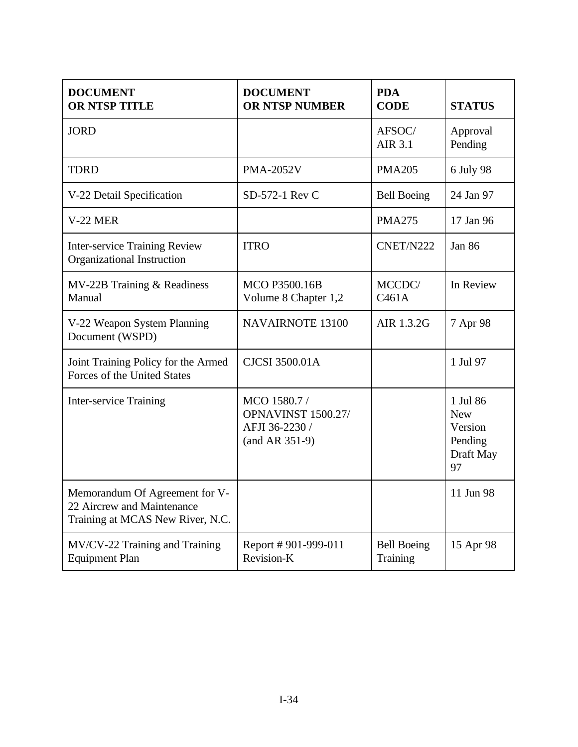| <b>DOCUMENT</b><br><b>OR NTSP TITLE</b>                                                          | <b>DOCUMENT</b><br><b>OR NTSP NUMBER</b>                                        | <b>PDA</b><br><b>CODE</b>      | <b>STATUS</b>                                                   |
|--------------------------------------------------------------------------------------------------|---------------------------------------------------------------------------------|--------------------------------|-----------------------------------------------------------------|
| <b>JORD</b>                                                                                      |                                                                                 | AFSOC/<br>AIR 3.1              | Approval<br>Pending                                             |
| <b>TDRD</b>                                                                                      | <b>PMA-2052V</b>                                                                | <b>PMA205</b>                  | 6 July 98                                                       |
| V-22 Detail Specification                                                                        | SD-572-1 Rev C                                                                  | <b>Bell Boeing</b>             | 24 Jan 97                                                       |
| <b>V-22 MER</b>                                                                                  |                                                                                 | <b>PMA275</b>                  | 17 Jan 96                                                       |
| <b>Inter-service Training Review</b><br>Organizational Instruction                               | <b>ITRO</b>                                                                     | CNET/N222                      | <b>Jan 86</b>                                                   |
| MV-22B Training & Readiness<br>Manual                                                            | <b>MCO P3500.16B</b><br>Volume 8 Chapter 1,2                                    | MCCDC/<br>C461A                | In Review                                                       |
| V-22 Weapon System Planning<br>Document (WSPD)                                                   | <b>NAVAIRNOTE 13100</b>                                                         | AIR 1.3.2G                     | 7 Apr 98                                                        |
| Joint Training Policy for the Armed<br>Forces of the United States                               | <b>CJCSI 3500.01A</b>                                                           |                                | 1 Jul 97                                                        |
| <b>Inter-service Training</b>                                                                    | MCO 1580.7 /<br><b>OPNAVINST 1500.27/</b><br>AFJI 36-2230 /<br>$(and AR 351-9)$ |                                | 1 Jul 86<br><b>New</b><br>Version<br>Pending<br>Draft May<br>97 |
| Memorandum Of Agreement for V-<br>22 Aircrew and Maintenance<br>Training at MCAS New River, N.C. |                                                                                 |                                | 11 Jun 98                                                       |
| MV/CV-22 Training and Training<br><b>Equipment Plan</b>                                          | Report #901-999-011<br>Revision-K                                               | <b>Bell Boeing</b><br>Training | 15 Apr 98                                                       |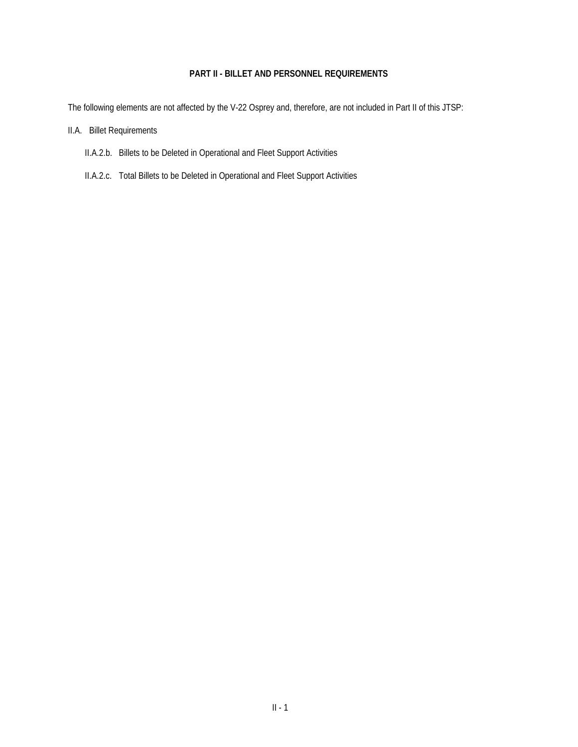#### **PART II - BILLET AND PERSONNEL REQUIREMENTS**

The following elements are not affected by the V-22 Osprey and, therefore, are not included in Part II of this JTSP:

- II.A. Billet Requirements
	- II.A.2.b. Billets to be Deleted in Operational and Fleet Support Activities
	- II.A.2.c. Total Billets to be Deleted in Operational and Fleet Support Activities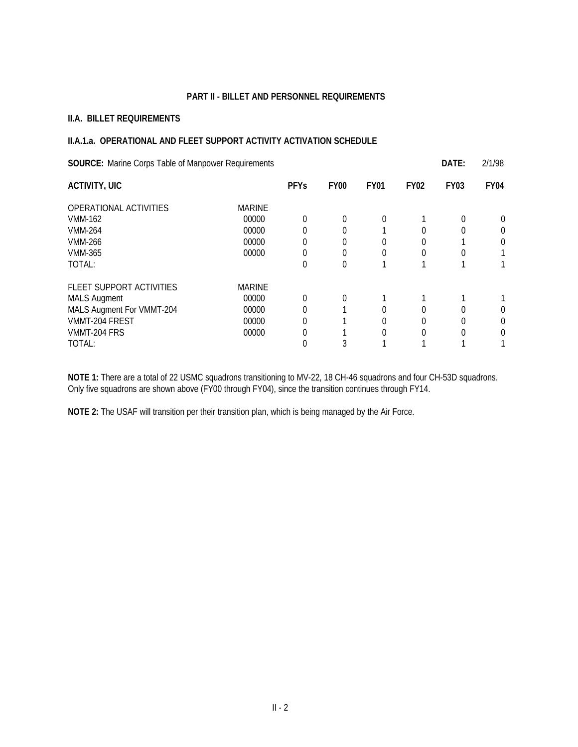#### **PART II - BILLET AND PERSONNEL REQUIREMENTS**

#### **II.A. BILLET REQUIREMENTS**

#### **II.A.1.a. OPERATIONAL AND FLEET SUPPORT ACTIVITY ACTIVATION SCHEDULE**

| <b>SOURCE:</b> Marine Corps Table of Manpower Requirements |               |             |             |             |             | DATE:       | 2/1/98      |
|------------------------------------------------------------|---------------|-------------|-------------|-------------|-------------|-------------|-------------|
| <b>ACTIVITY, UIC</b>                                       |               | <b>PFYs</b> | <b>FY00</b> | <b>FY01</b> | <b>FY02</b> | <b>FY03</b> | <b>FY04</b> |
| OPERATIONAL ACTIVITIES                                     | <b>MARINE</b> |             |             |             |             |             |             |
| VMM-162                                                    | 00000         | $\Omega$    | 0           |             |             |             | 0           |
| <b>VMM-264</b>                                             | 00000         | $\Omega$    | 0           |             |             |             | 0           |
| <b>VMM-266</b>                                             | 00000         | $\mathbf 0$ |             |             |             |             | 0           |
| <b>VMM-365</b>                                             | 00000         | 0           | 0           |             |             |             |             |
| TOTAL:                                                     |               | $\Omega$    | $\Omega$    |             |             |             |             |
| FLEET SUPPORT ACTIVITIES                                   | <b>MARINE</b> |             |             |             |             |             |             |
| <b>MALS Augment</b>                                        | 00000         | $\Omega$    | 0           |             |             |             |             |
| MALS Augment For VMMT-204                                  | 00000         | $\Omega$    |             |             |             |             | 0           |
| VMMT-204 FREST                                             | 00000         | 0           |             |             |             |             | 0           |
| VMMT-204 FRS                                               | 00000         | $\Omega$    |             |             |             |             | 0           |
| TOTAL:                                                     |               |             |             |             |             |             |             |

**NOTE 1:** There are a total of 22 USMC squadrons transitioning to MV-22, 18 CH-46 squadrons and four CH-53D squadrons. Only five squadrons are shown above (FY00 through FY04), since the transition continues through FY14.

**NOTE 2:** The USAF will transition per their transition plan, which is being managed by the Air Force.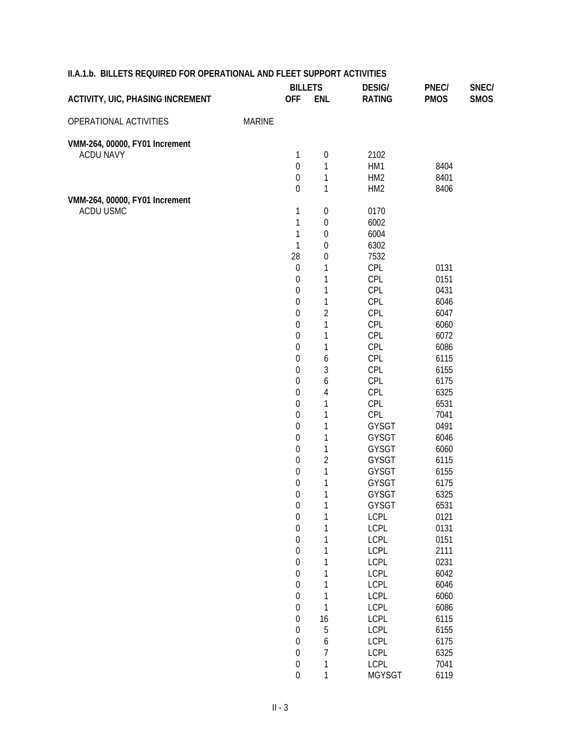|                                             |               | <b>BILLETS</b>   |                  | <b>DESIG/</b>   | PNEC/        | SNEC/       |
|---------------------------------------------|---------------|------------------|------------------|-----------------|--------------|-------------|
| <b>ACTIVITY, UIC, PHASING INCREMENT</b>     |               | <b>OFF</b>       | <b>ENL</b>       | <b>RATING</b>   | <b>PMOS</b>  | <b>SMOS</b> |
| OPERATIONAL ACTIVITIES                      | <b>MARINE</b> |                  |                  |                 |              |             |
|                                             |               |                  |                  |                 |              |             |
| VMM-264, 00000, FY01 Increment              |               |                  |                  |                 |              |             |
| <b>ACDU NAVY</b>                            |               | $\mathbf 1$      | $\boldsymbol{0}$ | 2102            |              |             |
|                                             |               | $\boldsymbol{0}$ | $\mathbf{1}$     | HM1             | 8404         |             |
|                                             |               | $\boldsymbol{0}$ | $\mathbf{1}$     | HM <sub>2</sub> | 8401         |             |
|                                             |               | $\boldsymbol{0}$ | 1                | HM <sub>2</sub> | 8406         |             |
| VMM-264, 00000, FY01 Increment<br>ACDU USMC |               |                  |                  |                 |              |             |
|                                             |               | 1                | $\boldsymbol{0}$ | 0170            |              |             |
|                                             |               | $\mathbf 1$      | $\boldsymbol{0}$ | 6002            |              |             |
|                                             |               | 1                | $\boldsymbol{0}$ | 6004            |              |             |
|                                             |               | $\mathbf{1}$     | $\boldsymbol{0}$ | 6302            |              |             |
|                                             |               | 28               | $\boldsymbol{0}$ | 7532            |              |             |
|                                             |               | $\mathbf 0$      | $\mathbf{1}$     | CPL             | 0131         |             |
|                                             |               | $\boldsymbol{0}$ | $\mathbf{1}$     | CPL             | 0151         |             |
|                                             |               | $\boldsymbol{0}$ | $\mathbf{1}$     | CPL             | 0431         |             |
|                                             |               | $\boldsymbol{0}$ | $\mathbf{1}$     | CPL             | 6046         |             |
|                                             |               | $\boldsymbol{0}$ | $\overline{2}$   | CPL             | 6047         |             |
|                                             |               | $\boldsymbol{0}$ | $\mathbf{1}$     | CPL             | 6060<br>6072 |             |
|                                             |               | $\boldsymbol{0}$ | $\mathbf{1}$     | CPL             |              |             |
|                                             |               | $\boldsymbol{0}$ | $\mathbf{1}$     | CPL             | 6086         |             |
|                                             |               | $\boldsymbol{0}$ | 6                | CPL             | 6115         |             |
|                                             |               | $\boldsymbol{0}$ | 3                | CPL             | 6155         |             |
|                                             |               | $\boldsymbol{0}$ | 6                | CPL             | 6175         |             |
|                                             |               | $\boldsymbol{0}$ | $\overline{4}$   | CPL             | 6325         |             |
|                                             |               | $\boldsymbol{0}$ | 1                | CPL             | 6531         |             |
|                                             |               | $\boldsymbol{0}$ | $\mathbf 1$      | CPL             | 7041         |             |
|                                             |               | $\boldsymbol{0}$ | 1                | GYSGT           | 0491         |             |
|                                             |               | $\boldsymbol{0}$ | $\mathbf{1}$     | GYSGT           | 6046         |             |
|                                             |               | $\boldsymbol{0}$ | $\mathbf 1$      | GYSGT           | 6060         |             |
|                                             |               | $\boldsymbol{0}$ | $\overline{2}$   | <b>GYSGT</b>    | 6115         |             |
|                                             |               | $\boldsymbol{0}$ | $\mathbf{1}$     | GYSGT           | 6155         |             |
|                                             |               | $\boldsymbol{0}$ | 1                | GYSGT           | 6175         |             |
|                                             |               | $\boldsymbol{0}$ | $\mathbf 1$      | GYSGT           | 6325         |             |
|                                             |               | 0                |                  | GYSGT           | 6531         |             |
|                                             |               | $\boldsymbol{0}$ | 1                | <b>LCPL</b>     | 0121         |             |
|                                             |               | $\boldsymbol{0}$ | 1                | <b>LCPL</b>     | 0131         |             |
|                                             |               | $\boldsymbol{0}$ | $\mathbf 1$      | <b>LCPL</b>     | 0151         |             |
|                                             |               | $\boldsymbol{0}$ | $\mathbf 1$      | <b>LCPL</b>     | 2111         |             |
|                                             |               | $\boldsymbol{0}$ | $\mathbf 1$      | <b>LCPL</b>     | 0231         |             |
|                                             |               | $\boldsymbol{0}$ | $\mathbf 1$      | <b>LCPL</b>     | 6042         |             |
|                                             |               | $\boldsymbol{0}$ | $\mathbf 1$      | <b>LCPL</b>     | 6046         |             |
|                                             |               | $\boldsymbol{0}$ | $\mathbf 1$      | <b>LCPL</b>     | 6060         |             |
|                                             |               | $\boldsymbol{0}$ | $\mathbf 1$      | <b>LCPL</b>     | 6086         |             |
|                                             |               | $\boldsymbol{0}$ | 16               | <b>LCPL</b>     | 6115         |             |
|                                             |               | $\boldsymbol{0}$ | 5                | <b>LCPL</b>     | 6155         |             |
|                                             |               | $\boldsymbol{0}$ | 6                | <b>LCPL</b>     | 6175         |             |
|                                             |               | $\boldsymbol{0}$ | 7                | <b>LCPL</b>     | 6325         |             |
|                                             |               | $\boldsymbol{0}$ | 1                | LCPL            | 7041         |             |
|                                             |               | $\overline{0}$   | $\mathbf{1}$     | <b>MGYSGT</b>   | 6119         |             |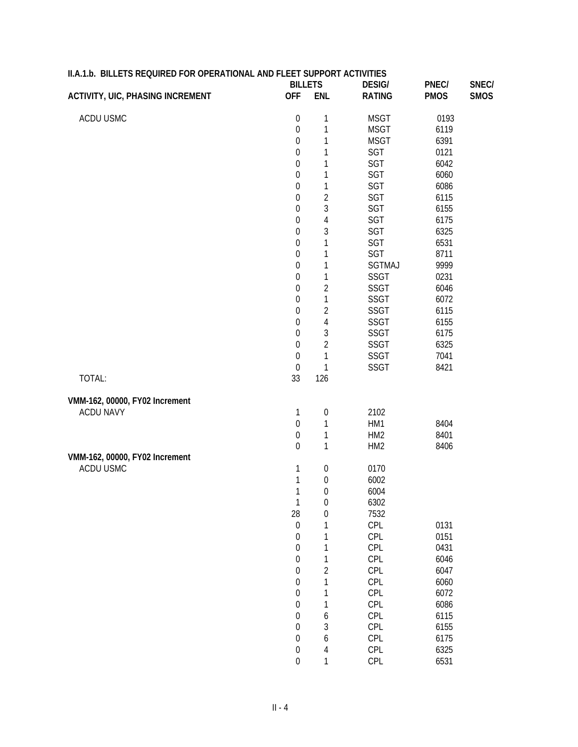| II.A.1.b. BILLETS REQUIRED FOR OPERATIONAL AND FLEET SUPPORT ACTIVITIES |                              |                  |                                |                      |                      |
|-------------------------------------------------------------------------|------------------------------|------------------|--------------------------------|----------------------|----------------------|
| <b>ACTIVITY, UIC, PHASING INCREMENT</b>                                 | <b>BILLETS</b><br><b>OFF</b> | <b>ENL</b>       | <b>DESIG/</b><br><b>RATING</b> | PNEC/<br><b>PMOS</b> | SNEC/<br><b>SMOS</b> |
|                                                                         |                              |                  |                                |                      |                      |
| ACDU USMC                                                               | $\boldsymbol{0}$             | 1                | <b>MSGT</b>                    | 0193                 |                      |
|                                                                         | $\boldsymbol{0}$             | 1                | <b>MSGT</b>                    | 6119                 |                      |
|                                                                         | $\boldsymbol{0}$             | 1                | <b>MSGT</b>                    | 6391                 |                      |
|                                                                         | $\boldsymbol{0}$             | 1                | SGT                            | 0121                 |                      |
|                                                                         | $\boldsymbol{0}$             | 1                | SGT                            | 6042                 |                      |
|                                                                         | $\boldsymbol{0}$             | 1                | SGT                            | 6060                 |                      |
|                                                                         | $\boldsymbol{0}$             | 1                | SGT                            | 6086                 |                      |
|                                                                         | $\boldsymbol{0}$             | $\overline{c}$   | SGT                            | 6115                 |                      |
|                                                                         | $\boldsymbol{0}$             | 3                | SGT                            | 6155                 |                      |
|                                                                         | $\boldsymbol{0}$             | $\overline{4}$   | SGT                            | 6175                 |                      |
|                                                                         | $\boldsymbol{0}$             | 3                | SGT                            | 6325                 |                      |
|                                                                         | $\boldsymbol{0}$             | 1                | SGT                            | 6531                 |                      |
|                                                                         | $\boldsymbol{0}$             | 1                | SGT                            | 8711                 |                      |
|                                                                         | $\boldsymbol{0}$             | 1                | <b>SGTMAJ</b>                  | 9999                 |                      |
|                                                                         | $\boldsymbol{0}$             | 1                | SSGT                           | 0231                 |                      |
|                                                                         | $\boldsymbol{0}$             | $\overline{2}$   | SSGT                           | 6046                 |                      |
|                                                                         | $\boldsymbol{0}$             | 1                | SSGT                           | 6072                 |                      |
|                                                                         | $\boldsymbol{0}$             | $\overline{2}$   | SSGT                           | 6115                 |                      |
|                                                                         | $\boldsymbol{0}$             | $\overline{4}$   | SSGT                           | 6155                 |                      |
|                                                                         | $\boldsymbol{0}$             | 3                | SSGT                           | 6175                 |                      |
|                                                                         | $\boldsymbol{0}$             | $\overline{2}$   | SSGT                           | 6325                 |                      |
|                                                                         | $\boldsymbol{0}$             | 1                | SSGT                           | 7041                 |                      |
|                                                                         | $\boldsymbol{0}$             | 1                | SSGT                           | 8421                 |                      |
| TOTAL:                                                                  | 33                           | 126              |                                |                      |                      |
|                                                                         |                              |                  |                                |                      |                      |
| VMM-162, 00000, FY02 Increment                                          |                              |                  |                                |                      |                      |
| <b>ACDU NAVY</b>                                                        | 1                            | $\boldsymbol{0}$ | 2102                           |                      |                      |
|                                                                         | $\boldsymbol{0}$             | 1                | HM1                            | 8404                 |                      |
|                                                                         | $\boldsymbol{0}$             | 1                | HM <sub>2</sub>                | 8401                 |                      |
|                                                                         | $\mathbf 0$                  | 1                | HM <sub>2</sub>                | 8406                 |                      |
| VMM-162, 00000, FY02 Increment                                          |                              |                  |                                |                      |                      |
| ACDU USMC                                                               | 1                            | $\boldsymbol{0}$ | 0170                           |                      |                      |
|                                                                         | 1                            | $\boldsymbol{0}$ | 6002                           |                      |                      |
|                                                                         | 1                            | $\boldsymbol{0}$ | 6004                           |                      |                      |
|                                                                         | $\mathbf{1}$                 | $\boldsymbol{0}$ | 6302                           |                      |                      |
|                                                                         | 28                           | $\mathbf 0$      | 7532                           |                      |                      |
|                                                                         | $\boldsymbol{0}$             | 1                | <b>CPL</b>                     | 0131                 |                      |
|                                                                         | $\boldsymbol{0}$             | 1                | <b>CPL</b>                     | 0151                 |                      |
|                                                                         | $\boldsymbol{0}$             | 1                | <b>CPL</b>                     | 0431                 |                      |
|                                                                         | $\boldsymbol{0}$             | 1                | <b>CPL</b>                     | 6046                 |                      |
|                                                                         | $\boldsymbol{0}$             | $\overline{2}$   | <b>CPL</b>                     | 6047                 |                      |
|                                                                         | $\boldsymbol{0}$             | 1                | <b>CPL</b>                     | 6060                 |                      |
|                                                                         | $\boldsymbol{0}$             | 1                | <b>CPL</b>                     | 6072                 |                      |
|                                                                         | $\boldsymbol{0}$             | 1                | <b>CPL</b>                     | 6086                 |                      |
|                                                                         | $\boldsymbol{0}$             | 6                | <b>CPL</b>                     | 6115                 |                      |
|                                                                         | $\boldsymbol{0}$             | 3                | <b>CPL</b>                     | 6155                 |                      |
|                                                                         | $\boldsymbol{0}$             | 6                | <b>CPL</b>                     | 6175                 |                      |
|                                                                         | $\boldsymbol{0}$             | 4                | CPL                            | 6325                 |                      |
|                                                                         | $\boldsymbol{0}$             | 1                | CPL                            | 6531                 |                      |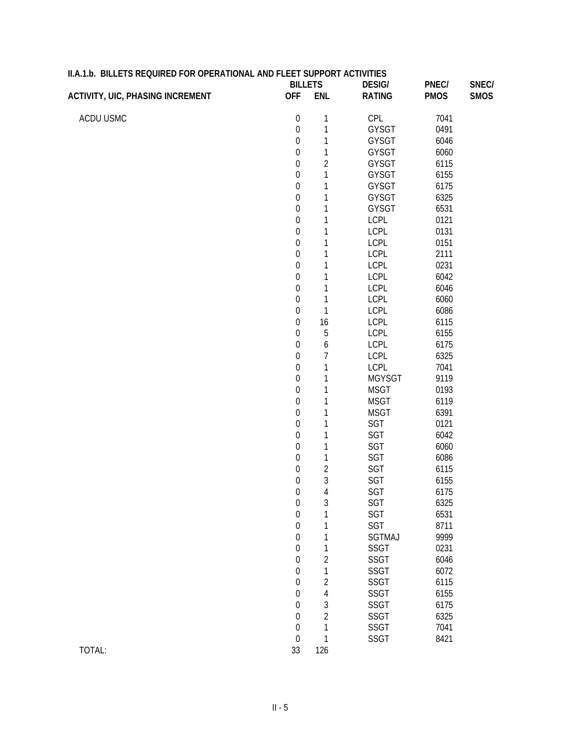| II.A.1.b. BILLETS REQUIRED FOR OPERATIONAL AND FLEET SUPPORT ACTIVITIES | <b>BILLETS</b>   |                |                                |                      | SNEC/       |
|-------------------------------------------------------------------------|------------------|----------------|--------------------------------|----------------------|-------------|
| <b>ACTIVITY, UIC, PHASING INCREMENT</b>                                 | <b>OFF</b>       | <b>ENL</b>     | <b>DESIG/</b><br><b>RATING</b> | PNEC/<br><b>PMOS</b> | <b>SMOS</b> |
|                                                                         |                  |                |                                |                      |             |
| ACDU USMC                                                               | $\boldsymbol{0}$ | 1              | CPL                            | 7041                 |             |
|                                                                         | $\boldsymbol{0}$ | 1              | GYSGT                          | 0491                 |             |
|                                                                         | $\boldsymbol{0}$ | 1              | GYSGT                          | 6046                 |             |
|                                                                         | $\boldsymbol{0}$ | 1              | GYSGT                          | 6060                 |             |
|                                                                         | $\boldsymbol{0}$ | $\overline{2}$ | GYSGT                          | 6115                 |             |
|                                                                         | $\boldsymbol{0}$ | 1              | GYSGT                          | 6155                 |             |
|                                                                         | $\boldsymbol{0}$ | 1              | <b>GYSGT</b>                   | 6175                 |             |
|                                                                         | $\boldsymbol{0}$ | 1              | GYSGT                          | 6325                 |             |
|                                                                         | $\boldsymbol{0}$ | 1              | GYSGT                          | 6531                 |             |
|                                                                         | $\boldsymbol{0}$ | $\mathbf 1$    | <b>LCPL</b>                    | 0121                 |             |
|                                                                         | $\boldsymbol{0}$ | 1              | LCPL                           | 0131                 |             |
|                                                                         | $\boldsymbol{0}$ | 1              | LCPL                           | 0151                 |             |
|                                                                         | $\boldsymbol{0}$ | 1              | LCPL                           | 2111                 |             |
|                                                                         | $\boldsymbol{0}$ | 1              | LCPL                           | 0231                 |             |
|                                                                         | $\boldsymbol{0}$ | $\mathbf 1$    | LCPL                           | 6042                 |             |
|                                                                         | $\boldsymbol{0}$ | 1              | LCPL                           | 6046                 |             |
|                                                                         | $\boldsymbol{0}$ | 1              | LCPL                           | 6060                 |             |
|                                                                         | $\boldsymbol{0}$ | $\mathbf 1$    | LCPL                           | 6086                 |             |
|                                                                         | $\boldsymbol{0}$ | 16             | LCPL                           | 6115                 |             |
|                                                                         | $\boldsymbol{0}$ | 5              | LCPL                           | 6155                 |             |
|                                                                         | $\boldsymbol{0}$ | 6              | LCPL                           | 6175                 |             |
|                                                                         | $\boldsymbol{0}$ | 7              | LCPL                           | 6325                 |             |
|                                                                         | $\boldsymbol{0}$ | 1              | LCPL                           | 7041                 |             |
|                                                                         | $\boldsymbol{0}$ | 1              | <b>MGYSGT</b>                  | 9119                 |             |
|                                                                         | $\boldsymbol{0}$ | 1              | <b>MSGT</b>                    | 0193                 |             |
|                                                                         | $\boldsymbol{0}$ | 1              | <b>MSGT</b>                    | 6119                 |             |
|                                                                         | $\boldsymbol{0}$ | 1              | <b>MSGT</b>                    | 6391                 |             |
|                                                                         |                  |                |                                | 0121                 |             |
|                                                                         | $\boldsymbol{0}$ | 1              | SGT                            |                      |             |
|                                                                         | $\boldsymbol{0}$ | 1              | SGT                            | 6042                 |             |
|                                                                         | $\boldsymbol{0}$ | 1              | SGT                            | 6060                 |             |
|                                                                         | $\boldsymbol{0}$ | 1              | SGT                            | 6086                 |             |
|                                                                         | $\boldsymbol{0}$ | $\overline{2}$ | SGT                            | 6115                 |             |
|                                                                         | $\boldsymbol{0}$ | 3              | SGT                            | 6155                 |             |
|                                                                         | $\mathbf 0$      | 4              | SGT                            | 6175                 |             |
|                                                                         | $\boldsymbol{0}$ | 3              | SGT                            | 6325                 |             |
|                                                                         | $\boldsymbol{0}$ | 1              | SGT                            | 6531                 |             |
|                                                                         | 0                | 1              | SGT                            | 8711                 |             |
|                                                                         | 0                | 1              | <b>SGTMAJ</b>                  | 9999                 |             |
|                                                                         | 0                | 1              | <b>SSGT</b>                    | 0231                 |             |
|                                                                         | 0                | 2              | <b>SSGT</b>                    | 6046                 |             |
|                                                                         | 0                | 1              | <b>SSGT</b>                    | 6072                 |             |
|                                                                         | 0                | $\overline{2}$ | SSGT                           | 6115                 |             |
|                                                                         | 0                | 4              | SSGT                           | 6155                 |             |
|                                                                         | 0                | 3              | SSGT                           | 6175                 |             |
|                                                                         | 0                | $\overline{2}$ | SSGT                           | 6325                 |             |
|                                                                         | $\boldsymbol{0}$ | 1              | SSGT                           | 7041                 |             |
|                                                                         | $\boldsymbol{0}$ | 1              | SSGT                           | 8421                 |             |
| TOTAL:                                                                  | 33               | 126            |                                |                      |             |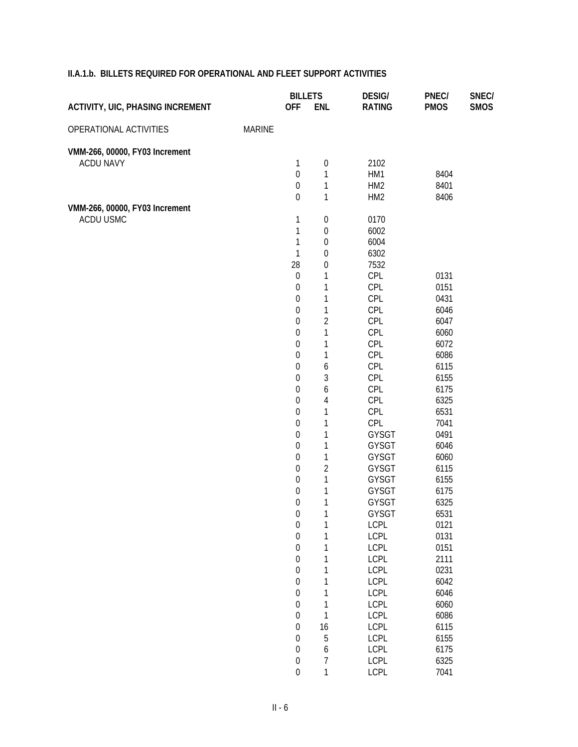|                                                    |               | <b>BILLETS</b>   |                  | <b>DESIG/</b>   | PNEC/       | SNEC/       |
|----------------------------------------------------|---------------|------------------|------------------|-----------------|-------------|-------------|
| <b>ACTIVITY, UIC, PHASING INCREMENT</b>            |               | <b>OFF</b>       | <b>ENL</b>       | <b>RATING</b>   | <b>PMOS</b> | <b>SMOS</b> |
| OPERATIONAL ACTIVITIES                             | <b>MARINE</b> |                  |                  |                 |             |             |
|                                                    |               |                  |                  |                 |             |             |
| VMM-266, 00000, FY03 Increment<br><b>ACDU NAVY</b> |               | 1                | $\boldsymbol{0}$ | 2102            |             |             |
|                                                    |               | $\boldsymbol{0}$ | $\mathbf{1}$     | HM1             | 8404        |             |
|                                                    |               | $\mathbf 0$      | $\mathbf{1}$     | HM <sub>2</sub> | 8401        |             |
|                                                    |               | $\mathbf 0$      | $\mathbf{1}$     | HM <sub>2</sub> | 8406        |             |
| VMM-266, 00000, FY03 Increment                     |               |                  |                  |                 |             |             |
| ACDU USMC                                          |               | 1                | $\boldsymbol{0}$ | 0170            |             |             |
|                                                    |               | 1                | $\boldsymbol{0}$ | 6002            |             |             |
|                                                    |               | 1                | $\mathbf 0$      | 6004            |             |             |
|                                                    |               | 1                | $\boldsymbol{0}$ | 6302            |             |             |
|                                                    |               | 28               | $\boldsymbol{0}$ | 7532            |             |             |
|                                                    |               | $\mathbf 0$      | 1                | CPL             | 0131        |             |
|                                                    |               | $\mathbf 0$      | $\mathbf 1$      | CPL             | 0151        |             |
|                                                    |               | $\mathbf 0$      | $\mathbf 1$      | CPL             | 0431        |             |
|                                                    |               | 0                | $\mathbf{1}$     | CPL             | 6046        |             |
|                                                    |               | $\boldsymbol{0}$ | $\overline{2}$   | CPL             | 6047        |             |
|                                                    |               | 0                | $\mathbf{1}$     | CPL             | 6060        |             |
|                                                    |               | $\boldsymbol{0}$ | $\mathbf 1$      | CPL             | 6072        |             |
|                                                    |               | 0                | $\mathbf 1$      | CPL             | 6086        |             |
|                                                    |               | $\mathbf 0$      | 6                | CPL             | 6115        |             |
|                                                    |               | 0                | 3                | CPL             | 6155        |             |
|                                                    |               | $\boldsymbol{0}$ | 6                | CPL             | 6175        |             |
|                                                    |               | $\boldsymbol{0}$ | $\overline{4}$   | CPL             | 6325        |             |
|                                                    |               | 0                | $\mathbf 1$      | CPL             | 6531        |             |
|                                                    |               | $\boldsymbol{0}$ | $\mathbf 1$      | CPL             | 7041        |             |
|                                                    |               | 0                | $\mathbf 1$      | GYSGT           | 0491        |             |
|                                                    |               | $\boldsymbol{0}$ | $\mathbf{1}$     | GYSGT           | 6046        |             |
|                                                    |               | 0                | $\mathbf 1$      | GYSGT           | 6060        |             |
|                                                    |               | $\mathbf 0$      | $\overline{2}$   | GYSGT           | 6115        |             |
|                                                    |               | $\boldsymbol{0}$ | $\mathbf{1}$     | GYSGT           | 6155        |             |
|                                                    |               | $\boldsymbol{0}$ | $\mathbf{1}$     | GYSGT           | 6175        |             |
|                                                    |               | $\mathbf 0$      | $\mathbf{1}$     | GYSGT           | 6325        |             |
|                                                    |               | $\boldsymbol{0}$ |                  | GYSGT           | 6531        |             |
|                                                    |               | $\boldsymbol{0}$ | 1                | <b>LCPL</b>     | 0121        |             |
|                                                    |               | $\boldsymbol{0}$ | 1                | <b>LCPL</b>     | 0131        |             |
|                                                    |               | $\boldsymbol{0}$ | $\mathbf 1$      | <b>LCPL</b>     | 0151        |             |
|                                                    |               | $\boldsymbol{0}$ | 1                | <b>LCPL</b>     | 2111        |             |
|                                                    |               | $\boldsymbol{0}$ | $\mathbf 1$      | <b>LCPL</b>     | 0231        |             |
|                                                    |               | $\boldsymbol{0}$ | 1                | <b>LCPL</b>     | 6042        |             |
|                                                    |               | $\boldsymbol{0}$ | 1                | <b>LCPL</b>     | 6046        |             |
|                                                    |               | $\boldsymbol{0}$ | 1                | <b>LCPL</b>     | 6060        |             |
|                                                    |               | $\boldsymbol{0}$ | $\mathbf{1}$     | <b>LCPL</b>     | 6086        |             |
|                                                    |               | $\boldsymbol{0}$ | 16               | <b>LCPL</b>     | 6115        |             |
|                                                    |               | $\boldsymbol{0}$ | 5                | <b>LCPL</b>     | 6155        |             |
|                                                    |               | $\boldsymbol{0}$ | $\boldsymbol{6}$ | <b>LCPL</b>     | 6175        |             |
|                                                    |               | $\boldsymbol{0}$ | 7                | <b>LCPL</b>     | 6325        |             |
|                                                    |               | $\boldsymbol{0}$ | $\mathbf{1}$     | <b>LCPL</b>     | 7041        |             |
|                                                    |               |                  |                  |                 |             |             |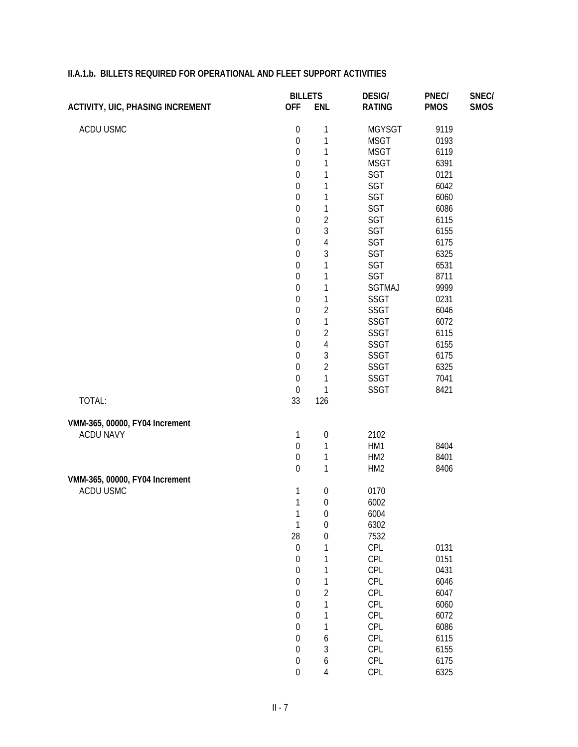|                                         | <b>BILLETS</b>         |                                 | <b>DESIG/</b>   | PNEC/       | SNEC/       |
|-----------------------------------------|------------------------|---------------------------------|-----------------|-------------|-------------|
| <b>ACTIVITY, UIC, PHASING INCREMENT</b> | <b>OFF</b>             | <b>ENL</b>                      | <b>RATING</b>   | <b>PMOS</b> | <b>SMOS</b> |
| ACDU USMC                               | $\boldsymbol{0}$       | 1                               | <b>MGYSGT</b>   | 9119        |             |
|                                         | $\boldsymbol{0}$       | 1                               | <b>MSGT</b>     | 0193        |             |
|                                         | $\boldsymbol{0}$       | $\mathbf 1$                     | <b>MSGT</b>     | 6119        |             |
|                                         | $\mathbf 0$            | $\mathbf 1$                     | <b>MSGT</b>     | 6391        |             |
|                                         | $\mathbf 0$            | $\mathbf 1$                     | SGT             | 0121        |             |
|                                         | $\mathbf 0$            | $\mathbf 1$                     | SGT             | 6042        |             |
|                                         | $\mathbf 0$            | $\mathbf 1$                     | SGT             | 6060        |             |
|                                         | $\mathbf 0$            | $\mathbf 1$                     | SGT             | 6086        |             |
|                                         | $\mathbf 0$            | $\overline{2}$                  | SGT             | 6115        |             |
|                                         | $\mathbf 0$            | 3                               | SGT             | 6155        |             |
|                                         | $\mathbf 0$            | $\overline{4}$                  | SGT             | 6175        |             |
|                                         | $\boldsymbol{0}$       | 3                               | SGT             | 6325        |             |
|                                         | $\mathbf 0$            | 1                               | SGT             | 6531        |             |
|                                         | $\mathbf 0$            | 1                               | SGT             | 8711        |             |
|                                         | $\mathbf 0$            | $\mathbf 1$                     | SGTMAJ          | 9999        |             |
|                                         | $\mathbf 0$            | $\mathbf{1}$                    | <b>SSGT</b>     | 0231        |             |
|                                         | $\mathbf 0$            | $\overline{2}$                  | <b>SSGT</b>     | 6046        |             |
|                                         | $\mathbf 0$            | $\mathbf{1}$                    | <b>SSGT</b>     | 6072        |             |
|                                         | $\mathbf 0$            | $\overline{2}$                  | <b>SSGT</b>     | 6115        |             |
|                                         | $\boldsymbol{0}$       | $\overline{4}$                  | SSGT            | 6155        |             |
|                                         | $\boldsymbol{0}$       | 3                               | <b>SSGT</b>     | 6175        |             |
|                                         | $\mathbf 0$            | $\overline{2}$                  | SSGT            | 6325        |             |
|                                         | $\boldsymbol{0}$       | 1                               | <b>SSGT</b>     | 7041        |             |
| TOTAL:                                  | $\boldsymbol{0}$<br>33 | 1<br>126                        | <b>SSGT</b>     | 8421        |             |
|                                         |                        |                                 |                 |             |             |
| VMM-365, 00000, FY04 Increment          |                        |                                 |                 |             |             |
| <b>ACDU NAVY</b>                        | 1<br>$\boldsymbol{0}$  | $\boldsymbol{0}$<br>$\mathbf 1$ | 2102<br>HM1     | 8404        |             |
|                                         | $\boldsymbol{0}$       | $\mathbf 1$                     | HM <sub>2</sub> | 8401        |             |
|                                         | $\mathbf 0$            | $\mathbf{1}$                    | HM <sub>2</sub> | 8406        |             |
| VMM-365, 00000, FY04 Increment          |                        |                                 |                 |             |             |
| ACDU USMC                               | 1                      | $\boldsymbol{0}$                | 0170            |             |             |
|                                         | $\mathbf{1}$           | $\boldsymbol{0}$                | 6002            |             |             |
|                                         | 1                      | $\boldsymbol{0}$                | 6004            |             |             |
|                                         | $\mathbf{1}$           | $\boldsymbol{0}$                | 6302            |             |             |
|                                         | 28                     | $\boldsymbol{0}$                | 7532            |             |             |
|                                         | $\boldsymbol{0}$       | $\mathbf{1}$                    | CPL             | 0131        |             |
|                                         | $\boldsymbol{0}$       | $\mathbf{1}$                    | CPL             | 0151        |             |
|                                         | $\boldsymbol{0}$       | $\mathbf 1$                     | CPL             | 0431        |             |
|                                         | $\boldsymbol{0}$       | $\mathbf 1$                     | CPL             | 6046        |             |
|                                         | $\boldsymbol{0}$       | $\overline{2}$                  | CPL             | 6047        |             |
|                                         | $\boldsymbol{0}$       | $\mathbf{1}$                    | CPL             | 6060        |             |
|                                         | $\boldsymbol{0}$       | $\mathbf{1}$                    | CPL             | 6072        |             |
|                                         | $\boldsymbol{0}$       | $\mathbf 1$                     | CPL             | 6086        |             |
|                                         | $\boldsymbol{0}$       | 6                               | CPL             | 6115        |             |
|                                         | $\boldsymbol{0}$       | 3                               | CPL             | 6155        |             |
|                                         | $\boldsymbol{0}$       | 6                               | CPL             | 6175        |             |
|                                         | $\boldsymbol{0}$       | 4                               | CPL             | 6325        |             |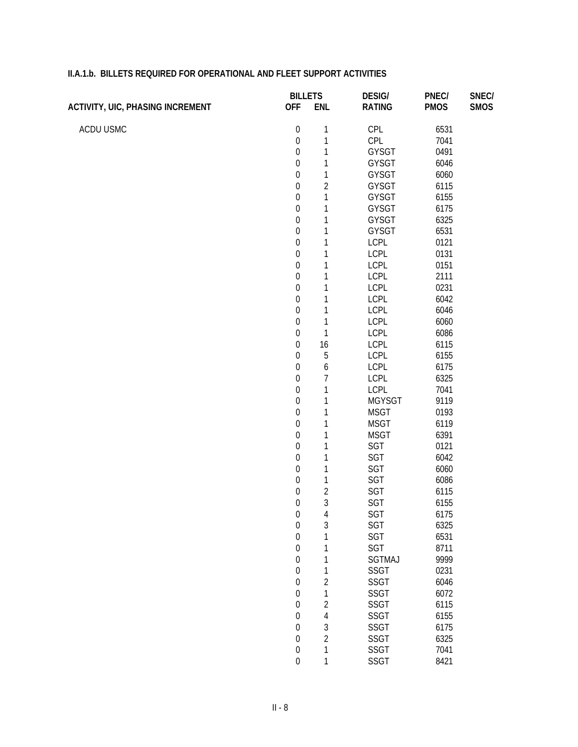|                                         | <b>BILLETS</b>   |                | <b>DESIG/</b> | PNEC/       | SNEC/       |
|-----------------------------------------|------------------|----------------|---------------|-------------|-------------|
| <b>ACTIVITY, UIC, PHASING INCREMENT</b> | <b>OFF</b>       | <b>ENL</b>     | <b>RATING</b> | <b>PMOS</b> | <b>SMOS</b> |
| ACDU USMC                               | $\boldsymbol{0}$ | 1              | <b>CPL</b>    | 6531        |             |
|                                         | $\boldsymbol{0}$ | $\mathbf{1}$   | CPL           | 7041        |             |
|                                         | $\boldsymbol{0}$ | $\mathbf 1$    | <b>GYSGT</b>  | 0491        |             |
|                                         | $\boldsymbol{0}$ | $\mathbf{1}$   | GYSGT         | 6046        |             |
|                                         | $\boldsymbol{0}$ | $\mathbf{1}$   | GYSGT         | 6060        |             |
|                                         | $\boldsymbol{0}$ | $\overline{c}$ | GYSGT         | 6115        |             |
|                                         | $\boldsymbol{0}$ | $\mathbf{1}$   | GYSGT         | 6155        |             |
|                                         | $\boldsymbol{0}$ | $\mathbf{1}$   | GYSGT         | 6175        |             |
|                                         | $\boldsymbol{0}$ | 1              | GYSGT         | 6325        |             |
|                                         | $\boldsymbol{0}$ | 1              | GYSGT         | 6531        |             |
|                                         | $\boldsymbol{0}$ | $\mathbf{1}$   | <b>LCPL</b>   | 0121        |             |
|                                         | $\boldsymbol{0}$ | 1              | <b>LCPL</b>   | 0131        |             |
|                                         | $\boldsymbol{0}$ | 1              | <b>LCPL</b>   | 0151        |             |
|                                         | $\boldsymbol{0}$ | $\mathbf{1}$   | <b>LCPL</b>   | 2111        |             |
|                                         | $\boldsymbol{0}$ | 1              | <b>LCPL</b>   | 0231        |             |
|                                         | $\boldsymbol{0}$ | 1              | <b>LCPL</b>   | 6042        |             |
|                                         | $\boldsymbol{0}$ | $\mathbf{1}$   | <b>LCPL</b>   | 6046        |             |
|                                         | $\boldsymbol{0}$ | $\mathbf{1}$   | <b>LCPL</b>   | 6060        |             |
|                                         | $\boldsymbol{0}$ | $\mathbf{1}$   | <b>LCPL</b>   | 6086        |             |
|                                         | $\boldsymbol{0}$ | 16             | LCPL          | 6115        |             |
|                                         | $\boldsymbol{0}$ | 5              | <b>LCPL</b>   | 6155        |             |
|                                         | $\boldsymbol{0}$ | 6              | <b>LCPL</b>   | 6175        |             |
|                                         | $\boldsymbol{0}$ | $\overline{7}$ | <b>LCPL</b>   | 6325        |             |
|                                         | $\boldsymbol{0}$ | $\mathbf{1}$   | LCPL          | 7041        |             |
|                                         | $\boldsymbol{0}$ | 1              | <b>MGYSGT</b> | 9119        |             |
|                                         | $\boldsymbol{0}$ | $\mathbf{1}$   | <b>MSGT</b>   | 0193        |             |
|                                         | $\boldsymbol{0}$ | 1              | <b>MSGT</b>   | 6119        |             |
|                                         | $\boldsymbol{0}$ | 1              | <b>MSGT</b>   | 6391        |             |
|                                         | $\boldsymbol{0}$ | $\mathbf{1}$   | SGT           | 0121        |             |
|                                         | $\boldsymbol{0}$ | $\mathbf 1$    | SGT           | 6042        |             |
|                                         | $\boldsymbol{0}$ | 1              | SGT           | 6060        |             |
|                                         | $\boldsymbol{0}$ | $\mathbf{1}$   | SGT           | 6086        |             |
|                                         | $\boldsymbol{0}$ | $\overline{c}$ | SGT           | 6115        |             |
|                                         | $\boldsymbol{0}$ | $\mathfrak{Z}$ | SGT           | 6155        |             |
|                                         | $\boldsymbol{0}$ | $\overline{4}$ | SGT           | 6175        |             |
|                                         | $\boldsymbol{0}$ | 3              | SGT           | 6325        |             |
|                                         | $\boldsymbol{0}$ | 1              | SGT           | 6531        |             |
|                                         | $\boldsymbol{0}$ | 1              | SGT           | 8711        |             |
|                                         | $\boldsymbol{0}$ | 1              | <b>SGTMAJ</b> | 9999        |             |
|                                         | $\boldsymbol{0}$ | 1              | SSGT          | 0231        |             |
|                                         | $\boldsymbol{0}$ | $\sqrt{2}$     | SSGT          | 6046        |             |
|                                         | $\boldsymbol{0}$ | $\mathbf 1$    | SSGT          | 6072        |             |
|                                         | $\boldsymbol{0}$ | $\sqrt{2}$     | SSGT          | 6115        |             |
|                                         | $\boldsymbol{0}$ | $\overline{4}$ | SSGT          | 6155        |             |
|                                         | $\boldsymbol{0}$ | $\mathfrak{Z}$ | SSGT          | 6175        |             |
|                                         | $\boldsymbol{0}$ | $\overline{2}$ | SSGT          | 6325        |             |
|                                         | $\boldsymbol{0}$ | $\mathbf{1}$   | SSGT          | 7041        |             |
|                                         | $\boldsymbol{0}$ | $\mathbf{1}$   | SSGT          | 8421        |             |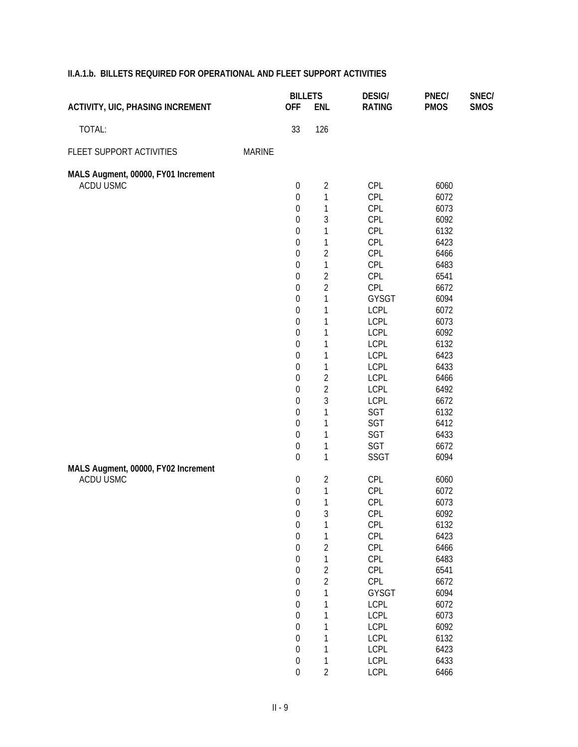|                                         |               | <b>BILLETS</b>   |                | <b>DESIG/</b> | PNEC/       | SNEC/       |
|-----------------------------------------|---------------|------------------|----------------|---------------|-------------|-------------|
| <b>ACTIVITY, UIC, PHASING INCREMENT</b> |               | <b>OFF</b>       | <b>ENL</b>     | <b>RATING</b> | <b>PMOS</b> | <b>SMOS</b> |
| TOTAL:                                  |               | 33               | 126            |               |             |             |
| FLEET SUPPORT ACTIVITIES                | <b>MARINE</b> |                  |                |               |             |             |
| MALS Augment, 00000, FY01 Increment     |               |                  |                |               |             |             |
| ACDU USMC                               |               | $\boldsymbol{0}$ | $\overline{2}$ | CPL           | 6060        |             |
|                                         |               | $\boldsymbol{0}$ | 1              | CPL           | 6072        |             |
|                                         |               | $\boldsymbol{0}$ | $\mathbf{1}$   | CPL           | 6073        |             |
|                                         |               | $\boldsymbol{0}$ | 3              | CPL           | 6092        |             |
|                                         |               | $\boldsymbol{0}$ | 1              | CPL           | 6132        |             |
|                                         |               | $\boldsymbol{0}$ | 1              | CPL           | 6423        |             |
|                                         |               | $\boldsymbol{0}$ | $\overline{2}$ | CPL           | 6466        |             |
|                                         |               | $\boldsymbol{0}$ | 1              | CPL           | 6483        |             |
|                                         |               | $\boldsymbol{0}$ | $\overline{2}$ | CPL           | 6541        |             |
|                                         |               | $\boldsymbol{0}$ | $\overline{2}$ | CPL           | 6672        |             |
|                                         |               | $\boldsymbol{0}$ | 1              | GYSGT         | 6094        |             |
|                                         |               | $\boldsymbol{0}$ | 1              | <b>LCPL</b>   | 6072        |             |
|                                         |               | $\boldsymbol{0}$ | 1              | <b>LCPL</b>   | 6073        |             |
|                                         |               | $\boldsymbol{0}$ | 1              | LCPL          | 6092        |             |
|                                         |               | $\boldsymbol{0}$ | 1              | <b>LCPL</b>   | 6132        |             |
|                                         |               | $\boldsymbol{0}$ | 1              | <b>LCPL</b>   | 6423        |             |
|                                         |               | $\boldsymbol{0}$ | 1              | LCPL          | 6433        |             |
|                                         |               | $\boldsymbol{0}$ | $\overline{2}$ | <b>LCPL</b>   | 6466        |             |
|                                         |               | $\boldsymbol{0}$ | $\overline{2}$ | <b>LCPL</b>   | 6492        |             |
|                                         |               | $\boldsymbol{0}$ | 3              | <b>LCPL</b>   | 6672        |             |
|                                         |               | $\boldsymbol{0}$ | 1              | SGT           | 6132        |             |
|                                         |               | $\boldsymbol{0}$ | 1              | SGT           | 6412        |             |
|                                         |               | $\boldsymbol{0}$ | 1              | SGT           | 6433        |             |
|                                         |               | $\boldsymbol{0}$ | 1              | SGT           | 6672        |             |
|                                         |               | $\mathbf 0$      | $\mathbf{1}$   | SSGT          | 6094        |             |
| MALS Augment, 00000, FY02 Increment     |               |                  |                |               |             |             |
| ACDU USMC                               |               | $\boldsymbol{0}$ | 2              | CPL           | 6060        |             |
|                                         |               | $\boldsymbol{0}$ | $\mathbf{1}$   | CPL           | 6072        |             |
|                                         |               | $\boldsymbol{0}$ | 1              | CPL           | 6073        |             |
|                                         |               | $\boldsymbol{0}$ | 3              | CPL           | 6092        |             |
|                                         |               | $\boldsymbol{0}$ | 1              | CPL           | 6132        |             |
|                                         |               | $\boldsymbol{0}$ | 1              | CPL           | 6423        |             |
|                                         |               | $\boldsymbol{0}$ | $\overline{2}$ | CPL           | 6466        |             |
|                                         |               | $\boldsymbol{0}$ | 1              | CPL           | 6483        |             |
|                                         |               | $\boldsymbol{0}$ | $\overline{c}$ | CPL           | 6541        |             |
|                                         |               | $\boldsymbol{0}$ | $\overline{2}$ | CPL           | 6672        |             |
|                                         |               | $\boldsymbol{0}$ | 1              | <b>GYSGT</b>  | 6094        |             |
|                                         |               | $\boldsymbol{0}$ | 1              | <b>LCPL</b>   | 6072        |             |
|                                         |               | $\boldsymbol{0}$ | $\mathbf{1}$   | <b>LCPL</b>   | 6073        |             |
|                                         |               | $\boldsymbol{0}$ | $\mathbf 1$    | <b>LCPL</b>   | 6092        |             |
|                                         |               | $\boldsymbol{0}$ | $\mathbf{1}$   | <b>LCPL</b>   | 6132        |             |
|                                         |               | $\boldsymbol{0}$ | 1              | <b>LCPL</b>   | 6423        |             |
|                                         |               | $\boldsymbol{0}$ | 1              | <b>LCPL</b>   | 6433        |             |

0 2 LCPL 6466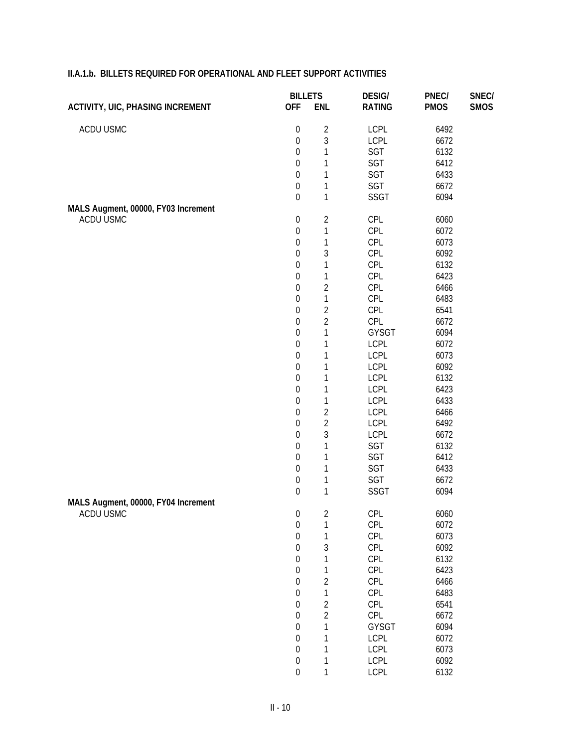| <b>OFF</b><br><b>ENL</b><br><b>RATING</b><br><b>PMOS</b><br><b>ACTIVITY, UIC, PHASING INCREMENT</b><br><b>SMOS</b><br>ACDU USMC<br>$\boldsymbol{0}$<br>$\sqrt{2}$<br><b>LCPL</b><br>6492<br>3<br>$\boldsymbol{0}$<br><b>LCPL</b><br>6672<br>1<br>$\boldsymbol{0}$<br>SGT<br>6132<br>SGT<br>$\boldsymbol{0}$<br>1<br>6412<br>SGT<br>$\boldsymbol{0}$<br>1<br>6433<br>1<br>SGT<br>$\boldsymbol{0}$<br>6672<br>$\mathbf{1}$<br>$\boldsymbol{0}$<br><b>SSGT</b><br>6094<br>MALS Augment, 00000, FY03 Increment<br>ACDU USMC<br>$\boldsymbol{0}$<br>CPL<br>2<br>6060<br>1<br>CPL<br>$\boldsymbol{0}$<br>6072<br>1<br>$\boldsymbol{0}$<br>CPL<br>6073<br>3<br>CPL<br>$\boldsymbol{0}$<br>6092<br>1<br>$\boldsymbol{0}$<br>CPL<br>6132<br>1<br>CPL<br>$\boldsymbol{0}$<br>6423<br>$\overline{2}$<br>$\boldsymbol{0}$<br>CPL<br>6466<br>1<br>CPL<br>$\boldsymbol{0}$<br>6483<br>$\overline{2}$<br>$\boldsymbol{0}$<br>CPL<br>6541<br>$\overline{2}$<br>$\boldsymbol{0}$<br>CPL<br>6672<br>1<br>$\boldsymbol{0}$<br>GYSGT<br>6094<br>$\boldsymbol{0}$<br>1<br><b>LCPL</b><br>6072<br>$\boldsymbol{0}$<br>1<br><b>LCPL</b><br>6073<br>$\boldsymbol{0}$<br>1<br><b>LCPL</b><br>6092<br>$\boldsymbol{0}$<br>1<br><b>LCPL</b><br>6132<br>$\boldsymbol{0}$<br>1<br><b>LCPL</b><br>6423<br>1<br>$\boldsymbol{0}$<br><b>LCPL</b><br>6433<br>$\overline{2}$<br>$\boldsymbol{0}$<br><b>LCPL</b><br>6466<br>$\overline{2}$<br>$\boldsymbol{0}$<br><b>LCPL</b><br>6492<br>3<br>$\boldsymbol{0}$<br><b>LCPL</b><br>6672<br>1<br>$\boldsymbol{0}$<br>SGT<br>6132<br>$\boldsymbol{0}$<br>1<br>SGT<br>6412<br>$\boldsymbol{0}$<br>1<br>SGT<br>6433<br>$\boldsymbol{0}$<br>1<br>SGT<br>6672<br>$\mathbf 1$<br>$\boldsymbol{0}$<br><b>SSGT</b><br>6094<br>MALS Augment, 00000, FY04 Increment<br>ACDU USMC<br>CPL<br>6060<br>$\boldsymbol{0}$<br>2<br>$\boldsymbol{0}$<br>$\mathbf 1$<br>CPL<br>6072<br>$\boldsymbol{0}$<br>1<br>CPL<br>6073<br>3<br>$\boldsymbol{0}$<br>CPL<br>6092<br>1<br>$\boldsymbol{0}$<br>CPL<br>6132<br>1<br>$\boldsymbol{0}$<br>CPL<br>6423<br>$\overline{2}$<br>$\boldsymbol{0}$<br>CPL<br>6466<br>1<br>$\boldsymbol{0}$<br>CPL<br>6483<br>$\overline{c}$<br>$\boldsymbol{0}$<br>CPL<br>6541<br>$\overline{2}$<br>$\boldsymbol{0}$<br>CPL<br>6672<br>1<br>$\boldsymbol{0}$<br>GYSGT<br>6094<br>1<br>$\boldsymbol{0}$<br><b>LCPL</b><br>6072<br>$\boldsymbol{0}$<br>1<br><b>LCPL</b><br>6073<br>$\boldsymbol{0}$<br>1<br><b>LCPL</b><br>6092<br>$\boldsymbol{0}$<br>1<br><b>LCPL</b><br>6132 | <b>BILLETS</b> | <b>DESIG/</b> | PNEC/ | SNEC/ |
|---------------------------------------------------------------------------------------------------------------------------------------------------------------------------------------------------------------------------------------------------------------------------------------------------------------------------------------------------------------------------------------------------------------------------------------------------------------------------------------------------------------------------------------------------------------------------------------------------------------------------------------------------------------------------------------------------------------------------------------------------------------------------------------------------------------------------------------------------------------------------------------------------------------------------------------------------------------------------------------------------------------------------------------------------------------------------------------------------------------------------------------------------------------------------------------------------------------------------------------------------------------------------------------------------------------------------------------------------------------------------------------------------------------------------------------------------------------------------------------------------------------------------------------------------------------------------------------------------------------------------------------------------------------------------------------------------------------------------------------------------------------------------------------------------------------------------------------------------------------------------------------------------------------------------------------------------------------------------------------------------------------------------------------------------------------------------------------------------------------------------------------------------------------------------------------------------------------------------------------------------------------------------------------------------------------------------------------------------------------------------------------------------------------------------------------------------------------------------------------------|----------------|---------------|-------|-------|
|                                                                                                                                                                                                                                                                                                                                                                                                                                                                                                                                                                                                                                                                                                                                                                                                                                                                                                                                                                                                                                                                                                                                                                                                                                                                                                                                                                                                                                                                                                                                                                                                                                                                                                                                                                                                                                                                                                                                                                                                                                                                                                                                                                                                                                                                                                                                                                                                                                                                                             |                |               |       |       |
|                                                                                                                                                                                                                                                                                                                                                                                                                                                                                                                                                                                                                                                                                                                                                                                                                                                                                                                                                                                                                                                                                                                                                                                                                                                                                                                                                                                                                                                                                                                                                                                                                                                                                                                                                                                                                                                                                                                                                                                                                                                                                                                                                                                                                                                                                                                                                                                                                                                                                             |                |               |       |       |
|                                                                                                                                                                                                                                                                                                                                                                                                                                                                                                                                                                                                                                                                                                                                                                                                                                                                                                                                                                                                                                                                                                                                                                                                                                                                                                                                                                                                                                                                                                                                                                                                                                                                                                                                                                                                                                                                                                                                                                                                                                                                                                                                                                                                                                                                                                                                                                                                                                                                                             |                |               |       |       |
|                                                                                                                                                                                                                                                                                                                                                                                                                                                                                                                                                                                                                                                                                                                                                                                                                                                                                                                                                                                                                                                                                                                                                                                                                                                                                                                                                                                                                                                                                                                                                                                                                                                                                                                                                                                                                                                                                                                                                                                                                                                                                                                                                                                                                                                                                                                                                                                                                                                                                             |                |               |       |       |
|                                                                                                                                                                                                                                                                                                                                                                                                                                                                                                                                                                                                                                                                                                                                                                                                                                                                                                                                                                                                                                                                                                                                                                                                                                                                                                                                                                                                                                                                                                                                                                                                                                                                                                                                                                                                                                                                                                                                                                                                                                                                                                                                                                                                                                                                                                                                                                                                                                                                                             |                |               |       |       |
|                                                                                                                                                                                                                                                                                                                                                                                                                                                                                                                                                                                                                                                                                                                                                                                                                                                                                                                                                                                                                                                                                                                                                                                                                                                                                                                                                                                                                                                                                                                                                                                                                                                                                                                                                                                                                                                                                                                                                                                                                                                                                                                                                                                                                                                                                                                                                                                                                                                                                             |                |               |       |       |
|                                                                                                                                                                                                                                                                                                                                                                                                                                                                                                                                                                                                                                                                                                                                                                                                                                                                                                                                                                                                                                                                                                                                                                                                                                                                                                                                                                                                                                                                                                                                                                                                                                                                                                                                                                                                                                                                                                                                                                                                                                                                                                                                                                                                                                                                                                                                                                                                                                                                                             |                |               |       |       |
|                                                                                                                                                                                                                                                                                                                                                                                                                                                                                                                                                                                                                                                                                                                                                                                                                                                                                                                                                                                                                                                                                                                                                                                                                                                                                                                                                                                                                                                                                                                                                                                                                                                                                                                                                                                                                                                                                                                                                                                                                                                                                                                                                                                                                                                                                                                                                                                                                                                                                             |                |               |       |       |
|                                                                                                                                                                                                                                                                                                                                                                                                                                                                                                                                                                                                                                                                                                                                                                                                                                                                                                                                                                                                                                                                                                                                                                                                                                                                                                                                                                                                                                                                                                                                                                                                                                                                                                                                                                                                                                                                                                                                                                                                                                                                                                                                                                                                                                                                                                                                                                                                                                                                                             |                |               |       |       |
|                                                                                                                                                                                                                                                                                                                                                                                                                                                                                                                                                                                                                                                                                                                                                                                                                                                                                                                                                                                                                                                                                                                                                                                                                                                                                                                                                                                                                                                                                                                                                                                                                                                                                                                                                                                                                                                                                                                                                                                                                                                                                                                                                                                                                                                                                                                                                                                                                                                                                             |                |               |       |       |
|                                                                                                                                                                                                                                                                                                                                                                                                                                                                                                                                                                                                                                                                                                                                                                                                                                                                                                                                                                                                                                                                                                                                                                                                                                                                                                                                                                                                                                                                                                                                                                                                                                                                                                                                                                                                                                                                                                                                                                                                                                                                                                                                                                                                                                                                                                                                                                                                                                                                                             |                |               |       |       |
|                                                                                                                                                                                                                                                                                                                                                                                                                                                                                                                                                                                                                                                                                                                                                                                                                                                                                                                                                                                                                                                                                                                                                                                                                                                                                                                                                                                                                                                                                                                                                                                                                                                                                                                                                                                                                                                                                                                                                                                                                                                                                                                                                                                                                                                                                                                                                                                                                                                                                             |                |               |       |       |
|                                                                                                                                                                                                                                                                                                                                                                                                                                                                                                                                                                                                                                                                                                                                                                                                                                                                                                                                                                                                                                                                                                                                                                                                                                                                                                                                                                                                                                                                                                                                                                                                                                                                                                                                                                                                                                                                                                                                                                                                                                                                                                                                                                                                                                                                                                                                                                                                                                                                                             |                |               |       |       |
|                                                                                                                                                                                                                                                                                                                                                                                                                                                                                                                                                                                                                                                                                                                                                                                                                                                                                                                                                                                                                                                                                                                                                                                                                                                                                                                                                                                                                                                                                                                                                                                                                                                                                                                                                                                                                                                                                                                                                                                                                                                                                                                                                                                                                                                                                                                                                                                                                                                                                             |                |               |       |       |
|                                                                                                                                                                                                                                                                                                                                                                                                                                                                                                                                                                                                                                                                                                                                                                                                                                                                                                                                                                                                                                                                                                                                                                                                                                                                                                                                                                                                                                                                                                                                                                                                                                                                                                                                                                                                                                                                                                                                                                                                                                                                                                                                                                                                                                                                                                                                                                                                                                                                                             |                |               |       |       |
|                                                                                                                                                                                                                                                                                                                                                                                                                                                                                                                                                                                                                                                                                                                                                                                                                                                                                                                                                                                                                                                                                                                                                                                                                                                                                                                                                                                                                                                                                                                                                                                                                                                                                                                                                                                                                                                                                                                                                                                                                                                                                                                                                                                                                                                                                                                                                                                                                                                                                             |                |               |       |       |
|                                                                                                                                                                                                                                                                                                                                                                                                                                                                                                                                                                                                                                                                                                                                                                                                                                                                                                                                                                                                                                                                                                                                                                                                                                                                                                                                                                                                                                                                                                                                                                                                                                                                                                                                                                                                                                                                                                                                                                                                                                                                                                                                                                                                                                                                                                                                                                                                                                                                                             |                |               |       |       |
|                                                                                                                                                                                                                                                                                                                                                                                                                                                                                                                                                                                                                                                                                                                                                                                                                                                                                                                                                                                                                                                                                                                                                                                                                                                                                                                                                                                                                                                                                                                                                                                                                                                                                                                                                                                                                                                                                                                                                                                                                                                                                                                                                                                                                                                                                                                                                                                                                                                                                             |                |               |       |       |
|                                                                                                                                                                                                                                                                                                                                                                                                                                                                                                                                                                                                                                                                                                                                                                                                                                                                                                                                                                                                                                                                                                                                                                                                                                                                                                                                                                                                                                                                                                                                                                                                                                                                                                                                                                                                                                                                                                                                                                                                                                                                                                                                                                                                                                                                                                                                                                                                                                                                                             |                |               |       |       |
|                                                                                                                                                                                                                                                                                                                                                                                                                                                                                                                                                                                                                                                                                                                                                                                                                                                                                                                                                                                                                                                                                                                                                                                                                                                                                                                                                                                                                                                                                                                                                                                                                                                                                                                                                                                                                                                                                                                                                                                                                                                                                                                                                                                                                                                                                                                                                                                                                                                                                             |                |               |       |       |
|                                                                                                                                                                                                                                                                                                                                                                                                                                                                                                                                                                                                                                                                                                                                                                                                                                                                                                                                                                                                                                                                                                                                                                                                                                                                                                                                                                                                                                                                                                                                                                                                                                                                                                                                                                                                                                                                                                                                                                                                                                                                                                                                                                                                                                                                                                                                                                                                                                                                                             |                |               |       |       |
|                                                                                                                                                                                                                                                                                                                                                                                                                                                                                                                                                                                                                                                                                                                                                                                                                                                                                                                                                                                                                                                                                                                                                                                                                                                                                                                                                                                                                                                                                                                                                                                                                                                                                                                                                                                                                                                                                                                                                                                                                                                                                                                                                                                                                                                                                                                                                                                                                                                                                             |                |               |       |       |
|                                                                                                                                                                                                                                                                                                                                                                                                                                                                                                                                                                                                                                                                                                                                                                                                                                                                                                                                                                                                                                                                                                                                                                                                                                                                                                                                                                                                                                                                                                                                                                                                                                                                                                                                                                                                                                                                                                                                                                                                                                                                                                                                                                                                                                                                                                                                                                                                                                                                                             |                |               |       |       |
|                                                                                                                                                                                                                                                                                                                                                                                                                                                                                                                                                                                                                                                                                                                                                                                                                                                                                                                                                                                                                                                                                                                                                                                                                                                                                                                                                                                                                                                                                                                                                                                                                                                                                                                                                                                                                                                                                                                                                                                                                                                                                                                                                                                                                                                                                                                                                                                                                                                                                             |                |               |       |       |
|                                                                                                                                                                                                                                                                                                                                                                                                                                                                                                                                                                                                                                                                                                                                                                                                                                                                                                                                                                                                                                                                                                                                                                                                                                                                                                                                                                                                                                                                                                                                                                                                                                                                                                                                                                                                                                                                                                                                                                                                                                                                                                                                                                                                                                                                                                                                                                                                                                                                                             |                |               |       |       |
|                                                                                                                                                                                                                                                                                                                                                                                                                                                                                                                                                                                                                                                                                                                                                                                                                                                                                                                                                                                                                                                                                                                                                                                                                                                                                                                                                                                                                                                                                                                                                                                                                                                                                                                                                                                                                                                                                                                                                                                                                                                                                                                                                                                                                                                                                                                                                                                                                                                                                             |                |               |       |       |
|                                                                                                                                                                                                                                                                                                                                                                                                                                                                                                                                                                                                                                                                                                                                                                                                                                                                                                                                                                                                                                                                                                                                                                                                                                                                                                                                                                                                                                                                                                                                                                                                                                                                                                                                                                                                                                                                                                                                                                                                                                                                                                                                                                                                                                                                                                                                                                                                                                                                                             |                |               |       |       |
|                                                                                                                                                                                                                                                                                                                                                                                                                                                                                                                                                                                                                                                                                                                                                                                                                                                                                                                                                                                                                                                                                                                                                                                                                                                                                                                                                                                                                                                                                                                                                                                                                                                                                                                                                                                                                                                                                                                                                                                                                                                                                                                                                                                                                                                                                                                                                                                                                                                                                             |                |               |       |       |
|                                                                                                                                                                                                                                                                                                                                                                                                                                                                                                                                                                                                                                                                                                                                                                                                                                                                                                                                                                                                                                                                                                                                                                                                                                                                                                                                                                                                                                                                                                                                                                                                                                                                                                                                                                                                                                                                                                                                                                                                                                                                                                                                                                                                                                                                                                                                                                                                                                                                                             |                |               |       |       |
|                                                                                                                                                                                                                                                                                                                                                                                                                                                                                                                                                                                                                                                                                                                                                                                                                                                                                                                                                                                                                                                                                                                                                                                                                                                                                                                                                                                                                                                                                                                                                                                                                                                                                                                                                                                                                                                                                                                                                                                                                                                                                                                                                                                                                                                                                                                                                                                                                                                                                             |                |               |       |       |
|                                                                                                                                                                                                                                                                                                                                                                                                                                                                                                                                                                                                                                                                                                                                                                                                                                                                                                                                                                                                                                                                                                                                                                                                                                                                                                                                                                                                                                                                                                                                                                                                                                                                                                                                                                                                                                                                                                                                                                                                                                                                                                                                                                                                                                                                                                                                                                                                                                                                                             |                |               |       |       |
|                                                                                                                                                                                                                                                                                                                                                                                                                                                                                                                                                                                                                                                                                                                                                                                                                                                                                                                                                                                                                                                                                                                                                                                                                                                                                                                                                                                                                                                                                                                                                                                                                                                                                                                                                                                                                                                                                                                                                                                                                                                                                                                                                                                                                                                                                                                                                                                                                                                                                             |                |               |       |       |
|                                                                                                                                                                                                                                                                                                                                                                                                                                                                                                                                                                                                                                                                                                                                                                                                                                                                                                                                                                                                                                                                                                                                                                                                                                                                                                                                                                                                                                                                                                                                                                                                                                                                                                                                                                                                                                                                                                                                                                                                                                                                                                                                                                                                                                                                                                                                                                                                                                                                                             |                |               |       |       |
|                                                                                                                                                                                                                                                                                                                                                                                                                                                                                                                                                                                                                                                                                                                                                                                                                                                                                                                                                                                                                                                                                                                                                                                                                                                                                                                                                                                                                                                                                                                                                                                                                                                                                                                                                                                                                                                                                                                                                                                                                                                                                                                                                                                                                                                                                                                                                                                                                                                                                             |                |               |       |       |
|                                                                                                                                                                                                                                                                                                                                                                                                                                                                                                                                                                                                                                                                                                                                                                                                                                                                                                                                                                                                                                                                                                                                                                                                                                                                                                                                                                                                                                                                                                                                                                                                                                                                                                                                                                                                                                                                                                                                                                                                                                                                                                                                                                                                                                                                                                                                                                                                                                                                                             |                |               |       |       |
|                                                                                                                                                                                                                                                                                                                                                                                                                                                                                                                                                                                                                                                                                                                                                                                                                                                                                                                                                                                                                                                                                                                                                                                                                                                                                                                                                                                                                                                                                                                                                                                                                                                                                                                                                                                                                                                                                                                                                                                                                                                                                                                                                                                                                                                                                                                                                                                                                                                                                             |                |               |       |       |
|                                                                                                                                                                                                                                                                                                                                                                                                                                                                                                                                                                                                                                                                                                                                                                                                                                                                                                                                                                                                                                                                                                                                                                                                                                                                                                                                                                                                                                                                                                                                                                                                                                                                                                                                                                                                                                                                                                                                                                                                                                                                                                                                                                                                                                                                                                                                                                                                                                                                                             |                |               |       |       |
|                                                                                                                                                                                                                                                                                                                                                                                                                                                                                                                                                                                                                                                                                                                                                                                                                                                                                                                                                                                                                                                                                                                                                                                                                                                                                                                                                                                                                                                                                                                                                                                                                                                                                                                                                                                                                                                                                                                                                                                                                                                                                                                                                                                                                                                                                                                                                                                                                                                                                             |                |               |       |       |
|                                                                                                                                                                                                                                                                                                                                                                                                                                                                                                                                                                                                                                                                                                                                                                                                                                                                                                                                                                                                                                                                                                                                                                                                                                                                                                                                                                                                                                                                                                                                                                                                                                                                                                                                                                                                                                                                                                                                                                                                                                                                                                                                                                                                                                                                                                                                                                                                                                                                                             |                |               |       |       |
|                                                                                                                                                                                                                                                                                                                                                                                                                                                                                                                                                                                                                                                                                                                                                                                                                                                                                                                                                                                                                                                                                                                                                                                                                                                                                                                                                                                                                                                                                                                                                                                                                                                                                                                                                                                                                                                                                                                                                                                                                                                                                                                                                                                                                                                                                                                                                                                                                                                                                             |                |               |       |       |
|                                                                                                                                                                                                                                                                                                                                                                                                                                                                                                                                                                                                                                                                                                                                                                                                                                                                                                                                                                                                                                                                                                                                                                                                                                                                                                                                                                                                                                                                                                                                                                                                                                                                                                                                                                                                                                                                                                                                                                                                                                                                                                                                                                                                                                                                                                                                                                                                                                                                                             |                |               |       |       |
|                                                                                                                                                                                                                                                                                                                                                                                                                                                                                                                                                                                                                                                                                                                                                                                                                                                                                                                                                                                                                                                                                                                                                                                                                                                                                                                                                                                                                                                                                                                                                                                                                                                                                                                                                                                                                                                                                                                                                                                                                                                                                                                                                                                                                                                                                                                                                                                                                                                                                             |                |               |       |       |
|                                                                                                                                                                                                                                                                                                                                                                                                                                                                                                                                                                                                                                                                                                                                                                                                                                                                                                                                                                                                                                                                                                                                                                                                                                                                                                                                                                                                                                                                                                                                                                                                                                                                                                                                                                                                                                                                                                                                                                                                                                                                                                                                                                                                                                                                                                                                                                                                                                                                                             |                |               |       |       |
|                                                                                                                                                                                                                                                                                                                                                                                                                                                                                                                                                                                                                                                                                                                                                                                                                                                                                                                                                                                                                                                                                                                                                                                                                                                                                                                                                                                                                                                                                                                                                                                                                                                                                                                                                                                                                                                                                                                                                                                                                                                                                                                                                                                                                                                                                                                                                                                                                                                                                             |                |               |       |       |
|                                                                                                                                                                                                                                                                                                                                                                                                                                                                                                                                                                                                                                                                                                                                                                                                                                                                                                                                                                                                                                                                                                                                                                                                                                                                                                                                                                                                                                                                                                                                                                                                                                                                                                                                                                                                                                                                                                                                                                                                                                                                                                                                                                                                                                                                                                                                                                                                                                                                                             |                |               |       |       |
|                                                                                                                                                                                                                                                                                                                                                                                                                                                                                                                                                                                                                                                                                                                                                                                                                                                                                                                                                                                                                                                                                                                                                                                                                                                                                                                                                                                                                                                                                                                                                                                                                                                                                                                                                                                                                                                                                                                                                                                                                                                                                                                                                                                                                                                                                                                                                                                                                                                                                             |                |               |       |       |
|                                                                                                                                                                                                                                                                                                                                                                                                                                                                                                                                                                                                                                                                                                                                                                                                                                                                                                                                                                                                                                                                                                                                                                                                                                                                                                                                                                                                                                                                                                                                                                                                                                                                                                                                                                                                                                                                                                                                                                                                                                                                                                                                                                                                                                                                                                                                                                                                                                                                                             |                |               |       |       |
|                                                                                                                                                                                                                                                                                                                                                                                                                                                                                                                                                                                                                                                                                                                                                                                                                                                                                                                                                                                                                                                                                                                                                                                                                                                                                                                                                                                                                                                                                                                                                                                                                                                                                                                                                                                                                                                                                                                                                                                                                                                                                                                                                                                                                                                                                                                                                                                                                                                                                             |                |               |       |       |
|                                                                                                                                                                                                                                                                                                                                                                                                                                                                                                                                                                                                                                                                                                                                                                                                                                                                                                                                                                                                                                                                                                                                                                                                                                                                                                                                                                                                                                                                                                                                                                                                                                                                                                                                                                                                                                                                                                                                                                                                                                                                                                                                                                                                                                                                                                                                                                                                                                                                                             |                |               |       |       |
|                                                                                                                                                                                                                                                                                                                                                                                                                                                                                                                                                                                                                                                                                                                                                                                                                                                                                                                                                                                                                                                                                                                                                                                                                                                                                                                                                                                                                                                                                                                                                                                                                                                                                                                                                                                                                                                                                                                                                                                                                                                                                                                                                                                                                                                                                                                                                                                                                                                                                             |                |               |       |       |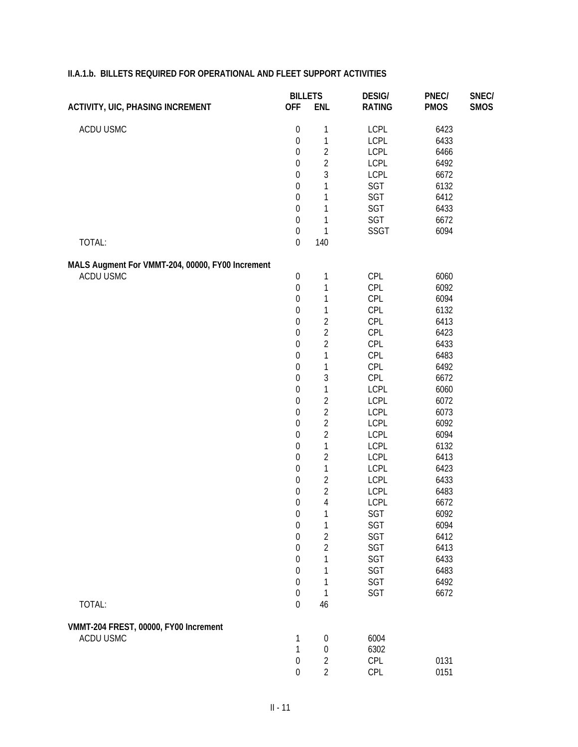|                                                  | <b>BILLETS</b>                       |                     | <b>DESIG/</b> | PNEC/        | SNEC/       |
|--------------------------------------------------|--------------------------------------|---------------------|---------------|--------------|-------------|
| <b>ACTIVITY, UIC, PHASING INCREMENT</b>          | <b>OFF</b>                           | <b>ENL</b>          | <b>RATING</b> | <b>PMOS</b>  | <b>SMOS</b> |
| ACDU USMC                                        | $\boldsymbol{0}$                     | $\mathbf 1$         | <b>LCPL</b>   | 6423         |             |
|                                                  | $\boldsymbol{0}$                     | $\mathbf{1}$        | LCPL          | 6433         |             |
|                                                  | $\boldsymbol{0}$                     | $\overline{2}$      | LCPL          | 6466         |             |
|                                                  | $\boldsymbol{0}$                     | $\overline{2}$      | LCPL          | 6492         |             |
|                                                  | $\boldsymbol{0}$                     | 3                   | LCPL          | 6672         |             |
|                                                  | $\boldsymbol{0}$                     | $\mathbf{1}$        | SGT           | 6132         |             |
|                                                  | $\boldsymbol{0}$                     | $\mathbf 1$         | SGT           | 6412         |             |
|                                                  | $\boldsymbol{0}$                     | $\mathbf 1$         | SGT           | 6433         |             |
|                                                  | $\boldsymbol{0}$                     | 1                   | SGT           | 6672         |             |
|                                                  | $\boldsymbol{0}$                     | $\mathbf{1}$        | SSGT          | 6094         |             |
| TOTAL:                                           | $\boldsymbol{0}$                     | 140                 |               |              |             |
| MALS Augment For VMMT-204, 00000, FY00 Increment |                                      |                     |               |              |             |
| ACDU USMC                                        | $\boldsymbol{0}$                     | $\mathbf 1$         | CPL           | 6060         |             |
|                                                  | $\boldsymbol{0}$                     | 1                   | CPL           | 6092         |             |
|                                                  | $\boldsymbol{0}$                     | $\mathbf{1}$        | CPL           | 6094         |             |
|                                                  | $\boldsymbol{0}$                     | $\mathbf{1}$        | CPL           | 6132         |             |
|                                                  | $\boldsymbol{0}$                     | $\overline{2}$      | CPL           | 6413         |             |
|                                                  | $\boldsymbol{0}$                     | $\overline{c}$      | CPL           | 6423         |             |
|                                                  | $\boldsymbol{0}$                     | $\overline{2}$      | CPL           | 6433         |             |
|                                                  | $\boldsymbol{0}$                     | $\mathbf{1}$        | CPL           | 6483         |             |
|                                                  | $\boldsymbol{0}$                     | $\mathbf{1}$        | CPL           | 6492         |             |
|                                                  | $\boldsymbol{0}$                     | 3                   | CPL           | 6672         |             |
|                                                  | $\boldsymbol{0}$                     | $\mathbf{1}$        | <b>LCPL</b>   | 6060         |             |
|                                                  | $\boldsymbol{0}$                     | $\overline{c}$      | LCPL          | 6072         |             |
|                                                  | $\boldsymbol{0}$                     | $\overline{2}$      | LCPL          | 6073         |             |
|                                                  | $\boldsymbol{0}$                     | $\overline{c}$      | LCPL          | 6092         |             |
|                                                  | $\boldsymbol{0}$                     | $\overline{2}$      | LCPL          | 6094         |             |
|                                                  | $\boldsymbol{0}$                     | $\mathbf{1}$        | LCPL          | 6132         |             |
|                                                  | $\boldsymbol{0}$                     | $\overline{2}$      | LCPL          | 6413         |             |
|                                                  | $\boldsymbol{0}$                     | $\mathbf{1}$        | LCPL          | 6423         |             |
|                                                  | $\boldsymbol{0}$                     | $\overline{2}$      | LCPL          | 6433         |             |
|                                                  | $\boldsymbol{0}$                     | $\overline{2}$      | LCPL          | 6483         |             |
|                                                  | $\boldsymbol{0}$                     | $\overline{4}$      | LCPL          | 6672<br>6092 |             |
|                                                  | $\boldsymbol{0}$<br>$\boldsymbol{0}$ | $\mathbf 1$         | SGT           |              |             |
|                                                  | $\boldsymbol{0}$                     | 1<br>$\overline{2}$ | SGT<br>SGT    | 6094<br>6412 |             |
|                                                  | $\boldsymbol{0}$                     | $\overline{2}$      | SGT           | 6413         |             |
|                                                  | $\boldsymbol{0}$                     | 1                   | SGT           | 6433         |             |
|                                                  | $\boldsymbol{0}$                     | 1                   | SGT           | 6483         |             |
|                                                  | $\boldsymbol{0}$                     | 1                   | SGT           | 6492         |             |
|                                                  | $\boldsymbol{0}$                     | 1                   | SGT           | 6672         |             |
| TOTAL:                                           | $\boldsymbol{0}$                     | 46                  |               |              |             |
|                                                  |                                      |                     |               |              |             |
| VMMT-204 FREST, 00000, FY00 Increment            |                                      |                     |               |              |             |
| ACDU USMC                                        | 1                                    | $\mathbf 0$         | 6004          |              |             |
|                                                  | $\mathbf{1}$                         | $\boldsymbol{0}$    | 6302          |              |             |
|                                                  | $\boldsymbol{0}$                     | $\overline{c}$      | CPL           | 0131         |             |
|                                                  | $\boldsymbol{0}$                     | $\overline{2}$      | CPL           | 0151         |             |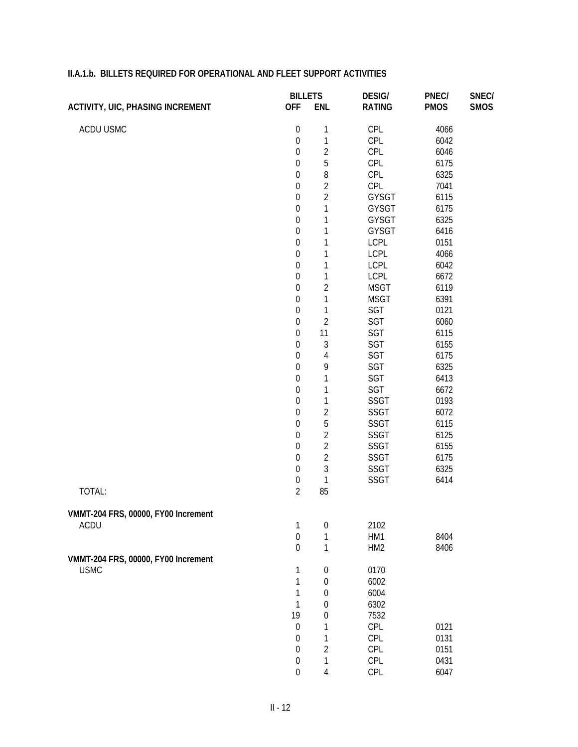| <b>ACTIVITY, UIC, PHASING INCREMENT</b> | <b>BILLETS</b>   |                  | <b>DESIG/</b>       | PNEC/       | SNEC/       |
|-----------------------------------------|------------------|------------------|---------------------|-------------|-------------|
|                                         | <b>OFF</b>       | <b>ENL</b>       | <b>RATING</b>       | <b>PMOS</b> | <b>SMOS</b> |
| ACDU USMC                               | $\boldsymbol{0}$ | 1                | CPL                 | 4066        |             |
|                                         | $\boldsymbol{0}$ | $\mathbf{1}$     | CPL                 | 6042        |             |
|                                         | $\boldsymbol{0}$ | $\overline{2}$   | CPL                 | 6046        |             |
|                                         | $\boldsymbol{0}$ | 5                | CPL                 | 6175        |             |
|                                         | $\boldsymbol{0}$ | 8                | CPL                 | 6325        |             |
|                                         | $\boldsymbol{0}$ | $\overline{2}$   | CPL                 | 7041        |             |
|                                         | $\boldsymbol{0}$ | $\overline{2}$   | GYSGT               | 6115        |             |
|                                         | $\boldsymbol{0}$ | 1                | GYSGT               | 6175        |             |
|                                         | $\boldsymbol{0}$ | 1                | GYSGT               | 6325        |             |
|                                         | $\boldsymbol{0}$ | 1                | GYSGT               | 6416        |             |
|                                         | $\boldsymbol{0}$ | 1                | <b>LCPL</b>         | 0151        |             |
|                                         | $\boldsymbol{0}$ | 1                | <b>LCPL</b>         | 4066        |             |
|                                         | $\boldsymbol{0}$ | 1                | <b>LCPL</b>         | 6042        |             |
|                                         | $\boldsymbol{0}$ | 1                | <b>LCPL</b>         | 6672        |             |
|                                         | $\boldsymbol{0}$ | $\overline{2}$   | <b>MSGT</b>         | 6119        |             |
|                                         | $\boldsymbol{0}$ | 1                | <b>MSGT</b>         | 6391        |             |
|                                         | $\boldsymbol{0}$ | 1                | SGT                 | 0121        |             |
|                                         | $\boldsymbol{0}$ | $\overline{2}$   | SGT                 | 6060        |             |
|                                         | $\boldsymbol{0}$ | 11               | SGT                 | 6115        |             |
|                                         | $\boldsymbol{0}$ | 3                | SGT                 | 6155        |             |
|                                         | $\boldsymbol{0}$ | $\overline{4}$   | SGT                 | 6175        |             |
|                                         | $\boldsymbol{0}$ | 9                | SGT                 | 6325        |             |
|                                         | $\boldsymbol{0}$ | 1                | SGT                 | 6413        |             |
|                                         | $\boldsymbol{0}$ | 1                | SGT                 | 6672        |             |
|                                         | $\boldsymbol{0}$ | $\mathbf{1}$     | SSGT                | 0193        |             |
|                                         | $\boldsymbol{0}$ | $\overline{2}$   |                     | 6072        |             |
|                                         | $\boldsymbol{0}$ | 5                | SSGT<br><b>SSGT</b> | 6115        |             |
|                                         | $\boldsymbol{0}$ | $\overline{2}$   |                     | 6125        |             |
|                                         | $\boldsymbol{0}$ | $\overline{2}$   | SSGT                |             |             |
|                                         | $\boldsymbol{0}$ | $\overline{2}$   | <b>SSGT</b>         | 6155        |             |
|                                         | $\boldsymbol{0}$ | 3                | SSGT                | 6175        |             |
|                                         |                  |                  | <b>SSGT</b>         | 6325        |             |
|                                         | $\boldsymbol{0}$ | 1                | <b>SSGT</b>         | 6414        |             |
| TOTAL:                                  | $\overline{2}$   | 85               |                     |             |             |
| VMMT-204 FRS, 00000, FY00 Increment     |                  |                  |                     |             |             |
| ACDU                                    | $\mathbf{1}$     | $\boldsymbol{0}$ | 2102                |             |             |
|                                         | $\boldsymbol{0}$ | 1                | HM1                 | 8404        |             |
|                                         | $\boldsymbol{0}$ | $\mathbf{1}$     | HM <sub>2</sub>     | 8406        |             |
| VMMT-204 FRS, 00000, FY00 Increment     |                  |                  |                     |             |             |
| <b>USMC</b>                             | 1                | $\boldsymbol{0}$ | 0170                |             |             |
|                                         | $\mathbf{1}$     | $\boldsymbol{0}$ | 6002                |             |             |
|                                         | $\mathbf{1}$     | $\boldsymbol{0}$ | 6004                |             |             |
|                                         | $\mathbf{1}$     | 0                | 6302                |             |             |
|                                         | 19               | $\mathbf 0$      | 7532                |             |             |
|                                         | $\boldsymbol{0}$ | 1                | CPL                 | 0121        |             |
|                                         | $\boldsymbol{0}$ | 1                | CPL                 | 0131        |             |
|                                         | $\boldsymbol{0}$ | $\overline{2}$   | CPL                 | 0151        |             |
|                                         | $\boldsymbol{0}$ | 1                | CPL                 | 0431        |             |
|                                         | $\boldsymbol{0}$ | 4                | CPL                 | 6047        |             |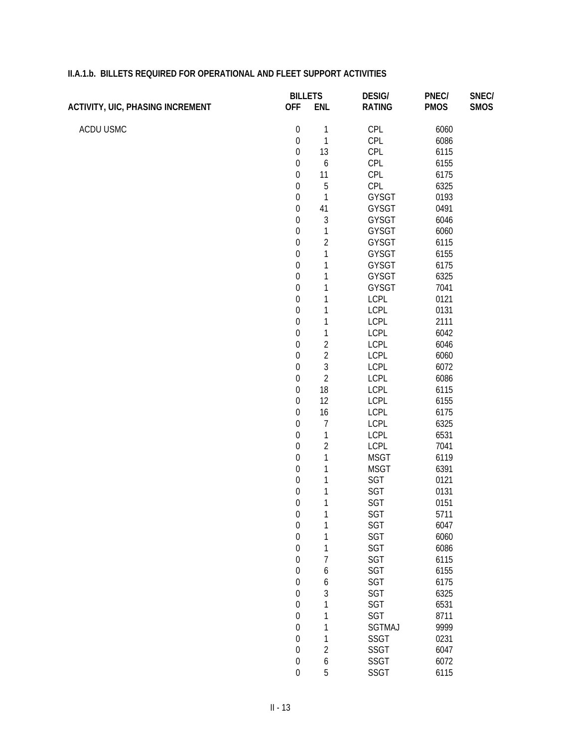|                                         | <b>BILLETS</b>   |                  | <b>DESIG/</b> | PNEC/       | SNEC/       |
|-----------------------------------------|------------------|------------------|---------------|-------------|-------------|
| <b>ACTIVITY, UIC, PHASING INCREMENT</b> | <b>OFF</b>       | <b>ENL</b>       | <b>RATING</b> | <b>PMOS</b> | <b>SMOS</b> |
| ACDU USMC                               | $\boldsymbol{0}$ | $\mathbf{1}$     | <b>CPL</b>    | 6060        |             |
|                                         | $\boldsymbol{0}$ | 1                | CPL           | 6086        |             |
|                                         | $\boldsymbol{0}$ | 13               | CPL           | 6115        |             |
|                                         | $\boldsymbol{0}$ | 6                | CPL           | 6155        |             |
|                                         | $\boldsymbol{0}$ | 11               | CPL           | 6175        |             |
|                                         | $\boldsymbol{0}$ | 5                | CPL           | 6325        |             |
|                                         | $\boldsymbol{0}$ | $\mathbf{1}$     | GYSGT         | 0193        |             |
|                                         | $\boldsymbol{0}$ | 41               | GYSGT         | 0491        |             |
|                                         | $\boldsymbol{0}$ | $\sqrt{3}$       | GYSGT         | 6046        |             |
|                                         | $\boldsymbol{0}$ | $\mathbf 1$      | GYSGT         | 6060        |             |
|                                         | $\boldsymbol{0}$ | $\overline{2}$   | GYSGT         | 6115        |             |
|                                         | $\boldsymbol{0}$ | 1                | GYSGT         | 6155        |             |
|                                         | $\boldsymbol{0}$ | 1                | GYSGT         | 6175        |             |
|                                         | $\boldsymbol{0}$ | 1                | GYSGT         | 6325        |             |
|                                         | $\boldsymbol{0}$ | 1                | GYSGT         | 7041        |             |
|                                         | $\boldsymbol{0}$ | 1                | <b>LCPL</b>   | 0121        |             |
|                                         | $\boldsymbol{0}$ | 1                | <b>LCPL</b>   | 0131        |             |
|                                         | $\boldsymbol{0}$ | 1                | LCPL          | 2111        |             |
|                                         | $\boldsymbol{0}$ | $\mathbf 1$      | LCPL          | 6042        |             |
|                                         | $\boldsymbol{0}$ | $\overline{2}$   | <b>LCPL</b>   | 6046        |             |
|                                         | $\boldsymbol{0}$ | $\overline{c}$   | <b>LCPL</b>   | 6060        |             |
|                                         | $\boldsymbol{0}$ | 3                | LCPL          | 6072        |             |
|                                         | $\boldsymbol{0}$ | $\overline{c}$   | <b>LCPL</b>   | 6086        |             |
|                                         | $\boldsymbol{0}$ | 18               | <b>LCPL</b>   | 6115        |             |
|                                         | $\boldsymbol{0}$ | 12               | <b>LCPL</b>   | 6155        |             |
|                                         | $\boldsymbol{0}$ | 16               | <b>LCPL</b>   | 6175        |             |
|                                         | $\boldsymbol{0}$ | $\overline{7}$   | <b>LCPL</b>   | 6325        |             |
|                                         | $\boldsymbol{0}$ | $\mathbf 1$      | <b>LCPL</b>   | 6531        |             |
|                                         | $\boldsymbol{0}$ | $\overline{2}$   | LCPL          | 7041        |             |
|                                         | $\boldsymbol{0}$ | $\mathbf 1$      | <b>MSGT</b>   | 6119        |             |
|                                         | $\boldsymbol{0}$ | 1                | <b>MSGT</b>   | 6391        |             |
|                                         | $\boldsymbol{0}$ | 1                | SGT           | 0121        |             |
|                                         | $\boldsymbol{0}$ | $\mathbf 1$      | SGT           | 0131        |             |
|                                         | $\boldsymbol{0}$ | 1                | SGT           | 0151        |             |
|                                         | $\boldsymbol{0}$ | $\overline{a}$   | <b>SGT</b>    | 5711        |             |
|                                         | $\boldsymbol{0}$ | 1                | SGT           | 6047        |             |
|                                         | $\mathbf 0$      | 1                | SGT           | 6060        |             |
|                                         | $\boldsymbol{0}$ | 1                | SGT           | 6086        |             |
|                                         | $\boldsymbol{0}$ | $\overline{7}$   | SGT           | 6115        |             |
|                                         | $\boldsymbol{0}$ | 6                | SGT           | 6155        |             |
|                                         | $\boldsymbol{0}$ | 6                | SGT           | 6175        |             |
|                                         | $\boldsymbol{0}$ | 3                | SGT           | 6325        |             |
|                                         | $\boldsymbol{0}$ | $\mathbf 1$      | SGT           | 6531        |             |
|                                         | $\boldsymbol{0}$ | $\mathbf 1$      | SGT           | 8711        |             |
|                                         | $\boldsymbol{0}$ | 1                | SGTMAJ        | 9999        |             |
|                                         | $\boldsymbol{0}$ | $\mathbf 1$      | SSGT          | 0231        |             |
|                                         | $\boldsymbol{0}$ | $\sqrt{2}$       | SSGT          | 6047        |             |
|                                         | $\boldsymbol{0}$ | $\boldsymbol{6}$ | <b>SSGT</b>   | 6072        |             |

0 5 SSGT 6115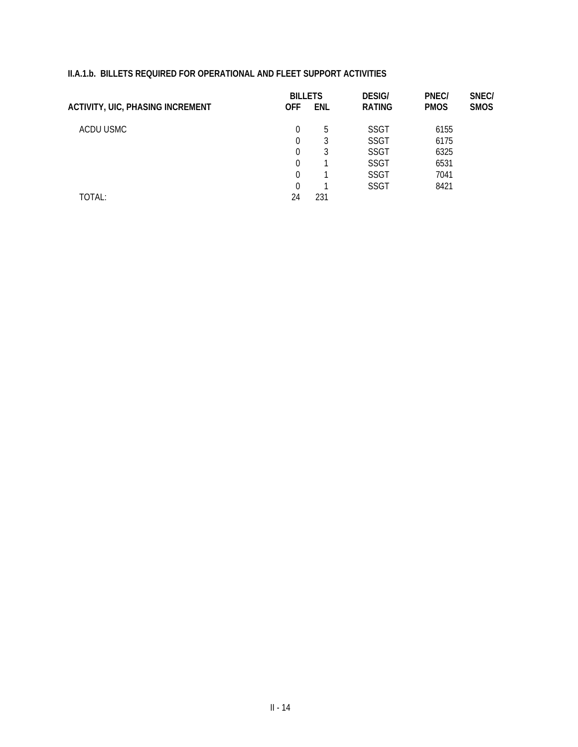|                                         | <b>BILLETS</b> |     | <b>DESIG/</b> | PNEC/       | SNEC/       |
|-----------------------------------------|----------------|-----|---------------|-------------|-------------|
| <b>ACTIVITY, UIC, PHASING INCREMENT</b> | <b>OFF</b>     | ENL | <b>RATING</b> | <b>PMOS</b> | <b>SMOS</b> |
| ACDU USMC                               | 0              | 5   | <b>SSGT</b>   | 6155        |             |
|                                         | 0              | 3   | <b>SSGT</b>   | 6175        |             |
|                                         | 0              | 3   | <b>SSGT</b>   | 6325        |             |
|                                         | 0              |     | <b>SSGT</b>   | 6531        |             |
|                                         | 0              |     | <b>SSGT</b>   | 7041        |             |
|                                         | $\Omega$       |     | <b>SSGT</b>   | 8421        |             |
| TOTAL:                                  | 24             | 231 |               |             |             |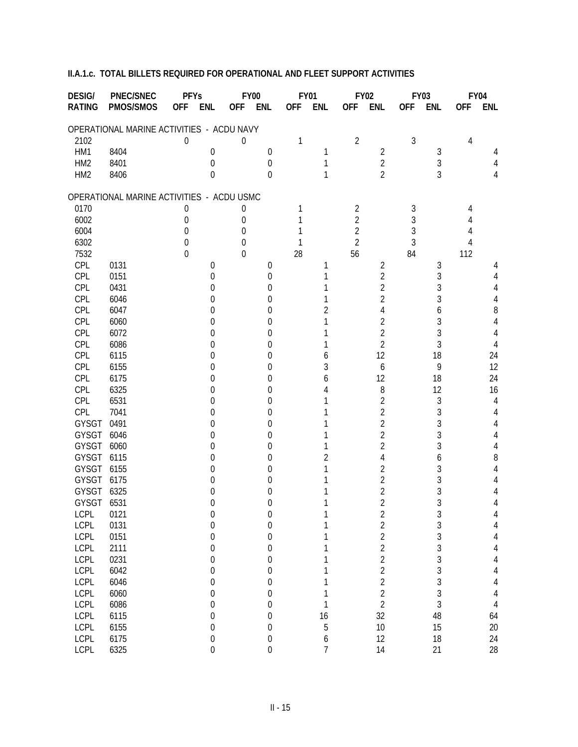| PMOS/SMOS<br><b>RATING</b><br><b>OFF</b><br><b>ENL</b><br><b>OFF</b><br><b>ENL</b><br><b>ENL</b><br><b>OFF</b><br><b>ENL</b><br><b>OFF</b><br><b>ENL</b><br><b>OFF</b><br><b>ENL</b><br><b>OFF</b><br>OPERATIONAL MARINE ACTIVITIES - ACDU NAVY<br>3<br>$\overline{2}$<br>2102<br>4<br>0<br>0<br>1<br>HM1<br>8404<br>$\overline{2}$<br>3<br>1<br>0<br>0<br>4<br>3<br>$\overline{2}$<br>HM <sub>2</sub><br>8401<br>0<br>$\mathbf 0$<br>1<br>4<br>3<br>$\overline{2}$<br>HM <sub>2</sub><br>8406<br>$\Omega$<br>$\Omega$<br>4<br>1<br>OPERATIONAL MARINE ACTIVITIES - ACDU USMC<br>2<br>3<br>0170<br>0<br>4<br>0<br>$\overline{2}$<br>3<br>6002<br>$\theta$<br>0<br>4<br>$\overline{2}$<br>3<br>6004<br>$\Omega$<br>$\Omega$<br>4<br>$\overline{2}$<br>3<br>6302<br>0<br>1<br>$\Omega$<br>4<br>56<br>7532<br>0<br>28<br>84<br>112<br>$\theta$<br>CPL<br>0131<br>2<br>3<br>0<br>0<br>1<br>4<br>$\overline{2}$<br>3<br>CPL<br>0151<br>0<br>0<br>4<br>3<br>CPL<br>2<br>0431<br>0<br>0<br>4<br>3<br>CPL<br>2<br>6046<br>4<br>0<br>0<br>CPL<br>6047<br>8<br>4<br>6<br>2<br>0<br>0<br>3<br>CPL<br>2<br>6060<br>4<br>0<br>0<br>3<br>CPL<br>$\overline{2}$<br>6072<br>4<br>0<br>0<br>3<br>$\overline{2}$<br>CPL<br>6086<br>4<br>0<br>0<br>CPL<br>12<br>18<br>6115<br>24<br>0<br>0<br>6<br>CPL<br>12<br>6155<br>9<br>3<br>6<br>0<br>0<br>CPL<br>24<br>6175<br>12<br>18<br>0<br>0<br>6<br>CPL<br>8<br>12<br>6325<br>16<br>0<br>0<br>3<br>CPL<br>$\overline{2}$<br>6531<br>4<br>0<br>0<br>3<br>$\overline{2}$<br>CPL<br>7041<br>4<br>0<br>0<br>3<br>2<br><b>GYSGT</b><br>0491<br>0<br>4<br>0<br>3<br>2<br>GYSGT<br>6046<br>4<br>0<br>0<br>3<br>2<br>GYSGT<br>6060<br>4<br>0<br>0<br>GYSGT<br>6115<br>8<br>4<br>6<br>2<br>0<br>0<br>3<br>2<br><b>GYSGT</b><br>6155<br>4<br>0<br>0<br>3<br>GYSGT<br>2<br>6175<br>4<br>0<br>0<br>3<br>GYSGT<br>$\overline{2}$<br>6325<br>4<br>0<br>0<br>3<br>GYSGT<br>$\overline{2}$<br>6531<br>4<br>0<br>0<br>0121<br><b>LCPL</b><br>3<br>0<br>2<br>O<br>4<br>3 3 3 3 3 3 3 3 3<br>$\frac{2}{2}$<br>LCPL<br>0131<br>$\boldsymbol{0}$<br>4<br>0<br>1<br><b>LCPL</b><br>0151<br>$\boldsymbol{0}$<br>$\boldsymbol{0}$<br>1<br>$\overline{4}$<br>$\overline{2}$<br><b>LCPL</b><br>2111<br>$\boldsymbol{0}$<br>$\boldsymbol{0}$<br>1<br>$\overline{4}$<br>$\overline{2}$<br><b>LCPL</b><br>0231<br>$\overline{4}$<br>$\boldsymbol{0}$<br>$\boldsymbol{0}$<br>1<br>$\overline{c}$<br><b>LCPL</b><br>6042<br>1<br>$\overline{4}$<br>$\boldsymbol{0}$<br>$\boldsymbol{0}$<br>$\begin{array}{c} 2 \\ 2 \end{array}$<br><b>LCPL</b><br>6046<br>1<br>$\sqrt{4}$<br>$\boldsymbol{0}$<br>$\boldsymbol{0}$<br><b>LCPL</b><br>6060<br>1<br>$\overline{4}$<br>$\boldsymbol{0}$<br>$\boldsymbol{0}$<br>$\overline{2}$<br><b>LCPL</b><br>1<br>6086<br>$\sqrt{4}$<br>$\boldsymbol{0}$<br>$\mathbf 0$<br>48<br>32<br><b>LCPL</b><br>16<br>6115<br>64<br>$\boldsymbol{0}$<br>$\boldsymbol{0}$<br>5<br>10<br>15<br><b>LCPL</b><br>20<br>6155<br>$\boldsymbol{0}$<br>$\boldsymbol{0}$<br><b>LCPL</b><br>$\boldsymbol{6}$<br>12<br>$18\,$<br>24<br>6175<br>$\boldsymbol{0}$<br>$\boldsymbol{0}$<br>$\overline{1}$<br><b>LCPL</b><br>14<br>$\boldsymbol{0}$<br>21<br>28<br>6325<br>$\boldsymbol{0}$ | <b>DESIG/</b> | <b>PNEC/SNEC</b> | <b>PFYs</b> |  | <b>FY00</b> | <b>FY01</b> |  | <b>FY02</b> | <b>FY03</b> | <b>FY04</b> |
|---------------------------------------------------------------------------------------------------------------------------------------------------------------------------------------------------------------------------------------------------------------------------------------------------------------------------------------------------------------------------------------------------------------------------------------------------------------------------------------------------------------------------------------------------------------------------------------------------------------------------------------------------------------------------------------------------------------------------------------------------------------------------------------------------------------------------------------------------------------------------------------------------------------------------------------------------------------------------------------------------------------------------------------------------------------------------------------------------------------------------------------------------------------------------------------------------------------------------------------------------------------------------------------------------------------------------------------------------------------------------------------------------------------------------------------------------------------------------------------------------------------------------------------------------------------------------------------------------------------------------------------------------------------------------------------------------------------------------------------------------------------------------------------------------------------------------------------------------------------------------------------------------------------------------------------------------------------------------------------------------------------------------------------------------------------------------------------------------------------------------------------------------------------------------------------------------------------------------------------------------------------------------------------------------------------------------------------------------------------------------------------------------------------------------------------------------------------------------------------------------------------------------------------------------------------------------------------------------------------------------------------------------------------------------------------------------------------------------------------------------------------------------------------------------------------------------------------------------------------------------------------------------------------------------------------------------------------------------------------------------------------------------------------------------------------------------------------------------------------------------------------------------------------------------------------------|---------------|------------------|-------------|--|-------------|-------------|--|-------------|-------------|-------------|
|                                                                                                                                                                                                                                                                                                                                                                                                                                                                                                                                                                                                                                                                                                                                                                                                                                                                                                                                                                                                                                                                                                                                                                                                                                                                                                                                                                                                                                                                                                                                                                                                                                                                                                                                                                                                                                                                                                                                                                                                                                                                                                                                                                                                                                                                                                                                                                                                                                                                                                                                                                                                                                                                                                                                                                                                                                                                                                                                                                                                                                                                                                                                                                                             |               |                  |             |  |             |             |  |             |             |             |
|                                                                                                                                                                                                                                                                                                                                                                                                                                                                                                                                                                                                                                                                                                                                                                                                                                                                                                                                                                                                                                                                                                                                                                                                                                                                                                                                                                                                                                                                                                                                                                                                                                                                                                                                                                                                                                                                                                                                                                                                                                                                                                                                                                                                                                                                                                                                                                                                                                                                                                                                                                                                                                                                                                                                                                                                                                                                                                                                                                                                                                                                                                                                                                                             |               |                  |             |  |             |             |  |             |             |             |
|                                                                                                                                                                                                                                                                                                                                                                                                                                                                                                                                                                                                                                                                                                                                                                                                                                                                                                                                                                                                                                                                                                                                                                                                                                                                                                                                                                                                                                                                                                                                                                                                                                                                                                                                                                                                                                                                                                                                                                                                                                                                                                                                                                                                                                                                                                                                                                                                                                                                                                                                                                                                                                                                                                                                                                                                                                                                                                                                                                                                                                                                                                                                                                                             |               |                  |             |  |             |             |  |             |             |             |
|                                                                                                                                                                                                                                                                                                                                                                                                                                                                                                                                                                                                                                                                                                                                                                                                                                                                                                                                                                                                                                                                                                                                                                                                                                                                                                                                                                                                                                                                                                                                                                                                                                                                                                                                                                                                                                                                                                                                                                                                                                                                                                                                                                                                                                                                                                                                                                                                                                                                                                                                                                                                                                                                                                                                                                                                                                                                                                                                                                                                                                                                                                                                                                                             |               |                  |             |  |             |             |  |             |             |             |
|                                                                                                                                                                                                                                                                                                                                                                                                                                                                                                                                                                                                                                                                                                                                                                                                                                                                                                                                                                                                                                                                                                                                                                                                                                                                                                                                                                                                                                                                                                                                                                                                                                                                                                                                                                                                                                                                                                                                                                                                                                                                                                                                                                                                                                                                                                                                                                                                                                                                                                                                                                                                                                                                                                                                                                                                                                                                                                                                                                                                                                                                                                                                                                                             |               |                  |             |  |             |             |  |             |             |             |
|                                                                                                                                                                                                                                                                                                                                                                                                                                                                                                                                                                                                                                                                                                                                                                                                                                                                                                                                                                                                                                                                                                                                                                                                                                                                                                                                                                                                                                                                                                                                                                                                                                                                                                                                                                                                                                                                                                                                                                                                                                                                                                                                                                                                                                                                                                                                                                                                                                                                                                                                                                                                                                                                                                                                                                                                                                                                                                                                                                                                                                                                                                                                                                                             |               |                  |             |  |             |             |  |             |             |             |
|                                                                                                                                                                                                                                                                                                                                                                                                                                                                                                                                                                                                                                                                                                                                                                                                                                                                                                                                                                                                                                                                                                                                                                                                                                                                                                                                                                                                                                                                                                                                                                                                                                                                                                                                                                                                                                                                                                                                                                                                                                                                                                                                                                                                                                                                                                                                                                                                                                                                                                                                                                                                                                                                                                                                                                                                                                                                                                                                                                                                                                                                                                                                                                                             |               |                  |             |  |             |             |  |             |             |             |
|                                                                                                                                                                                                                                                                                                                                                                                                                                                                                                                                                                                                                                                                                                                                                                                                                                                                                                                                                                                                                                                                                                                                                                                                                                                                                                                                                                                                                                                                                                                                                                                                                                                                                                                                                                                                                                                                                                                                                                                                                                                                                                                                                                                                                                                                                                                                                                                                                                                                                                                                                                                                                                                                                                                                                                                                                                                                                                                                                                                                                                                                                                                                                                                             |               |                  |             |  |             |             |  |             |             |             |
|                                                                                                                                                                                                                                                                                                                                                                                                                                                                                                                                                                                                                                                                                                                                                                                                                                                                                                                                                                                                                                                                                                                                                                                                                                                                                                                                                                                                                                                                                                                                                                                                                                                                                                                                                                                                                                                                                                                                                                                                                                                                                                                                                                                                                                                                                                                                                                                                                                                                                                                                                                                                                                                                                                                                                                                                                                                                                                                                                                                                                                                                                                                                                                                             |               |                  |             |  |             |             |  |             |             |             |
|                                                                                                                                                                                                                                                                                                                                                                                                                                                                                                                                                                                                                                                                                                                                                                                                                                                                                                                                                                                                                                                                                                                                                                                                                                                                                                                                                                                                                                                                                                                                                                                                                                                                                                                                                                                                                                                                                                                                                                                                                                                                                                                                                                                                                                                                                                                                                                                                                                                                                                                                                                                                                                                                                                                                                                                                                                                                                                                                                                                                                                                                                                                                                                                             |               |                  |             |  |             |             |  |             |             |             |
|                                                                                                                                                                                                                                                                                                                                                                                                                                                                                                                                                                                                                                                                                                                                                                                                                                                                                                                                                                                                                                                                                                                                                                                                                                                                                                                                                                                                                                                                                                                                                                                                                                                                                                                                                                                                                                                                                                                                                                                                                                                                                                                                                                                                                                                                                                                                                                                                                                                                                                                                                                                                                                                                                                                                                                                                                                                                                                                                                                                                                                                                                                                                                                                             |               |                  |             |  |             |             |  |             |             |             |
|                                                                                                                                                                                                                                                                                                                                                                                                                                                                                                                                                                                                                                                                                                                                                                                                                                                                                                                                                                                                                                                                                                                                                                                                                                                                                                                                                                                                                                                                                                                                                                                                                                                                                                                                                                                                                                                                                                                                                                                                                                                                                                                                                                                                                                                                                                                                                                                                                                                                                                                                                                                                                                                                                                                                                                                                                                                                                                                                                                                                                                                                                                                                                                                             |               |                  |             |  |             |             |  |             |             |             |
|                                                                                                                                                                                                                                                                                                                                                                                                                                                                                                                                                                                                                                                                                                                                                                                                                                                                                                                                                                                                                                                                                                                                                                                                                                                                                                                                                                                                                                                                                                                                                                                                                                                                                                                                                                                                                                                                                                                                                                                                                                                                                                                                                                                                                                                                                                                                                                                                                                                                                                                                                                                                                                                                                                                                                                                                                                                                                                                                                                                                                                                                                                                                                                                             |               |                  |             |  |             |             |  |             |             |             |
|                                                                                                                                                                                                                                                                                                                                                                                                                                                                                                                                                                                                                                                                                                                                                                                                                                                                                                                                                                                                                                                                                                                                                                                                                                                                                                                                                                                                                                                                                                                                                                                                                                                                                                                                                                                                                                                                                                                                                                                                                                                                                                                                                                                                                                                                                                                                                                                                                                                                                                                                                                                                                                                                                                                                                                                                                                                                                                                                                                                                                                                                                                                                                                                             |               |                  |             |  |             |             |  |             |             |             |
|                                                                                                                                                                                                                                                                                                                                                                                                                                                                                                                                                                                                                                                                                                                                                                                                                                                                                                                                                                                                                                                                                                                                                                                                                                                                                                                                                                                                                                                                                                                                                                                                                                                                                                                                                                                                                                                                                                                                                                                                                                                                                                                                                                                                                                                                                                                                                                                                                                                                                                                                                                                                                                                                                                                                                                                                                                                                                                                                                                                                                                                                                                                                                                                             |               |                  |             |  |             |             |  |             |             |             |
|                                                                                                                                                                                                                                                                                                                                                                                                                                                                                                                                                                                                                                                                                                                                                                                                                                                                                                                                                                                                                                                                                                                                                                                                                                                                                                                                                                                                                                                                                                                                                                                                                                                                                                                                                                                                                                                                                                                                                                                                                                                                                                                                                                                                                                                                                                                                                                                                                                                                                                                                                                                                                                                                                                                                                                                                                                                                                                                                                                                                                                                                                                                                                                                             |               |                  |             |  |             |             |  |             |             |             |
|                                                                                                                                                                                                                                                                                                                                                                                                                                                                                                                                                                                                                                                                                                                                                                                                                                                                                                                                                                                                                                                                                                                                                                                                                                                                                                                                                                                                                                                                                                                                                                                                                                                                                                                                                                                                                                                                                                                                                                                                                                                                                                                                                                                                                                                                                                                                                                                                                                                                                                                                                                                                                                                                                                                                                                                                                                                                                                                                                                                                                                                                                                                                                                                             |               |                  |             |  |             |             |  |             |             |             |
|                                                                                                                                                                                                                                                                                                                                                                                                                                                                                                                                                                                                                                                                                                                                                                                                                                                                                                                                                                                                                                                                                                                                                                                                                                                                                                                                                                                                                                                                                                                                                                                                                                                                                                                                                                                                                                                                                                                                                                                                                                                                                                                                                                                                                                                                                                                                                                                                                                                                                                                                                                                                                                                                                                                                                                                                                                                                                                                                                                                                                                                                                                                                                                                             |               |                  |             |  |             |             |  |             |             |             |
|                                                                                                                                                                                                                                                                                                                                                                                                                                                                                                                                                                                                                                                                                                                                                                                                                                                                                                                                                                                                                                                                                                                                                                                                                                                                                                                                                                                                                                                                                                                                                                                                                                                                                                                                                                                                                                                                                                                                                                                                                                                                                                                                                                                                                                                                                                                                                                                                                                                                                                                                                                                                                                                                                                                                                                                                                                                                                                                                                                                                                                                                                                                                                                                             |               |                  |             |  |             |             |  |             |             |             |
|                                                                                                                                                                                                                                                                                                                                                                                                                                                                                                                                                                                                                                                                                                                                                                                                                                                                                                                                                                                                                                                                                                                                                                                                                                                                                                                                                                                                                                                                                                                                                                                                                                                                                                                                                                                                                                                                                                                                                                                                                                                                                                                                                                                                                                                                                                                                                                                                                                                                                                                                                                                                                                                                                                                                                                                                                                                                                                                                                                                                                                                                                                                                                                                             |               |                  |             |  |             |             |  |             |             |             |
|                                                                                                                                                                                                                                                                                                                                                                                                                                                                                                                                                                                                                                                                                                                                                                                                                                                                                                                                                                                                                                                                                                                                                                                                                                                                                                                                                                                                                                                                                                                                                                                                                                                                                                                                                                                                                                                                                                                                                                                                                                                                                                                                                                                                                                                                                                                                                                                                                                                                                                                                                                                                                                                                                                                                                                                                                                                                                                                                                                                                                                                                                                                                                                                             |               |                  |             |  |             |             |  |             |             |             |
|                                                                                                                                                                                                                                                                                                                                                                                                                                                                                                                                                                                                                                                                                                                                                                                                                                                                                                                                                                                                                                                                                                                                                                                                                                                                                                                                                                                                                                                                                                                                                                                                                                                                                                                                                                                                                                                                                                                                                                                                                                                                                                                                                                                                                                                                                                                                                                                                                                                                                                                                                                                                                                                                                                                                                                                                                                                                                                                                                                                                                                                                                                                                                                                             |               |                  |             |  |             |             |  |             |             |             |
|                                                                                                                                                                                                                                                                                                                                                                                                                                                                                                                                                                                                                                                                                                                                                                                                                                                                                                                                                                                                                                                                                                                                                                                                                                                                                                                                                                                                                                                                                                                                                                                                                                                                                                                                                                                                                                                                                                                                                                                                                                                                                                                                                                                                                                                                                                                                                                                                                                                                                                                                                                                                                                                                                                                                                                                                                                                                                                                                                                                                                                                                                                                                                                                             |               |                  |             |  |             |             |  |             |             |             |
|                                                                                                                                                                                                                                                                                                                                                                                                                                                                                                                                                                                                                                                                                                                                                                                                                                                                                                                                                                                                                                                                                                                                                                                                                                                                                                                                                                                                                                                                                                                                                                                                                                                                                                                                                                                                                                                                                                                                                                                                                                                                                                                                                                                                                                                                                                                                                                                                                                                                                                                                                                                                                                                                                                                                                                                                                                                                                                                                                                                                                                                                                                                                                                                             |               |                  |             |  |             |             |  |             |             |             |
|                                                                                                                                                                                                                                                                                                                                                                                                                                                                                                                                                                                                                                                                                                                                                                                                                                                                                                                                                                                                                                                                                                                                                                                                                                                                                                                                                                                                                                                                                                                                                                                                                                                                                                                                                                                                                                                                                                                                                                                                                                                                                                                                                                                                                                                                                                                                                                                                                                                                                                                                                                                                                                                                                                                                                                                                                                                                                                                                                                                                                                                                                                                                                                                             |               |                  |             |  |             |             |  |             |             |             |
|                                                                                                                                                                                                                                                                                                                                                                                                                                                                                                                                                                                                                                                                                                                                                                                                                                                                                                                                                                                                                                                                                                                                                                                                                                                                                                                                                                                                                                                                                                                                                                                                                                                                                                                                                                                                                                                                                                                                                                                                                                                                                                                                                                                                                                                                                                                                                                                                                                                                                                                                                                                                                                                                                                                                                                                                                                                                                                                                                                                                                                                                                                                                                                                             |               |                  |             |  |             |             |  |             |             |             |
|                                                                                                                                                                                                                                                                                                                                                                                                                                                                                                                                                                                                                                                                                                                                                                                                                                                                                                                                                                                                                                                                                                                                                                                                                                                                                                                                                                                                                                                                                                                                                                                                                                                                                                                                                                                                                                                                                                                                                                                                                                                                                                                                                                                                                                                                                                                                                                                                                                                                                                                                                                                                                                                                                                                                                                                                                                                                                                                                                                                                                                                                                                                                                                                             |               |                  |             |  |             |             |  |             |             |             |
|                                                                                                                                                                                                                                                                                                                                                                                                                                                                                                                                                                                                                                                                                                                                                                                                                                                                                                                                                                                                                                                                                                                                                                                                                                                                                                                                                                                                                                                                                                                                                                                                                                                                                                                                                                                                                                                                                                                                                                                                                                                                                                                                                                                                                                                                                                                                                                                                                                                                                                                                                                                                                                                                                                                                                                                                                                                                                                                                                                                                                                                                                                                                                                                             |               |                  |             |  |             |             |  |             |             |             |
|                                                                                                                                                                                                                                                                                                                                                                                                                                                                                                                                                                                                                                                                                                                                                                                                                                                                                                                                                                                                                                                                                                                                                                                                                                                                                                                                                                                                                                                                                                                                                                                                                                                                                                                                                                                                                                                                                                                                                                                                                                                                                                                                                                                                                                                                                                                                                                                                                                                                                                                                                                                                                                                                                                                                                                                                                                                                                                                                                                                                                                                                                                                                                                                             |               |                  |             |  |             |             |  |             |             |             |
|                                                                                                                                                                                                                                                                                                                                                                                                                                                                                                                                                                                                                                                                                                                                                                                                                                                                                                                                                                                                                                                                                                                                                                                                                                                                                                                                                                                                                                                                                                                                                                                                                                                                                                                                                                                                                                                                                                                                                                                                                                                                                                                                                                                                                                                                                                                                                                                                                                                                                                                                                                                                                                                                                                                                                                                                                                                                                                                                                                                                                                                                                                                                                                                             |               |                  |             |  |             |             |  |             |             |             |
|                                                                                                                                                                                                                                                                                                                                                                                                                                                                                                                                                                                                                                                                                                                                                                                                                                                                                                                                                                                                                                                                                                                                                                                                                                                                                                                                                                                                                                                                                                                                                                                                                                                                                                                                                                                                                                                                                                                                                                                                                                                                                                                                                                                                                                                                                                                                                                                                                                                                                                                                                                                                                                                                                                                                                                                                                                                                                                                                                                                                                                                                                                                                                                                             |               |                  |             |  |             |             |  |             |             |             |
|                                                                                                                                                                                                                                                                                                                                                                                                                                                                                                                                                                                                                                                                                                                                                                                                                                                                                                                                                                                                                                                                                                                                                                                                                                                                                                                                                                                                                                                                                                                                                                                                                                                                                                                                                                                                                                                                                                                                                                                                                                                                                                                                                                                                                                                                                                                                                                                                                                                                                                                                                                                                                                                                                                                                                                                                                                                                                                                                                                                                                                                                                                                                                                                             |               |                  |             |  |             |             |  |             |             |             |
|                                                                                                                                                                                                                                                                                                                                                                                                                                                                                                                                                                                                                                                                                                                                                                                                                                                                                                                                                                                                                                                                                                                                                                                                                                                                                                                                                                                                                                                                                                                                                                                                                                                                                                                                                                                                                                                                                                                                                                                                                                                                                                                                                                                                                                                                                                                                                                                                                                                                                                                                                                                                                                                                                                                                                                                                                                                                                                                                                                                                                                                                                                                                                                                             |               |                  |             |  |             |             |  |             |             |             |
|                                                                                                                                                                                                                                                                                                                                                                                                                                                                                                                                                                                                                                                                                                                                                                                                                                                                                                                                                                                                                                                                                                                                                                                                                                                                                                                                                                                                                                                                                                                                                                                                                                                                                                                                                                                                                                                                                                                                                                                                                                                                                                                                                                                                                                                                                                                                                                                                                                                                                                                                                                                                                                                                                                                                                                                                                                                                                                                                                                                                                                                                                                                                                                                             |               |                  |             |  |             |             |  |             |             |             |
|                                                                                                                                                                                                                                                                                                                                                                                                                                                                                                                                                                                                                                                                                                                                                                                                                                                                                                                                                                                                                                                                                                                                                                                                                                                                                                                                                                                                                                                                                                                                                                                                                                                                                                                                                                                                                                                                                                                                                                                                                                                                                                                                                                                                                                                                                                                                                                                                                                                                                                                                                                                                                                                                                                                                                                                                                                                                                                                                                                                                                                                                                                                                                                                             |               |                  |             |  |             |             |  |             |             |             |
|                                                                                                                                                                                                                                                                                                                                                                                                                                                                                                                                                                                                                                                                                                                                                                                                                                                                                                                                                                                                                                                                                                                                                                                                                                                                                                                                                                                                                                                                                                                                                                                                                                                                                                                                                                                                                                                                                                                                                                                                                                                                                                                                                                                                                                                                                                                                                                                                                                                                                                                                                                                                                                                                                                                                                                                                                                                                                                                                                                                                                                                                                                                                                                                             |               |                  |             |  |             |             |  |             |             |             |
|                                                                                                                                                                                                                                                                                                                                                                                                                                                                                                                                                                                                                                                                                                                                                                                                                                                                                                                                                                                                                                                                                                                                                                                                                                                                                                                                                                                                                                                                                                                                                                                                                                                                                                                                                                                                                                                                                                                                                                                                                                                                                                                                                                                                                                                                                                                                                                                                                                                                                                                                                                                                                                                                                                                                                                                                                                                                                                                                                                                                                                                                                                                                                                                             |               |                  |             |  |             |             |  |             |             |             |
|                                                                                                                                                                                                                                                                                                                                                                                                                                                                                                                                                                                                                                                                                                                                                                                                                                                                                                                                                                                                                                                                                                                                                                                                                                                                                                                                                                                                                                                                                                                                                                                                                                                                                                                                                                                                                                                                                                                                                                                                                                                                                                                                                                                                                                                                                                                                                                                                                                                                                                                                                                                                                                                                                                                                                                                                                                                                                                                                                                                                                                                                                                                                                                                             |               |                  |             |  |             |             |  |             |             |             |
|                                                                                                                                                                                                                                                                                                                                                                                                                                                                                                                                                                                                                                                                                                                                                                                                                                                                                                                                                                                                                                                                                                                                                                                                                                                                                                                                                                                                                                                                                                                                                                                                                                                                                                                                                                                                                                                                                                                                                                                                                                                                                                                                                                                                                                                                                                                                                                                                                                                                                                                                                                                                                                                                                                                                                                                                                                                                                                                                                                                                                                                                                                                                                                                             |               |                  |             |  |             |             |  |             |             |             |
|                                                                                                                                                                                                                                                                                                                                                                                                                                                                                                                                                                                                                                                                                                                                                                                                                                                                                                                                                                                                                                                                                                                                                                                                                                                                                                                                                                                                                                                                                                                                                                                                                                                                                                                                                                                                                                                                                                                                                                                                                                                                                                                                                                                                                                                                                                                                                                                                                                                                                                                                                                                                                                                                                                                                                                                                                                                                                                                                                                                                                                                                                                                                                                                             |               |                  |             |  |             |             |  |             |             |             |
|                                                                                                                                                                                                                                                                                                                                                                                                                                                                                                                                                                                                                                                                                                                                                                                                                                                                                                                                                                                                                                                                                                                                                                                                                                                                                                                                                                                                                                                                                                                                                                                                                                                                                                                                                                                                                                                                                                                                                                                                                                                                                                                                                                                                                                                                                                                                                                                                                                                                                                                                                                                                                                                                                                                                                                                                                                                                                                                                                                                                                                                                                                                                                                                             |               |                  |             |  |             |             |  |             |             |             |
|                                                                                                                                                                                                                                                                                                                                                                                                                                                                                                                                                                                                                                                                                                                                                                                                                                                                                                                                                                                                                                                                                                                                                                                                                                                                                                                                                                                                                                                                                                                                                                                                                                                                                                                                                                                                                                                                                                                                                                                                                                                                                                                                                                                                                                                                                                                                                                                                                                                                                                                                                                                                                                                                                                                                                                                                                                                                                                                                                                                                                                                                                                                                                                                             |               |                  |             |  |             |             |  |             |             |             |
|                                                                                                                                                                                                                                                                                                                                                                                                                                                                                                                                                                                                                                                                                                                                                                                                                                                                                                                                                                                                                                                                                                                                                                                                                                                                                                                                                                                                                                                                                                                                                                                                                                                                                                                                                                                                                                                                                                                                                                                                                                                                                                                                                                                                                                                                                                                                                                                                                                                                                                                                                                                                                                                                                                                                                                                                                                                                                                                                                                                                                                                                                                                                                                                             |               |                  |             |  |             |             |  |             |             |             |
|                                                                                                                                                                                                                                                                                                                                                                                                                                                                                                                                                                                                                                                                                                                                                                                                                                                                                                                                                                                                                                                                                                                                                                                                                                                                                                                                                                                                                                                                                                                                                                                                                                                                                                                                                                                                                                                                                                                                                                                                                                                                                                                                                                                                                                                                                                                                                                                                                                                                                                                                                                                                                                                                                                                                                                                                                                                                                                                                                                                                                                                                                                                                                                                             |               |                  |             |  |             |             |  |             |             |             |
|                                                                                                                                                                                                                                                                                                                                                                                                                                                                                                                                                                                                                                                                                                                                                                                                                                                                                                                                                                                                                                                                                                                                                                                                                                                                                                                                                                                                                                                                                                                                                                                                                                                                                                                                                                                                                                                                                                                                                                                                                                                                                                                                                                                                                                                                                                                                                                                                                                                                                                                                                                                                                                                                                                                                                                                                                                                                                                                                                                                                                                                                                                                                                                                             |               |                  |             |  |             |             |  |             |             |             |
|                                                                                                                                                                                                                                                                                                                                                                                                                                                                                                                                                                                                                                                                                                                                                                                                                                                                                                                                                                                                                                                                                                                                                                                                                                                                                                                                                                                                                                                                                                                                                                                                                                                                                                                                                                                                                                                                                                                                                                                                                                                                                                                                                                                                                                                                                                                                                                                                                                                                                                                                                                                                                                                                                                                                                                                                                                                                                                                                                                                                                                                                                                                                                                                             |               |                  |             |  |             |             |  |             |             |             |
|                                                                                                                                                                                                                                                                                                                                                                                                                                                                                                                                                                                                                                                                                                                                                                                                                                                                                                                                                                                                                                                                                                                                                                                                                                                                                                                                                                                                                                                                                                                                                                                                                                                                                                                                                                                                                                                                                                                                                                                                                                                                                                                                                                                                                                                                                                                                                                                                                                                                                                                                                                                                                                                                                                                                                                                                                                                                                                                                                                                                                                                                                                                                                                                             |               |                  |             |  |             |             |  |             |             |             |
|                                                                                                                                                                                                                                                                                                                                                                                                                                                                                                                                                                                                                                                                                                                                                                                                                                                                                                                                                                                                                                                                                                                                                                                                                                                                                                                                                                                                                                                                                                                                                                                                                                                                                                                                                                                                                                                                                                                                                                                                                                                                                                                                                                                                                                                                                                                                                                                                                                                                                                                                                                                                                                                                                                                                                                                                                                                                                                                                                                                                                                                                                                                                                                                             |               |                  |             |  |             |             |  |             |             |             |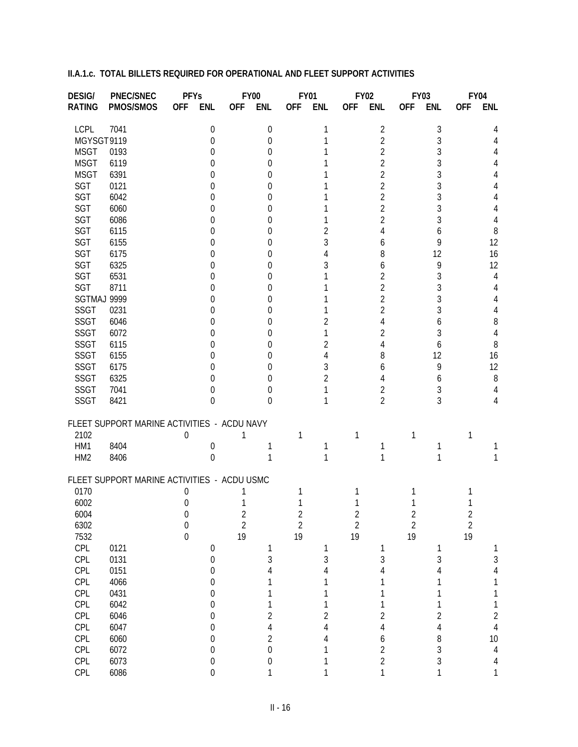| <b>DESIG/</b>   | <b>PNEC/SNEC</b>                            | <b>PFYs</b>      |                  |                | <b>FY00</b>      |                | <b>FY01</b>    | <b>FY02</b>    |                | <b>FY03</b>    |                |                | <b>FY04</b>    |
|-----------------|---------------------------------------------|------------------|------------------|----------------|------------------|----------------|----------------|----------------|----------------|----------------|----------------|----------------|----------------|
| <b>RATING</b>   | PMOS/SMOS                                   | <b>OFF</b>       | <b>ENL</b>       | <b>OFF</b>     | <b>ENL</b>       | <b>OFF</b>     | <b>ENL</b>     | <b>OFF</b>     | <b>ENL</b>     | <b>OFF</b>     | <b>ENL</b>     | <b>OFF</b>     | <b>ENL</b>     |
| <b>LCPL</b>     | 7041                                        |                  | $\boldsymbol{0}$ |                | 0                |                | 1              |                | $\overline{2}$ |                | 3              |                | 4              |
| MGYSGT9119      |                                             |                  | 0                |                | 0                |                |                |                | 2              |                | 3              |                |                |
| <b>MSGT</b>     | 0193                                        |                  | 0                |                | 0                |                |                |                | 2              |                | 3              |                |                |
| <b>MSGT</b>     | 6119                                        |                  | 0                |                | 0                |                |                |                | 2              |                | 3              |                |                |
| <b>MSGT</b>     | 6391                                        |                  | 0                |                | 0                |                |                |                | 2              |                | 3              |                |                |
| SGT             | 0121                                        |                  | 0                |                | 0                |                |                |                | 2              |                | 3              |                |                |
| SGT             | 6042                                        |                  | 0                |                | 0                |                |                |                | 2              |                | 3              |                |                |
| SGT             | 6060                                        |                  | 0                |                | 0                |                |                |                | 2              |                | 3              |                |                |
| SGT             | 6086                                        |                  |                  |                |                  |                |                |                | 2              |                |                |                |                |
|                 |                                             |                  | 0                |                | 0                |                |                |                |                |                | 3              |                | 4              |
| SGT             | 6115                                        |                  | 0                |                | 0                |                | 2              |                |                |                | 6              |                | 8              |
| SGT             | 6155                                        |                  | 0                |                | 0                |                | 3              |                | 6              |                | 9              |                | 12             |
| <b>SGT</b>      | 6175                                        |                  | 0                |                | 0                |                |                |                | 8              |                | 12             |                | 16             |
| SGT             | 6325                                        |                  | 0                |                | 0                |                | 3              |                | 6              |                | 9              |                | 12             |
| SGT             | 6531                                        |                  | 0                |                | 0                |                |                |                | $\overline{2}$ |                | 3              |                | 4              |
| SGT             | 8711                                        |                  | 0                |                | 0                |                |                |                | 2              |                | 3              |                | 4              |
| SGTMAJ 9999     |                                             |                  | 0                |                | 0                |                |                |                | 2              |                | 3              |                | 4              |
| <b>SSGT</b>     | 0231                                        |                  | 0                |                | 0                |                |                |                | 2              |                | 3              |                |                |
| <b>SSGT</b>     | 6046                                        |                  | 0                |                | 0                |                | 2              |                |                |                | 6              |                | 8              |
| <b>SSGT</b>     | 6072                                        |                  | 0                |                | 0                |                |                |                | 2              |                | 3              |                | 4              |
| <b>SSGT</b>     | 6115                                        |                  | 0                |                | 0                |                | 2              |                |                |                | 6              |                | 8              |
| <b>SSGT</b>     | 6155                                        |                  | 0                |                | 0                |                |                |                | 8              |                | 12             |                | 16             |
| <b>SSGT</b>     | 6175                                        |                  | 0                |                | 0                |                | 3              |                | 6              |                | 9              |                | 12             |
| <b>SSGT</b>     | 6325                                        |                  | 0                |                | 0                |                | 2              |                |                |                | 6              |                | 8              |
| <b>SSGT</b>     | 7041                                        |                  | 0                |                | 0                |                |                |                | 2              |                | 3              |                | 4              |
| SSGT            | 8421                                        |                  | $\Omega$         |                | 0                |                |                |                | $\overline{2}$ |                | 3              |                | 4              |
|                 |                                             |                  |                  |                |                  |                |                |                |                |                |                |                |                |
|                 | FLEET SUPPORT MARINE ACTIVITIES - ACDU NAVY |                  |                  |                |                  |                |                |                |                |                |                |                |                |
| 2102            |                                             | 0                |                  |                |                  |                |                | 1              |                |                |                | 1              |                |
| HM1             | 8404                                        |                  | 0                |                |                  |                |                |                |                |                |                |                |                |
| HM <sub>2</sub> | 8406                                        |                  | $\Omega$         |                |                  |                |                |                | 1              |                |                |                |                |
|                 | FLEET SUPPORT MARINE ACTIVITIES - ACDU USMC |                  |                  |                |                  |                |                |                |                |                |                |                |                |
| 0170            |                                             | 0                |                  |                |                  |                |                |                |                |                |                |                |                |
| 6002            |                                             | 0                |                  |                |                  |                |                |                |                |                |                |                |                |
| 6004            |                                             | $\boldsymbol{0}$ |                  | $\angle$       |                  | Z              |                | Z              |                | $\angle$       |                | $\angle$       |                |
| 6302            |                                             | $\boldsymbol{0}$ |                  | $\overline{2}$ |                  | $\overline{c}$ |                | $\overline{2}$ |                | $\overline{2}$ |                | $\overline{2}$ |                |
| 7532            |                                             | $\boldsymbol{0}$ |                  | 19             |                  | 19             |                | 19             |                | 19             |                | 19             |                |
| CPL             | 0121                                        |                  | $\boldsymbol{0}$ |                | 1                |                | 1              |                | 1              |                | 1              |                | 1              |
| CPL             | 0131                                        |                  | $\boldsymbol{0}$ |                | 3                |                | $\sqrt{3}$     |                | $\mathfrak{Z}$ |                | $\sqrt{3}$     |                | $\mathfrak{Z}$ |
| CPL             | 0151                                        |                  | $\boldsymbol{0}$ |                | 4                |                | $\overline{4}$ |                | 4              |                | 4              |                | $\overline{4}$ |
| CPL             | 4066                                        |                  | $\boldsymbol{0}$ |                | 1                |                | 1              |                | 1              |                | 1              |                | 1              |
| CPL             | 0431                                        |                  | $\boldsymbol{0}$ |                | 1                |                | 1              |                | 1              |                | 1              |                | 1              |
| CPL             | 6042                                        |                  | $\boldsymbol{0}$ |                | 1                |                | 1              |                | 1              |                | 1              |                | 1              |
| CPL             | 6046                                        |                  | $\boldsymbol{0}$ |                | $\overline{2}$   |                | $\overline{c}$ |                | $\overline{2}$ |                | $\overline{c}$ |                | $\overline{c}$ |
| CPL             | 6047                                        |                  | $\boldsymbol{0}$ |                | $\overline{4}$   |                | $\overline{4}$ |                | $\overline{4}$ |                | $\overline{4}$ |                | $\overline{4}$ |
| CPL             | 6060                                        |                  | $\boldsymbol{0}$ |                | $\overline{2}$   |                | 4              |                | 6              |                | 8              |                | 10             |
| CPL             | 6072                                        |                  | $\boldsymbol{0}$ |                | $\boldsymbol{0}$ |                | $\mathbf 1$    |                | $\overline{2}$ |                | $\overline{3}$ |                | $\overline{4}$ |
| CPL             | 6073                                        |                  | $\boldsymbol{0}$ |                | $\boldsymbol{0}$ |                | 1              |                | $\overline{2}$ |                | $\overline{3}$ |                | $\overline{4}$ |
| CPL             | 6086                                        |                  | $\boldsymbol{0}$ |                | 1                |                | $\mathbf{1}$   |                | $\mathbf{1}$   |                | $\mathbf{1}$   |                | 1              |
|                 |                                             |                  |                  |                |                  |                |                |                |                |                |                |                |                |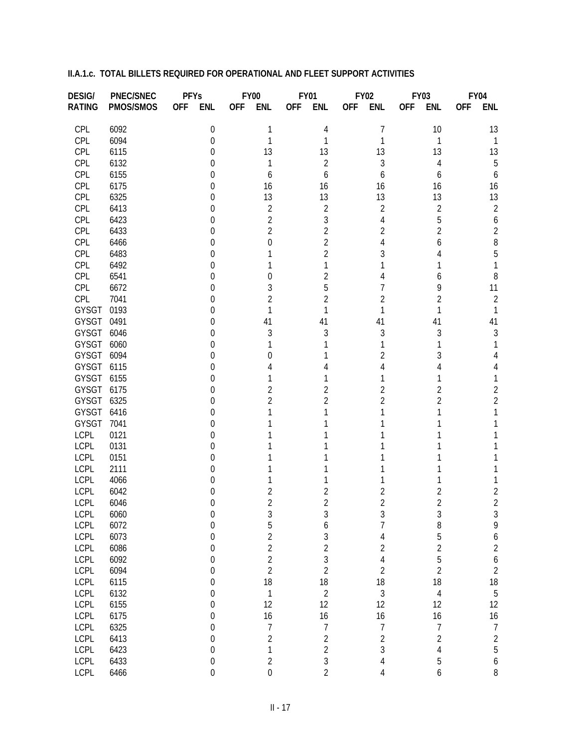| <b>DESIG/</b> | <b>PNEC/SNEC</b> | <b>PFYs</b> |                  |            | <b>FY00</b>      |            | <b>FY01</b>    |            | <b>FY02</b>    |            | <b>FY03</b>    |            | <b>FY04</b>    |
|---------------|------------------|-------------|------------------|------------|------------------|------------|----------------|------------|----------------|------------|----------------|------------|----------------|
| <b>RATING</b> | PMOS/SMOS        | <b>OFF</b>  | <b>ENL</b>       | <b>OFF</b> | <b>ENL</b>       | <b>OFF</b> | <b>ENL</b>     | <b>OFF</b> | <b>ENL</b>     | <b>OFF</b> | <b>ENL</b>     | <b>OFF</b> | <b>ENL</b>     |
| CPL           | 6092             |             | 0                |            | 1                |            | 4              |            | 7              |            | 10             |            | 13             |
| CPL           | 6094             |             | 0                |            | 1                |            |                |            |                |            | 1              |            |                |
| CPL           | 6115             |             | 0                |            | 13               |            | 13             |            | 13             |            | 13             |            | 13             |
| CPL           | 6132             |             | 0                |            |                  |            | 2              |            | 3              |            | 4              |            | 5              |
| CPL           | 6155             |             | 0                |            | 6                |            | 6              |            | 6              |            | 6              |            | 6              |
| CPL           | 6175             |             | 0                |            | 16               |            | 16             |            | 16             |            | 16             |            | 16             |
| CPL           | 6325             |             | 0                |            | 13               |            | 13             |            | 13             |            | 13             |            | 13             |
| CPL           | 6413             |             | 0                |            | $\overline{2}$   |            | 2              |            | $\overline{2}$ |            | $\overline{2}$ |            | $\overline{2}$ |
| CPL           | 6423             |             | 0                |            | $\overline{2}$   |            | 3              |            | 4              |            | 5              |            | 6              |
| CPL           | 6433             |             | 0                |            | $\overline{2}$   |            | 2              |            | $\overline{2}$ |            | 2              |            | $\overline{2}$ |
| CPL           | 6466             |             | 0                |            | 0                |            | 2              |            |                |            | 6              |            | 8              |
| CPL           | 6483             |             | 0                |            |                  |            | 2              |            | 3              |            |                |            | 5              |
| CPL           | 6492             |             | 0                |            |                  |            |                |            |                |            |                |            |                |
| CPL           | 6541             |             | 0                |            | 0                |            | 2              |            |                |            | O              |            | 8              |
| CPL           | 6672             |             | 0                |            | 3                |            | 5              |            |                |            | 9              |            | 11             |
| CPL           | 7041             |             | 0                |            | $\overline{2}$   |            | 2              |            |                |            | 2              |            | $\overline{2}$ |
| GYSGT         | 0193             |             | 0                |            | 1                |            |                |            |                |            |                |            |                |
| GYSGT         | 0491             |             | 0                |            | 41               |            | 41             |            | 41             |            | 41             |            | 41             |
| <b>GYSGT</b>  | 6046             |             | 0                |            | 3                |            | 3              |            | 3              |            | 3              |            | 3              |
| GYSGT         | 6060             |             | 0                |            |                  |            |                |            |                |            |                |            |                |
| GYSGT         | 6094             |             | 0                |            | $\left( \right)$ |            |                |            | 2              |            |                |            |                |
| GYSGT         | 6115             |             | 0                |            |                  |            |                |            |                |            |                |            |                |
| GYSGT         | 6155             |             | 0                |            |                  |            |                |            |                |            |                |            |                |
| GYSGT         | 6175             |             | 0                |            | 2                |            | 2              |            | 2              |            | 2              |            | 2              |
| GYSGT         | 6325             |             | 0                |            | 2                |            |                |            | 2              |            |                |            | $\overline{2}$ |
| GYSGT         | 6416             |             | 0                |            |                  |            |                |            |                |            |                |            |                |
| GYSGT         | 7041             |             | 0                |            |                  |            |                |            |                |            |                |            |                |
| LCPL          | 0121             |             | 0                |            |                  |            |                |            |                |            |                |            |                |
| LCPL          | 0131             |             | 0                |            |                  |            |                |            |                |            |                |            |                |
| LCPL          | 0151             |             | 0                |            |                  |            |                |            |                |            |                |            |                |
| <b>LCPL</b>   | 2111             |             | 0                |            |                  |            |                |            |                |            |                |            |                |
| <b>LCPL</b>   | 4066             |             | 0                |            |                  |            |                |            |                |            |                |            |                |
| <b>LCPL</b>   | 6042             |             | 0                |            | 2                |            | 2              |            | 2              |            | 2              |            | $\overline{c}$ |
| <b>LCPL</b>   | 6046             |             | 0                |            | $\overline{2}$   |            | 2              |            | 2              |            | 2              |            | $\overline{2}$ |
| LCPL          | 6060             |             | 0                |            | 3                |            | 3              |            | 3              |            | 3              |            | 3              |
| <b>LCPL</b>   | 6072             |             | $\boldsymbol{0}$ |            | 5                |            | 6              |            | $\overline{7}$ |            | $\, 8$         |            | 9              |
| <b>LCPL</b>   | 6073             |             | $\boldsymbol{0}$ |            | $\overline{2}$   |            | $\mathfrak{Z}$ |            | $\overline{4}$ |            | 5              |            | 6              |
| <b>LCPL</b>   | 6086             |             | $\mathbf 0$      |            | $\overline{2}$   |            | $\overline{2}$ |            | $\overline{2}$ |            | $\overline{2}$ |            | $\overline{c}$ |
| <b>LCPL</b>   | 6092             |             | $\mathbf 0$      |            | $\overline{2}$   |            | $\mathfrak{Z}$ |            | $\overline{4}$ |            | 5              |            | 6              |
| <b>LCPL</b>   | 6094             |             | $\mathbf 0$      |            | $\overline{2}$   |            | $\overline{2}$ |            | $\overline{2}$ |            | $\overline{2}$ |            | $\overline{c}$ |
| <b>LCPL</b>   | 6115             |             | $\mathbf 0$      |            | 18               |            | 18             |            | 18             |            | 18             |            |                |
| <b>LCPL</b>   | 6132             |             | $\mathbf 0$      |            | $\mathbf{1}$     |            | $\overline{2}$ |            | 3              |            | $\overline{4}$ |            | $\frac{18}{5}$ |
| <b>LCPL</b>   | 6155             |             | $\mathbf 0$      |            | 12               |            | 12             |            | 12             |            | 12             |            | 12             |
| <b>LCPL</b>   | 6175             |             | $\mathbf 0$      |            | 16               |            | 16             |            | 16             |            | 16             |            | 16             |
| <b>LCPL</b>   | 6325             |             | $\mathbf 0$      |            | $\overline{7}$   |            | $\overline{7}$ |            | $\overline{1}$ |            | $\overline{1}$ |            | $\overline{7}$ |
| <b>LCPL</b>   | 6413             |             | $\mathbf 0$      |            | $\overline{2}$   |            | $\overline{2}$ |            | $\overline{2}$ |            | $\overline{2}$ |            | $\overline{c}$ |
| <b>LCPL</b>   | 6423             |             | $\mathbf 0$      |            | 1                |            | $\overline{2}$ |            | $\overline{3}$ |            | $\overline{4}$ |            | 5              |
| <b>LCPL</b>   | 6433             |             | $\boldsymbol{0}$ |            | $\sqrt{2}$       |            | $\mathfrak{Z}$ |            | $\overline{4}$ |            | 5              |            | 6              |
| <b>LCPL</b>   | 6466             |             | $\overline{0}$   |            | $\overline{0}$   |            | $\overline{2}$ |            | 4              |            | 6              |            | $\, 8$         |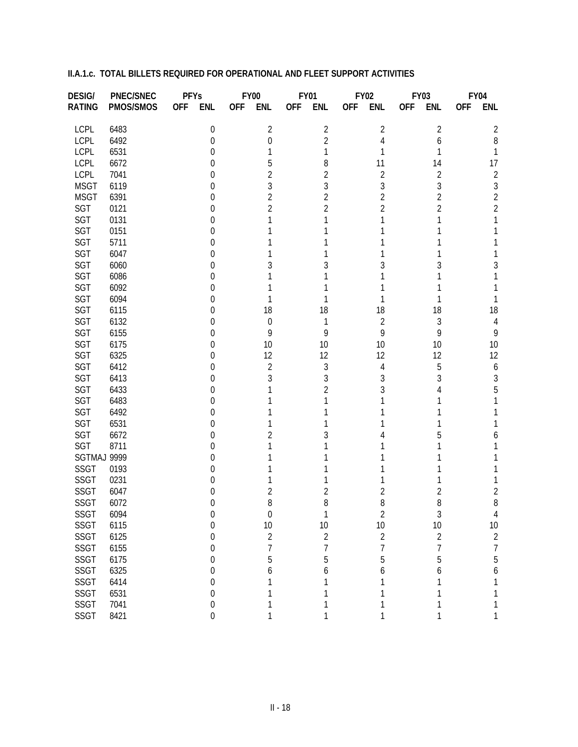| <b>DESIG/</b> | <b>PNEC/SNEC</b> | <b>PFYs</b> |                  |            | <b>FY00</b>    |            | <b>FY01</b>    |            | <b>FY02</b>    |            | <b>FY03</b>    |            | <b>FY04</b>      |
|---------------|------------------|-------------|------------------|------------|----------------|------------|----------------|------------|----------------|------------|----------------|------------|------------------|
| <b>RATING</b> | PMOS/SMOS        | <b>OFF</b>  | <b>ENL</b>       | <b>OFF</b> | <b>ENL</b>     | <b>OFF</b> | <b>ENL</b>     | <b>OFF</b> | <b>ENL</b>     | <b>OFF</b> | <b>ENL</b>     | <b>OFF</b> | <b>ENL</b>       |
| LCPL          | 6483             |             | 0                |            | $\overline{2}$ |            | $\overline{2}$ |            | 2              |            | 2              |            | 2                |
| LCPL          | 6492             |             | 0                |            | 0              |            | $\overline{2}$ |            | 4              |            | 6              |            | 8                |
| LCPL          | 6531             |             | 0                |            |                |            | 1              |            |                |            |                |            | 1                |
| LCPL          | 6672             |             | 0                |            | 5              |            | 8              |            | 11             |            | 14             |            | 17               |
| LCPL          | 7041             |             | 0                |            | 2              |            | 2              |            | $\overline{2}$ |            | 2              |            | $\overline{2}$   |
| <b>MSGT</b>   | 6119             |             | 0                |            | 3              |            | 3              |            | 3              |            | 3              |            | $\sqrt{3}$       |
| <b>MSGT</b>   | 6391             |             | 0                |            | $\overline{2}$ |            | 2              |            | 2              |            | $\overline{2}$ |            | $\overline{2}$   |
| SGT           | 0121             |             | 0                |            | $\overline{2}$ |            | $\overline{2}$ |            | 2              |            | $\overline{2}$ |            | $\overline{2}$   |
| SGT           | 0131             |             | 0                |            |                |            |                |            |                |            |                |            |                  |
| SGT           | 0151             |             | 0                |            |                |            |                |            |                |            |                |            |                  |
| SGT           | 5711             |             | 0                |            |                |            |                |            |                |            |                |            |                  |
| SGT           | 6047             |             | 0                |            |                |            |                |            |                |            |                |            |                  |
| SGT           | 6060             |             | 0                |            | 3              |            | 3              |            |                |            |                |            | 3                |
| SGT           | 6086             |             | 0                |            |                |            |                |            |                |            |                |            |                  |
| SGT           | 6092             |             | 0                |            |                |            |                |            |                |            |                |            |                  |
| SGT           | 6094             |             | 0                |            |                |            |                |            |                |            |                |            |                  |
| SGT           | 6115             |             | 0                |            | 18             |            | 18             |            | 18             |            | 18             |            | 18               |
| SGT           | 6132             |             | 0                |            | 0              |            | 1              |            | 2              |            | 3              |            | 4                |
| SGT           | 6155             |             | 0                |            | 9              |            | 9              |            | 9              |            | 9              |            | 9                |
| SGT           | 6175             |             | 0                |            | 10             |            | 10             |            | 10             |            | 10             |            | 10               |
| SGT           | 6325             |             | 0                |            | 12             |            | 12             |            | 12             |            | 12             |            | 12               |
| SGT           | 6412             |             | 0                |            | 2              |            | 3              |            | 4              |            | 5              |            | 6                |
| SGT           | 6413             |             | 0                |            | 3              |            | 3              |            | 3              |            | 3              |            | 3                |
| SGT           | 6433             |             | 0                |            |                |            | 2              |            |                |            |                |            | 5                |
| SGT           | 6483             |             | 0                |            |                |            |                |            |                |            |                |            |                  |
| SGT           | 6492             |             | 0                |            |                |            |                |            |                |            |                |            |                  |
| SGT           | 6531             |             | 0                |            |                |            |                |            |                |            |                |            |                  |
| SGT           | 6672             |             | 0                |            | 2              |            |                |            |                |            |                |            |                  |
| SGT           | 8711             |             | 0                |            |                |            |                |            |                |            |                |            |                  |
| SGTMAJ 9999   |                  |             | 0                |            |                |            |                |            |                |            |                |            |                  |
| <b>SSGT</b>   | 0193             |             | 0                |            |                |            |                |            |                |            |                |            |                  |
| SSGT          | 0231             |             | 0                |            |                |            |                |            |                |            |                |            |                  |
| SSGT          | 6047             |             | 0                |            | 2              |            | 2              |            | 2              |            | 2              |            | 2                |
| SSGT          | 6072             |             | 0                |            | 8              |            | 8              |            | 8              |            | 8              |            | 8                |
| SSGT          | 6094             |             |                  |            | O              |            |                |            | 2              |            | 3              |            | 4                |
| SSGT          | 6115             |             | 0                |            | $10$           |            | 10             |            | 10             |            | 10             |            | 10               |
| <b>SSGT</b>   | 6125             |             | 0                |            | $\overline{2}$ |            | $\overline{2}$ |            | $\overline{2}$ |            | $\overline{2}$ |            | $\overline{2}$   |
| <b>SSGT</b>   | 6155             |             | 0                |            | 7              |            | 7              |            | 7              |            | 7              |            | $\overline{7}$   |
| <b>SSGT</b>   | 6175             |             | 0                |            | 5              |            | 5              |            | 5              |            | 5              |            | 5                |
| SSGT          | 6325             |             | 0                |            | 6              |            | 6              |            | 6              |            | 6              |            | $\boldsymbol{6}$ |
| <b>SSGT</b>   | 6414             |             | 0                |            |                |            |                |            |                |            | 1              |            | 1                |
| <b>SSGT</b>   | 6531             |             | 0                |            |                |            |                |            |                |            | 1              |            | 1                |
| <b>SSGT</b>   | 7041             |             | 0                |            | 1              |            | 1              |            |                |            | 1              |            | 1                |
| SSGT          | 8421             |             | $\boldsymbol{0}$ |            | 1              |            | 1              |            | 1              |            | 1              |            | 1                |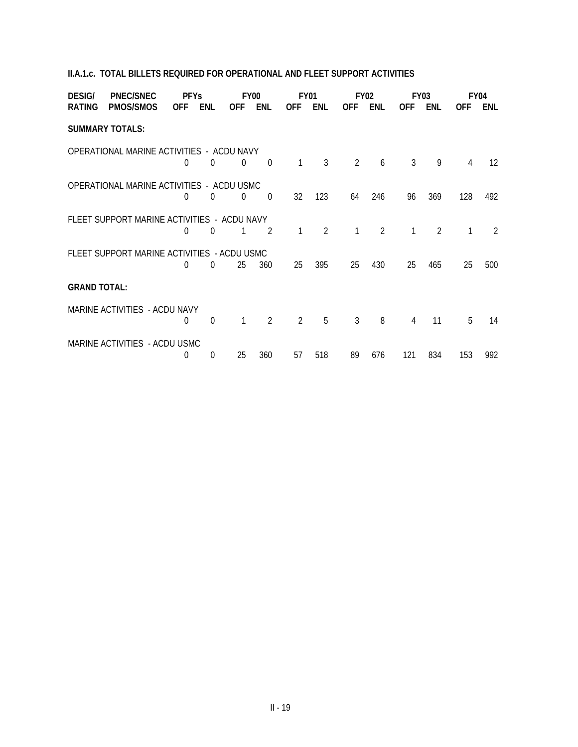| <b>DESIG/</b>       | <b>PNEC/SNEC</b>                            | <b>PFYs</b> |                  |                | FY <sub>00</sub> |                | FY01          |                | FY <sub>02</sub> |            | FY <sub>0</sub> 3 |            | FY <sub>04</sub>  |
|---------------------|---------------------------------------------|-------------|------------------|----------------|------------------|----------------|---------------|----------------|------------------|------------|-------------------|------------|-------------------|
| <b>RATING</b>       | <b>PMOS/SMOS</b>                            | <b>OFF</b>  | ENL              | <b>OFF</b>     | <b>ENL</b>       | <b>OFF</b>     | ENL           | <b>OFF</b>     | <b>ENL</b>       | <b>OFF</b> | <b>ENL</b>        | <b>OFF</b> | <b>ENL</b>        |
|                     | <b>SUMMARY TOTALS:</b>                      |             |                  |                |                  |                |               |                |                  |            |                   |            |                   |
|                     | OPERATIONAL MARINE ACTIVITIES - ACDU NAVY   | $\Omega$    | $\Omega$         | $\Omega$       | $\Omega$         | $\mathbf{1}$   | 3             | $\overline{2}$ | 6                | 3          | 9                 | 4          | $12 \overline{ }$ |
|                     |                                             |             |                  |                |                  |                |               |                |                  |            |                   |            |                   |
|                     | OPERATIONAL MARINE ACTIVITIES - ACDU USMC   | $\Omega$    | $\overline{0}$   | $\overline{0}$ | $\overline{0}$   | 32             | 123           | 64             | 246              | 96         | 369               | 128        | 492               |
|                     | FLEET SUPPORT MARINE ACTIVITIES - ACDU NAVY | $\Omega$    | 0                |                | $\mathcal{P}$    | 1              | $\mathcal{P}$ | $\mathbf{1}$   | $\mathcal{P}$    | 1          | $\mathfrak{D}$    |            | $\mathcal{L}$     |
|                     |                                             |             |                  |                |                  |                |               |                |                  |            |                   |            |                   |
|                     | FLEET SUPPORT MARINE ACTIVITIES - ACDU USMC | $\Omega$    | 0                | 25             | 360              | 25             | 395           | 25             | 430              | 25         | 465               | 25         | 500               |
| <b>GRAND TOTAL:</b> |                                             |             |                  |                |                  |                |               |                |                  |            |                   |            |                   |
|                     | MARINE ACTIVITIES - ACDU NAVY               | $\Omega$    | $\boldsymbol{0}$ | $\mathbf{1}$   | $\overline{2}$   | $\overline{2}$ | 5             | $\mathfrak{Z}$ | 8                | 4          | 11                | 5          | 14                |
|                     | MARINE ACTIVITIES - ACDU USMC               |             |                  |                |                  |                |               |                |                  |            |                   |            | 992               |
|                     |                                             | 0           | 0                | 25             | 360              | 57             | 518           | 89             | 676              | 121        | 834               | 153        |                   |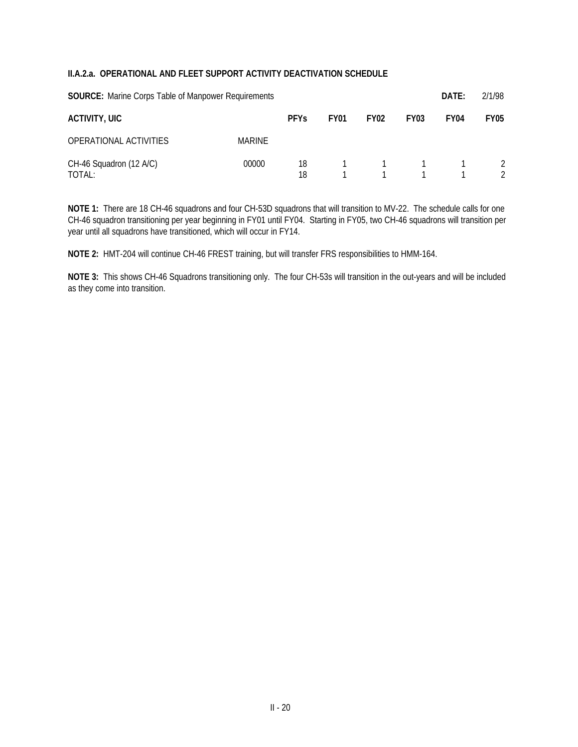#### **II.A.2.a. OPERATIONAL AND FLEET SUPPORT ACTIVITY DEACTIVATION SCHEDULE**

| <b>SOURCE:</b> Marine Corps Table of Manpower Requirements |        |             |             |                                     | DATE:            | 2/1/98           |                                |
|------------------------------------------------------------|--------|-------------|-------------|-------------------------------------|------------------|------------------|--------------------------------|
| <b>ACTIVITY, UIC</b>                                       |        | <b>PFYs</b> | <b>FY01</b> | <b>FY02</b>                         | FY <sub>03</sub> | FY <sub>04</sub> | <b>FY05</b>                    |
| OPERATIONAL ACTIVITIES                                     | MARINE |             |             |                                     |                  |                  |                                |
| CH-46 Squadron (12 A/C)<br>TOTAL:                          | 00000  | 18<br>18    |             | $1 \quad 1 \quad 1$<br>$\mathbf{1}$ | $\overline{1}$   |                  | $\mathcal{L}$<br>$\mathcal{P}$ |

**NOTE 1:** There are 18 CH-46 squadrons and four CH-53D squadrons that will transition to MV-22. The schedule calls for one CH-46 squadron transitioning per year beginning in FY01 until FY04. Starting in FY05, two CH-46 squadrons will transition per year until all squadrons have transitioned, which will occur in FY14.

**NOTE 2:** HMT-204 will continue CH-46 FREST training, but will transfer FRS responsibilities to HMM-164.

**NOTE 3:** This shows CH-46 Squadrons transitioning only. The four CH-53s will transition in the out-years and will be included as they come into transition.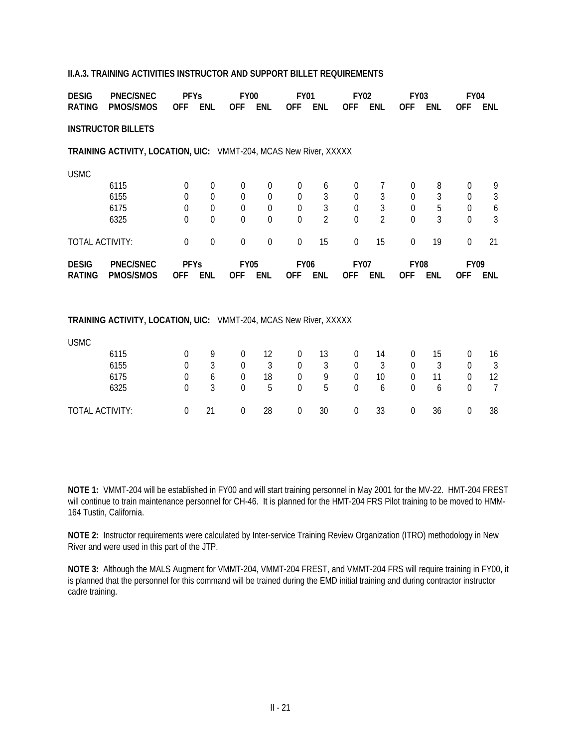#### **II.A.3. TRAINING ACTIVITIES INSTRUCTOR AND SUPPORT BILLET REQUIREMENTS**

| <b>DESIG</b>    | <b>PNEC/SNEC</b>                                                  | <b>PFYs</b>      |                            | <b>FY00</b>                |                      | <b>FY01</b>                |                                  | <b>FY02</b>          |                                  | <b>FY03</b>          |            | <b>FY04</b>          |                |
|-----------------|-------------------------------------------------------------------|------------------|----------------------------|----------------------------|----------------------|----------------------------|----------------------------------|----------------------|----------------------------------|----------------------|------------|----------------------|----------------|
| <b>RATING</b>   | <b>PMOS/SMOS</b>                                                  | <b>OFF</b>       | <b>ENL</b>                 | <b>OFF</b>                 | <b>ENL</b>           | <b>OFF</b>                 | <b>ENL</b>                       | <b>OFF</b>           | <b>ENL</b>                       | <b>OFF</b>           | <b>ENL</b> | 0FF                  | <b>ENL</b>     |
|                 | <b>INSTRUCTOR BILLETS</b>                                         |                  |                            |                            |                      |                            |                                  |                      |                                  |                      |            |                      |                |
|                 | TRAINING ACTIVITY, LOCATION, UIC: VMMT-204, MCAS New River, XXXXX |                  |                            |                            |                      |                            |                                  |                      |                                  |                      |            |                      |                |
| <b>USMC</b>     |                                                                   |                  |                            |                            |                      |                            |                                  |                      |                                  |                      |            |                      |                |
|                 | 6115                                                              | $\boldsymbol{0}$ | $\boldsymbol{0}$           | $\boldsymbol{0}$           | $\boldsymbol{0}$     | $\overline{0}$             | 6                                | 0                    | 7                                | $\theta$             | 8          | 0                    | 9              |
|                 | 6155                                                              | $\Omega$         | $\Omega$                   | $\Omega$                   | $\Omega$             | $\Omega$                   | 3                                | $\theta$             | 3                                | $\Omega$             | 3          | $\theta$             | 3              |
|                 | 6175<br>6325                                                      | 0                | $\theta$<br>$\overline{0}$ | $\theta$<br>$\overline{0}$ | $\Omega$<br>$\Omega$ | $\Omega$<br>$\overline{0}$ | $\mathfrak{Z}$<br>$\overline{2}$ | $\theta$<br>$\Omega$ | $\mathfrak{Z}$<br>$\overline{2}$ | $\Omega$<br>$\Omega$ | 5<br>3     | $\theta$<br>$\Omega$ | 6<br>3         |
|                 |                                                                   | $\Omega$         |                            |                            |                      |                            |                                  |                      |                                  |                      |            |                      |                |
| TOTAL ACTIVITY: |                                                                   | $\mathbf 0$      | $\mathbf 0$                | $\mathbf 0$                | $\overline{0}$       | 0                          | 15                               | $\overline{0}$       | 15                               | $\overline{0}$       | 19         | 0                    | 21             |
|                 |                                                                   |                  |                            |                            |                      |                            |                                  |                      |                                  |                      |            |                      |                |
| <b>DESIG</b>    | <b>PNEC/SNEC</b>                                                  | <b>PFYs</b>      |                            | <b>FY05</b>                |                      | <b>FY06</b>                |                                  | <b>FY07</b>          |                                  | <b>FY08</b>          |            | <b>FY09</b>          |                |
| <b>RATING</b>   | <b>PMOS/SMOS</b>                                                  | <b>OFF</b>       | <b>ENL</b>                 | <b>OFF</b>                 | <b>ENL</b>           | <b>OFF</b>                 | <b>ENL</b>                       | <b>OFF</b>           | <b>ENL</b>                       | <b>OFF</b>           | <b>ENL</b> | <b>OFF</b>           | <b>ENL</b>     |
|                 |                                                                   |                  |                            |                            |                      |                            |                                  |                      |                                  |                      |            |                      |                |
|                 |                                                                   |                  |                            |                            |                      |                            |                                  |                      |                                  |                      |            |                      |                |
|                 | TRAINING ACTIVITY, LOCATION, UIC: VMMT-204, MCAS New River, XXXXX |                  |                            |                            |                      |                            |                                  |                      |                                  |                      |            |                      |                |
| <b>USMC</b>     |                                                                   |                  |                            |                            |                      |                            |                                  |                      |                                  |                      |            |                      |                |
|                 | 6115                                                              | $\boldsymbol{0}$ | 9                          | $\boldsymbol{0}$           | 12                   | $\boldsymbol{0}$           | 13                               | 0                    | 14                               | $\theta$             | 15         | $\boldsymbol{0}$     | 16             |
|                 | 6155                                                              | $\Omega$         | 3                          | $\Omega$                   | 3                    | $\Omega$                   | 3                                | $\theta$             | 3                                | $\Omega$             | 3          | $\Omega$             | 3              |
|                 | 6175                                                              | 0                | 6                          | $\overline{0}$             | 18                   | $\overline{0}$             | 9                                | $\overline{0}$       | 10                               | $\overline{0}$       | 11         | $\theta$             | 12             |
|                 | 6325                                                              | $\Omega$         | $\overline{3}$             | $\overline{0}$             | 5                    | $\overline{0}$             | 5                                | $\overline{0}$       | 6                                | $\theta$             | 6          | $\Omega$             | $\overline{7}$ |

**NOTE 1:** VMMT-204 will be established in FY00 and will start training personnel in May 2001 for the MV-22. HMT-204 FREST will continue to train maintenance personnel for CH-46. It is planned for the HMT-204 FRS Pilot training to be moved to HMM-164 Tustin, California.

**NOTE 2:** Instructor requirements were calculated by Inter-service Training Review Organization (ITRO) methodology in New River and were used in this part of the JTP.

**NOTE 3:** Although the MALS Augment for VMMT-204, VMMT-204 FREST, and VMMT-204 FRS will require training in FY00, it is planned that the personnel for this command will be trained during the EMD initial training and during contractor instructor cadre training.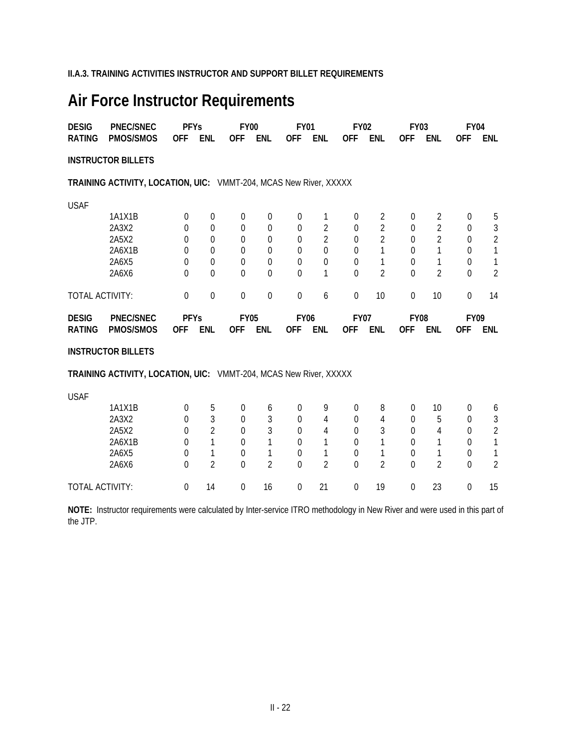**II.A.3. TRAINING ACTIVITIES INSTRUCTOR AND SUPPORT BILLET REQUIREMENTS**

# **Air Force Instructor Requirements**

| <b>DESIG</b>    | <b>PNEC/SNEC</b>                                                  | <b>PFYs</b>    |                  | <b>FY00</b> |                  | <b>FY01</b> |                | <b>FY02</b> |                | <b>FY03</b>    |                | <b>FY04</b> |                |
|-----------------|-------------------------------------------------------------------|----------------|------------------|-------------|------------------|-------------|----------------|-------------|----------------|----------------|----------------|-------------|----------------|
| <b>RATING</b>   | <b>PMOS/SMOS</b>                                                  | <b>OFF</b>     | <b>ENL</b>       | <b>OFF</b>  | <b>ENL</b>       | <b>OFF</b>  | <b>ENL</b>     | <b>OFF</b>  | <b>ENL</b>     | 0FF            | <b>ENL</b>     | <b>OFF</b>  | <b>ENL</b>     |
|                 | <b>INSTRUCTOR BILLETS</b>                                         |                |                  |             |                  |             |                |             |                |                |                |             |                |
|                 | TRAINING ACTIVITY, LOCATION, UIC: VMMT-204, MCAS New River, XXXXX |                |                  |             |                  |             |                |             |                |                |                |             |                |
| <b>USAF</b>     |                                                                   |                |                  |             |                  |             |                |             |                |                |                |             |                |
|                 | 1A1X1B                                                            | $\theta$       | $\boldsymbol{0}$ | $\Omega$    | $\Omega$         | 0           | 1              | 0           | 2              | $\Omega$       | 2              | 0           | 5              |
|                 | 2A3X2                                                             | $\overline{0}$ | 0                | $\Omega$    | $\boldsymbol{0}$ | $\theta$    | 2              | 0           | $\overline{2}$ | $\Omega$       | 2              | 0           | 3              |
|                 | 2A5X2                                                             | $\Omega$       | $\Omega$         | $\Omega$    | $\theta$         | 0           | $\overline{2}$ | 0           | 2              | $\Omega$       | $\overline{2}$ | 0           | $\overline{2}$ |
|                 | 2A6X1B                                                            | 0              | $\Omega$         | 0           | 0                | 0           | $\overline{0}$ | 0           | 1              | $\Omega$       |                | 0           | 1              |
|                 | 2A6X5                                                             | 0              | $\Omega$         | 0           | $\overline{0}$   | $\Omega$    | $\overline{0}$ | 0           | 1              | $\Omega$       | 1              | 0           | 1              |
|                 | 2A6X6                                                             | $\Omega$       | $\Omega$         | $\theta$    | $\theta$         | $\Omega$    | 1              | $\Omega$    | $\overline{2}$ | $\theta$       | 2              | 0           | $\overline{2}$ |
| TOTAL ACTIVITY: |                                                                   | $\mathbf 0$    | $\mathbf 0$      | $\mathbf 0$ | $\boldsymbol{0}$ | 0           | 6              | $\mathbf 0$ | 10             | $\mathbf 0$    | 10             | $\mathbf 0$ | 14             |
| <b>DESIG</b>    | <b>PNEC/SNEC</b>                                                  | <b>PFYs</b>    |                  | <b>FY05</b> |                  | <b>FY06</b> |                | <b>FY07</b> |                | <b>FY08</b>    |                | <b>FY09</b> |                |
| <b>RATING</b>   | <b>PMOS/SMOS</b>                                                  | <b>OFF</b>     | <b>ENL</b>       | <b>OFF</b>  | <b>ENL</b>       | 0FF         | <b>ENL</b>     | <b>OFF</b>  | <b>ENL</b>     | 0FF            | <b>ENL</b>     | <b>OFF</b>  | <b>ENL</b>     |
|                 | <b>INSTRUCTOR BILLETS</b>                                         |                |                  |             |                  |             |                |             |                |                |                |             |                |
|                 | TRAINING ACTIVITY, LOCATION, UIC: VMMT-204, MCAS New River, XXXXX |                |                  |             |                  |             |                |             |                |                |                |             |                |
| <b>USAF</b>     |                                                                   |                |                  |             |                  |             |                |             |                |                |                |             |                |
|                 | 1A1X1B                                                            | $\theta$       | 5                | 0           | 6                | 0           | 9              | 0           | 8              | $\overline{0}$ | 10             | 0           | 6              |
|                 | 2A3X2                                                             | $\Omega$       | 3                | 0           | 3                | 0           | 4              | 0           | 4              | $\Omega$       | 5              | 0           | 3              |
|                 | 2A5X2                                                             | 0              | $\overline{2}$   | $\Omega$    | 3                | $\theta$    | 4              | 0           | 3              | $\Omega$       | 4              | 0           | $\overline{2}$ |
|                 | 2A6X1B                                                            | 0              |                  | 0           |                  | 0           |                | 0           |                | $\Omega$       |                | 0           |                |
|                 | 2A6X5                                                             | $\mathbf 0$    |                  | $\Omega$    | 1                | $\Omega$    | 1              | $\Omega$    | 1              | $\theta$       |                | 0           | 1              |

TOTAL ACTIVITY: 0 14 0 16 0 21 0 19 0 23 0 15

**NOTE:** Instructor requirements were calculated by Inter-service ITRO methodology in New River and were used in this part of the JTP.

2A6X6 0 2 0 2 0 2 0 2 0 2 0 2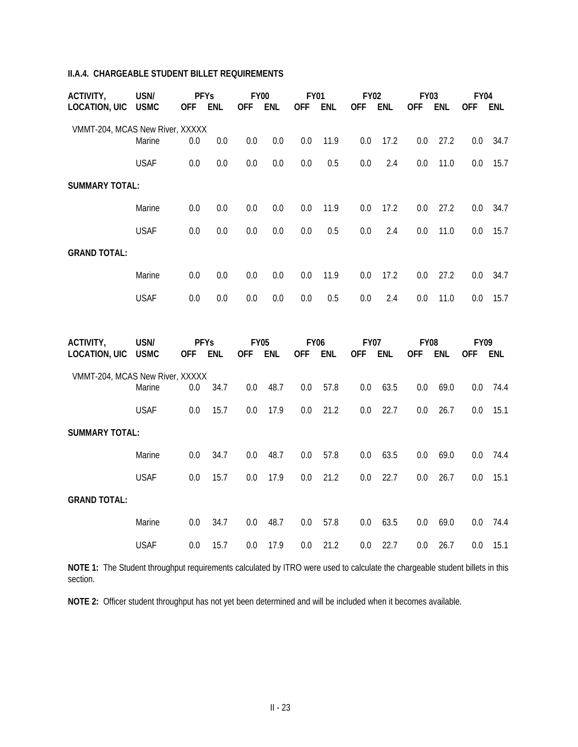## **II.A.4. CHARGEABLE STUDENT BILLET REQUIREMENTS**

| ACTIVITY.                       | USN/        | <b>PFYs</b> |            | FY <sub>00</sub> |     | <b>FY01</b> |            | <b>FY02</b> |      | <b>FY03</b> |            | FY <sub>04</sub> |      |
|---------------------------------|-------------|-------------|------------|------------------|-----|-------------|------------|-------------|------|-------------|------------|------------------|------|
| LOCATION, UIC                   | <b>USMC</b> | <b>OFF</b>  | <b>ENL</b> | <b>OFF</b>       | ENL | <b>OFF</b>  | <b>ENL</b> | <b>OFF</b>  | ENL  | <b>OFF</b>  | <b>ENL</b> | <b>OFF</b>       | ENL  |
| VMMT-204, MCAS New River, XXXXX |             |             |            |                  |     |             |            |             |      |             |            |                  |      |
|                                 | Marine      | 0.0         | 0.0        | 0.0              | 0.0 | 0.0         | 11.9       | 0.0         | 17.2 | 0.0         | 27.2       | 0.0              | 34.7 |
|                                 | <b>USAF</b> | 0.0         | 0.0        | 0.0              | 0.0 | 0.0         | 0.5        | 0.0         | 2.4  | $0.0\,$     | 11.0       | 0.0              | 15.7 |
| <b>SUMMARY TOTAL:</b>           |             |             |            |                  |     |             |            |             |      |             |            |                  |      |
|                                 | Marine      | 0.0         | 0.0        | 0.0              | 0.0 | 0.0         | 11.9       | 0.0         | 17.2 | 0.0         | 27.2       | 0.0              | 34.7 |
|                                 | <b>USAF</b> | 0.0         | 0.0        | 0.0              | 0.0 | 0.0         | 0.5        | 0.0         | 2.4  | 0.0         | 11.0       | 0.0              | 15.7 |
| <b>GRAND TOTAL:</b>             |             |             |            |                  |     |             |            |             |      |             |            |                  |      |
|                                 | Marine      | 0.0         | 0.0        | 0.0              | 0.0 | 0.0         | 11.9       | 0.0         | 17.2 | 0.0         | 27.2       | 0.0              | 34.7 |
|                                 | <b>USAF</b> | 0.0         | 0.0        | 0.0              | 0.0 | 0.0         | 0.5        | 0.0         | 2.4  | 0.0         | 11.0       | 0.0              | 15.7 |

| ACTIVITY,                       | USN/<br><b>PFYs</b> |            |      | <b>FY05</b> |      | <b>FY06</b> |            | <b>FY07</b> |      | <b>FY08</b> |      | <b>FY09</b> |      |
|---------------------------------|---------------------|------------|------|-------------|------|-------------|------------|-------------|------|-------------|------|-------------|------|
| LOCATION, UIC                   | <b>USMC</b>         | <b>OFF</b> | ENL  | <b>OFF</b>  | ENL  | <b>OFF</b>  | <b>ENL</b> | <b>OFF</b>  | ENL  | <b>OFF</b>  | ENL  | <b>OFF</b>  | ENL  |
| VMMT-204, MCAS New River, XXXXX |                     |            |      |             |      |             |            |             |      |             |      |             |      |
|                                 | Marine              | 0.0        | 34.7 | 0.0         | 48.7 | 0.0         | 57.8       | 0.0         | 63.5 | $0.0\,$     | 69.0 | 0.0         | 74.4 |
|                                 | <b>USAF</b>         | 0.0        | 15.7 | 0.0         | 17.9 | 0.0         | 21.2       | 0.0         | 22.7 | $0.0\,$     | 26.7 | 0.0         | 15.1 |
| <b>SUMMARY TOTAL:</b>           |                     |            |      |             |      |             |            |             |      |             |      |             |      |
|                                 | Marine              | 0.0        | 34.7 | 0.0         | 48.7 | 0.0         | 57.8       | 0.0         | 63.5 | $0.0\,$     | 69.0 | 0.0         | 74.4 |
|                                 | <b>USAF</b>         | 0.0        | 15.7 | 0.0         | 17.9 | 0.0         | 21.2       | 0.0         | 22.7 | $0.0\,$     | 26.7 | 0.0         | 15.1 |
| <b>GRAND TOTAL:</b>             |                     |            |      |             |      |             |            |             |      |             |      |             |      |
|                                 | Marine              | 0.0        | 34.7 | 0.0         | 48.7 | 0.0         | 57.8       | 0.0         | 63.5 | 0.0         | 69.0 | 0.0         | 74.4 |
|                                 | <b>USAF</b>         | 0.0        | 15.7 | 0.0         | 17.9 | 0.0         | 21.2       | 0.0         | 22.7 | $0.0\,$     | 26.7 | 0.0         | 15.1 |

**NOTE 1:** The Student throughput requirements calculated by ITRO were used to calculate the chargeable student billets in this section.

**NOTE 2:** Officer student throughput has not yet been determined and will be included when it becomes available.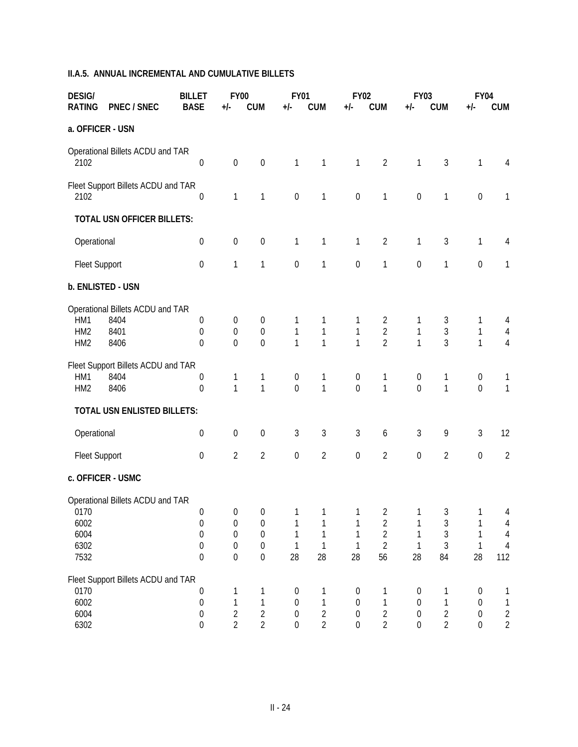## **II.A.5. ANNUAL INCREMENTAL AND CUMULATIVE BILLETS**

| <b>DESIG/</b><br><b>RATING</b>            | <b>PNEC / SNEC</b>                                       | <b>BILLET</b><br><b>BASE</b>                                                                     | <b>FY00</b><br>$+/-$                                                                           | <b>CUM</b>                                                                                     | <b>FY01</b><br>$+/-$                                                         | <b>CUM</b>                                 | <b>FY02</b><br>$+/-$                                                         | <b>CUM</b>                                                                 | <b>FY03</b><br>$+/-$                                                         | <b>CUM</b>                                       | <b>FY04</b><br>$+/-$                                                    | <b>CUM</b>                                                 |
|-------------------------------------------|----------------------------------------------------------|--------------------------------------------------------------------------------------------------|------------------------------------------------------------------------------------------------|------------------------------------------------------------------------------------------------|------------------------------------------------------------------------------|--------------------------------------------|------------------------------------------------------------------------------|----------------------------------------------------------------------------|------------------------------------------------------------------------------|--------------------------------------------------|-------------------------------------------------------------------------|------------------------------------------------------------|
| a. OFFICER - USN                          |                                                          |                                                                                                  |                                                                                                |                                                                                                |                                                                              |                                            |                                                                              |                                                                            |                                                                              |                                                  |                                                                         |                                                            |
| 2102                                      | Operational Billets ACDU and TAR                         | $\mathbf 0$                                                                                      | $\boldsymbol{0}$                                                                               | $\boldsymbol{0}$                                                                               | 1                                                                            | 1                                          | 1                                                                            | $\overline{2}$                                                             | 1                                                                            | $\mathfrak{Z}$                                   | $\mathbf{1}$                                                            | $\overline{4}$                                             |
| 2102                                      | Fleet Support Billets ACDU and TAR                       | $\mathbf 0$                                                                                      | $\mathbf{1}$                                                                                   | 1                                                                                              | $\boldsymbol{0}$                                                             | 1                                          | $\boldsymbol{0}$                                                             | 1                                                                          | $\boldsymbol{0}$                                                             | 1                                                | $\mathbf 0$                                                             | $\mathbf{1}$                                               |
|                                           | <b>TOTAL USN OFFICER BILLETS:</b>                        |                                                                                                  |                                                                                                |                                                                                                |                                                                              |                                            |                                                                              |                                                                            |                                                                              |                                                  |                                                                         |                                                            |
| Operational                               |                                                          | $\boldsymbol{0}$                                                                                 | $\boldsymbol{0}$                                                                               | $\boldsymbol{0}$                                                                               | 1                                                                            | $\mathbf{1}$                               | 1                                                                            | $\overline{2}$                                                             | 1                                                                            | $\mathfrak{Z}$                                   | $\mathbf 1$                                                             | $\overline{4}$                                             |
| <b>Fleet Support</b>                      |                                                          | $\mathbf 0$                                                                                      | $\mathbf{1}$                                                                                   | 1                                                                                              | $\boldsymbol{0}$                                                             | 1                                          | $\boldsymbol{0}$                                                             | 1                                                                          | $\boldsymbol{0}$                                                             | 1                                                | $\mathbf 0$                                                             | $\mathbf{1}$                                               |
| b. ENLISTED - USN                         |                                                          |                                                                                                  |                                                                                                |                                                                                                |                                                                              |                                            |                                                                              |                                                                            |                                                                              |                                                  |                                                                         |                                                            |
| HM1<br>HM <sub>2</sub><br>HM <sub>2</sub> | Operational Billets ACDU and TAR<br>8404<br>8401<br>8406 | 0<br>$\theta$<br>$\theta$                                                                        | 0<br>$\boldsymbol{0}$<br>$\overline{0}$                                                        | 0<br>$\boldsymbol{0}$<br>$\overline{0}$                                                        | 1<br>$\mathbf{1}$<br>1                                                       | 1<br>$\mathbf{1}$<br>1                     | 1<br>1<br>1                                                                  | $\overline{2}$<br>$\overline{2}$<br>$\overline{2}$                         | 1<br>$\mathbf 1$<br>1                                                        | 3<br>$\mathfrak{Z}$<br>3                         | 1<br>$\mathbf 1$<br>$\mathbf{1}$                                        | 4<br>$\overline{4}$<br>$\overline{4}$                      |
| HM1<br>HM <sub>2</sub>                    | Fleet Support Billets ACDU and TAR<br>8404<br>8406       | $\boldsymbol{0}$<br>$\mathbf 0$                                                                  | 1<br>$\mathbf{1}$                                                                              | 1<br>$\mathbf{1}$                                                                              | 0<br>$\mathbf 0$                                                             | 1<br>$\mathbf{1}$                          | $\boldsymbol{0}$<br>$\overline{0}$                                           | 1<br>$\mathbf{1}$                                                          | $\boldsymbol{0}$<br>$\overline{0}$                                           | 1<br>$\mathbf{1}$                                | $\boldsymbol{0}$<br>$\mathbf{0}$                                        | 1<br>$\mathbf{1}$                                          |
|                                           | TOTAL USN ENLISTED BILLETS:                              |                                                                                                  |                                                                                                |                                                                                                |                                                                              |                                            |                                                                              |                                                                            |                                                                              |                                                  |                                                                         |                                                            |
| Operational                               |                                                          | $\boldsymbol{0}$                                                                                 | $\boldsymbol{0}$                                                                               | $\boldsymbol{0}$                                                                               | 3                                                                            | $\sqrt{3}$                                 | 3                                                                            | 6                                                                          | 3                                                                            | 9                                                | $\mathfrak{Z}$                                                          | 12                                                         |
| <b>Fleet Support</b>                      |                                                          | $\boldsymbol{0}$                                                                                 | $\overline{2}$                                                                                 | $\overline{2}$                                                                                 | $\boldsymbol{0}$                                                             | $\overline{2}$                             | $\boldsymbol{0}$                                                             | $\overline{2}$                                                             | $\boldsymbol{0}$                                                             | $\overline{2}$                                   | $\boldsymbol{0}$                                                        | $\overline{2}$                                             |
|                                           | c. OFFICER - USMC                                        |                                                                                                  |                                                                                                |                                                                                                |                                                                              |                                            |                                                                              |                                                                            |                                                                              |                                                  |                                                                         |                                                            |
| 0170<br>6002<br>6004<br>6302<br>7532      | Operational Billets ACDU and TAR                         | $\boldsymbol{0}$<br>$\boldsymbol{0}$<br>$\boldsymbol{0}$<br>$\boldsymbol{0}$<br>$\boldsymbol{0}$ | $\overline{0}$<br>$\boldsymbol{0}$<br>$\boldsymbol{0}$<br>$\boldsymbol{0}$<br>$\boldsymbol{0}$ | $\overline{0}$<br>$\boldsymbol{0}$<br>$\boldsymbol{0}$<br>$\boldsymbol{0}$<br>$\boldsymbol{0}$ | $\overline{1}$<br>1<br>28                                                    | $\overline{1}$<br>1<br>28                  | $\mathbf{1}$<br>1<br>28                                                      | $\overline{2}$<br>$\overline{2}$<br>$\overline{2}$<br>$\overline{2}$<br>56 | $\mathbf{1}$<br>1<br>1<br>1<br>28                                            | $\mathfrak{Z}$<br>$\mathfrak{Z}$<br>3<br>3<br>84 | $\mathbf{1}$<br>1<br>28                                                 | 4<br>$\overline{4}$<br>$\overline{4}$<br>$\sqrt{4}$<br>112 |
| 0170<br>6002<br>6004<br>6302              | Fleet Support Billets ACDU and TAR                       | $\boldsymbol{0}$<br>$\boldsymbol{0}$<br>$\boldsymbol{0}$<br>$\boldsymbol{0}$                     | 1<br>$\mathbf{1}$<br>$\sqrt{2}$<br>$\overline{2}$                                              | 1<br>1<br>$\overline{2}$<br>$\overline{2}$                                                     | $\boldsymbol{0}$<br>$\boldsymbol{0}$<br>$\boldsymbol{0}$<br>$\boldsymbol{0}$ | 1<br>1<br>$\overline{2}$<br>$\overline{2}$ | $\boldsymbol{0}$<br>$\boldsymbol{0}$<br>$\boldsymbol{0}$<br>$\boldsymbol{0}$ | 1<br>1<br>$\overline{2}$<br>$\overline{2}$                                 | $\boldsymbol{0}$<br>$\boldsymbol{0}$<br>$\boldsymbol{0}$<br>$\boldsymbol{0}$ | 1<br>1<br>$\overline{2}$<br>$\overline{2}$       | $\boldsymbol{0}$<br>$\boldsymbol{0}$<br>$\boldsymbol{0}$<br>$\mathbf 0$ | 1<br>$\mathbf{1}$<br>$\sqrt{2}$<br>$\sqrt{2}$              |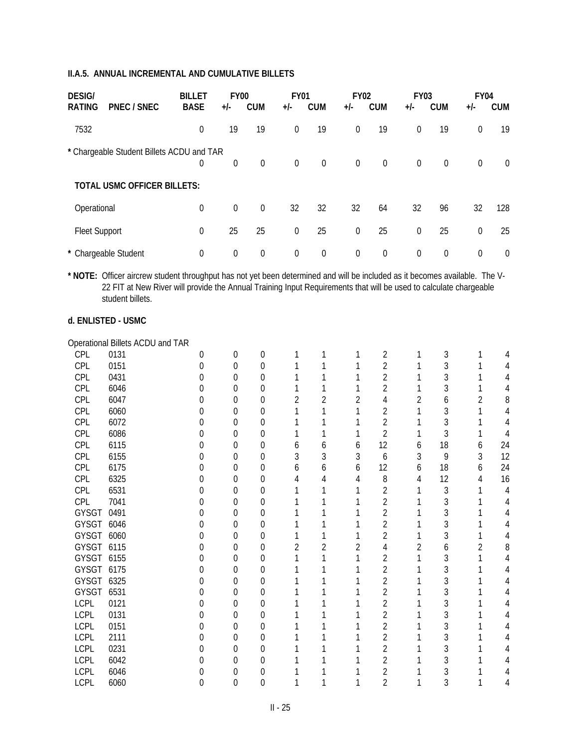| <b>DESIG/</b><br><b>PNEC / SNEC</b><br><b>RATING</b> | <b>BILLET</b><br><b>BASE</b> | <b>FY00</b><br>$+/-$ | <b>CUM</b>     | <b>FY01</b><br>$+/-$ | <b>CUM</b>  | <b>FY02</b><br>+/- | <b>CUM</b> | <b>FY03</b><br>$+/-$ | <b>CUM</b>     | <b>FY04</b><br>$+/-$ | <b>CUM</b>     |
|------------------------------------------------------|------------------------------|----------------------|----------------|----------------------|-------------|--------------------|------------|----------------------|----------------|----------------------|----------------|
| 7532                                                 | $\theta$                     | 19                   | 19             | $\boldsymbol{0}$     | 19          | $\overline{0}$     | 19         | 0                    | 19             | 0                    | 19             |
| * Chargeable Student Billets ACDU and TAR            | $\theta$                     | $\theta$             | $\Omega$       | $\Omega$             | $\mathbf 0$ | $\Omega$           | $\theta$   | $\overline{0}$       | $\overline{0}$ | $\boldsymbol{0}$     | $\overline{0}$ |
| <b>TOTAL USMC OFFICER BILLETS:</b>                   |                              |                      |                |                      |             |                    |            |                      |                |                      |                |
| Operational                                          | $\mathbf 0$                  | $\theta$             | $\overline{0}$ | 32                   | 32          | 32                 | 64         | 32                   | 96             | 32                   | 128            |
| Fleet Support                                        | $\mathbf 0$                  | 25                   | 25             | $\boldsymbol{0}$     | 25          | $\overline{0}$     | 25         | $\overline{0}$       | 25             | $\boldsymbol{0}$     | 25             |
| * Chargeable Student                                 | $\theta$                     | $\boldsymbol{0}$     | $\overline{0}$ | $\mathbf 0$          | 0           | $\Omega$           | $\theta$   | $\boldsymbol{0}$     | $\theta$       | $\theta$             | $\overline{0}$ |

**\* NOTE:** Officer aircrew student throughput has not yet been determined and will be included as it becomes available. The V-22 FIT at New River will provide the Annual Training Input Requirements that will be used to calculate chargeable student billets.

#### **d. ENLISTED - USMC**

#### Operational Billets ACDU and TAR

| CPL         | 0131 |                  | 0        | 0 |   |   |   | 2              |   | 3  |                |    |
|-------------|------|------------------|----------|---|---|---|---|----------------|---|----|----------------|----|
| CPL         | 0151 | O                | $\Omega$ | 0 |   |   |   | 2              |   | 3  |                |    |
| CPL         | 0431 |                  | 0        | 0 |   |   |   | 2              |   | 3  |                |    |
| <b>CPL</b>  | 6046 | O                | 0        | 0 |   |   |   | 2              |   | 3  |                |    |
| CPL         | 6047 |                  | 0        | 0 | 2 | 2 | 2 | 4              | 2 | 6  | $\overline{2}$ | 8  |
| CPL         | 6060 | 0                | $\Omega$ | 0 |   |   |   | 2              |   | 3  |                |    |
| CPL         | 6072 |                  | 0        | 0 |   |   |   | $\overline{2}$ |   | 3  |                |    |
| CPL         | 6086 | O                | 0        | 0 |   |   |   | $\overline{2}$ |   | 3  |                |    |
| CPL         | 6115 |                  | 0        | 0 | O | 6 | b | 12             | 6 | 18 | 6              | 24 |
| CPL         | 6155 | $\left( \right)$ | 0        | 0 | 3 | 3 | 3 | 6              | 3 | 9  | 3              | 12 |
| CPL         | 6175 |                  | $\Omega$ | 0 | 6 | 6 | 6 | 12             | 6 | 18 | 6              | 24 |
| CPL         | 6325 | $\left( \right)$ | 0        | 0 |   | 4 | 4 | 8              | 4 | 12 | 4              | 16 |
| CPL         | 6531 | 0                | 0        | 0 |   |   |   | $\overline{2}$ |   | 3  |                |    |
| <b>CPL</b>  | 7041 | 0                | $\theta$ | 0 |   |   |   | 2              |   | 3  |                |    |
| GYSGT       | 0491 | 0                | 0        | 0 |   |   |   | $\overline{2}$ |   | 3  |                |    |
| GYSGT       | 6046 | $\left( \right)$ | $\Omega$ | 0 |   |   |   | $\overline{2}$ |   | 3  |                |    |
| GYSGT 6060  |      | Ω                | 0        | 0 |   |   |   | 2              |   | 3  |                |    |
| GYSGT       | 6115 | $\left( \right)$ | 0        | 0 | 2 | 2 | 2 | 4              | 2 | 6  | $\overline{2}$ | 8  |
| GYSGT 6155  |      |                  | 0        | 0 |   |   |   | 2              |   | 3  |                |    |
| GYSGT 6175  |      |                  | 0        | 0 |   |   |   | $\overline{2}$ |   | 3  |                |    |
| GYSGT 6325  |      |                  | $\Omega$ | 0 |   |   |   | $\overline{2}$ |   | 3  |                |    |
| GYSGT       | 6531 | $\left( \right)$ | 0        | 0 |   |   |   | $\overline{2}$ |   | 3  |                |    |
| <b>LCPL</b> | 0121 |                  | 0        | 0 |   |   |   | 2              |   | 3  |                |    |
| <b>LCPL</b> | 0131 | 0                | 0        | 0 |   |   |   | 2              |   | 3  |                |    |
| <b>LCPL</b> | 0151 | Ω                | 0        | 0 |   |   |   | 2              |   | 3  |                |    |
| <b>LCPL</b> | 2111 | 0                | $\Omega$ | 0 |   |   |   | $\overline{2}$ |   | 3  |                |    |
| <b>LCPL</b> | 0231 |                  | 0        | 0 |   |   |   | $\overline{2}$ |   | 3  |                |    |
| <b>LCPL</b> | 6042 |                  | 0        | 0 |   |   |   | 2              |   | 3  |                |    |
| <b>LCPL</b> | 6046 |                  | 0        | 0 |   |   |   | 2              |   | 3  |                |    |
| <b>LCPL</b> | 6060 | 0                | 0        | 0 |   |   |   | $\overline{2}$ |   | 3  |                |    |
|             |      |                  |          |   |   |   |   |                |   |    |                |    |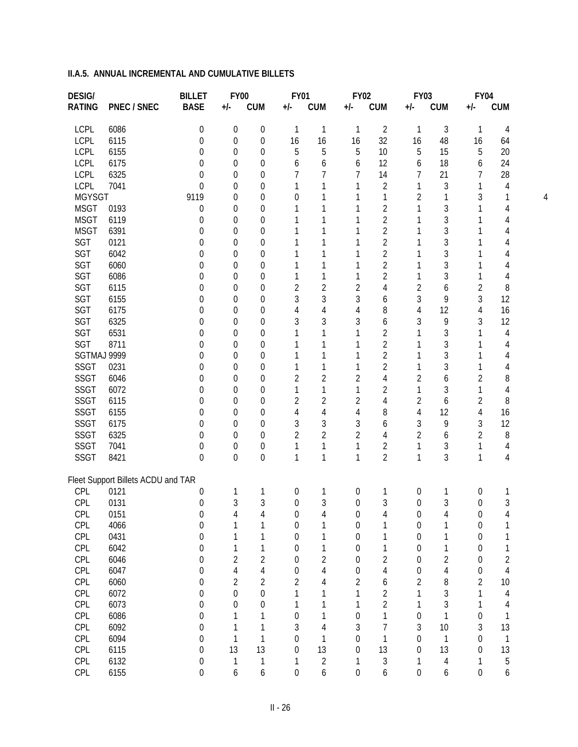| <b>BASE</b><br><b>RATING</b><br>PNEC / SNEC<br><b>CUM</b><br><b>CUM</b><br><b>CUM</b><br><b>CUM</b><br><b>CUM</b><br>$+/-$<br>$+/-$<br>+/-<br>+/-<br>$+/-$<br>$\overline{2}$<br>$\sqrt{3}$<br><b>LCPL</b><br>6086<br>$\boldsymbol{0}$<br>0<br>$\boldsymbol{0}$<br>$\mathbf{1}$<br>1<br>1<br>$\mathbf{1}$<br>$\mathbf{1}$<br>4<br>LCPL<br>6115<br>16<br>32<br>$\boldsymbol{0}$<br>16<br>16<br>16<br>48<br>16<br>0<br>0<br>64<br><b>LCPL</b><br>6155<br>5<br>5<br>5<br>5<br>20<br>0<br>10<br>5<br>15<br>$\Omega$<br>0<br><b>LCPL</b><br>12<br>24<br>6175<br>6<br>18<br>0<br>6<br>6<br>6<br>0<br>0<br>6<br><b>LCPL</b><br>6325<br>7<br>14<br>21<br>28<br>7<br>7<br>7<br>$\Omega$<br>0<br>7<br>0<br>LCPL<br>$\overline{2}$<br>3<br>7041<br>1<br>1<br>0<br>0<br>1<br>1<br>4<br>0<br>1<br><b>MGYSGT</b><br>9119<br>1<br>2<br>1<br>3<br>0<br>$\theta$<br>1<br>1<br>0<br>1<br>4<br>$\overline{2}$<br>3<br><b>MSGT</b><br>0193<br>0<br>0<br>1<br>1<br>0<br>4<br>$\overline{2}$<br>3<br><b>MSGT</b><br>6119<br>0<br>1<br>0<br>0<br>1<br>1<br>4<br>1<br>$\overline{2}$<br>3<br><b>MSGT</b><br>6391<br>0<br>1<br>0<br>1<br>0<br>1<br>1<br>4<br>$\overline{2}$<br>3<br>SGT<br>0121<br>0<br>1<br>$\Omega$<br>$\theta$<br>1<br>1<br>4<br>$\overline{2}$<br>3<br>SGT<br>6042<br>0<br>1<br>$\Omega$<br>$\theta$<br>1<br>1<br>4<br>$\overline{2}$<br>3<br>SGT<br>6060<br>1<br>$\Omega$<br>0<br>1<br>0<br>1<br>1<br>4<br>$\overline{2}$<br>3<br>SGT<br>6086<br>1<br>0<br>1<br>1<br>1<br>1<br>0<br>0<br>4<br>$\overline{2}$<br>SGT<br>$\overline{2}$<br>6115<br>2<br>4<br>2<br>6<br>2<br>8<br>0<br>0<br>0<br>3<br>3<br>SGT<br>3<br>3<br>9<br>3<br>12<br>6155<br>0<br>$\Omega$<br>6<br>0<br>SGT<br>$\overline{4}$<br>8<br>12<br>16<br>6175<br>0<br>4<br>4<br>$\Omega$<br>$\theta$<br>4<br>4<br>SGT<br>3<br>3<br>9<br>6325<br>3<br>3<br>3<br>12<br>$\mathbf 0$<br>6<br>$\Omega$<br>$\theta$<br>SGT<br>$\overline{2}$<br>3<br>6531<br>$\mathbf 0$<br>1<br>$\overline{4}$<br>$\Omega$<br>$\theta$<br>1<br>1<br>1<br>1<br>SGT<br>$\overline{2}$<br>3<br>8711<br>0<br>1<br>$\Omega$<br>1<br>0<br>1<br>4<br>$\overline{2}$<br>3<br>SGTMAJ 9999<br>0<br>1<br>$\Omega$<br>1<br>0<br>1<br>1<br>4<br>$\overline{2}$<br>3<br><b>SSGT</b><br>0231<br>1<br>0<br>1<br>1<br>1<br>0<br>0<br>1<br>4<br><b>SSGT</b><br>$\overline{2}$<br>$\overline{2}$<br>$\overline{4}$<br>6046<br>2<br>2<br>6<br>2<br>8<br>0<br>0<br>0<br>$\overline{2}$<br>3<br><b>SSGT</b><br>6072<br>0<br>1<br>1<br>1<br>1<br>$\Omega$<br>1<br>4<br>0<br>$\overline{2}$<br><b>SSGT</b><br>6115<br>$\overline{2}$<br>$\overline{2}$<br>$\overline{4}$<br>2<br>2<br>8<br>0<br>6<br>$\Omega$<br>$\theta$<br><b>SSGT</b><br>6155<br>$\overline{4}$<br>$\sqrt{4}$<br>8<br>12<br>0<br>4<br>4<br>$\overline{4}$<br>16<br>$\Omega$<br>$\theta$<br>3<br>3<br>9<br><b>SSGT</b><br>3<br>3<br>3<br>12<br>6175<br>0<br>6<br>$\Omega$<br>0<br>$\overline{2}$<br><b>SSGT</b><br>6325<br>$\overline{2}$<br>$\overline{2}$<br>8<br>0<br>4<br>2<br>2<br>$\Omega$<br>6<br>0<br>$\overline{2}$<br><b>SSGT</b><br>3<br>7041<br>$\boldsymbol{0}$<br>1<br>1<br>1<br>1<br>0<br>0<br>1<br>4<br>$\overline{2}$<br>3<br><b>SSGT</b><br>$\mathbf 0$<br>1<br>1<br>1<br>$\mathbf{1}$<br>8421<br>$\theta$<br>$\boldsymbol{0}$<br>1<br>4<br>Fleet Support Billets ACDU and TAR<br>CPL<br>0121<br>1<br>$\boldsymbol{0}$<br>$\boldsymbol{0}$<br>$\boldsymbol{0}$<br>$\boldsymbol{0}$<br>0<br>1<br>1<br>1<br>1<br>1<br>3<br>3<br>3<br>3<br>3<br>CPL<br>3<br>0131<br>$\boldsymbol{0}$<br>$\boldsymbol{0}$<br>$\boldsymbol{0}$<br>$\mathbf 0$<br>$\boldsymbol{0}$<br>CPL<br>0151<br>$\overline{4}$<br>$\overline{4}$<br>$\overline{4}$<br>$\overline{4}$<br>$\overline{4}$<br>$\boldsymbol{0}$<br>$\boldsymbol{0}$<br>$\sqrt{4}$<br>$\mathbf 0$<br>$\boldsymbol{0}$<br>0<br>CPL<br>4066<br>1<br>$\boldsymbol{0}$<br>1<br>1<br>1<br>1<br>0<br>0<br>1<br>0<br>0<br>CPL<br>0431<br>0<br>1<br>$\mathbf 0$<br>1<br>$\boldsymbol{0}$<br>1<br>1<br>0<br>1<br>1<br>0<br>CPL<br>6042<br>1<br>$\mathbf 0$<br>1<br>1<br>1<br>1<br>0<br>1<br>0<br>$\overline{0}$<br>0<br>$\overline{2}$<br>$\overline{2}$<br>$\overline{2}$<br>$\overline{2}$<br>$\overline{2}$<br>CPL<br>6046<br>$\overline{2}$<br>0<br>$\mathbf 0$<br>$\boldsymbol{0}$<br>0<br>0<br>CPL<br>$\sqrt{4}$<br>$\sqrt{4}$<br>$\overline{4}$<br>$\overline{4}$<br>6047<br>$\overline{4}$<br>4<br>0<br>$\boldsymbol{0}$<br>$\boldsymbol{0}$<br>$\boldsymbol{0}$<br>0<br>$\overline{2}$<br>CPL<br>$\overline{2}$<br>$\overline{2}$<br>8<br>$\overline{2}$<br>6060<br>$\overline{4}$<br>$\overline{2}$<br>6<br>2<br>10<br>0<br>$\overline{2}$<br>3<br>CPL<br>$\overline{0}$<br>6072<br>$\boldsymbol{0}$<br>1<br>1<br>$\sqrt{4}$<br>0<br>1<br>1<br>1<br>$\overline{2}$<br>3<br>CPL<br>6073<br>$\mathbf 0$<br>1<br>0<br>1<br>1<br>1<br>1<br>$\overline{4}$<br>0<br>CPL<br>6086<br>1<br>1<br>1<br>0<br>1<br>$\mathbf 0$<br>0<br>$\boldsymbol{0}$<br>1<br>$\boldsymbol{0}$<br>1<br>$\overline{7}$<br>CPL<br>6092<br>3<br>$\overline{4}$<br>3<br>3<br>10<br>3<br>13<br>0<br>1<br>1<br>CPL<br>$\mathbf{1}$<br>$\mathbf 0$<br>$\mathbf{1}$<br>6094<br>0<br>1<br>1<br>0<br>$\boldsymbol{0}$<br>$\boldsymbol{0}$<br>1<br>1<br>CPL<br>13<br>13<br>13<br>13<br>13<br>13<br>6115<br>0<br>0<br>0<br>$\boldsymbol{0}$<br>$\boldsymbol{0}$<br>CPL<br>$\overline{2}$<br>3<br>5<br>6132<br>$\mathbf{1}$<br>$\mathbf{1}$<br>1<br>4<br>0<br>1<br>1<br>1<br>6<br>CPL<br>6<br>$\boldsymbol{6}$<br>6<br>6<br>6155<br>0<br>$\boldsymbol{0}$<br>$\boldsymbol{0}$<br>$\boldsymbol{0}$<br>6<br>$\boldsymbol{0}$ | <b>DESIG/</b> | <b>BILLET</b> | <b>FY00</b> | <b>FY01</b> | <b>FY02</b> | <b>FY03</b> | <b>FY04</b> |  |
|-----------------------------------------------------------------------------------------------------------------------------------------------------------------------------------------------------------------------------------------------------------------------------------------------------------------------------------------------------------------------------------------------------------------------------------------------------------------------------------------------------------------------------------------------------------------------------------------------------------------------------------------------------------------------------------------------------------------------------------------------------------------------------------------------------------------------------------------------------------------------------------------------------------------------------------------------------------------------------------------------------------------------------------------------------------------------------------------------------------------------------------------------------------------------------------------------------------------------------------------------------------------------------------------------------------------------------------------------------------------------------------------------------------------------------------------------------------------------------------------------------------------------------------------------------------------------------------------------------------------------------------------------------------------------------------------------------------------------------------------------------------------------------------------------------------------------------------------------------------------------------------------------------------------------------------------------------------------------------------------------------------------------------------------------------------------------------------------------------------------------------------------------------------------------------------------------------------------------------------------------------------------------------------------------------------------------------------------------------------------------------------------------------------------------------------------------------------------------------------------------------------------------------------------------------------------------------------------------------------------------------------------------------------------------------------------------------------------------------------------------------------------------------------------------------------------------------------------------------------------------------------------------------------------------------------------------------------------------------------------------------------------------------------------------------------------------------------------------------------------------------------------------------------------------------------------------------------------------------------------------------------------------------------------------------------------------------------------------------------------------------------------------------------------------------------------------------------------------------------------------------------------------------------------------------------------------------------------------------------------------------------------------------------------------------------------------------------------------------------------------------------------------------------------------------------------------------------------------------------------------------------------------------------------------------------------------------------------------------------------------------------------------------------------------------------------------------------------------------------------------------------------------------------------------------------------------------------------------------------------------------------------------------------------------------------------------------------------------------------------------------------------------------------------------------------------------------------------------------------------------------------------------------------------------------------------------------------------------------------------------------------------------------------------------------------------------------------------------------------------------------------------------------------------------------------------------------------------------------------------------------------------------------------------------------------------------------------------------------------------------------------------------------------------------------------------------------------------------------------------------------------------------------------------------------------------------------------------------------------------------------------------------------------------------------------------------------------------------------------------------------------------------------------------------------------------------------------------------------------------------------------------------------|---------------|---------------|-------------|-------------|-------------|-------------|-------------|--|
|                                                                                                                                                                                                                                                                                                                                                                                                                                                                                                                                                                                                                                                                                                                                                                                                                                                                                                                                                                                                                                                                                                                                                                                                                                                                                                                                                                                                                                                                                                                                                                                                                                                                                                                                                                                                                                                                                                                                                                                                                                                                                                                                                                                                                                                                                                                                                                                                                                                                                                                                                                                                                                                                                                                                                                                                                                                                                                                                                                                                                                                                                                                                                                                                                                                                                                                                                                                                                                                                                                                                                                                                                                                                                                                                                                                                                                                                                                                                                                                                                                                                                                                                                                                                                                                                                                                                                                                                                                                                                                                                                                                                                                                                                                                                                                                                                                                                                                                                                                                                                                                                                                                                                                                                                                                                                                                                                                                                                                                                                                                             |               |               |             |             |             |             |             |  |
|                                                                                                                                                                                                                                                                                                                                                                                                                                                                                                                                                                                                                                                                                                                                                                                                                                                                                                                                                                                                                                                                                                                                                                                                                                                                                                                                                                                                                                                                                                                                                                                                                                                                                                                                                                                                                                                                                                                                                                                                                                                                                                                                                                                                                                                                                                                                                                                                                                                                                                                                                                                                                                                                                                                                                                                                                                                                                                                                                                                                                                                                                                                                                                                                                                                                                                                                                                                                                                                                                                                                                                                                                                                                                                                                                                                                                                                                                                                                                                                                                                                                                                                                                                                                                                                                                                                                                                                                                                                                                                                                                                                                                                                                                                                                                                                                                                                                                                                                                                                                                                                                                                                                                                                                                                                                                                                                                                                                                                                                                                                             |               |               |             |             |             |             |             |  |
|                                                                                                                                                                                                                                                                                                                                                                                                                                                                                                                                                                                                                                                                                                                                                                                                                                                                                                                                                                                                                                                                                                                                                                                                                                                                                                                                                                                                                                                                                                                                                                                                                                                                                                                                                                                                                                                                                                                                                                                                                                                                                                                                                                                                                                                                                                                                                                                                                                                                                                                                                                                                                                                                                                                                                                                                                                                                                                                                                                                                                                                                                                                                                                                                                                                                                                                                                                                                                                                                                                                                                                                                                                                                                                                                                                                                                                                                                                                                                                                                                                                                                                                                                                                                                                                                                                                                                                                                                                                                                                                                                                                                                                                                                                                                                                                                                                                                                                                                                                                                                                                                                                                                                                                                                                                                                                                                                                                                                                                                                                                             |               |               |             |             |             |             |             |  |
|                                                                                                                                                                                                                                                                                                                                                                                                                                                                                                                                                                                                                                                                                                                                                                                                                                                                                                                                                                                                                                                                                                                                                                                                                                                                                                                                                                                                                                                                                                                                                                                                                                                                                                                                                                                                                                                                                                                                                                                                                                                                                                                                                                                                                                                                                                                                                                                                                                                                                                                                                                                                                                                                                                                                                                                                                                                                                                                                                                                                                                                                                                                                                                                                                                                                                                                                                                                                                                                                                                                                                                                                                                                                                                                                                                                                                                                                                                                                                                                                                                                                                                                                                                                                                                                                                                                                                                                                                                                                                                                                                                                                                                                                                                                                                                                                                                                                                                                                                                                                                                                                                                                                                                                                                                                                                                                                                                                                                                                                                                                             |               |               |             |             |             |             |             |  |
|                                                                                                                                                                                                                                                                                                                                                                                                                                                                                                                                                                                                                                                                                                                                                                                                                                                                                                                                                                                                                                                                                                                                                                                                                                                                                                                                                                                                                                                                                                                                                                                                                                                                                                                                                                                                                                                                                                                                                                                                                                                                                                                                                                                                                                                                                                                                                                                                                                                                                                                                                                                                                                                                                                                                                                                                                                                                                                                                                                                                                                                                                                                                                                                                                                                                                                                                                                                                                                                                                                                                                                                                                                                                                                                                                                                                                                                                                                                                                                                                                                                                                                                                                                                                                                                                                                                                                                                                                                                                                                                                                                                                                                                                                                                                                                                                                                                                                                                                                                                                                                                                                                                                                                                                                                                                                                                                                                                                                                                                                                                             |               |               |             |             |             |             |             |  |
|                                                                                                                                                                                                                                                                                                                                                                                                                                                                                                                                                                                                                                                                                                                                                                                                                                                                                                                                                                                                                                                                                                                                                                                                                                                                                                                                                                                                                                                                                                                                                                                                                                                                                                                                                                                                                                                                                                                                                                                                                                                                                                                                                                                                                                                                                                                                                                                                                                                                                                                                                                                                                                                                                                                                                                                                                                                                                                                                                                                                                                                                                                                                                                                                                                                                                                                                                                                                                                                                                                                                                                                                                                                                                                                                                                                                                                                                                                                                                                                                                                                                                                                                                                                                                                                                                                                                                                                                                                                                                                                                                                                                                                                                                                                                                                                                                                                                                                                                                                                                                                                                                                                                                                                                                                                                                                                                                                                                                                                                                                                             |               |               |             |             |             |             |             |  |
|                                                                                                                                                                                                                                                                                                                                                                                                                                                                                                                                                                                                                                                                                                                                                                                                                                                                                                                                                                                                                                                                                                                                                                                                                                                                                                                                                                                                                                                                                                                                                                                                                                                                                                                                                                                                                                                                                                                                                                                                                                                                                                                                                                                                                                                                                                                                                                                                                                                                                                                                                                                                                                                                                                                                                                                                                                                                                                                                                                                                                                                                                                                                                                                                                                                                                                                                                                                                                                                                                                                                                                                                                                                                                                                                                                                                                                                                                                                                                                                                                                                                                                                                                                                                                                                                                                                                                                                                                                                                                                                                                                                                                                                                                                                                                                                                                                                                                                                                                                                                                                                                                                                                                                                                                                                                                                                                                                                                                                                                                                                             |               |               |             |             |             |             |             |  |
|                                                                                                                                                                                                                                                                                                                                                                                                                                                                                                                                                                                                                                                                                                                                                                                                                                                                                                                                                                                                                                                                                                                                                                                                                                                                                                                                                                                                                                                                                                                                                                                                                                                                                                                                                                                                                                                                                                                                                                                                                                                                                                                                                                                                                                                                                                                                                                                                                                                                                                                                                                                                                                                                                                                                                                                                                                                                                                                                                                                                                                                                                                                                                                                                                                                                                                                                                                                                                                                                                                                                                                                                                                                                                                                                                                                                                                                                                                                                                                                                                                                                                                                                                                                                                                                                                                                                                                                                                                                                                                                                                                                                                                                                                                                                                                                                                                                                                                                                                                                                                                                                                                                                                                                                                                                                                                                                                                                                                                                                                                                             |               |               |             |             |             |             |             |  |
|                                                                                                                                                                                                                                                                                                                                                                                                                                                                                                                                                                                                                                                                                                                                                                                                                                                                                                                                                                                                                                                                                                                                                                                                                                                                                                                                                                                                                                                                                                                                                                                                                                                                                                                                                                                                                                                                                                                                                                                                                                                                                                                                                                                                                                                                                                                                                                                                                                                                                                                                                                                                                                                                                                                                                                                                                                                                                                                                                                                                                                                                                                                                                                                                                                                                                                                                                                                                                                                                                                                                                                                                                                                                                                                                                                                                                                                                                                                                                                                                                                                                                                                                                                                                                                                                                                                                                                                                                                                                                                                                                                                                                                                                                                                                                                                                                                                                                                                                                                                                                                                                                                                                                                                                                                                                                                                                                                                                                                                                                                                             |               |               |             |             |             |             |             |  |
|                                                                                                                                                                                                                                                                                                                                                                                                                                                                                                                                                                                                                                                                                                                                                                                                                                                                                                                                                                                                                                                                                                                                                                                                                                                                                                                                                                                                                                                                                                                                                                                                                                                                                                                                                                                                                                                                                                                                                                                                                                                                                                                                                                                                                                                                                                                                                                                                                                                                                                                                                                                                                                                                                                                                                                                                                                                                                                                                                                                                                                                                                                                                                                                                                                                                                                                                                                                                                                                                                                                                                                                                                                                                                                                                                                                                                                                                                                                                                                                                                                                                                                                                                                                                                                                                                                                                                                                                                                                                                                                                                                                                                                                                                                                                                                                                                                                                                                                                                                                                                                                                                                                                                                                                                                                                                                                                                                                                                                                                                                                             |               |               |             |             |             |             |             |  |
|                                                                                                                                                                                                                                                                                                                                                                                                                                                                                                                                                                                                                                                                                                                                                                                                                                                                                                                                                                                                                                                                                                                                                                                                                                                                                                                                                                                                                                                                                                                                                                                                                                                                                                                                                                                                                                                                                                                                                                                                                                                                                                                                                                                                                                                                                                                                                                                                                                                                                                                                                                                                                                                                                                                                                                                                                                                                                                                                                                                                                                                                                                                                                                                                                                                                                                                                                                                                                                                                                                                                                                                                                                                                                                                                                                                                                                                                                                                                                                                                                                                                                                                                                                                                                                                                                                                                                                                                                                                                                                                                                                                                                                                                                                                                                                                                                                                                                                                                                                                                                                                                                                                                                                                                                                                                                                                                                                                                                                                                                                                             |               |               |             |             |             |             |             |  |
|                                                                                                                                                                                                                                                                                                                                                                                                                                                                                                                                                                                                                                                                                                                                                                                                                                                                                                                                                                                                                                                                                                                                                                                                                                                                                                                                                                                                                                                                                                                                                                                                                                                                                                                                                                                                                                                                                                                                                                                                                                                                                                                                                                                                                                                                                                                                                                                                                                                                                                                                                                                                                                                                                                                                                                                                                                                                                                                                                                                                                                                                                                                                                                                                                                                                                                                                                                                                                                                                                                                                                                                                                                                                                                                                                                                                                                                                                                                                                                                                                                                                                                                                                                                                                                                                                                                                                                                                                                                                                                                                                                                                                                                                                                                                                                                                                                                                                                                                                                                                                                                                                                                                                                                                                                                                                                                                                                                                                                                                                                                             |               |               |             |             |             |             |             |  |
|                                                                                                                                                                                                                                                                                                                                                                                                                                                                                                                                                                                                                                                                                                                                                                                                                                                                                                                                                                                                                                                                                                                                                                                                                                                                                                                                                                                                                                                                                                                                                                                                                                                                                                                                                                                                                                                                                                                                                                                                                                                                                                                                                                                                                                                                                                                                                                                                                                                                                                                                                                                                                                                                                                                                                                                                                                                                                                                                                                                                                                                                                                                                                                                                                                                                                                                                                                                                                                                                                                                                                                                                                                                                                                                                                                                                                                                                                                                                                                                                                                                                                                                                                                                                                                                                                                                                                                                                                                                                                                                                                                                                                                                                                                                                                                                                                                                                                                                                                                                                                                                                                                                                                                                                                                                                                                                                                                                                                                                                                                                             |               |               |             |             |             |             |             |  |
|                                                                                                                                                                                                                                                                                                                                                                                                                                                                                                                                                                                                                                                                                                                                                                                                                                                                                                                                                                                                                                                                                                                                                                                                                                                                                                                                                                                                                                                                                                                                                                                                                                                                                                                                                                                                                                                                                                                                                                                                                                                                                                                                                                                                                                                                                                                                                                                                                                                                                                                                                                                                                                                                                                                                                                                                                                                                                                                                                                                                                                                                                                                                                                                                                                                                                                                                                                                                                                                                                                                                                                                                                                                                                                                                                                                                                                                                                                                                                                                                                                                                                                                                                                                                                                                                                                                                                                                                                                                                                                                                                                                                                                                                                                                                                                                                                                                                                                                                                                                                                                                                                                                                                                                                                                                                                                                                                                                                                                                                                                                             |               |               |             |             |             |             |             |  |
|                                                                                                                                                                                                                                                                                                                                                                                                                                                                                                                                                                                                                                                                                                                                                                                                                                                                                                                                                                                                                                                                                                                                                                                                                                                                                                                                                                                                                                                                                                                                                                                                                                                                                                                                                                                                                                                                                                                                                                                                                                                                                                                                                                                                                                                                                                                                                                                                                                                                                                                                                                                                                                                                                                                                                                                                                                                                                                                                                                                                                                                                                                                                                                                                                                                                                                                                                                                                                                                                                                                                                                                                                                                                                                                                                                                                                                                                                                                                                                                                                                                                                                                                                                                                                                                                                                                                                                                                                                                                                                                                                                                                                                                                                                                                                                                                                                                                                                                                                                                                                                                                                                                                                                                                                                                                                                                                                                                                                                                                                                                             |               |               |             |             |             |             |             |  |
|                                                                                                                                                                                                                                                                                                                                                                                                                                                                                                                                                                                                                                                                                                                                                                                                                                                                                                                                                                                                                                                                                                                                                                                                                                                                                                                                                                                                                                                                                                                                                                                                                                                                                                                                                                                                                                                                                                                                                                                                                                                                                                                                                                                                                                                                                                                                                                                                                                                                                                                                                                                                                                                                                                                                                                                                                                                                                                                                                                                                                                                                                                                                                                                                                                                                                                                                                                                                                                                                                                                                                                                                                                                                                                                                                                                                                                                                                                                                                                                                                                                                                                                                                                                                                                                                                                                                                                                                                                                                                                                                                                                                                                                                                                                                                                                                                                                                                                                                                                                                                                                                                                                                                                                                                                                                                                                                                                                                                                                                                                                             |               |               |             |             |             |             |             |  |
|                                                                                                                                                                                                                                                                                                                                                                                                                                                                                                                                                                                                                                                                                                                                                                                                                                                                                                                                                                                                                                                                                                                                                                                                                                                                                                                                                                                                                                                                                                                                                                                                                                                                                                                                                                                                                                                                                                                                                                                                                                                                                                                                                                                                                                                                                                                                                                                                                                                                                                                                                                                                                                                                                                                                                                                                                                                                                                                                                                                                                                                                                                                                                                                                                                                                                                                                                                                                                                                                                                                                                                                                                                                                                                                                                                                                                                                                                                                                                                                                                                                                                                                                                                                                                                                                                                                                                                                                                                                                                                                                                                                                                                                                                                                                                                                                                                                                                                                                                                                                                                                                                                                                                                                                                                                                                                                                                                                                                                                                                                                             |               |               |             |             |             |             |             |  |
|                                                                                                                                                                                                                                                                                                                                                                                                                                                                                                                                                                                                                                                                                                                                                                                                                                                                                                                                                                                                                                                                                                                                                                                                                                                                                                                                                                                                                                                                                                                                                                                                                                                                                                                                                                                                                                                                                                                                                                                                                                                                                                                                                                                                                                                                                                                                                                                                                                                                                                                                                                                                                                                                                                                                                                                                                                                                                                                                                                                                                                                                                                                                                                                                                                                                                                                                                                                                                                                                                                                                                                                                                                                                                                                                                                                                                                                                                                                                                                                                                                                                                                                                                                                                                                                                                                                                                                                                                                                                                                                                                                                                                                                                                                                                                                                                                                                                                                                                                                                                                                                                                                                                                                                                                                                                                                                                                                                                                                                                                                                             |               |               |             |             |             |             |             |  |
|                                                                                                                                                                                                                                                                                                                                                                                                                                                                                                                                                                                                                                                                                                                                                                                                                                                                                                                                                                                                                                                                                                                                                                                                                                                                                                                                                                                                                                                                                                                                                                                                                                                                                                                                                                                                                                                                                                                                                                                                                                                                                                                                                                                                                                                                                                                                                                                                                                                                                                                                                                                                                                                                                                                                                                                                                                                                                                                                                                                                                                                                                                                                                                                                                                                                                                                                                                                                                                                                                                                                                                                                                                                                                                                                                                                                                                                                                                                                                                                                                                                                                                                                                                                                                                                                                                                                                                                                                                                                                                                                                                                                                                                                                                                                                                                                                                                                                                                                                                                                                                                                                                                                                                                                                                                                                                                                                                                                                                                                                                                             |               |               |             |             |             |             |             |  |
|                                                                                                                                                                                                                                                                                                                                                                                                                                                                                                                                                                                                                                                                                                                                                                                                                                                                                                                                                                                                                                                                                                                                                                                                                                                                                                                                                                                                                                                                                                                                                                                                                                                                                                                                                                                                                                                                                                                                                                                                                                                                                                                                                                                                                                                                                                                                                                                                                                                                                                                                                                                                                                                                                                                                                                                                                                                                                                                                                                                                                                                                                                                                                                                                                                                                                                                                                                                                                                                                                                                                                                                                                                                                                                                                                                                                                                                                                                                                                                                                                                                                                                                                                                                                                                                                                                                                                                                                                                                                                                                                                                                                                                                                                                                                                                                                                                                                                                                                                                                                                                                                                                                                                                                                                                                                                                                                                                                                                                                                                                                             |               |               |             |             |             |             |             |  |
|                                                                                                                                                                                                                                                                                                                                                                                                                                                                                                                                                                                                                                                                                                                                                                                                                                                                                                                                                                                                                                                                                                                                                                                                                                                                                                                                                                                                                                                                                                                                                                                                                                                                                                                                                                                                                                                                                                                                                                                                                                                                                                                                                                                                                                                                                                                                                                                                                                                                                                                                                                                                                                                                                                                                                                                                                                                                                                                                                                                                                                                                                                                                                                                                                                                                                                                                                                                                                                                                                                                                                                                                                                                                                                                                                                                                                                                                                                                                                                                                                                                                                                                                                                                                                                                                                                                                                                                                                                                                                                                                                                                                                                                                                                                                                                                                                                                                                                                                                                                                                                                                                                                                                                                                                                                                                                                                                                                                                                                                                                                             |               |               |             |             |             |             |             |  |
|                                                                                                                                                                                                                                                                                                                                                                                                                                                                                                                                                                                                                                                                                                                                                                                                                                                                                                                                                                                                                                                                                                                                                                                                                                                                                                                                                                                                                                                                                                                                                                                                                                                                                                                                                                                                                                                                                                                                                                                                                                                                                                                                                                                                                                                                                                                                                                                                                                                                                                                                                                                                                                                                                                                                                                                                                                                                                                                                                                                                                                                                                                                                                                                                                                                                                                                                                                                                                                                                                                                                                                                                                                                                                                                                                                                                                                                                                                                                                                                                                                                                                                                                                                                                                                                                                                                                                                                                                                                                                                                                                                                                                                                                                                                                                                                                                                                                                                                                                                                                                                                                                                                                                                                                                                                                                                                                                                                                                                                                                                                             |               |               |             |             |             |             |             |  |
|                                                                                                                                                                                                                                                                                                                                                                                                                                                                                                                                                                                                                                                                                                                                                                                                                                                                                                                                                                                                                                                                                                                                                                                                                                                                                                                                                                                                                                                                                                                                                                                                                                                                                                                                                                                                                                                                                                                                                                                                                                                                                                                                                                                                                                                                                                                                                                                                                                                                                                                                                                                                                                                                                                                                                                                                                                                                                                                                                                                                                                                                                                                                                                                                                                                                                                                                                                                                                                                                                                                                                                                                                                                                                                                                                                                                                                                                                                                                                                                                                                                                                                                                                                                                                                                                                                                                                                                                                                                                                                                                                                                                                                                                                                                                                                                                                                                                                                                                                                                                                                                                                                                                                                                                                                                                                                                                                                                                                                                                                                                             |               |               |             |             |             |             |             |  |
|                                                                                                                                                                                                                                                                                                                                                                                                                                                                                                                                                                                                                                                                                                                                                                                                                                                                                                                                                                                                                                                                                                                                                                                                                                                                                                                                                                                                                                                                                                                                                                                                                                                                                                                                                                                                                                                                                                                                                                                                                                                                                                                                                                                                                                                                                                                                                                                                                                                                                                                                                                                                                                                                                                                                                                                                                                                                                                                                                                                                                                                                                                                                                                                                                                                                                                                                                                                                                                                                                                                                                                                                                                                                                                                                                                                                                                                                                                                                                                                                                                                                                                                                                                                                                                                                                                                                                                                                                                                                                                                                                                                                                                                                                                                                                                                                                                                                                                                                                                                                                                                                                                                                                                                                                                                                                                                                                                                                                                                                                                                             |               |               |             |             |             |             |             |  |
|                                                                                                                                                                                                                                                                                                                                                                                                                                                                                                                                                                                                                                                                                                                                                                                                                                                                                                                                                                                                                                                                                                                                                                                                                                                                                                                                                                                                                                                                                                                                                                                                                                                                                                                                                                                                                                                                                                                                                                                                                                                                                                                                                                                                                                                                                                                                                                                                                                                                                                                                                                                                                                                                                                                                                                                                                                                                                                                                                                                                                                                                                                                                                                                                                                                                                                                                                                                                                                                                                                                                                                                                                                                                                                                                                                                                                                                                                                                                                                                                                                                                                                                                                                                                                                                                                                                                                                                                                                                                                                                                                                                                                                                                                                                                                                                                                                                                                                                                                                                                                                                                                                                                                                                                                                                                                                                                                                                                                                                                                                                             |               |               |             |             |             |             |             |  |
|                                                                                                                                                                                                                                                                                                                                                                                                                                                                                                                                                                                                                                                                                                                                                                                                                                                                                                                                                                                                                                                                                                                                                                                                                                                                                                                                                                                                                                                                                                                                                                                                                                                                                                                                                                                                                                                                                                                                                                                                                                                                                                                                                                                                                                                                                                                                                                                                                                                                                                                                                                                                                                                                                                                                                                                                                                                                                                                                                                                                                                                                                                                                                                                                                                                                                                                                                                                                                                                                                                                                                                                                                                                                                                                                                                                                                                                                                                                                                                                                                                                                                                                                                                                                                                                                                                                                                                                                                                                                                                                                                                                                                                                                                                                                                                                                                                                                                                                                                                                                                                                                                                                                                                                                                                                                                                                                                                                                                                                                                                                             |               |               |             |             |             |             |             |  |
|                                                                                                                                                                                                                                                                                                                                                                                                                                                                                                                                                                                                                                                                                                                                                                                                                                                                                                                                                                                                                                                                                                                                                                                                                                                                                                                                                                                                                                                                                                                                                                                                                                                                                                                                                                                                                                                                                                                                                                                                                                                                                                                                                                                                                                                                                                                                                                                                                                                                                                                                                                                                                                                                                                                                                                                                                                                                                                                                                                                                                                                                                                                                                                                                                                                                                                                                                                                                                                                                                                                                                                                                                                                                                                                                                                                                                                                                                                                                                                                                                                                                                                                                                                                                                                                                                                                                                                                                                                                                                                                                                                                                                                                                                                                                                                                                                                                                                                                                                                                                                                                                                                                                                                                                                                                                                                                                                                                                                                                                                                                             |               |               |             |             |             |             |             |  |
|                                                                                                                                                                                                                                                                                                                                                                                                                                                                                                                                                                                                                                                                                                                                                                                                                                                                                                                                                                                                                                                                                                                                                                                                                                                                                                                                                                                                                                                                                                                                                                                                                                                                                                                                                                                                                                                                                                                                                                                                                                                                                                                                                                                                                                                                                                                                                                                                                                                                                                                                                                                                                                                                                                                                                                                                                                                                                                                                                                                                                                                                                                                                                                                                                                                                                                                                                                                                                                                                                                                                                                                                                                                                                                                                                                                                                                                                                                                                                                                                                                                                                                                                                                                                                                                                                                                                                                                                                                                                                                                                                                                                                                                                                                                                                                                                                                                                                                                                                                                                                                                                                                                                                                                                                                                                                                                                                                                                                                                                                                                             |               |               |             |             |             |             |             |  |
|                                                                                                                                                                                                                                                                                                                                                                                                                                                                                                                                                                                                                                                                                                                                                                                                                                                                                                                                                                                                                                                                                                                                                                                                                                                                                                                                                                                                                                                                                                                                                                                                                                                                                                                                                                                                                                                                                                                                                                                                                                                                                                                                                                                                                                                                                                                                                                                                                                                                                                                                                                                                                                                                                                                                                                                                                                                                                                                                                                                                                                                                                                                                                                                                                                                                                                                                                                                                                                                                                                                                                                                                                                                                                                                                                                                                                                                                                                                                                                                                                                                                                                                                                                                                                                                                                                                                                                                                                                                                                                                                                                                                                                                                                                                                                                                                                                                                                                                                                                                                                                                                                                                                                                                                                                                                                                                                                                                                                                                                                                                             |               |               |             |             |             |             |             |  |
|                                                                                                                                                                                                                                                                                                                                                                                                                                                                                                                                                                                                                                                                                                                                                                                                                                                                                                                                                                                                                                                                                                                                                                                                                                                                                                                                                                                                                                                                                                                                                                                                                                                                                                                                                                                                                                                                                                                                                                                                                                                                                                                                                                                                                                                                                                                                                                                                                                                                                                                                                                                                                                                                                                                                                                                                                                                                                                                                                                                                                                                                                                                                                                                                                                                                                                                                                                                                                                                                                                                                                                                                                                                                                                                                                                                                                                                                                                                                                                                                                                                                                                                                                                                                                                                                                                                                                                                                                                                                                                                                                                                                                                                                                                                                                                                                                                                                                                                                                                                                                                                                                                                                                                                                                                                                                                                                                                                                                                                                                                                             |               |               |             |             |             |             |             |  |
|                                                                                                                                                                                                                                                                                                                                                                                                                                                                                                                                                                                                                                                                                                                                                                                                                                                                                                                                                                                                                                                                                                                                                                                                                                                                                                                                                                                                                                                                                                                                                                                                                                                                                                                                                                                                                                                                                                                                                                                                                                                                                                                                                                                                                                                                                                                                                                                                                                                                                                                                                                                                                                                                                                                                                                                                                                                                                                                                                                                                                                                                                                                                                                                                                                                                                                                                                                                                                                                                                                                                                                                                                                                                                                                                                                                                                                                                                                                                                                                                                                                                                                                                                                                                                                                                                                                                                                                                                                                                                                                                                                                                                                                                                                                                                                                                                                                                                                                                                                                                                                                                                                                                                                                                                                                                                                                                                                                                                                                                                                                             |               |               |             |             |             |             |             |  |
|                                                                                                                                                                                                                                                                                                                                                                                                                                                                                                                                                                                                                                                                                                                                                                                                                                                                                                                                                                                                                                                                                                                                                                                                                                                                                                                                                                                                                                                                                                                                                                                                                                                                                                                                                                                                                                                                                                                                                                                                                                                                                                                                                                                                                                                                                                                                                                                                                                                                                                                                                                                                                                                                                                                                                                                                                                                                                                                                                                                                                                                                                                                                                                                                                                                                                                                                                                                                                                                                                                                                                                                                                                                                                                                                                                                                                                                                                                                                                                                                                                                                                                                                                                                                                                                                                                                                                                                                                                                                                                                                                                                                                                                                                                                                                                                                                                                                                                                                                                                                                                                                                                                                                                                                                                                                                                                                                                                                                                                                                                                             |               |               |             |             |             |             |             |  |
|                                                                                                                                                                                                                                                                                                                                                                                                                                                                                                                                                                                                                                                                                                                                                                                                                                                                                                                                                                                                                                                                                                                                                                                                                                                                                                                                                                                                                                                                                                                                                                                                                                                                                                                                                                                                                                                                                                                                                                                                                                                                                                                                                                                                                                                                                                                                                                                                                                                                                                                                                                                                                                                                                                                                                                                                                                                                                                                                                                                                                                                                                                                                                                                                                                                                                                                                                                                                                                                                                                                                                                                                                                                                                                                                                                                                                                                                                                                                                                                                                                                                                                                                                                                                                                                                                                                                                                                                                                                                                                                                                                                                                                                                                                                                                                                                                                                                                                                                                                                                                                                                                                                                                                                                                                                                                                                                                                                                                                                                                                                             |               |               |             |             |             |             |             |  |
|                                                                                                                                                                                                                                                                                                                                                                                                                                                                                                                                                                                                                                                                                                                                                                                                                                                                                                                                                                                                                                                                                                                                                                                                                                                                                                                                                                                                                                                                                                                                                                                                                                                                                                                                                                                                                                                                                                                                                                                                                                                                                                                                                                                                                                                                                                                                                                                                                                                                                                                                                                                                                                                                                                                                                                                                                                                                                                                                                                                                                                                                                                                                                                                                                                                                                                                                                                                                                                                                                                                                                                                                                                                                                                                                                                                                                                                                                                                                                                                                                                                                                                                                                                                                                                                                                                                                                                                                                                                                                                                                                                                                                                                                                                                                                                                                                                                                                                                                                                                                                                                                                                                                                                                                                                                                                                                                                                                                                                                                                                                             |               |               |             |             |             |             |             |  |
|                                                                                                                                                                                                                                                                                                                                                                                                                                                                                                                                                                                                                                                                                                                                                                                                                                                                                                                                                                                                                                                                                                                                                                                                                                                                                                                                                                                                                                                                                                                                                                                                                                                                                                                                                                                                                                                                                                                                                                                                                                                                                                                                                                                                                                                                                                                                                                                                                                                                                                                                                                                                                                                                                                                                                                                                                                                                                                                                                                                                                                                                                                                                                                                                                                                                                                                                                                                                                                                                                                                                                                                                                                                                                                                                                                                                                                                                                                                                                                                                                                                                                                                                                                                                                                                                                                                                                                                                                                                                                                                                                                                                                                                                                                                                                                                                                                                                                                                                                                                                                                                                                                                                                                                                                                                                                                                                                                                                                                                                                                                             |               |               |             |             |             |             |             |  |
|                                                                                                                                                                                                                                                                                                                                                                                                                                                                                                                                                                                                                                                                                                                                                                                                                                                                                                                                                                                                                                                                                                                                                                                                                                                                                                                                                                                                                                                                                                                                                                                                                                                                                                                                                                                                                                                                                                                                                                                                                                                                                                                                                                                                                                                                                                                                                                                                                                                                                                                                                                                                                                                                                                                                                                                                                                                                                                                                                                                                                                                                                                                                                                                                                                                                                                                                                                                                                                                                                                                                                                                                                                                                                                                                                                                                                                                                                                                                                                                                                                                                                                                                                                                                                                                                                                                                                                                                                                                                                                                                                                                                                                                                                                                                                                                                                                                                                                                                                                                                                                                                                                                                                                                                                                                                                                                                                                                                                                                                                                                             |               |               |             |             |             |             |             |  |
|                                                                                                                                                                                                                                                                                                                                                                                                                                                                                                                                                                                                                                                                                                                                                                                                                                                                                                                                                                                                                                                                                                                                                                                                                                                                                                                                                                                                                                                                                                                                                                                                                                                                                                                                                                                                                                                                                                                                                                                                                                                                                                                                                                                                                                                                                                                                                                                                                                                                                                                                                                                                                                                                                                                                                                                                                                                                                                                                                                                                                                                                                                                                                                                                                                                                                                                                                                                                                                                                                                                                                                                                                                                                                                                                                                                                                                                                                                                                                                                                                                                                                                                                                                                                                                                                                                                                                                                                                                                                                                                                                                                                                                                                                                                                                                                                                                                                                                                                                                                                                                                                                                                                                                                                                                                                                                                                                                                                                                                                                                                             |               |               |             |             |             |             |             |  |
|                                                                                                                                                                                                                                                                                                                                                                                                                                                                                                                                                                                                                                                                                                                                                                                                                                                                                                                                                                                                                                                                                                                                                                                                                                                                                                                                                                                                                                                                                                                                                                                                                                                                                                                                                                                                                                                                                                                                                                                                                                                                                                                                                                                                                                                                                                                                                                                                                                                                                                                                                                                                                                                                                                                                                                                                                                                                                                                                                                                                                                                                                                                                                                                                                                                                                                                                                                                                                                                                                                                                                                                                                                                                                                                                                                                                                                                                                                                                                                                                                                                                                                                                                                                                                                                                                                                                                                                                                                                                                                                                                                                                                                                                                                                                                                                                                                                                                                                                                                                                                                                                                                                                                                                                                                                                                                                                                                                                                                                                                                                             |               |               |             |             |             |             |             |  |
|                                                                                                                                                                                                                                                                                                                                                                                                                                                                                                                                                                                                                                                                                                                                                                                                                                                                                                                                                                                                                                                                                                                                                                                                                                                                                                                                                                                                                                                                                                                                                                                                                                                                                                                                                                                                                                                                                                                                                                                                                                                                                                                                                                                                                                                                                                                                                                                                                                                                                                                                                                                                                                                                                                                                                                                                                                                                                                                                                                                                                                                                                                                                                                                                                                                                                                                                                                                                                                                                                                                                                                                                                                                                                                                                                                                                                                                                                                                                                                                                                                                                                                                                                                                                                                                                                                                                                                                                                                                                                                                                                                                                                                                                                                                                                                                                                                                                                                                                                                                                                                                                                                                                                                                                                                                                                                                                                                                                                                                                                                                             |               |               |             |             |             |             |             |  |
|                                                                                                                                                                                                                                                                                                                                                                                                                                                                                                                                                                                                                                                                                                                                                                                                                                                                                                                                                                                                                                                                                                                                                                                                                                                                                                                                                                                                                                                                                                                                                                                                                                                                                                                                                                                                                                                                                                                                                                                                                                                                                                                                                                                                                                                                                                                                                                                                                                                                                                                                                                                                                                                                                                                                                                                                                                                                                                                                                                                                                                                                                                                                                                                                                                                                                                                                                                                                                                                                                                                                                                                                                                                                                                                                                                                                                                                                                                                                                                                                                                                                                                                                                                                                                                                                                                                                                                                                                                                                                                                                                                                                                                                                                                                                                                                                                                                                                                                                                                                                                                                                                                                                                                                                                                                                                                                                                                                                                                                                                                                             |               |               |             |             |             |             |             |  |
|                                                                                                                                                                                                                                                                                                                                                                                                                                                                                                                                                                                                                                                                                                                                                                                                                                                                                                                                                                                                                                                                                                                                                                                                                                                                                                                                                                                                                                                                                                                                                                                                                                                                                                                                                                                                                                                                                                                                                                                                                                                                                                                                                                                                                                                                                                                                                                                                                                                                                                                                                                                                                                                                                                                                                                                                                                                                                                                                                                                                                                                                                                                                                                                                                                                                                                                                                                                                                                                                                                                                                                                                                                                                                                                                                                                                                                                                                                                                                                                                                                                                                                                                                                                                                                                                                                                                                                                                                                                                                                                                                                                                                                                                                                                                                                                                                                                                                                                                                                                                                                                                                                                                                                                                                                                                                                                                                                                                                                                                                                                             |               |               |             |             |             |             |             |  |
|                                                                                                                                                                                                                                                                                                                                                                                                                                                                                                                                                                                                                                                                                                                                                                                                                                                                                                                                                                                                                                                                                                                                                                                                                                                                                                                                                                                                                                                                                                                                                                                                                                                                                                                                                                                                                                                                                                                                                                                                                                                                                                                                                                                                                                                                                                                                                                                                                                                                                                                                                                                                                                                                                                                                                                                                                                                                                                                                                                                                                                                                                                                                                                                                                                                                                                                                                                                                                                                                                                                                                                                                                                                                                                                                                                                                                                                                                                                                                                                                                                                                                                                                                                                                                                                                                                                                                                                                                                                                                                                                                                                                                                                                                                                                                                                                                                                                                                                                                                                                                                                                                                                                                                                                                                                                                                                                                                                                                                                                                                                             |               |               |             |             |             |             |             |  |
|                                                                                                                                                                                                                                                                                                                                                                                                                                                                                                                                                                                                                                                                                                                                                                                                                                                                                                                                                                                                                                                                                                                                                                                                                                                                                                                                                                                                                                                                                                                                                                                                                                                                                                                                                                                                                                                                                                                                                                                                                                                                                                                                                                                                                                                                                                                                                                                                                                                                                                                                                                                                                                                                                                                                                                                                                                                                                                                                                                                                                                                                                                                                                                                                                                                                                                                                                                                                                                                                                                                                                                                                                                                                                                                                                                                                                                                                                                                                                                                                                                                                                                                                                                                                                                                                                                                                                                                                                                                                                                                                                                                                                                                                                                                                                                                                                                                                                                                                                                                                                                                                                                                                                                                                                                                                                                                                                                                                                                                                                                                             |               |               |             |             |             |             |             |  |
|                                                                                                                                                                                                                                                                                                                                                                                                                                                                                                                                                                                                                                                                                                                                                                                                                                                                                                                                                                                                                                                                                                                                                                                                                                                                                                                                                                                                                                                                                                                                                                                                                                                                                                                                                                                                                                                                                                                                                                                                                                                                                                                                                                                                                                                                                                                                                                                                                                                                                                                                                                                                                                                                                                                                                                                                                                                                                                                                                                                                                                                                                                                                                                                                                                                                                                                                                                                                                                                                                                                                                                                                                                                                                                                                                                                                                                                                                                                                                                                                                                                                                                                                                                                                                                                                                                                                                                                                                                                                                                                                                                                                                                                                                                                                                                                                                                                                                                                                                                                                                                                                                                                                                                                                                                                                                                                                                                                                                                                                                                                             |               |               |             |             |             |             |             |  |
|                                                                                                                                                                                                                                                                                                                                                                                                                                                                                                                                                                                                                                                                                                                                                                                                                                                                                                                                                                                                                                                                                                                                                                                                                                                                                                                                                                                                                                                                                                                                                                                                                                                                                                                                                                                                                                                                                                                                                                                                                                                                                                                                                                                                                                                                                                                                                                                                                                                                                                                                                                                                                                                                                                                                                                                                                                                                                                                                                                                                                                                                                                                                                                                                                                                                                                                                                                                                                                                                                                                                                                                                                                                                                                                                                                                                                                                                                                                                                                                                                                                                                                                                                                                                                                                                                                                                                                                                                                                                                                                                                                                                                                                                                                                                                                                                                                                                                                                                                                                                                                                                                                                                                                                                                                                                                                                                                                                                                                                                                                                             |               |               |             |             |             |             |             |  |
|                                                                                                                                                                                                                                                                                                                                                                                                                                                                                                                                                                                                                                                                                                                                                                                                                                                                                                                                                                                                                                                                                                                                                                                                                                                                                                                                                                                                                                                                                                                                                                                                                                                                                                                                                                                                                                                                                                                                                                                                                                                                                                                                                                                                                                                                                                                                                                                                                                                                                                                                                                                                                                                                                                                                                                                                                                                                                                                                                                                                                                                                                                                                                                                                                                                                                                                                                                                                                                                                                                                                                                                                                                                                                                                                                                                                                                                                                                                                                                                                                                                                                                                                                                                                                                                                                                                                                                                                                                                                                                                                                                                                                                                                                                                                                                                                                                                                                                                                                                                                                                                                                                                                                                                                                                                                                                                                                                                                                                                                                                                             |               |               |             |             |             |             |             |  |
|                                                                                                                                                                                                                                                                                                                                                                                                                                                                                                                                                                                                                                                                                                                                                                                                                                                                                                                                                                                                                                                                                                                                                                                                                                                                                                                                                                                                                                                                                                                                                                                                                                                                                                                                                                                                                                                                                                                                                                                                                                                                                                                                                                                                                                                                                                                                                                                                                                                                                                                                                                                                                                                                                                                                                                                                                                                                                                                                                                                                                                                                                                                                                                                                                                                                                                                                                                                                                                                                                                                                                                                                                                                                                                                                                                                                                                                                                                                                                                                                                                                                                                                                                                                                                                                                                                                                                                                                                                                                                                                                                                                                                                                                                                                                                                                                                                                                                                                                                                                                                                                                                                                                                                                                                                                                                                                                                                                                                                                                                                                             |               |               |             |             |             |             |             |  |
|                                                                                                                                                                                                                                                                                                                                                                                                                                                                                                                                                                                                                                                                                                                                                                                                                                                                                                                                                                                                                                                                                                                                                                                                                                                                                                                                                                                                                                                                                                                                                                                                                                                                                                                                                                                                                                                                                                                                                                                                                                                                                                                                                                                                                                                                                                                                                                                                                                                                                                                                                                                                                                                                                                                                                                                                                                                                                                                                                                                                                                                                                                                                                                                                                                                                                                                                                                                                                                                                                                                                                                                                                                                                                                                                                                                                                                                                                                                                                                                                                                                                                                                                                                                                                                                                                                                                                                                                                                                                                                                                                                                                                                                                                                                                                                                                                                                                                                                                                                                                                                                                                                                                                                                                                                                                                                                                                                                                                                                                                                                             |               |               |             |             |             |             |             |  |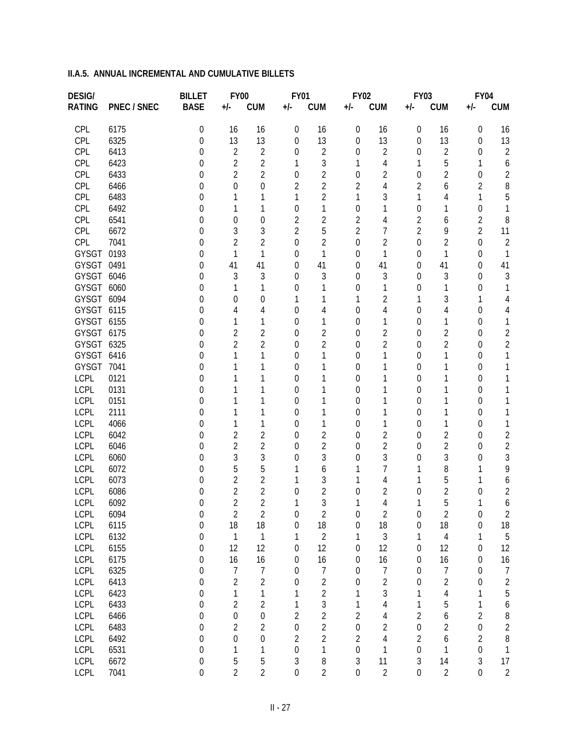| <b>DESIG/</b> |                    | <b>BILLET</b>                        | <b>FY00</b>         |                     | <b>FY01</b>      |                | <b>FY02</b>      |                     | <b>FY03</b>      |                     | <b>FY04</b>      |                     |
|---------------|--------------------|--------------------------------------|---------------------|---------------------|------------------|----------------|------------------|---------------------|------------------|---------------------|------------------|---------------------|
| <b>RATING</b> | <b>PNEC / SNEC</b> | <b>BASE</b>                          | $+/-$               | <b>CUM</b>          | $+/-$            | <b>CUM</b>     | +/-              | <b>CUM</b>          | +/-              | <b>CUM</b>          | +/-              | <b>CUM</b>          |
| CPL           | 6175               | $\theta$                             | 16                  | 16                  | 0                | 16             | 0                | 16                  | 0                | 16                  | 0                | 16                  |
| CPL           | 6325               | $\Omega$                             | 13                  | 13                  | 0                | 13             | 0                | 13                  | 0                | 13                  | 0                | 13                  |
| CPL           | 6413               | 0                                    | $\sqrt{2}$          | $\overline{2}$      | 0                | $\overline{2}$ | 0                | $\overline{2}$      | 0                | $\overline{2}$      | 0                | $\overline{c}$      |
| CPL           | 6423               | 0                                    | $\overline{2}$      | $\overline{2}$      | 1                | 3              | 1                | 4                   | 1                | 5                   | 1                | 6                   |
| CPL           | 6433               | 0                                    | $\overline{2}$      | $\overline{2}$      | 0                | $\overline{2}$ | $\overline{0}$   | $\overline{2}$      | $\overline{0}$   | 2                   | 0                | 2                   |
| CPL           | 6466               | $\left( \right)$                     | 0                   | 0                   | 2                | $\overline{2}$ | 2                | 4                   | 2                | 6                   | $\overline{2}$   | 8                   |
| CPL           | 6483               | $\left( \right)$                     |                     |                     | 1                | $\overline{2}$ | 1                | 3                   | 1                | 4                   | 1                | 5                   |
| CPL           | 6492               | $\left( \right)$                     |                     | 1                   | 0                | 1              | 0                | 1                   | $\overline{0}$   |                     | 0                | 1                   |
| CPL           | 6541               | $\left( \right)$                     | 0                   | 0                   | 2                | 2              | 2                | 4                   | $\overline{2}$   | 6                   | $\overline{2}$   | 8                   |
| CPL           | 6672               | $\left( \right)$                     | 3                   | 3                   | $\overline{2}$   | 5              | $\overline{2}$   | $\overline{7}$      | $\overline{2}$   | 9                   | $\overline{2}$   | 11                  |
| CPL           | 7041               | 0                                    | 2                   | $\overline{2}$      | 0                | 2              | $\overline{0}$   | $\overline{2}$      | $\overline{0}$   | 2                   | 0                | $\overline{c}$      |
| GYSGT         | 0193               | 0                                    | 1                   | 1                   | 0                | 1              | 0                | 1                   | 0                | 1                   | $\overline{0}$   | 1                   |
| GYSGT         | 0491               | 0                                    | 41                  | 41                  | 0                | 41             | 0                | 41                  | 0                | 41                  | 0                | 41                  |
| GYSGT         | 6046               | 0                                    | 3                   | 3                   | 0                | 3              | 0                | 3                   | 0                | 3                   | 0                | 3                   |
| GYSGT         | 6060               | $\left( \right)$                     |                     | 1                   | 0                |                | 0                | 1                   | 0                |                     | 0                | 1                   |
| GYSGT         | 6094               | $\left( \right)$                     | 0                   | 0                   |                  |                | 1                | $\overline{2}$      | 1                | 3                   | 1                | 4                   |
| GYSGT 6115    |                    | $\left( \right)$                     | 4                   | 4                   | 0                | 4              | 0                | 4                   | 0                | 4                   | 0                | 4                   |
| GYSGT 6155    |                    | $\left( \right)$                     |                     | 1                   | 0                | 1              | 0                | 1                   | 0                |                     | 0                | 1                   |
| GYSGT         | 6175               | $\left( \right)$                     | $\overline{2}$      | $\overline{2}$      | 0                | 2              | 0                | $\overline{2}$      | 0                | 2                   | 0                | 2                   |
| GYSGT         | 6325               | $\left( \right)$                     | $\overline{2}$      | $\overline{2}$      | 0                | $\overline{2}$ | 0                | $\overline{2}$      | 0                | 2                   | 0                | 2                   |
| GYSGT         | 6416               | $\left( \right)$                     |                     | 1                   | 0                |                | 0                | 1                   | 0                |                     | 0                | 1                   |
| GYSGT         | 7041               | $\left( \right)$                     |                     | 1                   | 0                |                | 0                | 1                   | 0                |                     | 0                | 1                   |
| LCPL          | 0121               | $\left( \right)$                     |                     |                     | 0                |                | 0                | 1                   | 0                |                     | 0                |                     |
| LCPL          | 0131               | $\left( \right)$                     |                     | 1                   | 0                |                | 0                | 1                   | 0                |                     | 0                |                     |
| LCPL          | 0151               | $\left( \right)$                     |                     |                     | 0                |                | 0                | 1                   | 0                |                     | 0                |                     |
| LCPL          | 2111               | $\left( \right)$                     |                     | 1                   | 0                |                | 0                | 1                   | 0                |                     | 0                | 1                   |
| LCPL          | 4066               | $\left( \right)$                     |                     | 1                   | 0                | 1              | 0                | 1                   | 0                |                     | 0                | 1                   |
| LCPL          | 6042               | $\left( \right)$                     | $\overline{2}$      | $\overline{2}$      | 0                | $\overline{2}$ | 0                | $\overline{2}$      | $\overline{0}$   | 2                   | 0                | $\overline{c}$      |
| LCPL<br>LCPL  | 6046               | $\left( \right)$                     | $\overline{2}$<br>3 | $\overline{2}$<br>3 | 0                | 2<br>3         | 0                | $\overline{2}$<br>3 | 0                | $\overline{2}$<br>3 | 0                | $\overline{c}$<br>3 |
| LCPL          | 6060<br>6072       | $\left( \right)$                     | 5                   | 5                   | 0                |                | 0                | 7                   | 0<br>1           | 8                   | 0<br>1           | 9                   |
| LCPL          | 6073               | $\left( \right)$<br>$\left( \right)$ | $\overline{2}$      | $\overline{2}$      |                  | 6<br>3         |                  | 4                   | 1                | 5                   | 1                |                     |
| <b>LCPL</b>   | 6086               | $\left( \right)$                     | $\overline{2}$      | $\overline{2}$      | 0                | $\overline{2}$ | 0                | $\overline{2}$      | 0                | 2                   | 0                | 6<br>$\overline{c}$ |
| LCPL          | 6092               | 0                                    | $\overline{2}$      | $\overline{2}$      | 1                | 3              | 1                | 4                   | 1                | 5                   | 1                | 6                   |
| <b>LCPL</b>   | 6094               | 0                                    | $\overline{2}$      | $\overline{2}$      | $\boldsymbol{0}$ | $\overline{2}$ | $\boldsymbol{0}$ | $\overline{2}$      | $\boldsymbol{0}$ | $\sqrt{2}$          | $\boldsymbol{0}$ | 2                   |
| <b>LCPL</b>   | 6115               | $\mathbf 0$                          | 18                  | 18                  | $\boldsymbol{0}$ | 18             | $\boldsymbol{0}$ | 18                  | 0                | 18                  | $\boldsymbol{0}$ | 18                  |
| <b>LCPL</b>   | 6132               | $\mathbf 0$                          | $\mathbf{1}$        | $\mathbf{1}$        | 1                | $\overline{2}$ | 1                | $\mathfrak{Z}$      | 1                | $\overline{4}$      | 1                | 5                   |
| <b>LCPL</b>   | 6155               | $\mathbf 0$                          | 12                  | 12                  | 0                | 12             | $\boldsymbol{0}$ | 12                  | $\mathbf 0$      | 12                  | $\boldsymbol{0}$ | 12                  |
| <b>LCPL</b>   | 6175               | $\theta$                             | 16                  | 16                  | 0                | 16             | 0                | 16                  | 0                | 16                  | $\boldsymbol{0}$ | 16                  |
| <b>LCPL</b>   | 6325               | $\mathbf 0$                          | $\overline{7}$      | $\overline{7}$      | 0                | $\overline{7}$ | $\boldsymbol{0}$ | $\overline{7}$      | $\mathbf 0$      | $\boldsymbol{7}$    | $\boldsymbol{0}$ | $\overline{1}$      |
| <b>LCPL</b>   | 6413               | $\mathbf 0$                          | $\overline{c}$      | $\overline{2}$      | 0                | $\overline{2}$ | $\mathbf 0$      | $\overline{2}$      | $\mathbf 0$      | $\sqrt{2}$          | $\boldsymbol{0}$ | $\overline{c}$      |
| <b>LCPL</b>   | 6423               | $\mathbf 0$                          | $\mathbf 1$         | 1                   | 1                | $\overline{2}$ | 1                | 3                   | 1                | $\overline{4}$      | 1                | 5                   |
| <b>LCPL</b>   | 6433               | $\mathbf 0$                          | $\overline{c}$      | $\overline{2}$      | 1                | $\mathfrak{Z}$ | 1                | $\sqrt{4}$          | 1                | 5                   | 1                | 6                   |
| <b>LCPL</b>   | 6466               | $\mathbf 0$                          | $\boldsymbol{0}$    | $\boldsymbol{0}$    | $\overline{2}$   | $\overline{2}$ | $\overline{2}$   | 4                   | $\overline{2}$   | 6                   | $\overline{2}$   | 8                   |
| <b>LCPL</b>   | 6483               | $\mathbf 0$                          | $\overline{2}$      | $\overline{2}$      | $\boldsymbol{0}$ | $\overline{2}$ | $\boldsymbol{0}$ | $\overline{2}$      | $\boldsymbol{0}$ | $\overline{2}$      | $\boldsymbol{0}$ | $\overline{c}$      |
| <b>LCPL</b>   | 6492               | $\mathbf 0$                          | $\boldsymbol{0}$    | $\boldsymbol{0}$    | $\overline{2}$   | $\overline{2}$ | $\overline{2}$   | 4                   | $\overline{2}$   | $\boldsymbol{6}$    | $\overline{2}$   | 8                   |
| <b>LCPL</b>   | 6531               | $\mathbf 0$                          | $\mathbf{1}$        | 1                   | $\boldsymbol{0}$ | 1              | $\boldsymbol{0}$ | 1                   | $\boldsymbol{0}$ | $\mathbf{1}$        | $\boldsymbol{0}$ | $\mathbf{1}$        |
| <b>LCPL</b>   | 6672               | $\boldsymbol{0}$                     | 5                   | 5                   | $\mathfrak{Z}$   | 8              | $\mathfrak{Z}$   | 11                  | $\sqrt{3}$       | 14                  | 3                | 17                  |
| LCPL          | 7041               | $\overline{0}$                       | $\overline{2}$      | $\overline{2}$      | $\boldsymbol{0}$ | $\overline{2}$ | $\boldsymbol{0}$ | $\overline{2}$      | $\boldsymbol{0}$ | $\sqrt{2}$          | $\boldsymbol{0}$ | $\sqrt{2}$          |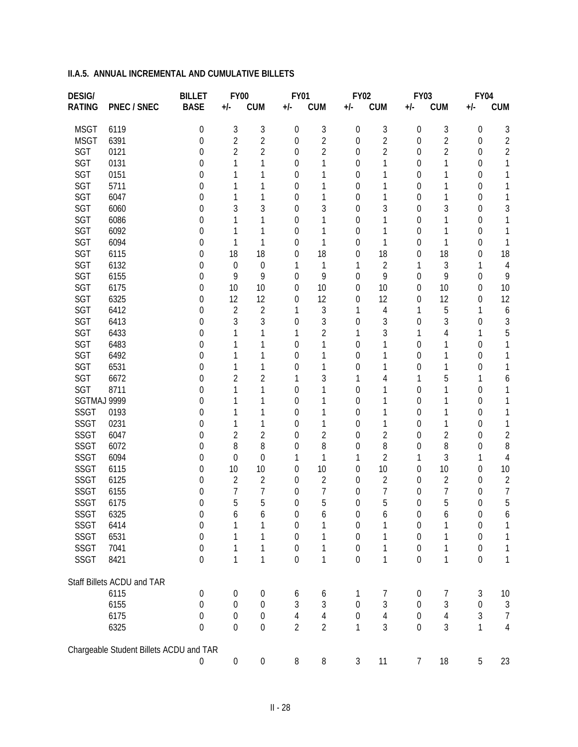| <b>DESIG/</b> |                                         | <b>BILLET</b>    | <b>FY00</b>      |                  | <b>FY01</b>      |                | <b>FY02</b>      |                | <b>FY03</b>      |                | <b>FY04</b>      |                |
|---------------|-----------------------------------------|------------------|------------------|------------------|------------------|----------------|------------------|----------------|------------------|----------------|------------------|----------------|
| <b>RATING</b> | <b>PNEC / SNEC</b>                      | <b>BASE</b>      | $+/-$            | <b>CUM</b>       | +/-              | <b>CUM</b>     | $+/-$            | <b>CUM</b>     | +/-              | <b>CUM</b>     | +/-              | <b>CUM</b>     |
| <b>MSGT</b>   | 6119                                    | $\boldsymbol{0}$ | $\sqrt{3}$       | 3                | $\boldsymbol{0}$ | 3              | 0                | 3              | 0                | 3              | 0                | 3              |
| <b>MSGT</b>   | 6391                                    | 0                | $\overline{2}$   | $\overline{2}$   | 0                | 2              | $\overline{0}$   | $\overline{2}$ | 0                | 2              | 0                | 2              |
| SGT           | 0121                                    | 0                | 2                | $\overline{2}$   | 0                | $\overline{2}$ | 0                | $\overline{2}$ | 0                | 2              | 0                | 2              |
| SGT           | 0131                                    | $\left( \right)$ | 1                | 1                | $\theta$         |                | 0                | 1              | 0                |                | 0                | 1              |
| SGT           | 0151                                    | $\left( \right)$ |                  | 1                | $\theta$         |                | 0                | 1              | 0                |                | 0                | 1              |
| SGT           | 5711                                    | $\left( \right)$ |                  | 1                | 0                |                | 0                | 1              | 0                |                | 0                |                |
| SGT           | 6047                                    | $\left( \right)$ |                  | 1                | $\theta$         |                | 0                | 1              | 0                |                | 0                | 1              |
| SGT           | 6060                                    | $\left( \right)$ | 3                | 3                | $\theta$         | 3              | 0                | 3              | 0                | 3              | 0                | 3              |
| <b>SGT</b>    | 6086                                    | $\mathcal{O}$    |                  | 1                | $\theta$         |                | 0                | 1              | 0                |                | 0                |                |
| SGT           | 6092                                    | $\left( \right)$ | 1                | 1                | $\theta$         |                | 0                | 1              | 0                |                | 0                | 1              |
| SGT           | 6094                                    | $\left( \right)$ | 1                | 1                | 0                | 1              | 0                | 1              | 0                |                | 0                | 1              |
| <b>SGT</b>    | 6115                                    | $\left( \right)$ | 18               | 18               | 0                | 18             | 0                | 18             | 0                | 18             | 0                | 18             |
| SGT           | 6132                                    | $\left( \right)$ | $\boldsymbol{0}$ | 0                |                  | 1              | 1                | $\overline{2}$ | 1                | 3              | 1                | 4              |
| <b>SGT</b>    | 6155                                    | 0                | 9                | 9                | 0                | 9              | 0                | 9              | $\overline{0}$   | 9              | 0                | 9              |
| SGT           | 6175                                    | 0                | 10               | 10               | 0                | 10             | 0                | 10             | 0                | 10             | 0                | 10             |
| SGT           | 6325                                    | $\left( \right)$ | 12               | 12               | $\theta$         | 12             | 0                | 12             | 0                | 12             | 0                | 12             |
| <b>SGT</b>    | 6412                                    | $\left( \right)$ | $\overline{2}$   | $\overline{2}$   |                  | 3              | 1                | 4              | 1                | 5              | 1                | 6              |
| SGT           | 6413                                    | $\left( \right)$ | 3                | 3                | 0                | 3              | 0                | 3              | $\theta$         | 3              | 0                | 3              |
| SGT           | 6433                                    | $\left( \right)$ |                  | 1                |                  | 2              | 1                | 3              | 1                | 4              | 1                | 5              |
| <b>SGT</b>    | 6483                                    | $\left( \right)$ |                  | 1                | $\Omega$         |                | 0                | 1              | 0                |                | 0                | 1              |
| SGT           | 6492                                    | $\left( \right)$ |                  | 1                | $\theta$         |                | 0                | 1              | 0                |                | 0                | 1              |
| <b>SGT</b>    | 6531                                    | $\left( \right)$ |                  | 1                | 0                | 1              | 0                | 1              | 0                |                | 0                |                |
| SGT           | 6672                                    | $\left( \right)$ | $\overline{2}$   | $\overline{2}$   |                  | 3              | 1                | 4              | 1                | 5              | 1                | 6              |
| SGT           | 8711                                    | $\left( \right)$ | 1                | 1                | $\theta$         |                | 0                | 1              | 0                |                | 0                |                |
| SGTMAJ 9999   |                                         | $\left( \right)$ |                  | 1                | $\theta$         |                | 0                | 1              | 0                |                | 0                |                |
| <b>SSGT</b>   | 0193                                    | $\left( \right)$ |                  | 1                | $\theta$         |                | 0                | 1              | 0                |                | 0                | 1              |
| <b>SSGT</b>   | 0231                                    | $\left( \right)$ | 1                | 1                | $\theta$         | 1              | 0                | 1              | 0                |                | 0                | 1              |
| <b>SSGT</b>   | 6047                                    | $\left( \right)$ | $\overline{2}$   | 2                | $\theta$         | 2              | 0                | $\overline{2}$ | 0                | 2              | 0                | $\overline{c}$ |
| <b>SSGT</b>   | 6072                                    | $\left( \right)$ | 8                | 8                | 0                | 8              | 0                | 8              | 0                | 8              | 0                | 8              |
| <b>SSGT</b>   | 6094                                    | $\left( \right)$ | 0                | $\overline{0}$   |                  | 1              | 1                | $\overline{2}$ | 1                | 3              | 1                | 4              |
| <b>SSGT</b>   | 6115                                    | $\left( \right)$ | 10               | 10               | 0                | 10             | 0                | 10             | 0                | 10             | 0                | 10             |
| <b>SSGT</b>   | 6125                                    | $\mathcal{L}$    | $\overline{2}$   | 2                | $\theta$         | 2              | 0                | $\overline{2}$ | 0                | 2              | 0                | $\overline{2}$ |
| <b>SSGT</b>   | 6155                                    | $\left( \right)$ | 7                | 7                | $\theta$         | 7              | 0                | $\overline{7}$ | 0                | 7              | 0                | 7              |
| <b>SSGT</b>   | 6175                                    | 0                | 5                | 5                | 0                | 5              | 0                | 5              | $\overline{0}$   | 5              | 0                | 5              |
| SSGT          | 6325                                    | $\cup$           | 6                | 6                | 0                | 6              | $\boldsymbol{0}$ | 6              | 0                | 6              | $\boldsymbol{0}$ | 6              |
| SSGT          | 6414                                    | $\theta$         | 1                | 1                | 0                | 1              | $\boldsymbol{0}$ | 1              | 0                |                | $\boldsymbol{0}$ | 1              |
| SSGT          | 6531                                    | 0                | 1                | 1                | $\mathbf 0$      | 1              | $\boldsymbol{0}$ | 1              | $\mathbf 0$      | 1              | $\boldsymbol{0}$ | 1              |
| <b>SSGT</b>   | 7041                                    | 0                | 1                | 1                | $\mathbf 0$      | 1              | $\boldsymbol{0}$ | $\mathbf{1}$   | $\boldsymbol{0}$ | 1              | $\boldsymbol{0}$ | 1              |
| <b>SSGT</b>   | 8421                                    | $\mathbf 0$      | $\mathbf 1$      | $\mathbf{1}$     | $\boldsymbol{0}$ | $\mathbf{1}$   | $\mathbf 0$      | $\mathbf{1}$   | $\boldsymbol{0}$ | $\mathbf 1$    | $\boldsymbol{0}$ | 1              |
|               | Staff Billets ACDU and TAR              |                  |                  |                  |                  |                |                  |                |                  |                |                  |                |
|               | 6115                                    | $\boldsymbol{0}$ | 0                | 0                | 6                | 6              | 1                | 7              | 0                | 7              | $\mathfrak{Z}$   | 10             |
|               | 6155                                    | $\Omega$         | 0                | $\boldsymbol{0}$ | $\mathfrak{Z}$   | 3              | $\boldsymbol{0}$ | 3              | $\boldsymbol{0}$ | 3              | $\boldsymbol{0}$ | $\mathfrak{Z}$ |
|               | 6175                                    | 0                | 0                | $\boldsymbol{0}$ | $\sqrt{4}$       | $\sqrt{4}$     | $\mathbf 0$      | $\overline{4}$ | $\mathbf 0$      | $\overline{4}$ | 3                | $\overline{7}$ |
|               | 6325                                    | $\mathbf 0$      | 0                | $\boldsymbol{0}$ | $\overline{2}$   | $\overline{2}$ | $\mathbf{1}$     | 3              | $\boldsymbol{0}$ | 3              | $\mathbf{1}$     | $\overline{4}$ |
|               | Chargeable Student Billets ACDU and TAR |                  |                  |                  |                  |                |                  |                |                  |                |                  |                |
|               |                                         | $\boldsymbol{0}$ | $\boldsymbol{0}$ | $\boldsymbol{0}$ | 8                | 8              | $\sqrt{3}$       | 11             | $\overline{7}$   | 18             | $\sqrt{5}$       | 23             |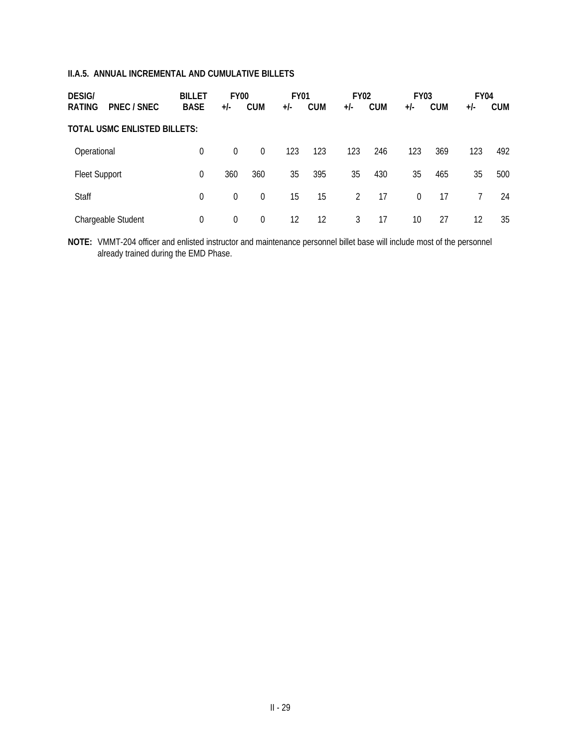| <b>DESIG/</b>                       | <b>BILLET</b> | <b>FY00</b> |            | <b>FY01</b> |            | <b>FY02</b> |            | <b>FY03</b> |            | <b>FY04</b> |            |
|-------------------------------------|---------------|-------------|------------|-------------|------------|-------------|------------|-------------|------------|-------------|------------|
| <b>RATING</b><br>PNEC / SNEC        | <b>BASE</b>   | $+/-$       | <b>CUM</b> | $+/-$       | <b>CUM</b> | $+/-$       | <b>CUM</b> | $+/-$       | <b>CUM</b> | $+/-$       | <b>CUM</b> |
| <b>TOTAL USMC ENLISTED BILLETS:</b> |               |             |            |             |            |             |            |             |            |             |            |
| Operational                         | 0             | $\Omega$    | $\Omega$   | 123         | 123        | 123         | 246        | 123         | 369        | 123         | 492        |
| Fleet Support                       | 0             | 360         | 360        | 35          | 395        | 35          | 430        | 35          | 465        | 35          | 500        |
| Staff                               | 0             | $\Omega$    | $\Omega$   | 15          | 15         | 2           | 17         | $\Omega$    | 17         |             | 24         |
| Chargeable Student                  | 0             | 0           | $\Omega$   | 12          | 12         | 3           | 17         | 10          | 27         | 12          | 35         |

**NOTE:** VMMT-204 officer and enlisted instructor and maintenance personnel billet base will include most of the personnel already trained during the EMD Phase.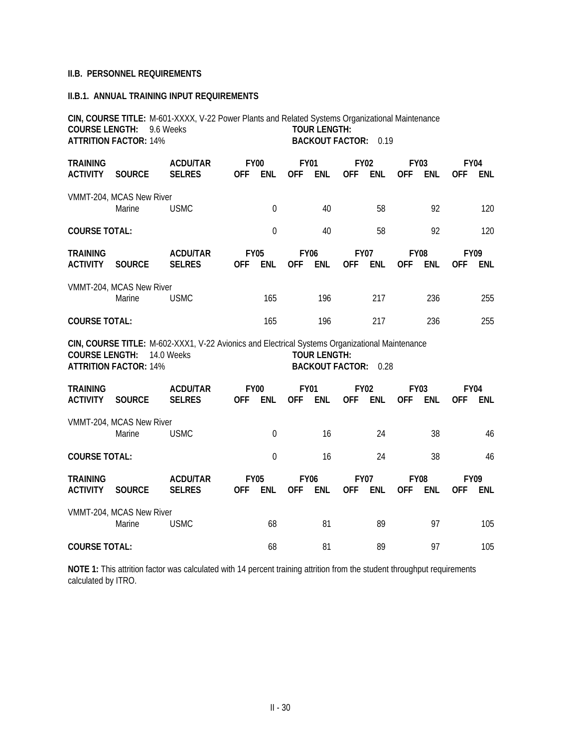## **II.B. PERSONNEL REQUIREMENTS**

#### **II.B.1. ANNUAL TRAINING INPUT REQUIREMENTS**

|                                    | CIN, COURSE TITLE: M-601-XXXX, V-22 Power Plants and Related Systems Organizational Maintenance<br><b>COURSE LENGTH: 9.6 Weeks</b><br><b>TOUR LENGTH:</b><br><b>ATTRITION FACTOR: 14%</b><br><b>BACKOUT FACTOR:</b><br>0.19 |                                                                                                              |            |                           |                           |                                               |                           |            |                           |            |                           |            |
|------------------------------------|-----------------------------------------------------------------------------------------------------------------------------------------------------------------------------------------------------------------------------|--------------------------------------------------------------------------------------------------------------|------------|---------------------------|---------------------------|-----------------------------------------------|---------------------------|------------|---------------------------|------------|---------------------------|------------|
| <b>TRAINING</b><br><b>ACTIVITY</b> | <b>SOURCE</b>                                                                                                                                                                                                               | <b>ACDU/TAR</b><br><b>SELRES</b>                                                                             | <b>OFF</b> | <b>FY00</b><br><b>ENL</b> | <b>FY01</b><br><b>OFF</b> | <b>ENL</b>                                    | <b>FY02</b><br><b>OFF</b> | <b>ENL</b> | <b>FY03</b><br><b>OFF</b> | <b>ENL</b> | <b>FY04</b><br><b>OFF</b> | <b>ENL</b> |
|                                    | VMMT-204, MCAS New River<br>Marine                                                                                                                                                                                          | <b>USMC</b>                                                                                                  |            | $\mathbf 0$               |                           | 40                                            |                           | 58         |                           | 92         |                           | 120        |
| <b>COURSE TOTAL:</b>               |                                                                                                                                                                                                                             |                                                                                                              |            | $\mathbf 0$               |                           | 40                                            |                           | 58         |                           | 92         |                           | 120        |
| <b>TRAINING</b><br><b>ACTIVITY</b> | <b>SOURCE</b>                                                                                                                                                                                                               | <b>ACDU/TAR</b><br><b>SELRES</b>                                                                             | <b>OFF</b> | <b>FY05</b><br><b>ENL</b> | <b>FY06</b><br><b>OFF</b> | <b>ENL</b>                                    | <b>FY07</b><br><b>OFF</b> | <b>ENL</b> | <b>FY08</b><br><b>OFF</b> | <b>ENL</b> | <b>FY09</b><br><b>OFF</b> | <b>ENL</b> |
|                                    | VMMT-204, MCAS New River<br>Marine                                                                                                                                                                                          | <b>USMC</b>                                                                                                  |            | 165                       |                           | 196                                           |                           | 217        |                           | 236        |                           | 255        |
| <b>COURSE TOTAL:</b>               |                                                                                                                                                                                                                             |                                                                                                              |            | 165                       |                           | 196                                           |                           | 217        |                           | 236        |                           | 255        |
| <b>COURSE LENGTH:</b>              | <b>ATTRITION FACTOR: 14%</b>                                                                                                                                                                                                | CIN, COURSE TITLE: M-602-XXX1, V-22 Avionics and Electrical Systems Organizational Maintenance<br>14.0 Weeks |            |                           |                           | <b>TOUR LENGTH:</b><br><b>BACKOUT FACTOR:</b> |                           | 0.28       |                           |            |                           |            |
| <b>TRAINING</b><br><b>ACTIVITY</b> | <b>SOURCE</b>                                                                                                                                                                                                               | <b>ACDU/TAR</b><br><b>SELRES</b>                                                                             | <b>OFF</b> | <b>FY00</b><br><b>ENL</b> | <b>FY01</b><br><b>OFF</b> | <b>ENL</b>                                    | <b>FY02</b><br><b>OFF</b> | <b>ENL</b> | <b>FY03</b><br><b>OFF</b> | <b>ENL</b> | <b>FY04</b><br><b>OFF</b> | <b>ENL</b> |
|                                    | VMMT-204, MCAS New River<br>Marine                                                                                                                                                                                          | <b>USMC</b>                                                                                                  |            | $\mathbf 0$               |                           | 16                                            |                           | 24         |                           | 38         |                           | 46         |
| <b>COURSE TOTAL:</b>               |                                                                                                                                                                                                                             |                                                                                                              |            | $\mathbf 0$               |                           | 16                                            |                           | 24         |                           | 38         |                           | 46         |
| <b>TRAINING</b><br><b>ACTIVITY</b> | <b>SOURCE</b>                                                                                                                                                                                                               | <b>ACDU/TAR</b><br><b>SELRES</b>                                                                             | <b>OFF</b> | <b>FY05</b><br><b>ENL</b> | <b>FY06</b><br>0FF        | <b>ENL</b>                                    | <b>FY07</b><br><b>OFF</b> | <b>ENL</b> | <b>FY08</b><br><b>OFF</b> | <b>ENL</b> | <b>FY09</b><br><b>OFF</b> | <b>ENL</b> |
|                                    | VMMT-204, MCAS New River<br>Marine                                                                                                                                                                                          | <b>USMC</b>                                                                                                  |            | 68                        |                           | 81                                            |                           | 89         |                           | 97         |                           | 105        |
| <b>COURSE TOTAL:</b>               |                                                                                                                                                                                                                             |                                                                                                              |            | 68                        |                           | 81                                            |                           | 89         |                           | 97         |                           | 105        |

**NOTE 1:** This attrition factor was calculated with 14 percent training attrition from the student throughput requirements calculated by ITRO.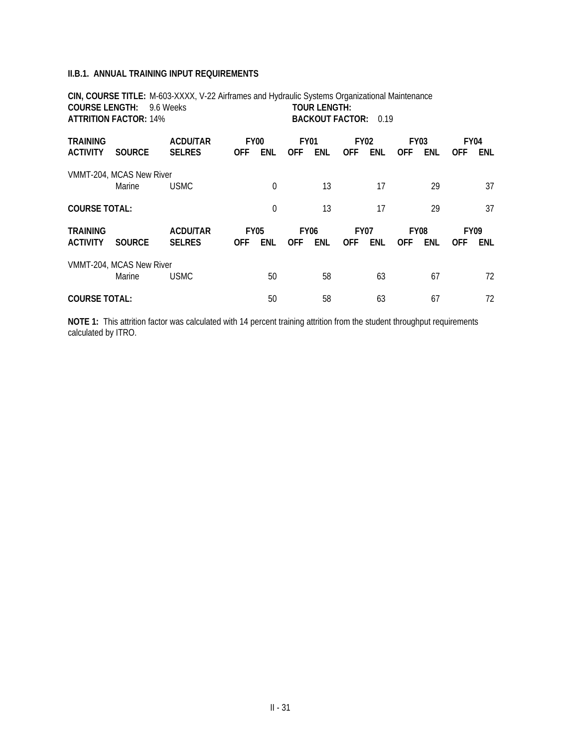#### **II.B.1. ANNUAL TRAINING INPUT REQUIREMENTS**

**CIN, COURSE TITLE:** M-603-XXXX, V-22 Airframes and Hydraulic Systems Organizational Maintenance **COURSE LENGTH:** 9.6 Weeks **ATTRITION FACTOR:** 14% **BACKOUT FACTOR:** 0.19 **TRAINING ACDU/TAR FY00 FY01 FY02 FY03 FY04 ACTIVITY SOURCE SELRES OFF ENL OFF ENL OFF ENL OFF ENL OFF ENL** VMMT-204, MCAS New River Marine USMC 0 13 17 29 37 **COURSE TOTAL:** 0 13 17 29 37 **TRAINING ACDU/TAR FY05 FY06 FY07 FY08 FY09 ACTIVITY SOURCE SELRES OFF ENL OFF ENL OFF ENL OFF ENL OFF ENL** VMMT-204, MCAS New River Marine USMC 50 58 63 67 72 **COURSE TOTAL:**  $\begin{array}{ccccccc} 50 & 58 & 63 & 67 & 72 \end{array}$ 

**NOTE 1:** This attrition factor was calculated with 14 percent training attrition from the student throughput requirements calculated by ITRO.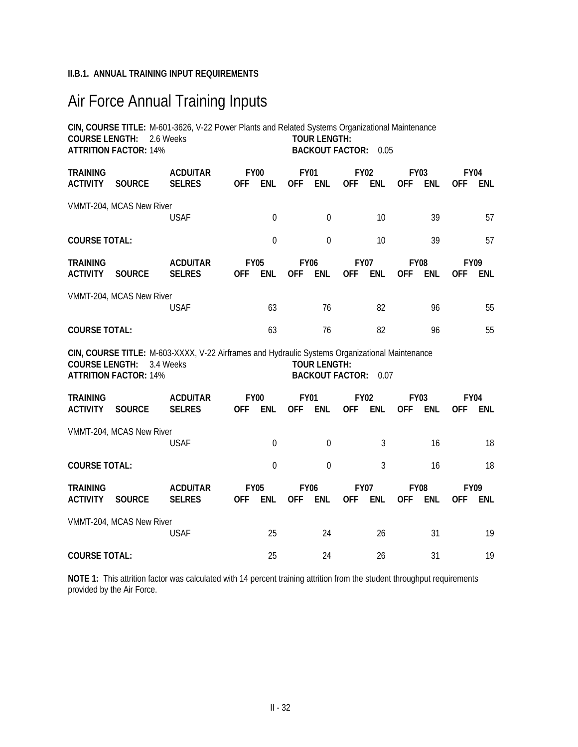## **II.B.1. ANNUAL TRAINING INPUT REQUIREMENTS**

# Air Force Annual Training Inputs

|                                    | <b>COURSE LENGTH: 2.6 Weeks</b><br><b>ATTRITION FACTOR: 14%</b> | CIN, COURSE TITLE: M-601-3626, V-22 Power Plants and Related Systems Organizational Maintenance             |            |                           |                           | <b>TOUR LENGTH:</b><br><b>BACKOUT FACTOR: 0.05</b> |                           |                           |                           |                           |            |                           |
|------------------------------------|-----------------------------------------------------------------|-------------------------------------------------------------------------------------------------------------|------------|---------------------------|---------------------------|----------------------------------------------------|---------------------------|---------------------------|---------------------------|---------------------------|------------|---------------------------|
| <b>TRAINING</b><br><b>ACTIVITY</b> | <b>SOURCE</b>                                                   | <b>ACDU/TAR</b><br><b>SELRES</b>                                                                            | <b>OFF</b> | <b>FY00</b><br><b>ENL</b> | <b>OFF</b>                | <b>FY01</b><br>ENL                                 | <b>OFF</b>                | <b>FY02</b><br><b>ENL</b> | <b>OFF</b>                | <b>FY03</b><br><b>ENL</b> | <b>OFF</b> | <b>FY04</b><br><b>ENL</b> |
|                                    | VMMT-204, MCAS New River                                        | <b>USAF</b>                                                                                                 |            | $\mathbf 0$               |                           | $\mathbf 0$                                        |                           | 10                        |                           | 39                        |            | 57                        |
| <b>COURSE TOTAL:</b>               |                                                                 |                                                                                                             |            | $\mathbf 0$               |                           | $\mathbf 0$                                        |                           | 10                        |                           | 39                        |            | 57                        |
| <b>TRAINING</b><br><b>ACTIVITY</b> | <b>SOURCE</b>                                                   | <b>ACDU/TAR</b><br><b>SELRES</b>                                                                            | <b>OFF</b> | <b>FY05</b><br>ENL        | <b>OFF</b>                | <b>FY06</b><br><b>ENL</b>                          | <b>FY07</b><br><b>OFF</b> | ENL                       | <b>FY08</b><br><b>OFF</b> | <b>ENL</b>                | <b>OFF</b> | <b>FY09</b><br><b>ENL</b> |
|                                    | VMMT-204, MCAS New River                                        | <b>USAF</b>                                                                                                 |            | 63                        |                           | 76                                                 |                           | 82                        |                           | 96                        |            | 55                        |
| <b>COURSE TOTAL:</b>               |                                                                 |                                                                                                             |            | 63                        |                           | 76                                                 |                           | 82                        |                           | 96                        |            | 55                        |
| <b>COURSE LENGTH:</b>              | <b>ATTRITION FACTOR: 14%</b>                                    | CIN, COURSE TITLE: M-603-XXXX, V-22 Airframes and Hydraulic Systems Organizational Maintenance<br>3.4 Weeks |            |                           |                           | <b>TOUR LENGTH:</b><br><b>BACKOUT FACTOR: 0.07</b> |                           |                           |                           |                           |            |                           |
| <b>TRAINING</b><br><b>ACTIVITY</b> | <b>SOURCE</b>                                                   | <b>ACDU/TAR</b><br><b>SELRES</b>                                                                            | <b>OFF</b> | <b>FY00</b><br><b>ENL</b> | <b>FY01</b><br><b>OFF</b> | <b>ENL</b>                                         | <b>OFF</b>                | <b>FY02</b><br><b>ENL</b> | <b>OFF</b>                | <b>FY03</b><br><b>ENL</b> | <b>OFF</b> | <b>FY04</b><br><b>ENL</b> |
|                                    | VMMT-204, MCAS New River                                        | <b>USAF</b>                                                                                                 |            | $\mathbf 0$               |                           | $\mathbf 0$                                        |                           | 3                         |                           | 16                        |            | 18                        |
| <b>COURSE TOTAL:</b>               |                                                                 |                                                                                                             |            | $\mathbf 0$               |                           | $\overline{0}$                                     |                           | 3                         |                           | 16                        |            | 18                        |
| <b>TRAINING</b><br><b>ACTIVITY</b> | <b>SOURCE</b>                                                   | <b>ACDU/TAR</b><br><b>SELRES</b>                                                                            | <b>OFF</b> | <b>FY05</b><br>ENL        | <b>OFF</b>                | <b>FY06</b><br><b>ENL</b>                          | <b>OFF</b>                | <b>FY07</b><br>ENL        | <b>FY08</b><br><b>OFF</b> | <b>ENL</b>                | <b>OFF</b> | <b>FY09</b><br>ENL        |
|                                    | VMMT-204, MCAS New River                                        |                                                                                                             |            |                           |                           |                                                    |                           |                           |                           |                           |            |                           |
|                                    |                                                                 | <b>USAF</b>                                                                                                 |            | 25                        |                           | 24                                                 |                           | 26                        |                           | 31                        |            | 19                        |
| <b>COURSE TOTAL:</b>               |                                                                 |                                                                                                             |            | 25                        |                           | 24                                                 |                           | 26                        |                           | 31                        |            | 19                        |

**NOTE 1:** This attrition factor was calculated with 14 percent training attrition from the student throughput requirements provided by the Air Force.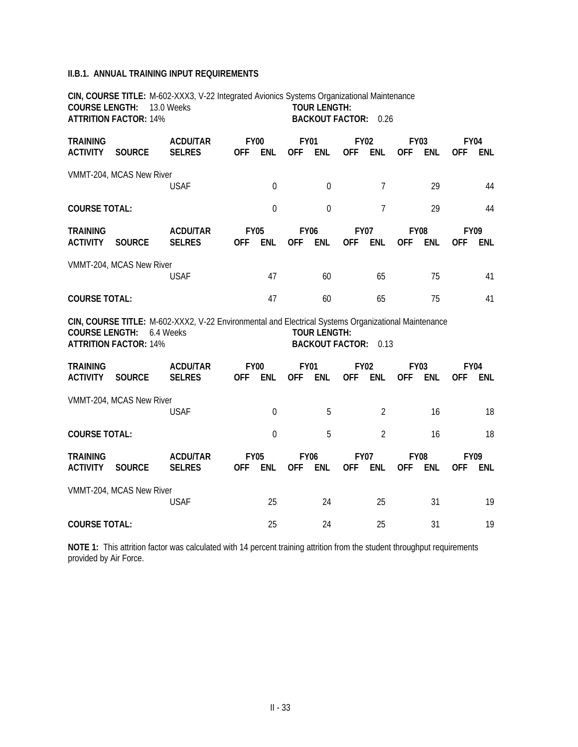## **II.B.1. ANNUAL TRAINING INPUT REQUIREMENTS**

|                                    | <b>COURSE LENGTH: 13.0 Weeks</b><br><b>ATTRITION FACTOR: 14%</b> | CIN, COURSE TITLE: M-602-XXX3, V-22 Integrated Avionics Systems Organizational Maintenance                       |            |                           |                           | <b>TOUR LENGTH:</b><br><b>BACKOUT FACTOR: 0.26</b> |                           |                |                           |            |            |                           |
|------------------------------------|------------------------------------------------------------------|------------------------------------------------------------------------------------------------------------------|------------|---------------------------|---------------------------|----------------------------------------------------|---------------------------|----------------|---------------------------|------------|------------|---------------------------|
| <b>TRAINING</b><br><b>ACTIVITY</b> | <b>SOURCE</b>                                                    | <b>ACDU/TAR</b><br><b>SELRES</b>                                                                                 | <b>OFF</b> | <b>FY00</b><br><b>ENL</b> | <b>FY01</b><br><b>OFF</b> | <b>ENL</b>                                         | <b>FY02</b><br><b>OFF</b> | <b>ENL</b>     | <b>FY03</b><br><b>OFF</b> | <b>ENL</b> | <b>OFF</b> | <b>FY04</b><br>ENL        |
|                                    | VMMT-204, MCAS New River                                         | <b>USAF</b>                                                                                                      |            | $\boldsymbol{0}$          |                           | $\mathbf 0$                                        |                           | $\overline{7}$ |                           | 29         |            | 44                        |
| <b>COURSE TOTAL:</b>               |                                                                  |                                                                                                                  |            | $\overline{0}$            |                           | $\overline{0}$                                     |                           | $\overline{7}$ |                           | 29         |            | 44                        |
| <b>TRAINING</b><br><b>ACTIVITY</b> | <b>SOURCE</b>                                                    | <b>ACDU/TAR</b><br><b>SELRES</b>                                                                                 | <b>OFF</b> | <b>FY05</b><br>ENL        | <b>FY06</b><br><b>OFF</b> | ENL                                                | <b>FY07</b><br><b>OFF</b> | ENL            | <b>FY08</b><br><b>OFF</b> | <b>ENL</b> | <b>OFF</b> | <b>FY09</b><br><b>ENL</b> |
|                                    | VMMT-204, MCAS New River                                         | <b>USAF</b>                                                                                                      |            | 47                        |                           | 60                                                 |                           | 65             |                           | 75         |            | 41                        |
| <b>COURSE TOTAL:</b>               |                                                                  |                                                                                                                  |            | 47                        |                           | 60                                                 |                           | 65             |                           | 75         |            | 41                        |
| <b>COURSE LENGTH:</b>              | <b>ATTRITION FACTOR: 14%</b>                                     | CIN, COURSE TITLE: M-602-XXX2, V-22 Environmental and Electrical Systems Organizational Maintenance<br>6.4 Weeks |            |                           |                           | <b>TOUR LENGTH:</b><br><b>BACKOUT FACTOR: 0.13</b> |                           |                |                           |            |            |                           |
| <b>TRAINING</b><br><b>ACTIVITY</b> | <b>SOURCE</b>                                                    | <b>ACDU/TAR</b><br><b>SELRES</b>                                                                                 | <b>OFF</b> | <b>FY00</b><br><b>ENL</b> | <b>FY01</b>               | OFF ENL                                            | <b>FY02</b><br><b>OFF</b> | <b>ENL</b>     | <b>FY03</b><br><b>OFF</b> | ENL        | <b>OFF</b> | <b>FY04</b><br><b>ENL</b> |
|                                    | VMMT-204, MCAS New River                                         | <b>USAF</b>                                                                                                      |            | $\mathbf 0$               |                           | 5                                                  |                           | $\overline{2}$ |                           | 16         |            | 18                        |
| <b>COURSE TOTAL:</b>               |                                                                  |                                                                                                                  |            | $\overline{0}$            |                           | 5                                                  |                           | $\overline{2}$ |                           | 16         |            | 18                        |
| <b>TRAINING</b><br><b>ACTIVITY</b> | <b>SOURCE</b>                                                    | <b>ACDU/TAR</b><br><b>SELRES</b>                                                                                 | <b>OFF</b> | <b>FY05</b><br>ENL        | <b>FY06</b><br><b>OFF</b> | ENL                                                | <b>FY07</b><br><b>OFF</b> | ENL            | <b>FY08</b><br><b>OFF</b> | <b>ENL</b> | <b>OFF</b> | <b>FY09</b><br><b>ENL</b> |
|                                    | VMMT-204, MCAS New River                                         | <b>USAF</b>                                                                                                      |            | 25                        |                           | 24                                                 |                           | 25             |                           | 31         |            | 19                        |
| <b>COURSE TOTAL:</b>               |                                                                  |                                                                                                                  |            | 25                        |                           | 24                                                 |                           | 25             |                           | 31         |            | 19                        |

**NOTE 1:** This attrition factor was calculated with 14 percent training attrition from the student throughput requirements provided by Air Force.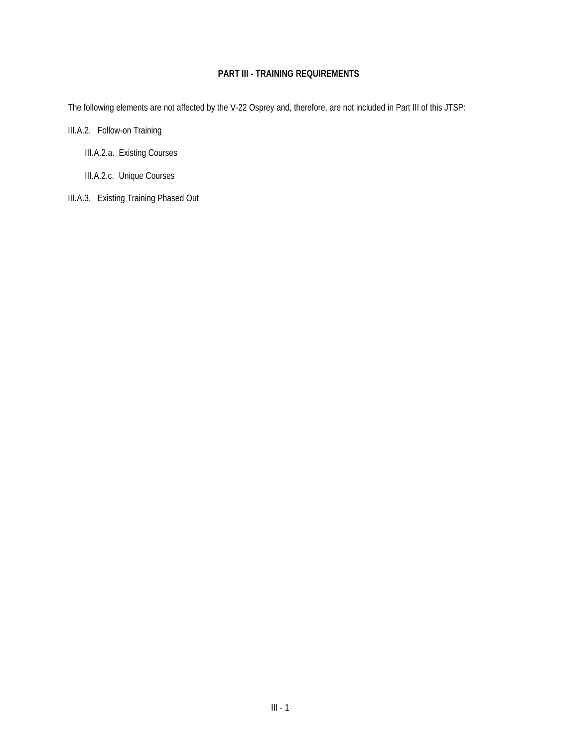## **PART III - TRAINING REQUIREMENTS**

The following elements are not affected by the V-22 Osprey and, therefore, are not included in Part III of this JTSP:

III.A.2. Follow-on Training

III.A.2.a. Existing Courses

III.A.2.c. Unique Courses

III.A.3. Existing Training Phased Out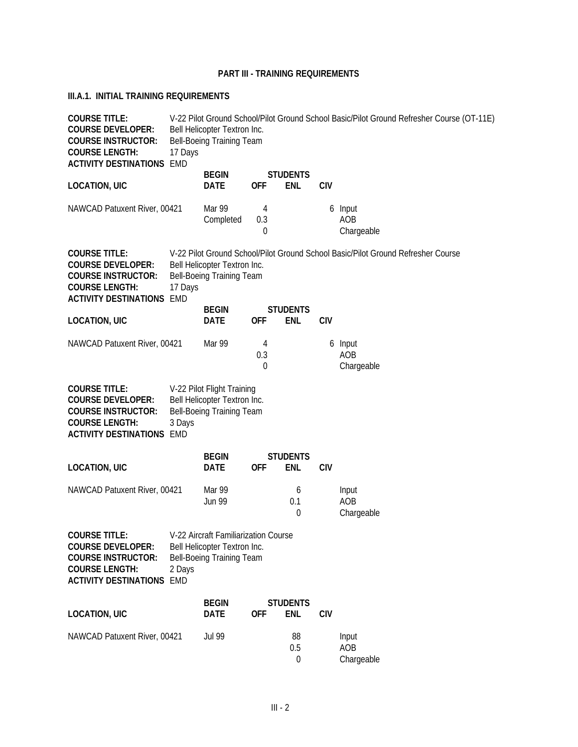## **PART III - TRAINING REQUIREMENTS**

## **III.A.1. INITIAL TRAINING REQUIREMENTS**

| <b>COURSE TITLE:</b><br><b>COURSE DEVELOPER:</b><br><b>COURSE INSTRUCTOR:</b><br><b>COURSE LENGTH:</b><br><b>ACTIVITY DESTINATIONS EMD</b> | 17 Days | Bell Helicopter Textron Inc.<br>Bell-Boeing Training Team                                         |               |                               |            | V-22 Pilot Ground School/Pilot Ground School Basic/Pilot Ground Refresher Course (OT-11E) |
|--------------------------------------------------------------------------------------------------------------------------------------------|---------|---------------------------------------------------------------------------------------------------|---------------|-------------------------------|------------|-------------------------------------------------------------------------------------------|
| <b>LOCATION, UIC</b>                                                                                                                       |         | <b>BEGIN</b><br><b>DATE</b>                                                                       | <b>OFF</b>    | <b>STUDENTS</b><br><b>ENL</b> | <b>CIV</b> |                                                                                           |
| NAWCAD Patuxent River, 00421                                                                                                               |         | Mar 99<br>Completed                                                                               | 4<br>0.3<br>0 |                               |            | 6 Input<br>AOB<br>Chargeable                                                              |
| <b>COURSE TITLE:</b><br><b>COURSE DEVELOPER:</b><br><b>COURSE INSTRUCTOR:</b><br><b>COURSE LENGTH:</b><br><b>ACTIVITY DESTINATIONS EMD</b> | 17 Days | Bell Helicopter Textron Inc.<br>Bell-Boeing Training Team                                         |               |                               |            | V-22 Pilot Ground School/Pilot Ground School Basic/Pilot Ground Refresher Course          |
| <b>LOCATION, UIC</b>                                                                                                                       |         | <b>BEGIN</b><br><b>DATE</b>                                                                       | <b>OFF</b>    | <b>STUDENTS</b><br><b>ENL</b> | <b>CIV</b> |                                                                                           |
| NAWCAD Patuxent River, 00421                                                                                                               |         | Mar 99                                                                                            | 4<br>0.3<br>0 |                               |            | 6 Input<br>AOB<br>Chargeable                                                              |
| <b>COURSE TITLE:</b><br><b>COURSE DEVELOPER:</b><br><b>COURSE INSTRUCTOR:</b><br><b>COURSE LENGTH:</b><br><b>ACTIVITY DESTINATIONS EMD</b> | 3 Days  | V-22 Pilot Flight Training<br>Bell Helicopter Textron Inc.<br>Bell-Boeing Training Team           |               |                               |            |                                                                                           |
| <b>LOCATION, UIC</b>                                                                                                                       |         | <b>BEGIN</b><br><b>DATE</b>                                                                       | <b>OFF</b>    | <b>STUDENTS</b><br><b>ENL</b> | <b>CIV</b> |                                                                                           |
| NAWCAD Patuxent River, 00421                                                                                                               |         | Mar 99<br><b>Jun 99</b>                                                                           |               | 6<br>0.1<br>0                 |            | Input<br>AOB<br>Chargeable                                                                |
| <b>COURSE TITLE:</b><br><b>COURSE DEVELOPER:</b><br><b>COURSE INSTRUCTOR:</b><br><b>COURSE LENGTH:</b><br><b>ACTIVITY DESTINATIONS EMD</b> | 2 Days  | V-22 Aircraft Familiarization Course<br>Bell Helicopter Textron Inc.<br>Bell-Boeing Training Team |               |                               |            |                                                                                           |
| <b>LOCATION, UIC</b>                                                                                                                       |         | <b>BEGIN</b><br><b>DATE</b>                                                                       | <b>OFF</b>    | <b>STUDENTS</b><br><b>ENL</b> | <b>CIV</b> |                                                                                           |
| NAWCAD Patuxent River, 00421                                                                                                               |         | <b>Jul 99</b>                                                                                     |               | 88<br>0.5<br>0                |            | Input<br>AOB<br>Chargeable                                                                |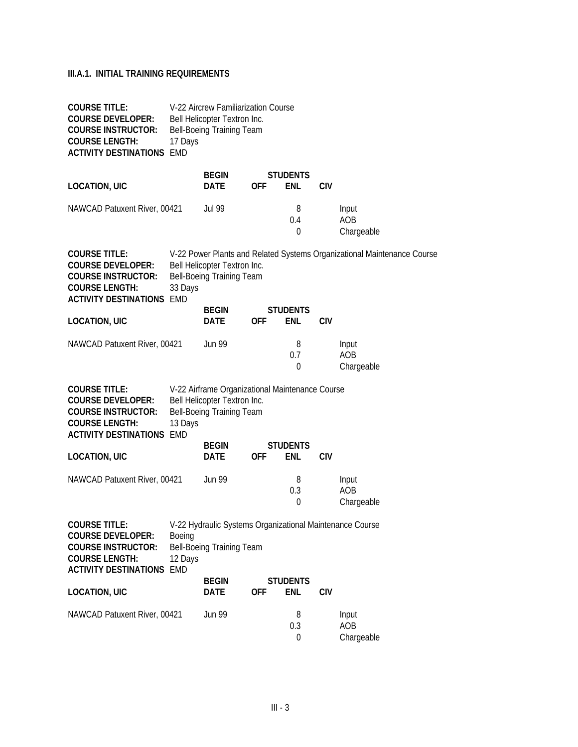## **III.A.1. INITIAL TRAINING REQUIREMENTS**

| <b>COURSE TITLE:</b><br><b>COURSE DEVELOPER:</b><br><b>COURSE INSTRUCTOR:</b><br><b>COURSE LENGTH:</b><br><b>ACTIVITY DESTINATIONS EMD</b> | 17 Days           | V-22 Aircrew Familiarization Course<br>Bell Helicopter Textron Inc.<br>Bell-Boeing Training Team             |            |                               |            |                                                                         |
|--------------------------------------------------------------------------------------------------------------------------------------------|-------------------|--------------------------------------------------------------------------------------------------------------|------------|-------------------------------|------------|-------------------------------------------------------------------------|
| <b>LOCATION, UIC</b>                                                                                                                       |                   | <b>BEGIN</b><br>DATE                                                                                         | 0FF        | <b>STUDENTS</b><br><b>ENL</b> | <b>CIV</b> |                                                                         |
| NAWCAD Patuxent River, 00421                                                                                                               |                   | Jul 99                                                                                                       |            | 8<br>0.4<br>$\theta$          |            | Input<br>AOB<br>Chargeable                                              |
| <b>COURSE TITLE:</b><br><b>COURSE DEVELOPER:</b><br><b>COURSE INSTRUCTOR:</b><br><b>COURSE LENGTH:</b><br><b>ACTIVITY DESTINATIONS EMD</b> | 33 Days           | Bell Helicopter Textron Inc.<br>Bell-Boeing Training Team                                                    |            |                               |            | V-22 Power Plants and Related Systems Organizational Maintenance Course |
| <b>LOCATION, UIC</b>                                                                                                                       |                   | <b>BEGIN</b><br>DATE                                                                                         | <b>OFF</b> | <b>STUDENTS</b><br><b>ENL</b> | <b>CIV</b> |                                                                         |
| NAWCAD Patuxent River, 00421                                                                                                               |                   | <b>Jun 99</b>                                                                                                |            | 8<br>0.7<br>$\theta$          |            | Input<br>AOB<br>Chargeable                                              |
| <b>COURSE TITLE:</b><br><b>COURSE DEVELOPER:</b><br><b>COURSE INSTRUCTOR:</b><br><b>COURSE LENGTH:</b><br><b>ACTIVITY DESTINATIONS EMD</b> | 13 Days           | V-22 Airframe Organizational Maintenance Course<br>Bell Helicopter Textron Inc.<br>Bell-Boeing Training Team |            |                               |            |                                                                         |
| <b>LOCATION, UIC</b>                                                                                                                       |                   | <b>BEGIN</b><br>DATE                                                                                         | <b>OFF</b> | <b>STUDENTS</b><br><b>ENL</b> | <b>CIV</b> |                                                                         |
| NAWCAD Patuxent River, 00421                                                                                                               |                   | <b>Jun 99</b>                                                                                                |            | 8<br>0.3<br>$\theta$          |            | Input<br>AOB<br>Chargeable                                              |
| <b>COURSE TITLE:</b><br><b>COURSE DEVELOPER:</b><br><b>COURSE INSTRUCTOR:</b><br><b>COURSE LENGTH:</b><br><b>ACTIVITY DESTINATIONS EMD</b> | Boeing<br>12 Days | V-22 Hydraulic Systems Organizational Maintenance Course<br>Bell-Boeing Training Team                        |            |                               |            |                                                                         |
| <b>LOCATION, UIC</b>                                                                                                                       |                   | <b>BEGIN</b><br>DATE                                                                                         | <b>OFF</b> | <b>STUDENTS</b><br><b>ENL</b> | <b>CIV</b> |                                                                         |
| NAWCAD Patuxent River, 00421                                                                                                               |                   | <b>Jun 99</b>                                                                                                |            | 8<br>0.3<br>$\boldsymbol{0}$  |            | Input<br>AOB<br>Chargeable                                              |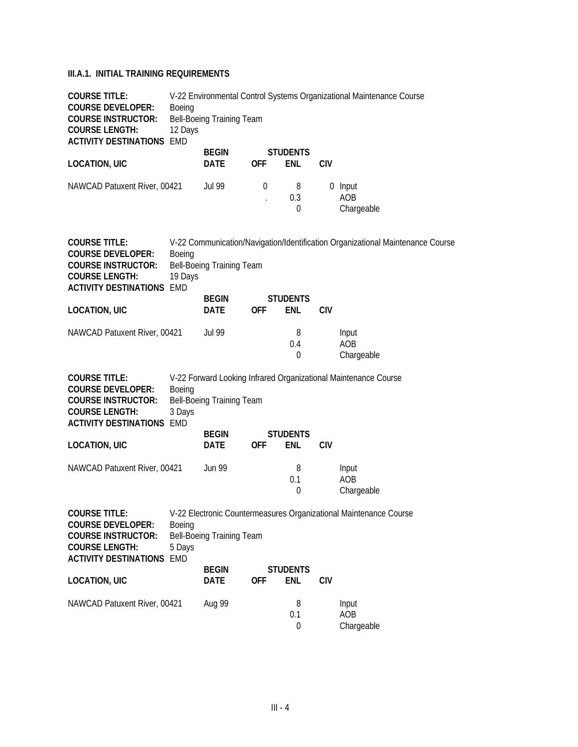## **III.A.1. INITIAL TRAINING REQUIREMENTS**

| <b>COURSE TITLE:</b><br><b>COURSE DEVELOPER:</b><br><b>COURSE INSTRUCTOR:</b><br><b>COURSE LENGTH:</b><br><b>ACTIVITY DESTINATIONS EMD</b> | Boeing<br>12 Days | Bell-Boeing Training Team   |                                                                 |                               |            | V-22 Environmental Control Systems Organizational Maintenance Course           |
|--------------------------------------------------------------------------------------------------------------------------------------------|-------------------|-----------------------------|-----------------------------------------------------------------|-------------------------------|------------|--------------------------------------------------------------------------------|
| <b>LOCATION, UIC</b>                                                                                                                       |                   | <b>BEGIN</b><br><b>DATE</b> | <b>OFF</b>                                                      | <b>STUDENTS</b><br>ENL        | <b>CIV</b> |                                                                                |
| NAWCAD Patuxent River, 00421                                                                                                               |                   | <b>Jul 99</b>               | 0<br>$\ddot{\phantom{0}}$                                       | 8<br>0.3<br>0                 |            | 0 Input<br>AOB<br>Chargeable                                                   |
| <b>COURSE TITLE:</b><br><b>COURSE DEVELOPER:</b><br><b>COURSE INSTRUCTOR:</b><br><b>COURSE LENGTH:</b>                                     | Boeing<br>19 Days | Bell-Boeing Training Team   |                                                                 |                               |            | V-22 Communication/Navigation/Identification Organizational Maintenance Course |
| <b>ACTIVITY DESTINATIONS EMD</b>                                                                                                           |                   | <b>BEGIN</b>                |                                                                 | <b>STUDENTS</b>               |            |                                                                                |
| <b>LOCATION, UIC</b>                                                                                                                       |                   | <b>DATE</b>                 | <b>OFF</b>                                                      | ENL                           | <b>CIV</b> |                                                                                |
| NAWCAD Patuxent River, 00421                                                                                                               |                   | <b>Jul 99</b>               |                                                                 | 8<br>0.4<br>0                 |            | Input<br>AOB<br>Chargeable                                                     |
| <b>COURSE TITLE:</b><br><b>COURSE DEVELOPER:</b><br><b>COURSE INSTRUCTOR:</b><br><b>COURSE LENGTH:</b><br><b>ACTIVITY DESTINATIONS EMD</b> | Boeing<br>3 Days  | Bell-Boeing Training Team   | V-22 Forward Looking Infrared Organizational Maintenance Course |                               |            |                                                                                |
| <b>LOCATION, UIC</b>                                                                                                                       |                   | <b>BEGIN</b><br>DATE        | <b>OFF</b>                                                      | <b>STUDENTS</b><br><b>ENL</b> | <b>CIV</b> |                                                                                |
| NAWCAD Patuxent River, 00421                                                                                                               |                   | <b>Jun 99</b>               |                                                                 | 8<br>0.1<br>0                 |            | Input<br>AOB<br>Chargeable                                                     |
| <b>COURSE TITLE:</b><br><b>COURSE DEVELOPER:</b><br><b>COURSE INSTRUCTOR:</b><br><b>COURSE LENGTH:</b><br><b>ACTIVITY DESTINATIONS EMD</b> | Boeing<br>5 Days  | Bell-Boeing Training Team   |                                                                 |                               |            | V-22 Electronic Countermeasures Organizational Maintenance Course              |
|                                                                                                                                            |                   | <b>BEGIN</b>                |                                                                 | <b>STUDENTS</b>               |            |                                                                                |
| <b>LOCATION, UIC</b>                                                                                                                       |                   | <b>DATE</b>                 | <b>OFF</b>                                                      | <b>ENL</b>                    | <b>CIV</b> |                                                                                |
| NAWCAD Patuxent River, 00421                                                                                                               |                   | Aug 99                      |                                                                 | 8<br>0.1<br>0                 |            | Input<br>AOB<br>Chargeable                                                     |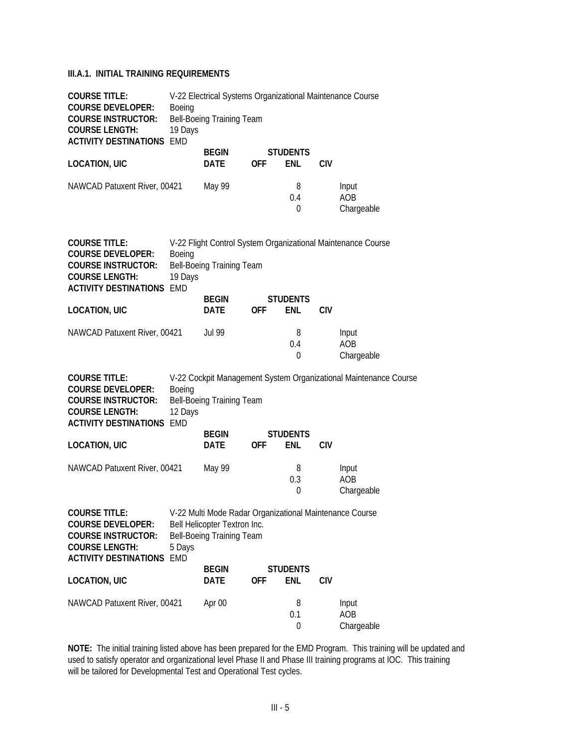## **III.A.1. INITIAL TRAINING REQUIREMENTS**

| <b>COURSE TITLE:</b><br><b>COURSE DEVELOPER:</b><br><b>COURSE INSTRUCTOR:</b><br><b>COURSE LENGTH:</b><br><b>ACTIVITY DESTINATIONS EMD</b> | Boeing<br>19 Days | V-22 Electrical Systems Organizational Maintenance Course<br>Bell-Boeing Training Team                               |            |                               |            |                                                                  |
|--------------------------------------------------------------------------------------------------------------------------------------------|-------------------|----------------------------------------------------------------------------------------------------------------------|------------|-------------------------------|------------|------------------------------------------------------------------|
| <b>LOCATION, UIC</b>                                                                                                                       |                   | <b>BEGIN</b><br>DATE                                                                                                 | <b>OFF</b> | <b>STUDENTS</b><br><b>ENL</b> | <b>CIV</b> |                                                                  |
| NAWCAD Patuxent River, 00421                                                                                                               |                   | May 99                                                                                                               |            | 8<br>0.4<br>0                 |            | Input<br>AOB<br>Chargeable                                       |
| <b>COURSE TITLE:</b><br><b>COURSE DEVELOPER:</b><br><b>COURSE INSTRUCTOR:</b><br><b>COURSE LENGTH:</b><br><b>ACTIVITY DESTINATIONS EMD</b> | Boeing<br>19 Days | Bell-Boeing Training Team                                                                                            |            |                               |            | V-22 Flight Control System Organizational Maintenance Course     |
| <b>LOCATION, UIC</b>                                                                                                                       |                   | <b>BEGIN</b><br>DATE                                                                                                 | <b>OFF</b> | <b>STUDENTS</b><br><b>ENL</b> | <b>CIV</b> |                                                                  |
| NAWCAD Patuxent River, 00421                                                                                                               |                   | <b>Jul 99</b>                                                                                                        |            | 8<br>0.4<br>$\theta$          |            | Input<br>AOB<br>Chargeable                                       |
| <b>COURSE TITLE:</b><br><b>COURSE DEVELOPER:</b><br><b>COURSE INSTRUCTOR:</b><br><b>COURSE LENGTH:</b><br><b>ACTIVITY DESTINATIONS EMD</b> | Boeing<br>12 Days | Bell-Boeing Training Team                                                                                            |            |                               |            | V-22 Cockpit Management System Organizational Maintenance Course |
| <b>LOCATION, UIC</b>                                                                                                                       |                   | <b>BEGIN</b><br>DATE                                                                                                 | <b>OFF</b> | <b>STUDENTS</b><br>ENL        | <b>CIV</b> |                                                                  |
| NAWCAD Patuxent River, 00421                                                                                                               |                   | May 99                                                                                                               |            | 8<br>0.3<br>$\theta$          |            | Input<br>AOB<br>Chargeable                                       |
| <b>COURSE TITLE:</b><br><b>COURSE DEVELOPER:</b><br><b>COURSE INSTRUCTOR:</b><br><b>COURSE LENGTH:</b><br><b>ACTIVITY DESTINATIONS EMD</b> | 5 Days            | V-22 Multi Mode Radar Organizational Maintenance Course<br>Bell Helicopter Textron Inc.<br>Bell-Boeing Training Team |            |                               |            |                                                                  |
| <b>LOCATION, UIC</b>                                                                                                                       |                   | <b>BEGIN</b><br><b>DATE</b>                                                                                          | <b>OFF</b> | <b>STUDENTS</b><br>ENL        | <b>CIV</b> |                                                                  |
| NAWCAD Patuxent River, 00421                                                                                                               |                   | Apr 00                                                                                                               |            | 8<br>0.1<br>0                 |            | Input<br>AOB<br>Chargeable                                       |

**NOTE:** The initial training listed above has been prepared for the EMD Program. This training will be updated and used to satisfy operator and organizational level Phase II and Phase III training programs at IOC. This training will be tailored for Developmental Test and Operational Test cycles.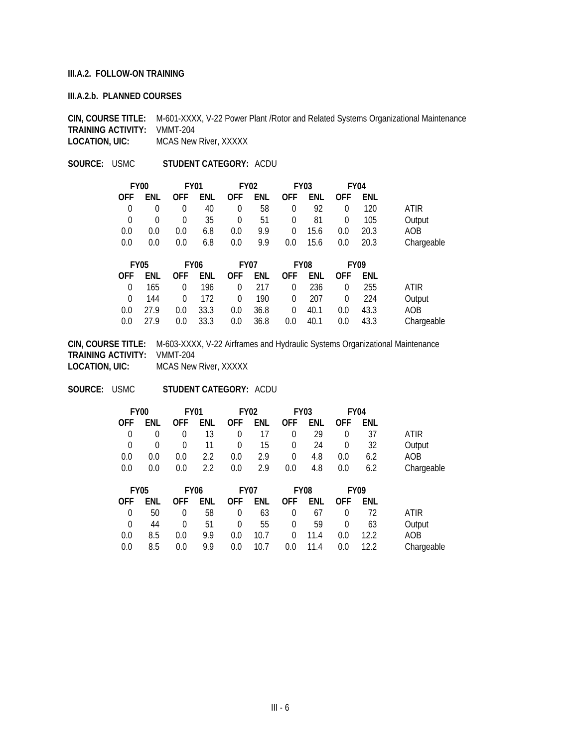#### **III.A.2. FOLLOW-ON TRAINING**

#### **III.A.2.b. PLANNED COURSES**

**CIN, COURSE TITLE:** M-601-XXXX, V-22 Power Plant /Rotor and Related Systems Organizational Maintenance **TRAINING ACTIVITY: VMMT-204**<br>**LOCATION, UIC:** MCAS New **MCAS New River, XXXXX** 

**SOURCE:** USMC **STUDENT CATEGORY:** ACDU

|            | <b>FY00</b> | <b>FY01</b> |             |             | <b>FY02</b> |            | <b>FY03</b><br><b>FY04</b> |                |             |            |
|------------|-------------|-------------|-------------|-------------|-------------|------------|----------------------------|----------------|-------------|------------|
| <b>OFF</b> | ENL         | <b>OFF</b>  | ENL         | <b>OFF</b>  | ENL         | <b>OFF</b> | ENL                        | <b>OFF</b>     | ENL         |            |
| 0          | $\theta$    | 0           | 40          | 0           | 58          | 0          | 92                         | $\theta$       | 120         | ATIR       |
| 0          | $\theta$    | 0           | 35          | 0           | 51          | 0          | 81                         | 0              | 105         | Output     |
| 0.0        | 0.0         | 0.0         | 6.8         | 0.0         | 9.9         | 0          | 15.6                       | 0.0            | 20.3        | AOB        |
| 0.0        | 0.0         | 0.0         | 6.8         | 0.0         | 9.9         | 0.0        | 15.6                       | 0.0            | 20.3        | Chargeable |
|            | <b>FY05</b> |             | <b>FY06</b> | <b>FY07</b> |             |            | <b>FY08</b>                |                | <b>FY09</b> |            |
| <b>OFF</b> | ENL         | <b>OFF</b>  | ENL         | <b>OFF</b>  | ENL         | <b>OFF</b> | ENL                        | <b>OFF</b>     | ENL         |            |
| 0          | 165         | 0           | 196         | 0           | 217         | 0          | 236                        | 0              | 255         | ATIR       |
| $\Omega$   | 144         | 0           | 172         | $\Omega$    | 190         | 0          | 207                        | $\overline{0}$ | 224         | Output     |
| 0.0        | 27.9        | 0.0         | 33.3        | 0.0         | 36.8        | $\Omega$   | 40.1                       | 0.0            | 43.3        | AOB        |

0.0 27.9 0.0 33.3 0.0 36.8 0.0 40.1 0.0 43.3 Chargeable

**CIN, COURSE TITLE:** M-603-XXXX, V-22 Airframes and Hydraulic Systems Organizational Maintenance **TRAINING ACTIVITY:** VMMT-204 **LOCATION, UIC:** MCAS New River, XXXXX

**SOURCE:** USMC **STUDENT CATEGORY:** ACDU

| FY <sub>00</sub> |          |                | FY01          |                         | <b>FY02</b> | FY03      |     | FY <sub>04</sub> |            |            |
|------------------|----------|----------------|---------------|-------------------------|-------------|-----------|-----|------------------|------------|------------|
| OFF.             | ENL      |                |               | OFF ENL OFF ENL OFF ENL |             |           |     | <b>OFF</b>       | <b>FNL</b> |            |
| $\Omega$         |          | $\overline{0}$ | 13            |                         | 0 $17$      | $\Omega$  | 29  | $\Omega$         | -37        | ATIR       |
| $\overline{0}$   | $\Omega$ | $\Omega$       | 11            |                         |             | 0 15 0 24 |     | $\overline{0}$   | -32        | Output     |
| 0.0              | 0.0      | 0.0            | $2.2^{\circ}$ | $0.0\,$                 | 2.9         | $\Omega$  | 4.8 | 0.0              | 6.2        | AOB.       |
| 0.0              | 0.0      | $0.0^{\circ}$  | $2.2^{\circ}$ | 0.0                     | 2.9         | $0.0\,$   | 4.8 | $0.0\,$          | 6.2        | Chargeable |
|                  |          |                |               |                         |             |           |     |                  |            |            |

|            |                | <b>FY09</b>    |            | FY08 |                         | <b>FY07</b> | FY06    |               | <b>FY05</b> |            |
|------------|----------------|----------------|------------|------|-------------------------|-------------|---------|---------------|-------------|------------|
|            | ENL            | <b>OFF</b>     |            |      | OFF ENL OFF ENL OFF ENL |             |         |               | ENL         | OFF.       |
| ATIR       | 72             | $\overline{0}$ | 63 0 67    |      |                         | 58 0        |         | $\Omega$      | 50          | $\bigcirc$ |
| Output     | -63            | $\Omega$       | 0 59       |      | 55                      | $\Omega$    | 51      | $\Omega$      | 44          | $\Omega$   |
| AOB        | $12.2^{\circ}$ | 0.0            |            |      | $0.0$ 10.7 0 11.4       |             | 99      | $0.0^{\circ}$ | 8.5         | 0.0        |
| Chargeable | 12.2           | 0.0            | $0.0$ 11.4 |      | $0.0$ 10.7              |             | $9.9$ . | 0.0           | 8.5         | 0.0        |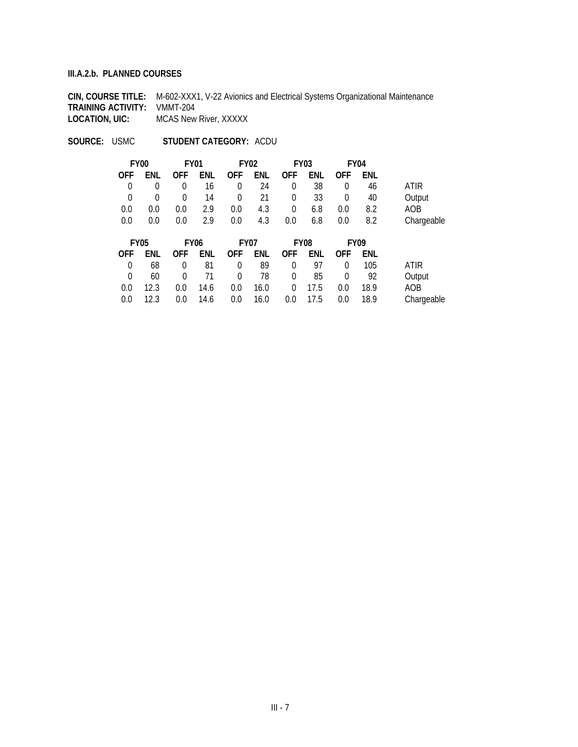#### **III.A.2.b. PLANNED COURSES**

**CIN, COURSE TITLE:** M-602-XXX1, V-22 Avionics and Electrical Systems Organizational Maintenance **TRAINING ACTIVITY:** VMMT-204<br>**LOCATION, UIC:** MCAS New **MCAS New River, XXXXX** 

**SOURCE:** USMC **STUDENT CATEGORY:** ACDU

| <b>FY00</b> |          | <b>FY01</b> |     |             | <b>FY02</b> |             | <b>FY03</b><br><b>FY04</b> |                |     |            |
|-------------|----------|-------------|-----|-------------|-------------|-------------|----------------------------|----------------|-----|------------|
| <b>OFF</b>  | ENL      | <b>OFF</b>  | ENL | <b>OFF</b>  | ENL         | <b>OFF</b>  | ENL                        | <b>OFF</b>     | ENL |            |
| 0           | 0        | 0           | 16  | 0           | 24          | 0           | 38                         | 0              | 46  | ATIR       |
| 0           | $\theta$ | 0           | 14  | 0           | 21          | 0           | 33                         | 0              | 40  | Output     |
| 0.0         | 0.0      | 0.0         | 2.9 | 0.0         | 4.3         | 0           | 6.8                        | 0.0            | 8.2 | AOB        |
| 0.0         | 0.0      | 0.0         | 2.9 | 0.0         | 4.3         | 0.0         | 6.8                        | 0.0            | 8.2 | Chargeable |
| <b>FY05</b> |          | <b>FY06</b> |     | <b>FY07</b> |             | <b>FY08</b> |                            | <b>FY09</b>    |     |            |
| <b>OFF</b>  | ENL      | <b>OFF</b>  | ENL | <b>OFF</b>  | ENL         | <b>OFF</b>  | ENL                        | <b>OFF</b>     | ENL |            |
| 0           | 68       | 0           | 81  | 0           | 89          | $\Omega$    | 97                         | 0              | 105 | ATIR       |
| 0           | 60       | $\theta$    | 71  | 0           | 78          | $\Omega$    | 85                         | $\overline{0}$ | 92  | Output     |

0.0 12.3 0.0 14.6 0.0 16.0 0 17.5 0.0 18.9 AOB 0.0 12.3 0.0 14.6 0.0 16.0 0.0 17.5 0.0 18.9 Chargeable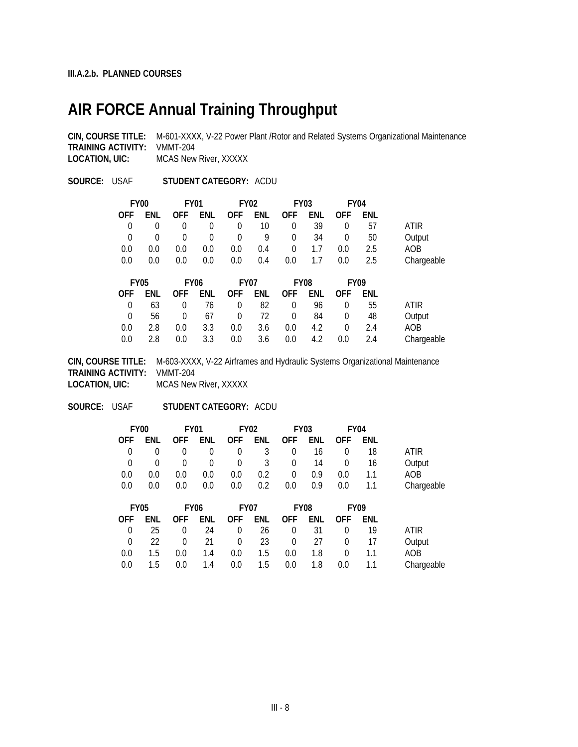## **AIR FORCE Annual Training Throughput**

**CIN, COURSE TITLE:** M-601-XXXX, V-22 Power Plant /Rotor and Related Systems Organizational Maintenance **TRAINING ACTIVITY:** VMMT-204 **LOCATION, UIC:** MCAS New River, XXXXX

**SOURCE:** USAF **STUDENT CATEGORY:** ACDU

|                | <b>FY00</b> | <b>FY01</b> |             |             | <b>FY02</b> |            | <b>FY03</b> | <b>FY04</b> |     |             |
|----------------|-------------|-------------|-------------|-------------|-------------|------------|-------------|-------------|-----|-------------|
| <b>OFF</b>     | ENL         | <b>OFF</b>  | ENL         | <b>OFF</b>  | ENL         | <b>OFF</b> | ENL         | <b>OFF</b>  | ENL |             |
| 0              | $\theta$    | 0           | 0           | 0           | 10          | 0          | 39          | 0           | 57  | ATIR        |
| $\overline{0}$ | $\theta$    | 0           | 0           | 0           | 9           | $\Omega$   | 34          | 0           | 50  | Output      |
| 0.0            | 0.0         | 0.0         | 0.0         | 0.0         | 0.4         | $\Omega$   | 1.7         | 0.0         | 2.5 | AOB         |
| 0.0            | 0.0         | 0.0         | 0.0         | 0.0         | 0.4         | 0.0        | 1.7         | 0.0         | 2.5 | Chargeable  |
|                |             |             |             |             |             |            |             |             |     |             |
|                |             |             |             |             |             |            |             |             |     |             |
|                | <b>FY05</b> |             | <b>FY06</b> | <b>FY07</b> |             |            | <b>FY08</b> | <b>FY09</b> |     |             |
| <b>OFF</b>     | ENL         | <b>OFF</b>  | enl         | <b>OFF</b>  | ENL         | <b>OFF</b> | ENL         | <b>OFF</b>  | ENL |             |
| 0              | 63          | 0           | 76          | $\Omega$    | 82          | $\Omega$   | 96          | $\theta$    | 55  | <b>ATIR</b> |
| $\Omega$       | 56          | 0           | 67          | 0           | 72          | $\Omega$   | 84          | $\theta$    | 48  | Output      |
| 0.0            | 2.8         | 0.0         | 3.3         | 0.0         | 3.6         | 0.0        | 4.2         | $\theta$    | 2.4 | AOB         |

**CIN, COURSE TITLE:** M-603-XXXX, V-22 Airframes and Hydraulic Systems Organizational Maintenance **TRAINING ACTIVITY:** VMMT-204 **LOCATION, UIC:** MCAS New River, XXXXX

**SOURCE:** USAF **STUDENT CATEGORY:** ACDU

|                | <b>FY00</b> | <b>FY01</b> |             |            | <b>FY02</b> |            | <b>FY03</b> |            | FY <sub>04</sub> |            |
|----------------|-------------|-------------|-------------|------------|-------------|------------|-------------|------------|------------------|------------|
| <b>OFF</b>     | ENL         | <b>OFF</b>  | enl         | <b>OFF</b> | ENL         | <b>OFF</b> | ENL         | <b>OFF</b> | ENL              |            |
| 0              | $\Omega$    | 0           | 0           | 0          | 3           | $\Omega$   | 16          | $\theta$   | 18               | ATIR       |
| $\overline{0}$ | $\Omega$    | 0           | 0           | 0          | 3           | 0          | 14          | 0          | 16               | Output     |
| 0.0            | 0.0         | 0.0         | 0.0         | 0.0        | 0.2         | $\Omega$   | 0.9         | 0.0        | 1.1              | AOB        |
| 0.0            | 0.0         | 0.0         | 0.0         | 0.0        | 0.2         | 0.0        | 0.9         | 0.0        | 1.1              | Chargeable |
|                |             |             |             |            |             |            |             |            |                  |            |
|                |             |             |             |            |             |            |             |            |                  |            |
|                | <b>FY05</b> |             | <b>FY06</b> |            | <b>FY07</b> |            | <b>FY08</b> |            | <b>FY09</b>      |            |
| <b>OFF</b>     | ENL         | <b>OFF</b>  | enl         | <b>OFF</b> | ENL         | <b>OFF</b> | ENL         | <b>OFF</b> | ENL              |            |
| 0              | 25          | 0           | 24          | 0          | 26          | $\Omega$   | 31          | $\Omega$   | 19               | ATIR       |
| $\mathbf 0$    | 22          | 0           | 21          | $\Omega$   | 23          | $\Omega$   | 27          | $\Omega$   | 17               | Output     |
| 0.0            | 1.5         | 0.0         | 1.4         | 0.0        | 1.5         | 0.0        | 1.8         | $\Omega$   | 1.1              | AOB        |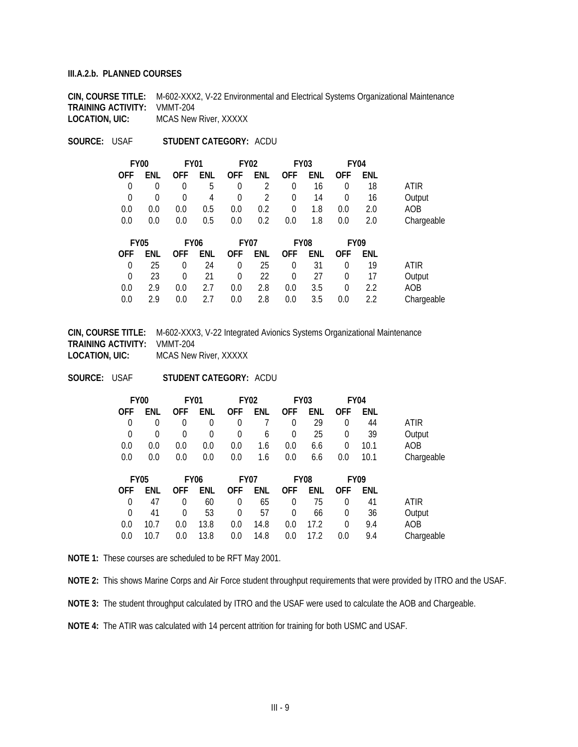#### **III.A.2.b. PLANNED COURSES**

**CIN, COURSE TITLE:** M-602-XXX2, V-22 Environmental and Electrical Systems Organizational Maintenance **TRAINING ACTIVITY:** VMMT-204 **LOCATION, UIC:** MCAS New River, XXXXX

**SOURCE:** USAF **STUDENT CATEGORY:** ACDU

|            |             | FY <sub>04</sub>           |     | <b>FY03</b>             |             | <b>FY02</b>               |                  | <b>FY01</b> |          | FY <sub>00</sub>          |
|------------|-------------|----------------------------|-----|-------------------------|-------------|---------------------------|------------------|-------------|----------|---------------------------|
|            | ENL         | <b>OFF</b>                 | ENL | <b>OFF</b>              | ENL         | <b>OFF</b>                | ENL              | <b>OFF</b>  | enl      | <b>OFF</b>                |
| ATIR       | 18          | 0                          | 16  | $\Omega$                | 2           | 0                         | 5                | $\Omega$    | $\Omega$ | 0                         |
| Output     | 16          | 0                          | 14  | $\Omega$                | 2           | $\theta$                  | 4                | 0           | $\Omega$ | $\theta$                  |
| AOB        | 2.0         | 0.0                        | 1.8 | 0                       | 0.2         | 0.0                       | 0.5              | 0.0         | 0.0      | 0.0                       |
| Chargeable | 2.0         | 0.0                        | 1.8 | 0.0                     | 0.2         | 0.0                       | 0.5              | 0.0         | 0.0      | 0.0                       |
|            | <b>FMIL</b> | <b>FY09</b><br>$\sim$ $ -$ | --- | FY <sub>08</sub><br>^-- | <b>FMIL</b> | <b>FY07</b><br><u>___</u> | <b>FY06</b><br>. | ^--         | .        | <b>FY05</b><br><u>___</u> |

|  |  |  | OFF ENL OFF ENL OFF ENL OFF ENL OFF ENL |  |                                                    |
|--|--|--|-----------------------------------------|--|----------------------------------------------------|
|  |  |  | 0 25 0 24 0 25 0 31 0 19                |  | ATIR                                               |
|  |  |  |                                         |  | 0 23 0 21 0 22 0 27 0 17 Output                    |
|  |  |  | 0.0 2.9 0.0 2.7 0.0 2.8 0.0 3.5 0 2.2   |  | AOB                                                |
|  |  |  |                                         |  | 0.0 2.9 0.0 2.7 0.0 2.8 0.0 3.5 0.0 2.2 Chargeable |

**CIN, COURSE TITLE:** M-602-XXX3, V-22 Integrated Avionics Systems Organizational Maintenance **TRAINING ACTIVITY:** VMMT-204 **LOCATION, UIC:** MCAS New River, XXXXX

**SOURCE:** USAF **STUDENT CATEGORY:** ACDU

| FY <sub>00</sub> |          | <b>FY01</b> |          |                     | <b>FY02</b>     |          | <b>FY03</b><br>FY <sub>04</sub> |            |            |                 |
|------------------|----------|-------------|----------|---------------------|-----------------|----------|---------------------------------|------------|------------|-----------------|
| OFF.             | ENL      |             |          | OFF ENL OFF ENL OFF |                 |          | ENL                             | <b>OFF</b> | <b>FNL</b> |                 |
| $\Omega$         |          | $\Omega$    | $\Omega$ | $\Omega$            | $7\overline{ }$ | $\Omega$ | 29                              | $\Omega$   | 44         | ATIR            |
| $\Omega$         | $\Omega$ | $\Omega$    | $\Omega$ | $\Omega$            | 6               | $\Omega$ | 25                              | $\theta$   | -39        | Output          |
| 0.0              | 0.0      | 0.0         | 0.0      | 0.0                 | 1.6             | 0.0      | 6.6                             | $\Omega$   | 10.1       | AOB             |
| 0.0              | 0.0      | 0.0         | 0.0      | $0.0\,$             | 1.6             | 0.0      | 6.6                             | $0.0\,$    |            | 10.1 Chargeable |

| FY05     |      |          | FY <sub>06</sub> | FY <sub>07</sub>        |            | FY08         |            | FY <sub>09</sub>   |            |            |
|----------|------|----------|------------------|-------------------------|------------|--------------|------------|--------------------|------------|------------|
| OFF.     | ENL  |          |                  | OFF ENL OFF ENL OFF ENL |            |              |            | <b>OFF</b>         | <b>FNL</b> |            |
| $\Omega$ | 47   |          | 60               | $\Omega$                | 65         | $\Omega$     | -75        |                    | 41         | ATIR       |
| $\cup$   | 41   | $\Omega$ | -53              | $\Omega$                | 57         | $\Omega$     | 66         | $\overline{0}$     | 36         | Output     |
| 0.0      | 10.7 | 0.0      | 13.8             |                         | $0.0$ 14.8 |              | $0.0$ 17.2 | $\left( 0 \right)$ | 94         | AOB.       |
| 0.0      | 10.7 | 0.0      | 13.8             |                         | $0.0$ 14.8 | $0.0\degree$ | 17.2       | 0.0                | 9.4        | Chargeable |

**NOTE 1:** These courses are scheduled to be RFT May 2001.

**NOTE 2:** This shows Marine Corps and Air Force student throughput requirements that were provided by ITRO and the USAF.

**NOTE 3:** The student throughput calculated by ITRO and the USAF were used to calculate the AOB and Chargeable.

**NOTE 4:** The ATIR was calculated with 14 percent attrition for training for both USMC and USAF.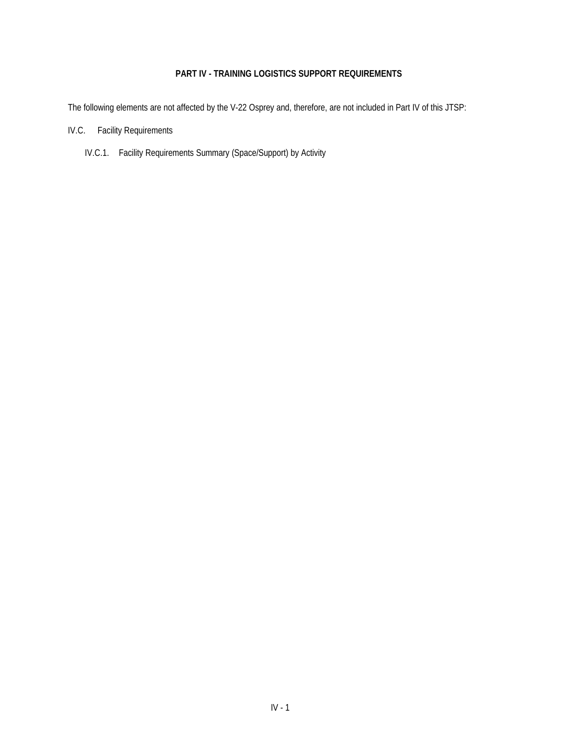## **PART IV - TRAINING LOGISTICS SUPPORT REQUIREMENTS**

The following elements are not affected by the V-22 Osprey and, therefore, are not included in Part IV of this JTSP:

- IV.C. Facility Requirements
	- IV.C.1. Facility Requirements Summary (Space/Support) by Activity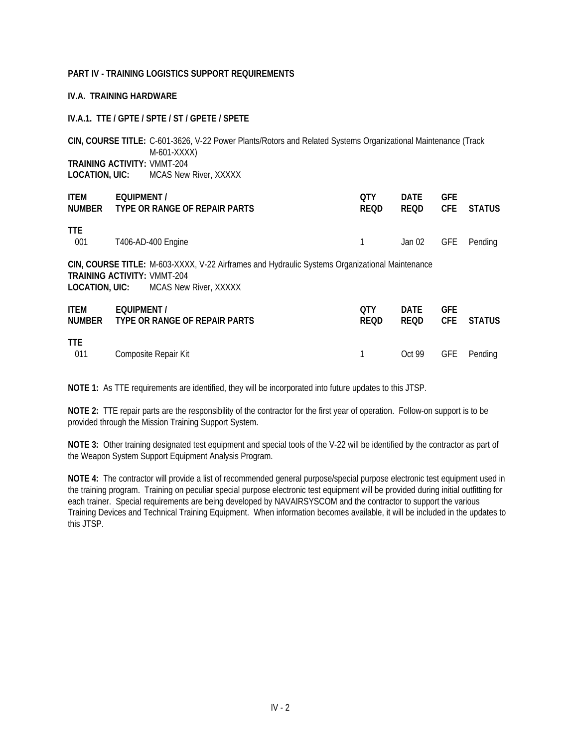#### **PART IV - TRAINING LOGISTICS SUPPORT REQUIREMENTS**

#### **IV.A. TRAINING HARDWARE**

#### **IV.A.1. TTE / GPTE / SPTE / ST / GPETE / SPETE**

**CIN, COURSE TITLE:** C-601-3626, V-22 Power Plants/Rotors and Related Systems Organizational Maintenance (Track M-601-XXXX) **TRAINING ACTIVITY:** VMMT-204 **LOCATION, UIC:** MCAS New River, XXXXX

| <b>ITEM</b><br>NUMBER | EQUIPMENT /<br>TYPE OR RANGE OF REPAIR PARTS                                                                                                                  | <b>OTY</b><br><b>REQD</b> | <b>DATE</b><br><b>REQD</b> | <b>GFE</b><br><b>CFE</b> | <b>STATUS</b> |
|-----------------------|---------------------------------------------------------------------------------------------------------------------------------------------------------------|---------------------------|----------------------------|--------------------------|---------------|
| TTE.<br>001           | T406-AD-400 Engine                                                                                                                                            |                           | Jan 02                     | <b>GFE</b>               | Pending       |
| LOCATION, UIC:        | CIN, COURSE TITLE: M-603-XXXX, V-22 Airframes and Hydraulic Systems Organizational Maintenance<br><b>TRAINING ACTIVITY: VMMT-204</b><br>MCAS New River, XXXXX |                           |                            |                          |               |
| <b>ITEM</b><br>NUMBER | EQUIPMENT /<br>TYPE OR RANGE OF REPAIR PARTS                                                                                                                  | 0TY<br><b>REQD</b>        | <b>DATE</b><br><b>REQD</b> | <b>GFE</b><br>CFE.       | <b>STATUS</b> |
| <b>TTE</b><br>011     | Composite Repair Kit                                                                                                                                          |                           | Oct 99                     | <b>GFE</b>               | Pendina       |

**NOTE 1:** As TTE requirements are identified, they will be incorporated into future updates to this JTSP.

**NOTE 2:** TTE repair parts are the responsibility of the contractor for the first year of operation. Follow-on support is to be provided through the Mission Training Support System.

**NOTE 3:** Other training designated test equipment and special tools of the V-22 will be identified by the contractor as part of the Weapon System Support Equipment Analysis Program.

**NOTE 4:** The contractor will provide a list of recommended general purpose/special purpose electronic test equipment used in the training program. Training on peculiar special purpose electronic test equipment will be provided during initial outfitting for each trainer. Special requirements are being developed by NAVAIRSYSCOM and the contractor to support the various Training Devices and Technical Training Equipment. When information becomes available, it will be included in the updates to this JTSP.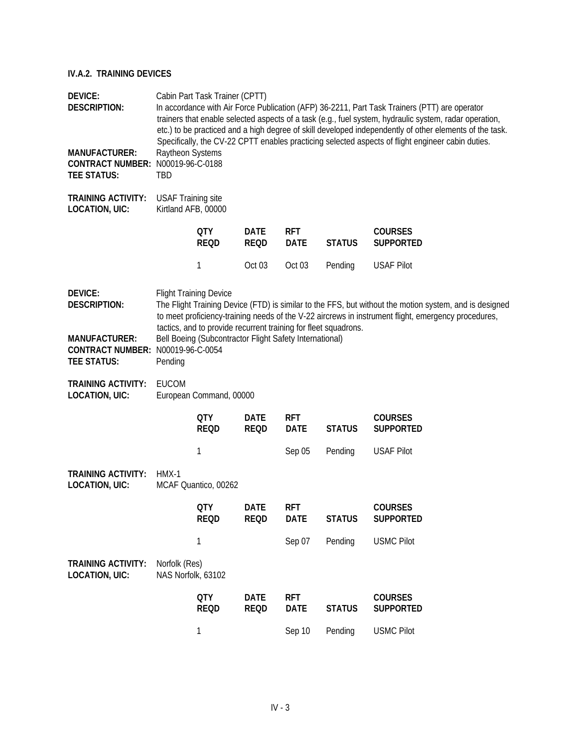| <b>DEVICE:</b><br><b>DESCRIPTION:</b>                                           |                                                  | Cabin Part Task Trainer (CPTT)                          |                            |                           |                                                                 | In accordance with Air Force Publication (AFP) 36-2211, Part Task Trainers (PTT) are operator<br>trainers that enable selected aspects of a task (e.g., fuel system, hydraulic system, radar operation,<br>etc.) to be practiced and a high degree of skill developed independently of other elements of the task.<br>Specifically, the CV-22 CPTT enables practicing selected aspects of flight engineer cabin duties. |
|---------------------------------------------------------------------------------|--------------------------------------------------|---------------------------------------------------------|----------------------------|---------------------------|-----------------------------------------------------------------|-------------------------------------------------------------------------------------------------------------------------------------------------------------------------------------------------------------------------------------------------------------------------------------------------------------------------------------------------------------------------------------------------------------------------|
| <b>MANUFACTURER:</b><br><b>CONTRACT NUMBER:</b><br><b>TEE STATUS:</b>           | Raytheon Systems<br>N00019-96-C-0188<br>TBD      |                                                         |                            |                           |                                                                 |                                                                                                                                                                                                                                                                                                                                                                                                                         |
| <b>TRAINING ACTIVITY:</b><br><b>LOCATION, UIC:</b>                              | <b>USAF Training site</b><br>Kirtland AFB, 00000 |                                                         |                            |                           |                                                                 |                                                                                                                                                                                                                                                                                                                                                                                                                         |
|                                                                                 |                                                  | <b>QTY</b><br><b>REQD</b>                               | <b>DATE</b><br><b>REQD</b> | <b>RFT</b><br><b>DATE</b> | <b>STATUS</b>                                                   | <b>COURSES</b><br><b>SUPPORTED</b>                                                                                                                                                                                                                                                                                                                                                                                      |
|                                                                                 |                                                  | 1                                                       | Oct <sub>03</sub>          | Oct 03                    | Pending                                                         | <b>USAF Pilot</b>                                                                                                                                                                                                                                                                                                                                                                                                       |
| DEVICE:<br><b>DESCRIPTION:</b>                                                  |                                                  | <b>Flight Training Device</b>                           |                            |                           | tactics, and to provide recurrent training for fleet squadrons. | The Flight Training Device (FTD) is similar to the FFS, but without the motion system, and is designed<br>to meet proficiency-training needs of the V-22 aircrews in instrument flight, emergency procedures,                                                                                                                                                                                                           |
| <b>MANUFACTURER:</b><br>CONTRACT NUMBER: N00019-96-C-0054<br><b>TEE STATUS:</b> | Pending                                          | Bell Boeing (Subcontractor Flight Safety International) |                            |                           |                                                                 |                                                                                                                                                                                                                                                                                                                                                                                                                         |
| <b>TRAINING ACTIVITY:</b><br>LOCATION, UIC:                                     | <b>EUCOM</b>                                     | European Command, 00000                                 |                            |                           |                                                                 |                                                                                                                                                                                                                                                                                                                                                                                                                         |
|                                                                                 |                                                  | <b>QTY</b><br><b>REQD</b>                               | <b>DATE</b><br><b>REQD</b> | <b>RFT</b><br><b>DATE</b> | <b>STATUS</b>                                                   | <b>COURSES</b><br><b>SUPPORTED</b>                                                                                                                                                                                                                                                                                                                                                                                      |
|                                                                                 |                                                  | 1                                                       |                            | Sep 05                    | Pending                                                         | <b>USAF Pilot</b>                                                                                                                                                                                                                                                                                                                                                                                                       |
| <b>TRAINING ACTIVITY:</b><br><b>LOCATION, UIC:</b>                              | HMX-1                                            | MCAF Quantico, 00262                                    |                            |                           |                                                                 |                                                                                                                                                                                                                                                                                                                                                                                                                         |
|                                                                                 |                                                  | <b>QTY</b><br><b>REQD</b>                               | <b>DATE</b><br><b>REQD</b> | <b>RFT</b><br><b>DATE</b> | <b>STATUS</b>                                                   | <b>COURSES</b><br><b>SUPPORTED</b>                                                                                                                                                                                                                                                                                                                                                                                      |
|                                                                                 |                                                  | $\mathbf{1}$                                            |                            | Sep 07                    | Pending                                                         | <b>USMC Pilot</b>                                                                                                                                                                                                                                                                                                                                                                                                       |
| <b>TRAINING ACTIVITY:</b><br><b>LOCATION, UIC:</b>                              | Norfolk (Res)<br>NAS Norfolk, 63102              |                                                         |                            |                           |                                                                 |                                                                                                                                                                                                                                                                                                                                                                                                                         |
|                                                                                 |                                                  | <b>QTY</b><br><b>REQD</b>                               | <b>DATE</b><br><b>REQD</b> | <b>RFT</b><br><b>DATE</b> | <b>STATUS</b>                                                   | <b>COURSES</b><br><b>SUPPORTED</b>                                                                                                                                                                                                                                                                                                                                                                                      |
|                                                                                 |                                                  | 1                                                       |                            | Sep 10                    | Pending                                                         | <b>USMC Pilot</b>                                                                                                                                                                                                                                                                                                                                                                                                       |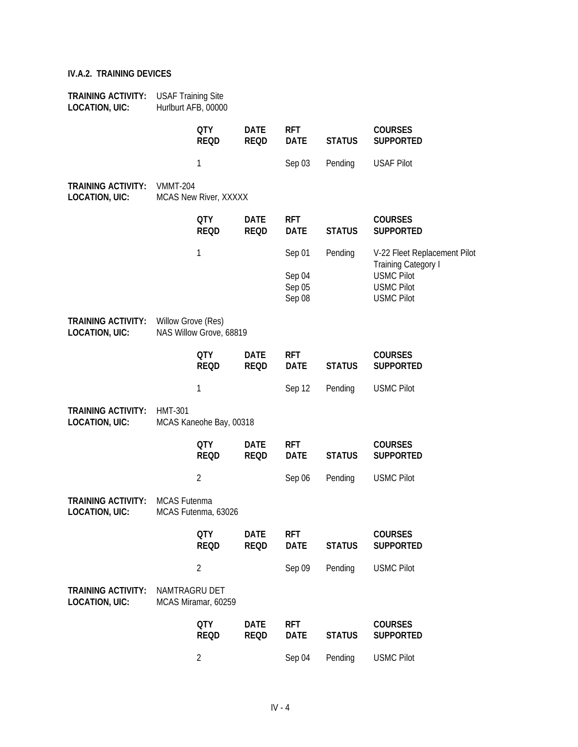| <b>TRAINING ACTIVITY:</b><br><b>LOCATION, UIC:</b> | <b>USAF Training Site</b> | Hurlburt AFB, 00000       |                            |                            |               |                                                             |
|----------------------------------------------------|---------------------------|---------------------------|----------------------------|----------------------------|---------------|-------------------------------------------------------------|
|                                                    |                           | <b>QTY</b><br><b>REQD</b> | <b>DATE</b><br><b>REQD</b> | <b>RFT</b><br><b>DATE</b>  | <b>STATUS</b> | <b>COURSES</b><br><b>SUPPORTED</b>                          |
|                                                    |                           | 1                         |                            | Sep 03                     | Pending       | <b>USAF Pilot</b>                                           |
| <b>TRAINING ACTIVITY:</b><br><b>LOCATION, UIC:</b> | <b>VMMT-204</b>           | MCAS New River, XXXXX     |                            |                            |               |                                                             |
|                                                    |                           | <b>QTY</b><br><b>REQD</b> | <b>DATE</b><br><b>REQD</b> | <b>RFT</b><br><b>DATE</b>  | <b>STATUS</b> | <b>COURSES</b><br><b>SUPPORTED</b>                          |
|                                                    |                           | 1                         |                            | Sep 01                     | Pending       | V-22 Fleet Replacement Pilot<br><b>Training Category I</b>  |
|                                                    |                           |                           |                            | Sep 04<br>Sep 05<br>Sep 08 |               | <b>USMC Pilot</b><br><b>USMC Pilot</b><br><b>USMC Pilot</b> |
| <b>TRAINING ACTIVITY:</b><br><b>LOCATION, UIC:</b> | Willow Grove (Res)        | NAS Willow Grove, 68819   |                            |                            |               |                                                             |
|                                                    |                           | <b>QTY</b><br><b>REQD</b> | <b>DATE</b><br><b>REQD</b> | <b>RFT</b><br><b>DATE</b>  | <b>STATUS</b> | <b>COURSES</b><br><b>SUPPORTED</b>                          |
|                                                    |                           | 1                         |                            | Sep 12                     | Pending       | <b>USMC Pilot</b>                                           |
| <b>TRAINING ACTIVITY:</b><br><b>LOCATION, UIC:</b> | <b>HMT-301</b>            | MCAS Kaneohe Bay, 00318   |                            |                            |               |                                                             |
|                                                    |                           | <b>QTY</b><br><b>REQD</b> | <b>DATE</b><br><b>REQD</b> | <b>RFT</b><br><b>DATE</b>  | <b>STATUS</b> | <b>COURSES</b><br><b>SUPPORTED</b>                          |
|                                                    |                           | $\overline{2}$            |                            | Sep 06                     | Pending       | <b>USMC Pilot</b>                                           |
| <b>TRAINING ACTIVITY:</b><br><b>LOCATION, UIC:</b> | MCAS Futenma              | MCAS Futenma, 63026       |                            |                            |               |                                                             |
|                                                    |                           | <b>QTY</b><br><b>REQD</b> | <b>DATE</b><br><b>REQD</b> | <b>RFT</b><br><b>DATE</b>  | <b>STATUS</b> | <b>COURSES</b><br><b>SUPPORTED</b>                          |
|                                                    |                           | $\overline{2}$            |                            | Sep 09                     | Pending       | <b>USMC Pilot</b>                                           |
| <b>TRAINING ACTIVITY:</b><br><b>LOCATION, UIC:</b> | NAMTRAGRU DET             | MCAS Miramar, 60259       |                            |                            |               |                                                             |
|                                                    |                           | <b>QTY</b><br><b>REQD</b> | <b>DATE</b><br><b>REQD</b> | <b>RFT</b><br><b>DATE</b>  | <b>STATUS</b> | <b>COURSES</b><br><b>SUPPORTED</b>                          |
|                                                    |                           | $\overline{2}$            |                            | Sep 04                     | Pending       | <b>USMC Pilot</b>                                           |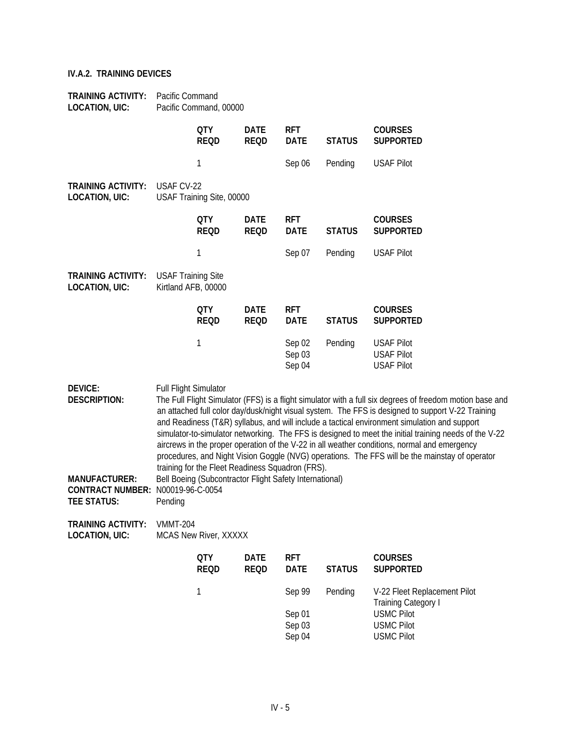| <b>TRAINING ACTIVITY:</b><br><b>LOCATION, UIC:</b>                    | Pacific Command                                  | Pacific Command, 00000                                  |                            |                            |               |                                                                                                                                                                                                                                                                                                                                                                                                                                                                                                                                                                                                                          |
|-----------------------------------------------------------------------|--------------------------------------------------|---------------------------------------------------------|----------------------------|----------------------------|---------------|--------------------------------------------------------------------------------------------------------------------------------------------------------------------------------------------------------------------------------------------------------------------------------------------------------------------------------------------------------------------------------------------------------------------------------------------------------------------------------------------------------------------------------------------------------------------------------------------------------------------------|
|                                                                       |                                                  | <b>QTY</b><br><b>REQD</b>                               | <b>DATE</b><br><b>REQD</b> | <b>RFT</b><br><b>DATE</b>  | <b>STATUS</b> | <b>COURSES</b><br><b>SUPPORTED</b>                                                                                                                                                                                                                                                                                                                                                                                                                                                                                                                                                                                       |
|                                                                       |                                                  | 1                                                       |                            | Sep 06                     | Pending       | <b>USAF Pilot</b>                                                                                                                                                                                                                                                                                                                                                                                                                                                                                                                                                                                                        |
| <b>TRAINING ACTIVITY:</b><br>LOCATION, UIC:                           | USAF CV-22                                       | USAF Training Site, 00000                               |                            |                            |               |                                                                                                                                                                                                                                                                                                                                                                                                                                                                                                                                                                                                                          |
|                                                                       |                                                  | <b>QTY</b><br><b>REQD</b>                               | <b>DATE</b><br><b>REQD</b> | <b>RFT</b><br><b>DATE</b>  | <b>STATUS</b> | <b>COURSES</b><br><b>SUPPORTED</b>                                                                                                                                                                                                                                                                                                                                                                                                                                                                                                                                                                                       |
|                                                                       |                                                  | 1                                                       |                            | Sep 07                     | Pending       | <b>USAF Pilot</b>                                                                                                                                                                                                                                                                                                                                                                                                                                                                                                                                                                                                        |
| <b>TRAINING ACTIVITY:</b><br><b>LOCATION, UIC:</b>                    | <b>USAF Training Site</b><br>Kirtland AFB, 00000 |                                                         |                            |                            |               |                                                                                                                                                                                                                                                                                                                                                                                                                                                                                                                                                                                                                          |
|                                                                       |                                                  | <b>QTY</b><br><b>REQD</b>                               | <b>DATE</b><br><b>REQD</b> | <b>RFT</b><br><b>DATE</b>  | <b>STATUS</b> | <b>COURSES</b><br><b>SUPPORTED</b>                                                                                                                                                                                                                                                                                                                                                                                                                                                                                                                                                                                       |
|                                                                       |                                                  | 1                                                       |                            | Sep 02<br>Sep 03<br>Sep 04 | Pending       | <b>USAF Pilot</b><br><b>USAF Pilot</b><br><b>USAF Pilot</b>                                                                                                                                                                                                                                                                                                                                                                                                                                                                                                                                                              |
| DEVICE:<br>DESCRIPTION:                                               | Full Flight Simulator                            | training for the Fleet Readiness Squadron (FRS).        |                            |                            |               | The Full Flight Simulator (FFS) is a flight simulator with a full six degrees of freedom motion base and<br>an attached full color day/dusk/night visual system. The FFS is designed to support V-22 Training<br>and Readiness (T&R) syllabus, and will include a tactical environment simulation and support<br>simulator-to-simulator networking. The FFS is designed to meet the initial training needs of the V-22<br>aircrews in the proper operation of the V-22 in all weather conditions, normal and emergency<br>procedures, and Night Vision Goggle (NVG) operations. The FFS will be the mainstay of operator |
| <b>MANUFACTURER:</b><br><b>CONTRACT NUMBER:</b><br><b>TEE STATUS:</b> | N00019-96-C-0054<br>Pending                      | Bell Boeing (Subcontractor Flight Safety International) |                            |                            |               |                                                                                                                                                                                                                                                                                                                                                                                                                                                                                                                                                                                                                          |
| <b>TRAINING ACTIVITY:</b><br><b>LOCATION, UIC:</b>                    | <b>VMMT-204</b>                                  | MCAS New River, XXXXX                                   |                            |                            |               |                                                                                                                                                                                                                                                                                                                                                                                                                                                                                                                                                                                                                          |
|                                                                       |                                                  | <b>QTY</b><br><b>REQD</b>                               | <b>DATE</b><br><b>REQD</b> | <b>RFT</b><br><b>DATE</b>  | <b>STATUS</b> | <b>COURSES</b><br><b>SUPPORTED</b>                                                                                                                                                                                                                                                                                                                                                                                                                                                                                                                                                                                       |
|                                                                       |                                                  | 1                                                       |                            | Sep 99                     | Pending       | V-22 Fleet Replacement Pilot<br><b>Training Category I</b>                                                                                                                                                                                                                                                                                                                                                                                                                                                                                                                                                               |
|                                                                       |                                                  |                                                         |                            | Sep 01<br>Sep 03<br>Sep 04 |               | <b>USMC Pilot</b><br><b>USMC Pilot</b><br><b>USMC Pilot</b>                                                                                                                                                                                                                                                                                                                                                                                                                                                                                                                                                              |
|                                                                       |                                                  |                                                         |                            |                            |               |                                                                                                                                                                                                                                                                                                                                                                                                                                                                                                                                                                                                                          |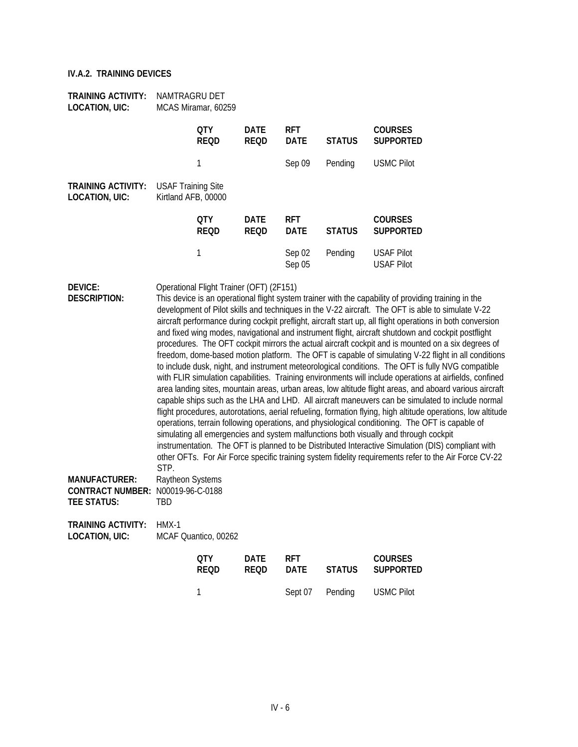| <b>TRAINING ACTIVITY:</b><br><b>LOCATION, UIC:</b>                                     | NAMTRAGRU DET                                    | MCAS Miramar, 60259                      |                            |                           |               |                                                                                                                                                                                                                                                                                                                                                                                                                                                                                                                                                                                                                                                                                                                                                                                                                                                                                                                                                                                                                                                                                                                                                                                                                                                                                                                                                                                                                                                                                                                                                                                                    |
|----------------------------------------------------------------------------------------|--------------------------------------------------|------------------------------------------|----------------------------|---------------------------|---------------|----------------------------------------------------------------------------------------------------------------------------------------------------------------------------------------------------------------------------------------------------------------------------------------------------------------------------------------------------------------------------------------------------------------------------------------------------------------------------------------------------------------------------------------------------------------------------------------------------------------------------------------------------------------------------------------------------------------------------------------------------------------------------------------------------------------------------------------------------------------------------------------------------------------------------------------------------------------------------------------------------------------------------------------------------------------------------------------------------------------------------------------------------------------------------------------------------------------------------------------------------------------------------------------------------------------------------------------------------------------------------------------------------------------------------------------------------------------------------------------------------------------------------------------------------------------------------------------------------|
|                                                                                        |                                                  | <b>QTY</b><br><b>REQD</b>                | <b>DATE</b><br><b>REQD</b> | <b>RFT</b><br><b>DATE</b> | <b>STATUS</b> | <b>COURSES</b><br><b>SUPPORTED</b>                                                                                                                                                                                                                                                                                                                                                                                                                                                                                                                                                                                                                                                                                                                                                                                                                                                                                                                                                                                                                                                                                                                                                                                                                                                                                                                                                                                                                                                                                                                                                                 |
|                                                                                        |                                                  | $\mathbf{1}$                             |                            | Sep 09                    | Pending       | <b>USMC Pilot</b>                                                                                                                                                                                                                                                                                                                                                                                                                                                                                                                                                                                                                                                                                                                                                                                                                                                                                                                                                                                                                                                                                                                                                                                                                                                                                                                                                                                                                                                                                                                                                                                  |
| <b>TRAINING ACTIVITY:</b><br><b>LOCATION, UIC:</b>                                     | <b>USAF Training Site</b><br>Kirtland AFB, 00000 |                                          |                            |                           |               |                                                                                                                                                                                                                                                                                                                                                                                                                                                                                                                                                                                                                                                                                                                                                                                                                                                                                                                                                                                                                                                                                                                                                                                                                                                                                                                                                                                                                                                                                                                                                                                                    |
|                                                                                        |                                                  | <b>QTY</b><br><b>REQD</b>                | <b>DATE</b><br><b>REQD</b> | <b>RFT</b><br><b>DATE</b> | <b>STATUS</b> | <b>COURSES</b><br><b>SUPPORTED</b>                                                                                                                                                                                                                                                                                                                                                                                                                                                                                                                                                                                                                                                                                                                                                                                                                                                                                                                                                                                                                                                                                                                                                                                                                                                                                                                                                                                                                                                                                                                                                                 |
|                                                                                        |                                                  | $\mathbf{1}$                             |                            | Sep 02<br>Sep 05          | Pending       | <b>USAF Pilot</b><br><b>USAF Pilot</b>                                                                                                                                                                                                                                                                                                                                                                                                                                                                                                                                                                                                                                                                                                                                                                                                                                                                                                                                                                                                                                                                                                                                                                                                                                                                                                                                                                                                                                                                                                                                                             |
| <b>DEVICE:</b><br><b>DESCRIPTION:</b>                                                  | STP.                                             | Operational Flight Trainer (OFT) (2F151) |                            |                           |               | This device is an operational flight system trainer with the capability of providing training in the<br>development of Pilot skills and techniques in the V-22 aircraft. The OFT is able to simulate V-22<br>aircraft performance during cockpit preflight, aircraft start up, all flight operations in both conversion<br>and fixed wing modes, navigational and instrument flight, aircraft shutdown and cockpit postflight<br>procedures. The OFT cockpit mirrors the actual aircraft cockpit and is mounted on a six degrees of<br>freedom, dome-based motion platform. The OFT is capable of simulating V-22 flight in all conditions<br>to include dusk, night, and instrument meteorological conditions. The OFT is fully NVG compatible<br>with FLIR simulation capabilities. Training environments will include operations at airfields, confined<br>area landing sites, mountain areas, urban areas, low altitude flight areas, and aboard various aircraft<br>capable ships such as the LHA and LHD. All aircraft maneuvers can be simulated to include normal<br>flight procedures, autorotations, aerial refueling, formation flying, high altitude operations, low altitude<br>operations, terrain following operations, and physiological conditioning. The OFT is capable of<br>simulating all emergencies and system malfunctions both visually and through cockpit<br>instrumentation. The OFT is planned to be Distributed Interactive Simulation (DIS) compliant with<br>other OFTs. For Air Force specific training system fidelity requirements refer to the Air Force CV-22 |
| <b>MANUFACTURER:</b><br><b>CONTRACT NUMBER: N00019-96-C-0188</b><br><b>TEE STATUS:</b> | Raytheon Systems<br>TBD                          |                                          |                            |                           |               |                                                                                                                                                                                                                                                                                                                                                                                                                                                                                                                                                                                                                                                                                                                                                                                                                                                                                                                                                                                                                                                                                                                                                                                                                                                                                                                                                                                                                                                                                                                                                                                                    |
| <b>TRAINING ACTIVITY:</b><br><b>LOCATION, UIC:</b>                                     | HMX-1                                            | MCAF Quantico, 00262                     |                            |                           |               |                                                                                                                                                                                                                                                                                                                                                                                                                                                                                                                                                                                                                                                                                                                                                                                                                                                                                                                                                                                                                                                                                                                                                                                                                                                                                                                                                                                                                                                                                                                                                                                                    |
|                                                                                        |                                                  | <b>QTY</b><br><b>REQD</b>                | <b>DATE</b><br><b>REQD</b> | <b>RFT</b><br><b>DATE</b> | <b>STATUS</b> | <b>COURSES</b><br><b>SUPPORTED</b>                                                                                                                                                                                                                                                                                                                                                                                                                                                                                                                                                                                                                                                                                                                                                                                                                                                                                                                                                                                                                                                                                                                                                                                                                                                                                                                                                                                                                                                                                                                                                                 |
|                                                                                        |                                                  | $\mathbf 1$                              |                            | Sept 07                   | Pending       | <b>USMC Pilot</b>                                                                                                                                                                                                                                                                                                                                                                                                                                                                                                                                                                                                                                                                                                                                                                                                                                                                                                                                                                                                                                                                                                                                                                                                                                                                                                                                                                                                                                                                                                                                                                                  |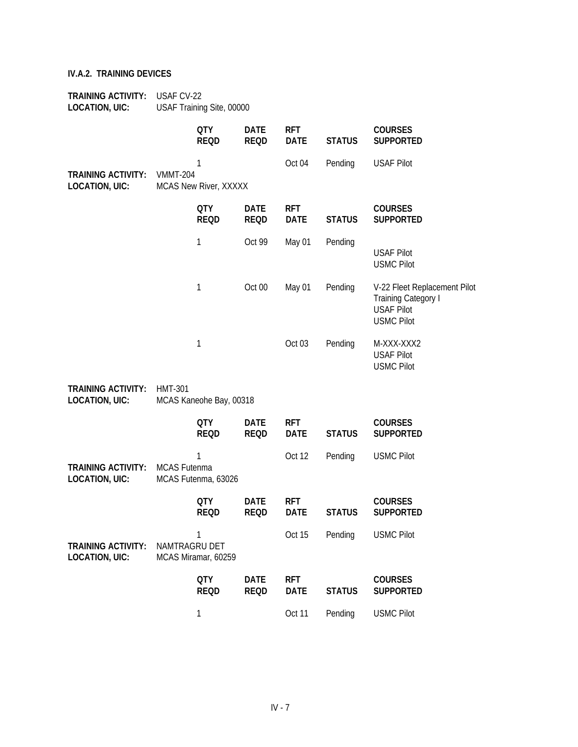| <b>TRAINING ACTIVITY:</b><br><b>LOCATION, UIC:</b> | USAF CV-22      | USAF Training Site, 00000                 |                            |                           |               |                                                                                                      |
|----------------------------------------------------|-----------------|-------------------------------------------|----------------------------|---------------------------|---------------|------------------------------------------------------------------------------------------------------|
|                                                    |                 | <b>QTY</b><br><b>REQD</b>                 | <b>DATE</b><br><b>REQD</b> | <b>RFT</b><br><b>DATE</b> | <b>STATUS</b> | <b>COURSES</b><br><b>SUPPORTED</b>                                                                   |
| <b>TRAINING ACTIVITY:</b><br><b>LOCATION, UIC:</b> | <b>VMMT-204</b> | 1<br>MCAS New River, XXXXX                |                            | Oct 04                    | Pending       | <b>USAF Pilot</b>                                                                                    |
|                                                    |                 | <b>QTY</b><br><b>REQD</b>                 | <b>DATE</b><br><b>REQD</b> | <b>RFT</b><br><b>DATE</b> | <b>STATUS</b> | <b>COURSES</b><br><b>SUPPORTED</b>                                                                   |
|                                                    |                 | 1                                         | Oct 99                     | May 01                    | Pending       | <b>USAF Pilot</b><br><b>USMC Pilot</b>                                                               |
|                                                    |                 | 1                                         | Oct 00                     | May 01                    | Pending       | V-22 Fleet Replacement Pilot<br><b>Training Category I</b><br><b>USAF Pilot</b><br><b>USMC Pilot</b> |
|                                                    |                 | 1                                         |                            | Oct 03                    | Pending       | M-XXX-XXX2<br><b>USAF Pilot</b><br><b>USMC Pilot</b>                                                 |
| <b>TRAINING ACTIVITY:</b><br><b>LOCATION, UIC:</b> | <b>HMT-301</b>  | MCAS Kaneohe Bay, 00318                   |                            |                           |               |                                                                                                      |
|                                                    |                 | <b>QTY</b><br><b>REQD</b>                 | <b>DATE</b><br><b>REQD</b> | <b>RFT</b><br><b>DATE</b> | <b>STATUS</b> | <b>COURSES</b><br><b>SUPPORTED</b>                                                                   |
| <b>TRAINING ACTIVITY:</b><br><b>LOCATION, UIC:</b> | MCAS Futenma    | 1<br>MCAS Futenma, 63026                  |                            | Oct 12                    | Pending       | <b>USMC Pilot</b>                                                                                    |
|                                                    |                 | <b>QTY</b><br><b>REQD</b>                 | <b>DATE</b><br>REOD        | <b>RFT</b><br><b>DATE</b> | <b>STATUS</b> | <b>COURSES</b><br><b>SUPPORTED</b>                                                                   |
| <b>TRAINING ACTIVITY:</b><br><b>LOCATION, UIC:</b> |                 | 1<br>NAMTRAGRU DET<br>MCAS Miramar, 60259 |                            | Oct 15                    | Pending       | <b>USMC Pilot</b>                                                                                    |
|                                                    |                 | <b>QTY</b><br><b>REQD</b>                 | <b>DATE</b><br><b>REQD</b> | <b>RFT</b><br><b>DATE</b> | <b>STATUS</b> | <b>COURSES</b><br><b>SUPPORTED</b>                                                                   |
|                                                    |                 | 1                                         |                            | Oct 11                    | Pending       | <b>USMC Pilot</b>                                                                                    |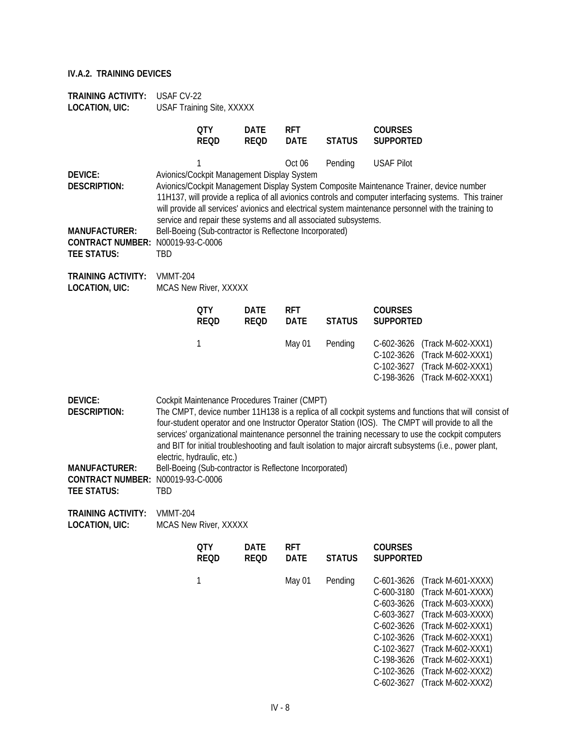| <b>TRAINING ACTIVITY:</b><br><b>LOCATION, UIC:</b>                                                                       | USAF CV-22                 | USAF Training Site, XXXXX                                                                                                                                                                                                                                                                                                                                                                                                                                                     |                            |                           |                                                                            |                                                                                                                                                                                                                                                                                                                                                                      |  |  |  |
|--------------------------------------------------------------------------------------------------------------------------|----------------------------|-------------------------------------------------------------------------------------------------------------------------------------------------------------------------------------------------------------------------------------------------------------------------------------------------------------------------------------------------------------------------------------------------------------------------------------------------------------------------------|----------------------------|---------------------------|----------------------------------------------------------------------------|----------------------------------------------------------------------------------------------------------------------------------------------------------------------------------------------------------------------------------------------------------------------------------------------------------------------------------------------------------------------|--|--|--|
|                                                                                                                          |                            | <b>QTY</b><br><b>REQD</b>                                                                                                                                                                                                                                                                                                                                                                                                                                                     | <b>DATE</b><br><b>REQD</b> | <b>RFT</b><br><b>DATE</b> | <b>STATUS</b>                                                              | <b>COURSES</b><br><b>SUPPORTED</b>                                                                                                                                                                                                                                                                                                                                   |  |  |  |
| <b>DEVICE:</b><br><b>DESCRIPTION:</b><br><b>MANUFACTURER:</b><br>CONTRACT NUMBER: N00019-93-C-0006<br><b>TEE STATUS:</b> | TBD                        | 1<br>Avionics/Cockpit Management Display System<br>Bell-Boeing (Sub-contractor is Reflectone Incorporated)                                                                                                                                                                                                                                                                                                                                                                    |                            | Oct 06                    | Pending<br>service and repair these systems and all associated subsystems. | <b>USAF Pilot</b><br>Avionics/Cockpit Management Display System Composite Maintenance Trainer, device number<br>11H137, will provide a replica of all avionics controls and computer interfacing systems. This trainer<br>will provide all services' avionics and electrical system maintenance personnel with the training to                                       |  |  |  |
| <b>TRAINING ACTIVITY:</b><br><b>LOCATION, UIC:</b>                                                                       | <b>VMMT-204</b>            | MCAS New River, XXXXX                                                                                                                                                                                                                                                                                                                                                                                                                                                         |                            |                           |                                                                            |                                                                                                                                                                                                                                                                                                                                                                      |  |  |  |
|                                                                                                                          |                            | <b>QTY</b><br><b>REQD</b>                                                                                                                                                                                                                                                                                                                                                                                                                                                     | <b>DATE</b><br><b>REQD</b> | <b>RFT</b><br><b>DATE</b> | <b>STATUS</b>                                                              | <b>COURSES</b><br><b>SUPPORTED</b>                                                                                                                                                                                                                                                                                                                                   |  |  |  |
|                                                                                                                          |                            | 1                                                                                                                                                                                                                                                                                                                                                                                                                                                                             |                            | May 01                    | Pending                                                                    | C-602-3626<br>(Track M-602-XXX1)<br>C-102-3626<br>(Track M-602-XXX1)<br>C-102-3627 (Track M-602-XXX1)<br>C-198-3626 (Track M-602-XXX1)                                                                                                                                                                                                                               |  |  |  |
| <b>DEVICE:</b><br><b>DESCRIPTION:</b>                                                                                    | electric, hydraulic, etc.) | Cockpit Maintenance Procedures Trainer (CMPT)<br>The CMPT, device number 11H138 is a replica of all cockpit systems and functions that will consist of<br>four-student operator and one Instructor Operator Station (IOS). The CMPT will provide to all the<br>services' organizational maintenance personnel the training necessary to use the cockpit computers<br>and BIT for initial troubleshooting and fault isolation to major aircraft subsystems (i.e., power plant, |                            |                           |                                                                            |                                                                                                                                                                                                                                                                                                                                                                      |  |  |  |
| <b>MANUFACTURER:</b><br>CONTRACT NUMBER: N00019-93-C-0006<br><b>TEE STATUS:</b>                                          | TBD                        | Bell-Boeing (Sub-contractor is Reflectone Incorporated)                                                                                                                                                                                                                                                                                                                                                                                                                       |                            |                           |                                                                            |                                                                                                                                                                                                                                                                                                                                                                      |  |  |  |
| <b>TRAINING ACTIVITY:</b><br><b>LOCATION, UIC:</b>                                                                       | VMMT-204                   | MCAS New River, XXXXX                                                                                                                                                                                                                                                                                                                                                                                                                                                         |                            |                           |                                                                            |                                                                                                                                                                                                                                                                                                                                                                      |  |  |  |
|                                                                                                                          |                            | <b>QTY</b><br><b>REQD</b>                                                                                                                                                                                                                                                                                                                                                                                                                                                     | <b>DATE</b><br><b>REQD</b> | <b>RFT</b><br><b>DATE</b> | <b>STATUS</b>                                                              | <b>COURSES</b><br><b>SUPPORTED</b>                                                                                                                                                                                                                                                                                                                                   |  |  |  |
|                                                                                                                          |                            | 1                                                                                                                                                                                                                                                                                                                                                                                                                                                                             |                            | May 01                    | Pending                                                                    | C-601-3626<br>(Track M-601-XXXX)<br>C-600-3180<br>(Track M-601-XXXX)<br>C-603-3626<br>(Track M-603-XXXX)<br>(Track M-603-XXXX)<br>C-603-3627<br>C-602-3626<br>(Track M-602-XXX1)<br>C-102-3626<br>(Track M-602-XXX1)<br>(Track M-602-XXX1)<br>C-102-3627<br>C-198-3626<br>(Track M-602-XXX1)<br>C-102-3626<br>(Track M-602-XXX2)<br>(Track M-602-XXX2)<br>C-602-3627 |  |  |  |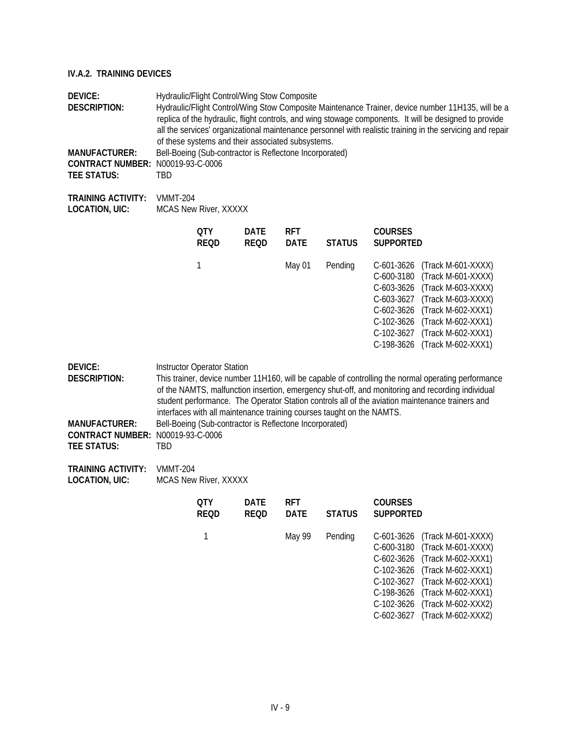| <b>DEVICE:</b><br><b>DESCRIPTION:</b><br><b>MANUFACTURER:</b><br>CONTRACT NUMBER: N00019-93-C-0006<br><b>TEE STATUS:</b>        | Hydraulic/Flight Control/Wing Stow Composite<br>Hydraulic/Flight Control/Wing Stow Composite Maintenance Trainer, device number 11H135, will be a<br>replica of the hydraulic, flight controls, and wing stowage components. It will be designed to provide<br>all the services' organizational maintenance personnel with realistic training in the servicing and repair<br>of these systems and their associated subsystems.<br>Bell-Boeing (Sub-contractor is Reflectone Incorporated)<br><b>TBD</b> |                                                                                               |                            |                           |                                                                       |                                                                                                                  |                                                                                                                                                                                                                                                                                                            |
|---------------------------------------------------------------------------------------------------------------------------------|---------------------------------------------------------------------------------------------------------------------------------------------------------------------------------------------------------------------------------------------------------------------------------------------------------------------------------------------------------------------------------------------------------------------------------------------------------------------------------------------------------|-----------------------------------------------------------------------------------------------|----------------------------|---------------------------|-----------------------------------------------------------------------|------------------------------------------------------------------------------------------------------------------|------------------------------------------------------------------------------------------------------------------------------------------------------------------------------------------------------------------------------------------------------------------------------------------------------------|
| <b>TRAINING ACTIVITY:</b><br><b>LOCATION, UIC:</b>                                                                              | <b>VMMT-204</b>                                                                                                                                                                                                                                                                                                                                                                                                                                                                                         | <b>MCAS New River, XXXXX</b>                                                                  |                            |                           |                                                                       |                                                                                                                  |                                                                                                                                                                                                                                                                                                            |
|                                                                                                                                 |                                                                                                                                                                                                                                                                                                                                                                                                                                                                                                         | <b>OTY</b><br><b>REOD</b>                                                                     | <b>DATE</b><br><b>REQD</b> | <b>RFT</b><br><b>DATE</b> | <b>STATUS</b>                                                         | <b>COURSES</b><br><b>SUPPORTED</b>                                                                               |                                                                                                                                                                                                                                                                                                            |
|                                                                                                                                 |                                                                                                                                                                                                                                                                                                                                                                                                                                                                                                         | 1                                                                                             |                            | May 01                    | Pending                                                               | C-601-3626<br>C-600-3180<br>C-603-3626<br>$C-603-3627$<br>$C-602-3626$<br>C-102-3626<br>C-102-3627<br>C-198-3626 | (Track M-601-XXXX)<br>(Track M-601-XXXX)<br>(Track M-603-XXXX)<br>(Track M-603-XXXX)<br>(Track M-602-XXX1)<br>(Track M-602-XXX1)<br>(Track M-602-XXX1)<br>(Track M-602-XXX1)                                                                                                                               |
| <b>DEVICE:</b><br><b>DESCRIPTION:</b><br><b>MANUFACTURER:</b><br><b>CONTRACT NUMBER: N00019-93-C-0006</b><br><b>TEE STATUS:</b> | TBD                                                                                                                                                                                                                                                                                                                                                                                                                                                                                                     | <b>Instructor Operator Station</b><br>Bell-Boeing (Sub-contractor is Reflectone Incorporated) |                            |                           | interfaces with all maintenance training courses taught on the NAMTS. |                                                                                                                  | This trainer, device number 11H160, will be capable of controlling the normal operating performance<br>of the NAMTS, malfunction insertion, emergency shut-off, and monitoring and recording individual<br>student performance. The Operator Station controls all of the aviation maintenance trainers and |
| <b>TRAINING ACTIVITY:</b>                                                                                                       | <b>VMMT-204</b>                                                                                                                                                                                                                                                                                                                                                                                                                                                                                         |                                                                                               |                            |                           |                                                                       |                                                                                                                  |                                                                                                                                                                                                                                                                                                            |

**LOCATION, UIC:** MCAS New River, XXXXX

| <b>DATE</b><br><b>RFT</b><br>0TY<br><b>REQD</b><br><b>DATE</b><br><b>STATUS</b><br><b>REQD</b> | <b>COURSES</b><br><b>SUPPORTED</b>                                                                                                                                                                                                                                   |
|------------------------------------------------------------------------------------------------|----------------------------------------------------------------------------------------------------------------------------------------------------------------------------------------------------------------------------------------------------------------------|
| Pending<br>May 99                                                                              | C-601-3626 (Track M-601-XXXX)<br>C-600-3180 (Track M-601-XXXX)<br>C-602-3626 (Track M-602-XXX1)<br>C-102-3626 (Track M-602-XXX1)<br>C-102-3627 (Track M-602-XXX1)<br>C-198-3626 (Track M-602-XXX1)<br>C-102-3626 (Track M-602-XXX2)<br>C-602-3627 (Track M-602-XXX2) |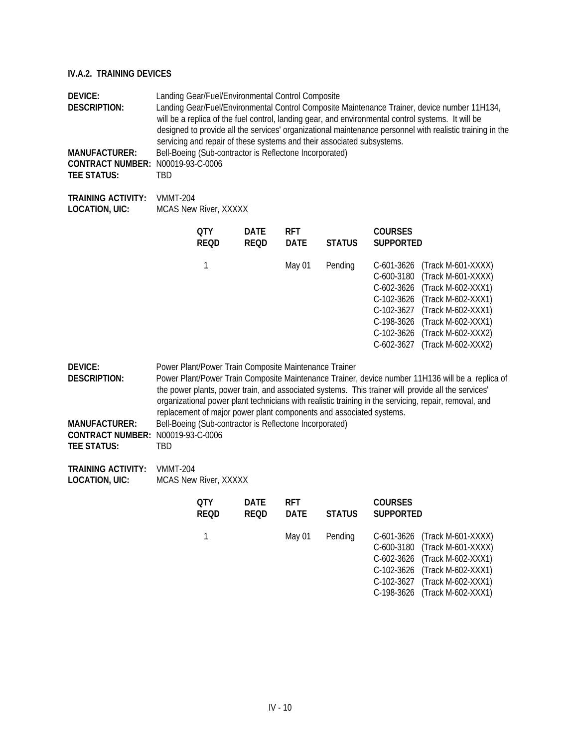| <b>DEVICE:</b><br><b>DESCRIPTION:</b><br><b>MANUFACTURER:</b><br>CONTRACT NUMBER: N00019-93-C-0006<br><b>TEE STATUS:</b> | Landing Gear/Fuel/Environmental Control Composite<br>Landing Gear/Fuel/Environmental Control Composite Maintenance Trainer, device number 11H134,<br>will be a replica of the fuel control, landing gear, and environmental control systems. It will be<br>designed to provide all the services' organizational maintenance personnel with realistic training in the<br>servicing and repair of these systems and their associated subsystems.<br>Bell-Boeing (Sub-contractor is Reflectone Incorporated)<br>TBD |                                                                                                                  |                            |                           |                                                                     |                                                                                                                |                                                                                                                                                                                                                                                                                                                 |
|--------------------------------------------------------------------------------------------------------------------------|------------------------------------------------------------------------------------------------------------------------------------------------------------------------------------------------------------------------------------------------------------------------------------------------------------------------------------------------------------------------------------------------------------------------------------------------------------------------------------------------------------------|------------------------------------------------------------------------------------------------------------------|----------------------------|---------------------------|---------------------------------------------------------------------|----------------------------------------------------------------------------------------------------------------|-----------------------------------------------------------------------------------------------------------------------------------------------------------------------------------------------------------------------------------------------------------------------------------------------------------------|
| <b>TRAINING ACTIVITY:</b><br><b>LOCATION, UIC:</b>                                                                       | <b>VMMT-204</b>                                                                                                                                                                                                                                                                                                                                                                                                                                                                                                  | MCAS New River, XXXXX                                                                                            |                            |                           |                                                                     |                                                                                                                |                                                                                                                                                                                                                                                                                                                 |
|                                                                                                                          |                                                                                                                                                                                                                                                                                                                                                                                                                                                                                                                  | <b>QTY</b><br><b>REQD</b>                                                                                        | <b>DATE</b><br><b>REQD</b> | <b>RFT</b><br><b>DATE</b> | <b>STATUS</b>                                                       | <b>COURSES</b><br><b>SUPPORTED</b>                                                                             |                                                                                                                                                                                                                                                                                                                 |
|                                                                                                                          |                                                                                                                                                                                                                                                                                                                                                                                                                                                                                                                  | 1                                                                                                                |                            | May 01                    | Pending                                                             | $C-601-3626$<br>C-600-3180<br>C-602-3626<br>C-102-3626<br>C-102-3627<br>C-198-3626<br>C-102-3626<br>C-602-3627 | (Track M-601-XXXX)<br>(Track M-601-XXXX)<br>(Track M-602-XXX1)<br>(Track M-602-XXX1)<br>(Track M-602-XXX1)<br>(Track M-602-XXX1)<br>(Track M-602-XXX2)<br>(Track M-602-XXX2)                                                                                                                                    |
| <b>DEVICE:</b><br><b>DESCRIPTION:</b><br><b>MANUFACTURER:</b><br>CONTRACT NUMBER: N00019-93-C-0006<br><b>TEE STATUS:</b> | TBD                                                                                                                                                                                                                                                                                                                                                                                                                                                                                                              | Power Plant/Power Train Composite Maintenance Trainer<br>Bell-Boeing (Sub-contractor is Reflectone Incorporated) |                            |                           | replacement of major power plant components and associated systems. |                                                                                                                | Power Plant/Power Train Composite Maintenance Trainer, device number 11H136 will be a replica of<br>the power plants, power train, and associated systems. This trainer will provide all the services'<br>organizational power plant technicians with realistic training in the servicing, repair, removal, and |
| <b>TRAINING ACTIVITY:</b><br><b>LOCATION, UIC:</b>                                                                       | <b>VMMT-204</b>                                                                                                                                                                                                                                                                                                                                                                                                                                                                                                  | <b>MCAS New River, XXXXX</b>                                                                                     |                            |                           |                                                                     |                                                                                                                |                                                                                                                                                                                                                                                                                                                 |
|                                                                                                                          |                                                                                                                                                                                                                                                                                                                                                                                                                                                                                                                  | <b>QTY</b><br><b>REQD</b>                                                                                        | <b>DATE</b><br><b>REQD</b> | <b>RFT</b><br><b>DATE</b> | <b>STATUS</b>                                                       | <b>COURSES</b><br><b>SUPPORTED</b>                                                                             |                                                                                                                                                                                                                                                                                                                 |
|                                                                                                                          |                                                                                                                                                                                                                                                                                                                                                                                                                                                                                                                  | 1                                                                                                                |                            | May 01                    | Pending                                                             | C-601-3626<br>C-600-3180<br>C-602-3626<br>C-102-3626<br>C-102-3627                                             | (Track M-601-XXXX)<br>(Track M-601-XXXX)<br>(Track M-602-XXX1)<br>(Track M-602-XXX1)<br>(Track M-602-XXX1)                                                                                                                                                                                                      |

IV - 10

C-198-3626 (Track M-602-XXX1)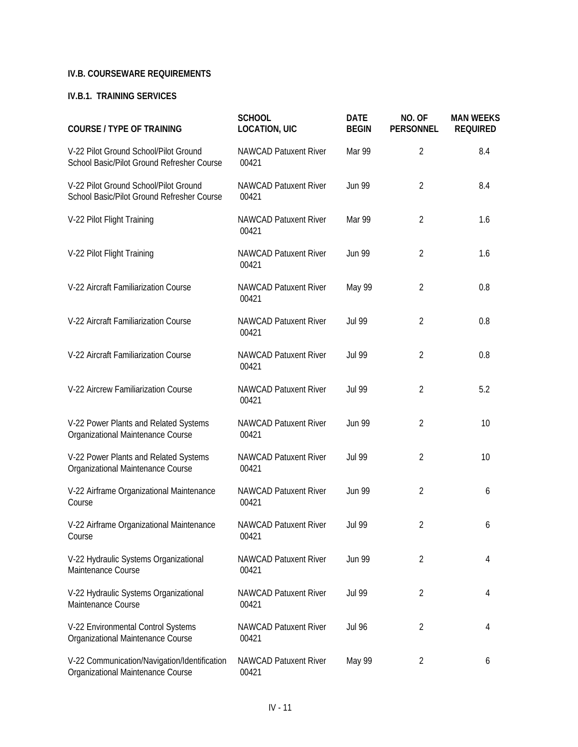## **IV.B. COURSEWARE REQUIREMENTS**

#### **IV.B.1. TRAINING SERVICES**

| <b>COURSE / TYPE OF TRAINING</b>                                                    | <b>SCHOOL</b><br><b>LOCATION, UIC</b> | <b>DATE</b><br><b>BEGIN</b> | NO. OF<br><b>PERSONNEL</b> | <b>MAN WEEKS</b><br><b>REQUIRED</b> |
|-------------------------------------------------------------------------------------|---------------------------------------|-----------------------------|----------------------------|-------------------------------------|
| V-22 Pilot Ground School/Pilot Ground<br>School Basic/Pilot Ground Refresher Course | <b>NAWCAD Patuxent River</b><br>00421 | Mar 99                      | $\overline{2}$             | 8.4                                 |
| V-22 Pilot Ground School/Pilot Ground<br>School Basic/Pilot Ground Refresher Course | <b>NAWCAD Patuxent River</b><br>00421 | <b>Jun 99</b>               | $\overline{2}$             | 8.4                                 |
| V-22 Pilot Flight Training                                                          | <b>NAWCAD Patuxent River</b><br>00421 | Mar 99                      | $\overline{2}$             | 1.6                                 |
| V-22 Pilot Flight Training                                                          | <b>NAWCAD Patuxent River</b><br>00421 | <b>Jun 99</b>               | $\overline{2}$             | 1.6                                 |
| V-22 Aircraft Familiarization Course                                                | <b>NAWCAD Patuxent River</b><br>00421 | May 99                      | $\overline{2}$             | 0.8                                 |
| V-22 Aircraft Familiarization Course                                                | <b>NAWCAD Patuxent River</b><br>00421 | <b>Jul 99</b>               | $\overline{2}$             | 0.8                                 |
| V-22 Aircraft Familiarization Course                                                | <b>NAWCAD Patuxent River</b><br>00421 | <b>Jul 99</b>               | $\overline{2}$             | 0.8                                 |
| V-22 Aircrew Familiarization Course                                                 | <b>NAWCAD Patuxent River</b><br>00421 | <b>Jul 99</b>               | $\overline{2}$             | 5.2                                 |
| V-22 Power Plants and Related Systems<br>Organizational Maintenance Course          | <b>NAWCAD Patuxent River</b><br>00421 | <b>Jun 99</b>               | $\overline{2}$             | 10                                  |
| V-22 Power Plants and Related Systems<br>Organizational Maintenance Course          | <b>NAWCAD Patuxent River</b><br>00421 | <b>Jul 99</b>               | $\overline{2}$             | 10                                  |
| V-22 Airframe Organizational Maintenance<br>Course                                  | <b>NAWCAD Patuxent River</b><br>00421 | <b>Jun 99</b>               | $\overline{2}$             | 6                                   |
| V-22 Airframe Organizational Maintenance<br>Course                                  | <b>NAWCAD Patuxent River</b><br>00421 | <b>Jul 99</b>               | $\overline{2}$             | 6                                   |
| V-22 Hydraulic Systems Organizational<br>Maintenance Course                         | <b>NAWCAD Patuxent River</b><br>00421 | <b>Jun 99</b>               | $\overline{2}$             | 4                                   |
| V-22 Hydraulic Systems Organizational<br>Maintenance Course                         | <b>NAWCAD Patuxent River</b><br>00421 | <b>Jul 99</b>               | $\overline{2}$             | 4                                   |
| V-22 Environmental Control Systems<br>Organizational Maintenance Course             | <b>NAWCAD Patuxent River</b><br>00421 | <b>Jul 96</b>               | $\overline{2}$             | 4                                   |
| V-22 Communication/Navigation/Identification<br>Organizational Maintenance Course   | <b>NAWCAD Patuxent River</b><br>00421 | May 99                      | $\overline{2}$             | 6                                   |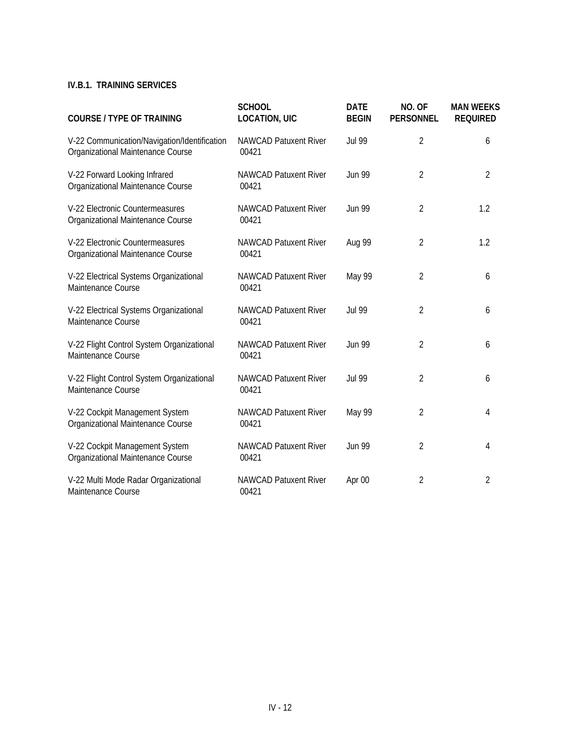## **IV.B.1. TRAINING SERVICES**

| <b>COURSE / TYPE OF TRAINING</b>                                                  | <b>SCHOOL</b><br><b>LOCATION, UIC</b> | <b>DATE</b><br><b>BEGIN</b> | NO. OF<br><b>PERSONNEL</b> | <b>MAN WEEKS</b><br><b>REQUIRED</b> |
|-----------------------------------------------------------------------------------|---------------------------------------|-----------------------------|----------------------------|-------------------------------------|
| V-22 Communication/Navigation/Identification<br>Organizational Maintenance Course | <b>NAWCAD Patuxent River</b><br>00421 | <b>Jul 99</b>               | $\overline{2}$             | 6                                   |
| V-22 Forward Looking Infrared<br>Organizational Maintenance Course                | NAWCAD Patuxent River<br>00421        | <b>Jun 99</b>               | $\overline{2}$             | $\overline{2}$                      |
| V-22 Electronic Countermeasures<br>Organizational Maintenance Course              | <b>NAWCAD Patuxent River</b><br>00421 | <b>Jun 99</b>               | $\overline{2}$             | 1.2                                 |
| V-22 Electronic Countermeasures<br>Organizational Maintenance Course              | <b>NAWCAD Patuxent River</b><br>00421 | Aug 99                      | $\overline{2}$             | 1.2                                 |
| V-22 Electrical Systems Organizational<br>Maintenance Course                      | <b>NAWCAD Patuxent River</b><br>00421 | May 99                      | $\overline{2}$             | 6                                   |
| V-22 Electrical Systems Organizational<br>Maintenance Course                      | <b>NAWCAD Patuxent River</b><br>00421 | <b>Jul 99</b>               | $\overline{2}$             | 6                                   |
| V-22 Flight Control System Organizational<br>Maintenance Course                   | <b>NAWCAD Patuxent River</b><br>00421 | <b>Jun 99</b>               | $\overline{2}$             | 6                                   |
| V-22 Flight Control System Organizational<br>Maintenance Course                   | <b>NAWCAD Patuxent River</b><br>00421 | <b>Jul 99</b>               | $\overline{2}$             | 6                                   |
| V-22 Cockpit Management System<br>Organizational Maintenance Course               | <b>NAWCAD Patuxent River</b><br>00421 | May 99                      | $\overline{2}$             | 4                                   |
| V-22 Cockpit Management System<br>Organizational Maintenance Course               | <b>NAWCAD Patuxent River</b><br>00421 | <b>Jun 99</b>               | $\overline{2}$             | 4                                   |
| V-22 Multi Mode Radar Organizational<br>Maintenance Course                        | <b>NAWCAD Patuxent River</b><br>00421 | Apr 00                      | $\overline{2}$             | $\overline{2}$                      |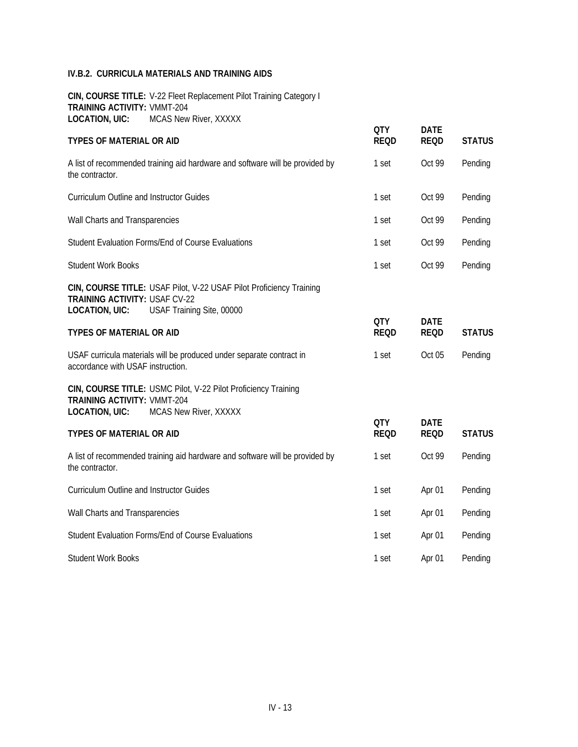**CIN, COURSE TITLE:** V-22 Fleet Replacement Pilot Training Category I **TRAINING ACTIVITY:** VMMT-204 **LOCATION, UIC:** MCAS New River, XXXXX

|                                                             |                                                                                                                 | <b>QTY</b>                | <b>DATE</b>                |               |
|-------------------------------------------------------------|-----------------------------------------------------------------------------------------------------------------|---------------------------|----------------------------|---------------|
| <b>TYPES OF MATERIAL OR AID</b>                             |                                                                                                                 | <b>REQD</b>               | <b>REQD</b>                | <b>STATUS</b> |
| the contractor.                                             | A list of recommended training aid hardware and software will be provided by                                    | 1 set                     | Oct 99                     | Pending       |
| Curriculum Outline and Instructor Guides                    |                                                                                                                 | 1 set                     | Oct 99                     | Pending       |
| Wall Charts and Transparencies                              |                                                                                                                 | 1 set                     | Oct 99                     | Pending       |
|                                                             | Student Evaluation Forms/End of Course Evaluations                                                              | 1 set                     | Oct 99                     | Pending       |
| <b>Student Work Books</b>                                   |                                                                                                                 | 1 set                     | Oct 99                     | Pending       |
| <b>TRAINING ACTIVITY: USAF CV-22</b>                        | CIN, COURSE TITLE: USAF Pilot, V-22 USAF Pilot Proficiency Training<br>LOCATION, UIC: USAF Training Site, 00000 |                           |                            |               |
| TYPES OF MATERIAL OR AID                                    |                                                                                                                 | <b>QTY</b><br><b>REQD</b> | <b>DATE</b><br><b>REQD</b> | <b>STATUS</b> |
| accordance with USAF instruction.                           | USAF curricula materials will be produced under separate contract in                                            | 1 set                     | Oct 05                     | Pending       |
| <b>TRAINING ACTIVITY: VMMT-204</b><br><b>LOCATION, UIC:</b> | CIN, COURSE TITLE: USMC Pilot, V-22 Pilot Proficiency Training<br>MCAS New River, XXXXX                         |                           |                            |               |
| <b>TYPES OF MATERIAL OR AID</b>                             |                                                                                                                 | <b>QTY</b><br><b>REQD</b> | <b>DATE</b><br><b>REQD</b> | <b>STATUS</b> |
| the contractor.                                             | A list of recommended training aid hardware and software will be provided by                                    | 1 set                     | Oct 99                     | Pending       |
| <b>Curriculum Outline and Instructor Guides</b>             |                                                                                                                 | 1 set                     | Apr 01                     | Pending       |
| Wall Charts and Transparencies                              |                                                                                                                 | 1 set                     | Apr 01                     | Pending       |
|                                                             | Student Evaluation Forms/End of Course Evaluations                                                              | 1 set                     | Apr 01                     | Pending       |
| <b>Student Work Books</b>                                   |                                                                                                                 | 1 set                     | Apr 01                     | Pending       |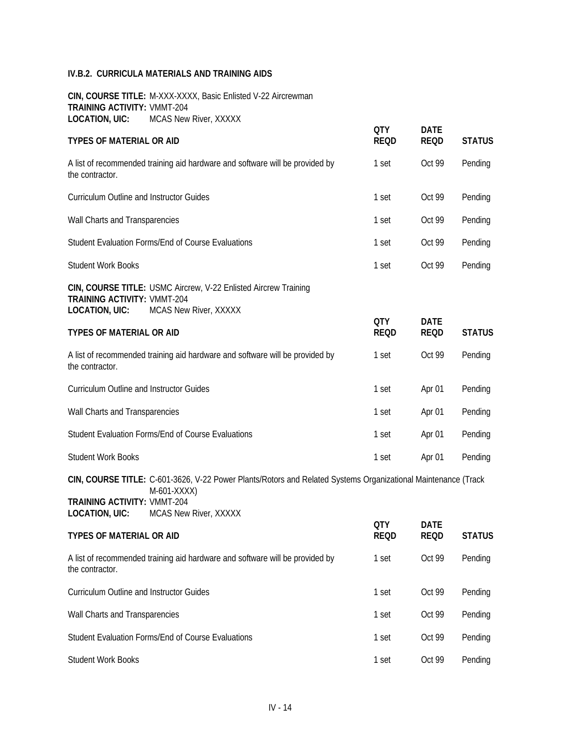**CIN, COURSE TITLE:** M-XXX-XXXX, Basic Enlisted V-22 Aircrewman **TRAINING ACTIVITY:** VMMT-204 LOCATION, UIC: MCAS New River, XXXXX

| <b>TYPES OF MATERIAL OR AID</b>                                                                |                                                                                                                                                       | <b>QTY</b><br><b>REQD</b> | <b>DATE</b><br><b>REQD</b> | <b>STATUS</b> |
|------------------------------------------------------------------------------------------------|-------------------------------------------------------------------------------------------------------------------------------------------------------|---------------------------|----------------------------|---------------|
| the contractor.                                                                                | A list of recommended training aid hardware and software will be provided by                                                                          | 1 set                     | Oct 99                     | Pending       |
| Curriculum Outline and Instructor Guides                                                       |                                                                                                                                                       | 1 set                     | Oct 99                     | Pending       |
| Wall Charts and Transparencies                                                                 |                                                                                                                                                       | 1 set                     | Oct 99                     | Pending       |
|                                                                                                | Student Evaluation Forms/End of Course Evaluations                                                                                                    | 1 set                     | Oct 99                     | Pending       |
| <b>Student Work Books</b>                                                                      |                                                                                                                                                       | 1 set                     | Oct 99                     | Pending       |
| <b>TRAINING ACTIVITY: VMMT-204</b><br><b>LOCATION, UIC:</b><br><b>TYPES OF MATERIAL OR AID</b> | CIN, COURSE TITLE: USMC Aircrew, V-22 Enlisted Aircrew Training<br>MCAS New River, XXXXX                                                              | <b>QTY</b><br><b>REQD</b> | <b>DATE</b><br><b>REQD</b> | <b>STATUS</b> |
| the contractor.                                                                                | A list of recommended training aid hardware and software will be provided by                                                                          | 1 set                     | Oct 99                     | Pending       |
| Curriculum Outline and Instructor Guides                                                       |                                                                                                                                                       | 1 set                     | Apr 01                     | Pending       |
| Wall Charts and Transparencies                                                                 |                                                                                                                                                       | 1 set                     | Apr 01                     | Pending       |
|                                                                                                | Student Evaluation Forms/End of Course Evaluations                                                                                                    | 1 set                     | Apr 01                     | Pending       |
| <b>Student Work Books</b>                                                                      |                                                                                                                                                       | 1 set                     | Apr 01                     | Pending       |
| <b>TRAINING ACTIVITY: VMMT-204</b><br><b>LOCATION, UIC:</b>                                    | CIN, COURSE TITLE: C-601-3626, V-22 Power Plants/Rotors and Related Systems Organizational Maintenance (Track<br>M-601-XXXX)<br>MCAS New River, XXXXX |                           |                            |               |
| <b>TYPES OF MATERIAL OR AID</b>                                                                |                                                                                                                                                       | <b>QTY</b><br><b>REQD</b> | <b>DATE</b><br><b>REQD</b> | <b>STATUS</b> |
| the contractor.                                                                                | A list of recommended training aid hardware and software will be provided by                                                                          | 1 set                     | Oct 99                     | Pending       |
| Curriculum Outline and Instructor Guides                                                       |                                                                                                                                                       | 1 set                     | Oct 99                     | Pending       |
| Wall Charts and Transparencies                                                                 |                                                                                                                                                       | 1 set                     | Oct 99                     | Pending       |
|                                                                                                | Student Evaluation Forms/End of Course Evaluations                                                                                                    | 1 set                     | Oct 99                     | Pending       |
| <b>Student Work Books</b>                                                                      |                                                                                                                                                       | 1 set                     | Oct 99                     | Pending       |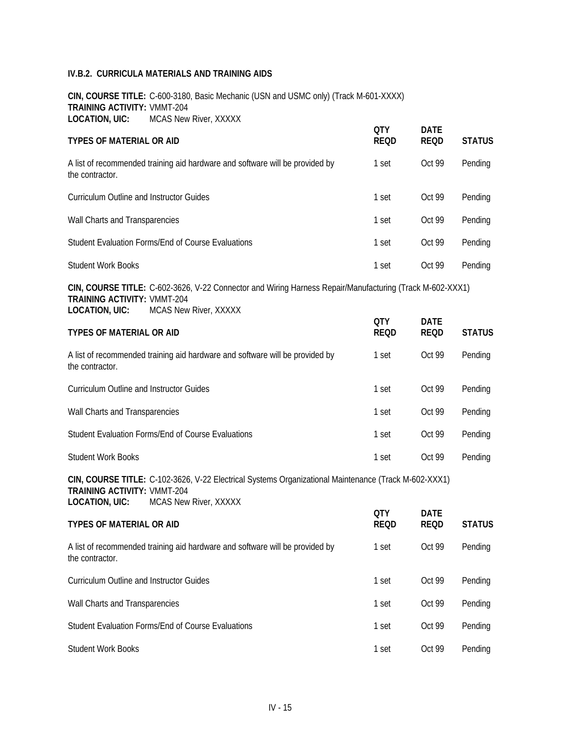**CIN, COURSE TITLE:** C-600-3180, Basic Mechanic (USN and USMC only) (Track M-601-XXXX) **TRAINING ACTIVITY:** VMMT-204 **LOCATION, UIC:** MCAS New River, XXXXX

| <b>TYPES OF MATERIAL OR AID</b>                                                                                                                                                                  | <b>QTY</b><br><b>REQD</b> | <b>DATE</b><br><b>REQD</b> | <b>STATUS</b> |
|--------------------------------------------------------------------------------------------------------------------------------------------------------------------------------------------------|---------------------------|----------------------------|---------------|
| A list of recommended training aid hardware and software will be provided by<br>the contractor.                                                                                                  | 1 set                     | Oct 99                     | Pending       |
| <b>Curriculum Outline and Instructor Guides</b>                                                                                                                                                  | 1 set                     | Oct 99                     | Pending       |
| Wall Charts and Transparencies                                                                                                                                                                   | 1 set                     | Oct 99                     | Pending       |
| Student Evaluation Forms/End of Course Evaluations                                                                                                                                               | 1 set                     | Oct 99                     | Pending       |
| <b>Student Work Books</b>                                                                                                                                                                        | 1 set                     | Oct 99                     | Pending       |
| CIN, COURSE TITLE: C-602-3626, V-22 Connector and Wiring Harness Repair/Manufacturing (Track M-602-XXX1)<br><b>TRAINING ACTIVITY: VMMT-204</b><br><b>LOCATION, UIC:</b><br>MCAS New River, XXXXX |                           |                            |               |
| <b>TYPES OF MATERIAL OR AID</b>                                                                                                                                                                  | <b>QTY</b><br><b>REQD</b> | <b>DATE</b><br><b>REQD</b> | <b>STATUS</b> |
| A list of recommended training aid hardware and software will be provided by<br>the contractor.                                                                                                  | 1 set                     | Oct 99                     | Pending       |
| <b>Curriculum Outline and Instructor Guides</b>                                                                                                                                                  | 1 set                     | Oct 99                     | Pending       |
| Wall Charts and Transparencies                                                                                                                                                                   | 1 set                     | Oct 99                     | Pending       |
| Student Evaluation Forms/End of Course Evaluations                                                                                                                                               | 1 set                     | Oct 99                     | Pending       |
| <b>Student Work Books</b>                                                                                                                                                                        | 1 set                     | Oct 99                     | Pending       |
| CIN, COURSE TITLE: C-102-3626, V-22 Electrical Systems Organizational Maintenance (Track M-602-XXX1)<br><b>TRAINING ACTIVITY: VMMT-204</b><br><b>LOCATION, UIC:</b><br>MCAS New River, XXXXX     |                           |                            |               |
| <b>TYPES OF MATERIAL OR AID</b>                                                                                                                                                                  | <b>QTY</b><br><b>REQD</b> | <b>DATE</b><br><b>REQD</b> | <b>STATUS</b> |
|                                                                                                                                                                                                  |                           |                            |               |
| A list of recommended training aid hardware and software will be provided by<br>the contractor.                                                                                                  | 1 set                     | Oct 99                     | Pending       |

| Curriculum Outline and Instructor Guides           | 1 set | Oct 99 | Pending |
|----------------------------------------------------|-------|--------|---------|
| Wall Charts and Transparencies                     | 1 set | Oct 99 | Pending |
| Student Evaluation Forms/End of Course Evaluations | 1 set | Oct 99 | Pending |
| Student Work Books                                 | set   | Oct 99 | Pending |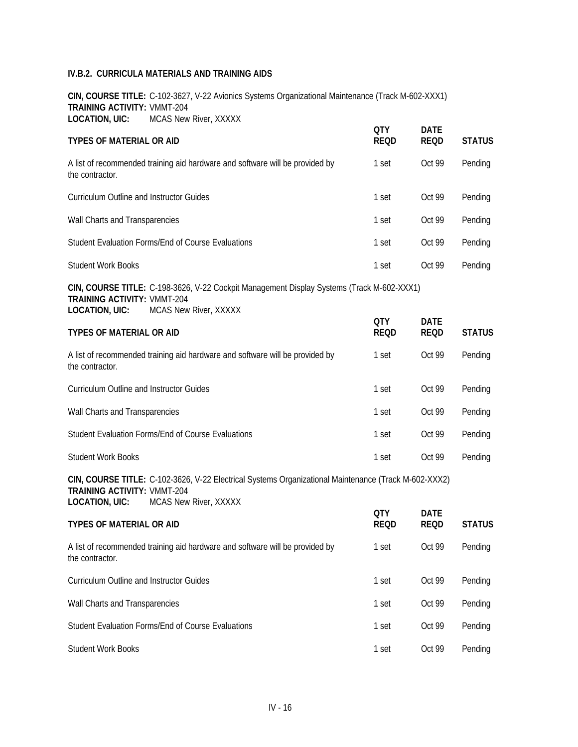**CIN, COURSE TITLE:** C-102-3627, V-22 Avionics Systems Organizational Maintenance (Track M-602-XXX1) **TRAINING ACTIVITY:** VMMT-204 **LOCATION, UIC:** MCAS New River, XXXXX

| <b>TYPES OF MATERIAL OR AID</b>                                                                                                                                                              | <b>QTY</b><br><b>REQD</b> | <b>DATE</b><br><b>REQD</b> | <b>STATUS</b> |
|----------------------------------------------------------------------------------------------------------------------------------------------------------------------------------------------|---------------------------|----------------------------|---------------|
| A list of recommended training aid hardware and software will be provided by<br>the contractor.                                                                                              | 1 set                     | Oct 99                     | Pending       |
| <b>Curriculum Outline and Instructor Guides</b>                                                                                                                                              | 1 set                     | Oct 99                     | Pending       |
| Wall Charts and Transparencies                                                                                                                                                               | 1 set                     | Oct 99                     | Pending       |
| Student Evaluation Forms/End of Course Evaluations                                                                                                                                           | 1 set                     | Oct 99                     | Pending       |
| <b>Student Work Books</b>                                                                                                                                                                    | 1 set                     | Oct 99                     | Pending       |
| CIN, COURSE TITLE: C-198-3626, V-22 Cockpit Management Display Systems (Track M-602-XXX1)<br><b>TRAINING ACTIVITY: VMMT-204</b><br>MCAS New River, XXXXX<br><b>LOCATION, UIC:</b>            | <b>QTY</b>                | <b>DATE</b>                |               |
| TYPES OF MATERIAL OR AID                                                                                                                                                                     | <b>REQD</b>               | <b>REQD</b>                | <b>STATUS</b> |
| A list of recommended training aid hardware and software will be provided by<br>the contractor.                                                                                              | 1 set                     | Oct 99                     | Pending       |
| Curriculum Outline and Instructor Guides                                                                                                                                                     | 1 set                     | Oct 99                     | Pending       |
| Wall Charts and Transparencies                                                                                                                                                               | 1 set                     | Oct 99                     | Pending       |
| Student Evaluation Forms/End of Course Evaluations                                                                                                                                           | 1 set                     | Oct 99                     | Pending       |
| <b>Student Work Books</b>                                                                                                                                                                    | 1 set                     | Oct 99                     | Pending       |
| CIN, COURSE TITLE: C-102-3626, V-22 Electrical Systems Organizational Maintenance (Track M-602-XXX2)<br><b>TRAINING ACTIVITY: VMMT-204</b><br><b>LOCATION, UIC:</b><br>MCAS New River, XXXXX |                           |                            |               |
| TYPES OF MATERIAL OR AID                                                                                                                                                                     | <b>QTY</b><br><b>REQD</b> | <b>DATE</b><br><b>REQD</b> | <b>STATUS</b> |
| A list of recommended training aid hardware and software will be provided by<br>the contractor.                                                                                              | 1 set                     | Oct 99                     | Pending       |
| Curriculum Outline and Instructor Guides                                                                                                                                                     | 1 set                     | Oct 99                     | Pending       |
| Wall Charts and Transparencies                                                                                                                                                               | 1 set                     | Oct 99                     | Pending       |
| Student Evaluation Forms/End of Course Evaluations                                                                                                                                           | 1 set                     | Oct 99                     | Pending       |
| <b>Student Work Books</b>                                                                                                                                                                    | 1 set                     | Oct 99                     | Pending       |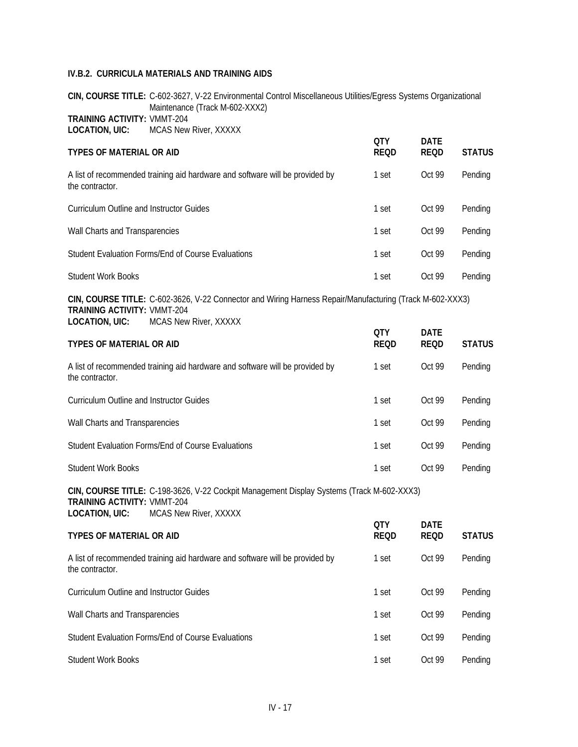**CIN, COURSE TITLE:** C-602-3627, V-22 Environmental Control Miscellaneous Utilities/Egress Systems Organizational Maintenance (Track M-602-XXX2) **TRAINING ACTIVITY:** VMMT-204 **LOCATION, UIC:** MCAS New River, XXXXX

| <b>TYPES OF MATERIAL OR AID</b>                                                                          | <b>OTY</b><br><b>REQD</b> | <b>DATE</b><br><b>REQD</b> | <b>STATUS</b> |
|----------------------------------------------------------------------------------------------------------|---------------------------|----------------------------|---------------|
| A list of recommended training aid hardware and software will be provided by<br>the contractor.          | 1 set                     | Oct 99                     | Pending       |
| Curriculum Outline and Instructor Guides                                                                 | 1 set                     | Oct 99                     | Pending       |
| Wall Charts and Transparencies                                                                           | 1 set                     | Oct 99                     | Pending       |
| Student Evaluation Forms/End of Course Evaluations                                                       | 1 set                     | Oct 99                     | Pending       |
| <b>Student Work Books</b>                                                                                | 1 set                     | Oct 99                     | Pending       |
| CIN, COURSE TITLE: C-602-3626, V-22 Connector and Wiring Harness Repair/Manufacturing (Track M-602-XXX3) |                           |                            |               |

**TRAINING ACTIVITY:** VMMT-204 **LOCATION, UIC:** MCAS New River, XXXXX

| <b>TYPES OF MATERIAL OR AID</b>                                                                 | <b>OTY</b><br><b>REQD</b> | <b>DATE</b><br><b>REQD</b> | <b>STATUS</b> |
|-------------------------------------------------------------------------------------------------|---------------------------|----------------------------|---------------|
| A list of recommended training aid hardware and software will be provided by<br>the contractor. | 1 set                     | Oct 99                     | Pending       |
| Curriculum Outline and Instructor Guides                                                        | 1 set                     | Oct 99                     | Pending       |
| Wall Charts and Transparencies                                                                  | 1 set                     | Oct 99                     | Pending       |
| Student Evaluation Forms/End of Course Evaluations                                              | 1 set                     | Oct 99                     | Pending       |
| <b>Student Work Books</b>                                                                       | 1 set                     | Oct 99                     | Pendina       |

**CIN, COURSE TITLE:** C-198-3626, V-22 Cockpit Management Display Systems (Track M-602-XXX3) **TRAINING ACTIVITY:** VMMT-204 **LOCATION, UIC:** MCAS New River, XXXXX

| <b>TYPES OF MATERIAL OR AID</b>                                                                 | <b>OTY</b><br><b>REQD</b> | <b>DATE</b><br>REOD | <b>STATUS</b> |
|-------------------------------------------------------------------------------------------------|---------------------------|---------------------|---------------|
| A list of recommended training aid hardware and software will be provided by<br>the contractor. | 1 set                     | Oct 99              | Pending       |
| Curriculum Outline and Instructor Guides                                                        | 1 set                     | Oct 99              | Pending       |
| Wall Charts and Transparencies                                                                  | 1 set                     | Oct 99              | Pending       |
| Student Evaluation Forms/End of Course Evaluations                                              | 1 set                     | Oct 99              | Pending       |
| <b>Student Work Books</b>                                                                       | 1 set                     | Oct 99              | Pending       |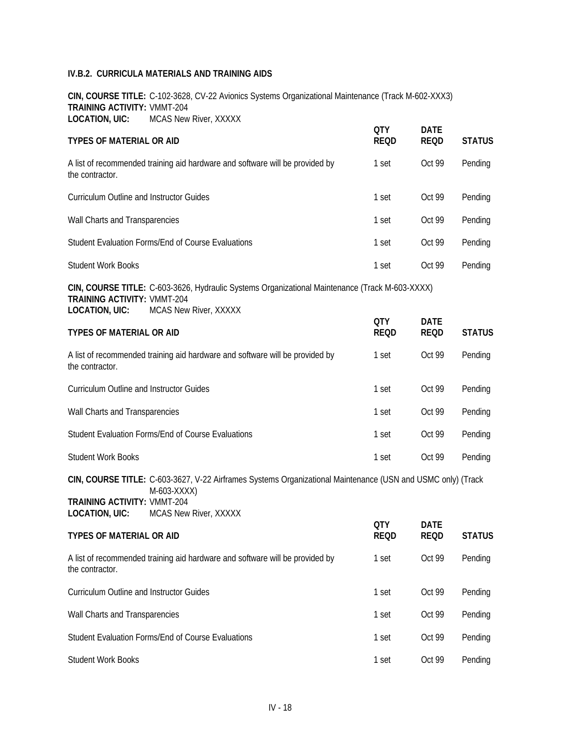**CIN, COURSE TITLE:** C-102-3628, CV-22 Avionics Systems Organizational Maintenance (Track M-602-XXX3) **TRAINING ACTIVITY:** VMMT-204 **LOCATION, UIC:** MCAS New River, XXXXX

| <b>TYPES OF MATERIAL OR AID</b>                                                                |                                                                                                                                                     | <b>QTY</b><br><b>REQD</b> | <b>DATE</b><br><b>REQD</b> | <b>STATUS</b> |
|------------------------------------------------------------------------------------------------|-----------------------------------------------------------------------------------------------------------------------------------------------------|---------------------------|----------------------------|---------------|
| the contractor.                                                                                | A list of recommended training aid hardware and software will be provided by                                                                        | 1 set                     | Oct 99                     | Pending       |
| <b>Curriculum Outline and Instructor Guides</b>                                                |                                                                                                                                                     | 1 set                     | Oct 99                     | Pending       |
| Wall Charts and Transparencies                                                                 |                                                                                                                                                     | 1 set                     | Oct 99                     | Pending       |
|                                                                                                | Student Evaluation Forms/End of Course Evaluations                                                                                                  | 1 set                     | Oct 99                     | Pending       |
| <b>Student Work Books</b>                                                                      |                                                                                                                                                     | 1 set                     | Oct 99                     | Pending       |
| <b>TRAINING ACTIVITY: VMMT-204</b><br><b>LOCATION, UIC:</b><br><b>TYPES OF MATERIAL OR AID</b> | CIN, COURSE TITLE: C-603-3626, Hydraulic Systems Organizational Maintenance (Track M-603-XXXX)<br>MCAS New River, XXXXX                             | <b>QTY</b><br><b>REQD</b> | <b>DATE</b><br><b>REQD</b> | <b>STATUS</b> |
| the contractor.                                                                                | A list of recommended training aid hardware and software will be provided by                                                                        | 1 set                     | Oct 99                     | Pending       |
| <b>Curriculum Outline and Instructor Guides</b>                                                |                                                                                                                                                     | 1 set                     | Oct 99                     | Pending       |
| Wall Charts and Transparencies                                                                 |                                                                                                                                                     | 1 set                     | Oct 99                     | Pending       |
|                                                                                                | Student Evaluation Forms/End of Course Evaluations                                                                                                  | 1 set                     | Oct 99                     | Pending       |
| <b>Student Work Books</b>                                                                      |                                                                                                                                                     | 1 set                     | Oct 99                     | Pending       |
| <b>TRAINING ACTIVITY: VMMT-204</b><br><b>LOCATION, UIC:</b>                                    | CIN, COURSE TITLE: C-603-3627, V-22 Airframes Systems Organizational Maintenance (USN and USMC only) (Track<br>M-603-XXXX)<br>MCAS New River, XXXXX |                           |                            |               |
| <b>TYPES OF MATERIAL OR AID</b>                                                                |                                                                                                                                                     | <b>QTY</b><br><b>REQD</b> | <b>DATE</b><br><b>REQD</b> | <b>STATUS</b> |
| the contractor.                                                                                | A list of recommended training aid hardware and software will be provided by                                                                        | 1 set                     | Oct 99                     | Pending       |
| <b>Curriculum Outline and Instructor Guides</b>                                                |                                                                                                                                                     | 1 set                     | Oct 99                     | Pending       |
| Wall Charts and Transparencies                                                                 |                                                                                                                                                     | 1 set                     | Oct 99                     | Pending       |
|                                                                                                | Student Evaluation Forms/End of Course Evaluations                                                                                                  | 1 set                     | Oct 99                     | Pending       |
| <b>Student Work Books</b>                                                                      |                                                                                                                                                     | 1 set                     | Oct 99                     | Pending       |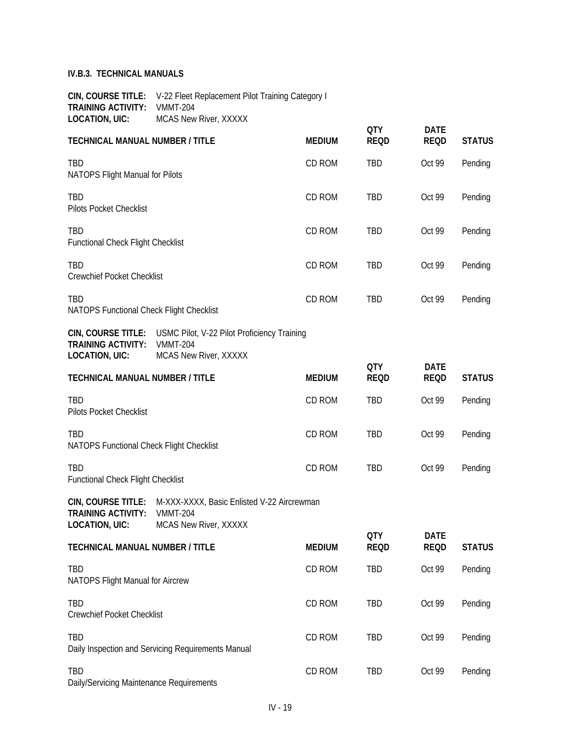**CIN, COURSE TITLE:** V-22 Fleet Replacement Pilot Training Category I **TRAINING ACTIVITY:** VMMT-204 **LOCATION, UIC:** MCAS New River, XXXXX

|                                                                          |                                                                                                            |               | <b>QTY</b>                | <b>DATE</b>                |               |
|--------------------------------------------------------------------------|------------------------------------------------------------------------------------------------------------|---------------|---------------------------|----------------------------|---------------|
| <b>TECHNICAL MANUAL NUMBER / TITLE</b>                                   |                                                                                                            | <b>MEDIUM</b> | <b>REQD</b>               | <b>REQD</b>                | <b>STATUS</b> |
| TBD<br>NATOPS Flight Manual for Pilots                                   |                                                                                                            | CD ROM        | TBD                       | Oct 99                     | Pending       |
| TBD<br>Pilots Pocket Checklist                                           |                                                                                                            | CD ROM        | TBD                       | Oct 99                     | Pending       |
| TBD<br>Functional Check Flight Checklist                                 |                                                                                                            | CD ROM        | TBD                       | Oct 99                     | Pending       |
| TBD<br>Crewchief Pocket Checklist                                        |                                                                                                            | CD ROM        | TBD                       | Oct 99                     | Pending       |
| TBD<br>NATOPS Functional Check Flight Checklist                          |                                                                                                            | CD ROM        | <b>TBD</b>                | Oct 99                     | Pending       |
| <b>TRAINING ACTIVITY:</b><br><b>LOCATION, UIC:</b>                       | CIN, COURSE TITLE: USMC Pilot, V-22 Pilot Proficiency Training<br><b>VMMT-204</b><br>MCAS New River, XXXXX |               |                           |                            |               |
| <b>TECHNICAL MANUAL NUMBER / TITLE</b>                                   |                                                                                                            | <b>MEDIUM</b> | <b>QTY</b><br><b>REQD</b> | <b>DATE</b><br><b>REQD</b> | <b>STATUS</b> |
| <b>TBD</b><br>Pilots Pocket Checklist                                    |                                                                                                            | CD ROM        | <b>TBD</b>                | Oct 99                     | Pending       |
| <b>TBD</b><br>NATOPS Functional Check Flight Checklist                   |                                                                                                            | CD ROM        | TBD                       | Oct 99                     | Pending       |
| <b>TBD</b><br><b>Functional Check Flight Checklist</b>                   |                                                                                                            | CD ROM        | <b>TBD</b>                | Oct 99                     | Pending       |
| CIN, COURSE TITLE:<br><b>TRAINING ACTIVITY:</b><br><b>LOCATION, UIC:</b> | M-XXX-XXXX, Basic Enlisted V-22 Aircrewman<br><b>VMMT-204</b><br>MCAS New River, XXXXX                     |               |                           |                            |               |
| TECHNICAL MANUAL NUMBER / TITLE                                          |                                                                                                            | <b>MEDIUM</b> | <b>QTY</b><br><b>REQD</b> | <b>DATE</b><br><b>REQD</b> | <b>STATUS</b> |
| TBD<br>NATOPS Flight Manual for Aircrew                                  |                                                                                                            | CD ROM        | TBD                       | Oct 99                     | Pending       |
| TBD<br><b>Crewchief Pocket Checklist</b>                                 |                                                                                                            | CD ROM        | TBD                       | Oct 99                     | Pending       |
| TBD                                                                      | Daily Inspection and Servicing Requirements Manual                                                         | CD ROM        | TBD                       | Oct 99                     | Pending       |
| TBD<br>Daily/Servicing Maintenance Requirements                          |                                                                                                            | CD ROM        | TBD                       | Oct 99                     | Pending       |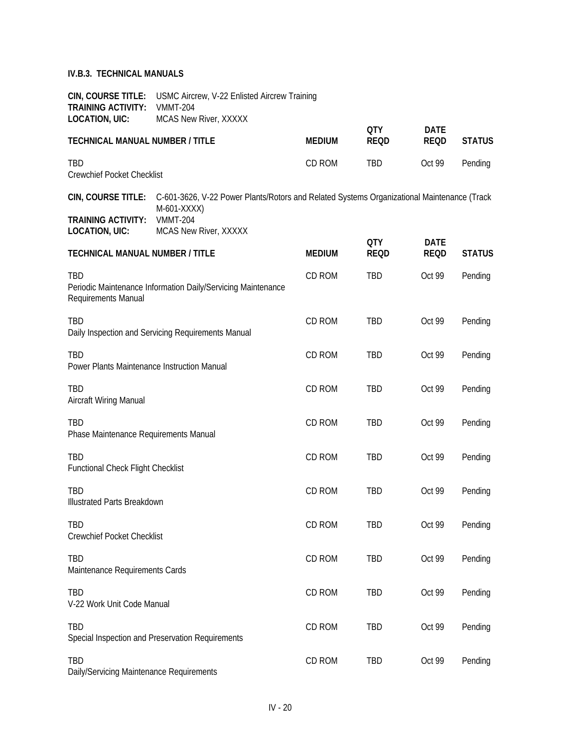| <b>TRAINING ACTIVITY:</b><br>LOCATION, UIC: | <b>CIN, COURSE TITLE:</b> USMC Aircrew, V-22 Enlisted Aircrew Training<br><b>VMMT-204</b><br><b>MCAS New River, XXXXX</b>    |               | <b>OTY</b>  | <b>DATE</b> |               |
|---------------------------------------------|------------------------------------------------------------------------------------------------------------------------------|---------------|-------------|-------------|---------------|
| <b>TECHNICAL MANUAL NUMBER / TITLE</b>      |                                                                                                                              | <b>MEDIUM</b> | <b>REQD</b> | <b>REQD</b> | <b>STATUS</b> |
| <b>TBD</b><br>Crewchief Pocket Checklist    |                                                                                                                              | CD ROM        | TBD         | Oct 99      | Pending       |
|                                             | CIN, COURSE TITLE: C-601-3626, V-22 Power Plants/Rotors and Related Systems Organizational Maintenance (Track<br>M-601-XXXX) |               |             |             |               |
| <b>TRAINING ACTIVITY:</b><br>LOCATION, UIC: | <b>VMMT-204</b><br><b>MCAS New River, XXXXX</b>                                                                              |               |             |             |               |

| <b>TECHNICAL MANUAL NUMBER / TITLE</b>                                                     | <b>MEDIUM</b> | <b>QTY</b><br><b>REQD</b> | <b>DATE</b><br><b>REQD</b> | <b>STATUS</b> |
|--------------------------------------------------------------------------------------------|---------------|---------------------------|----------------------------|---------------|
| TBD<br>Periodic Maintenance Information Daily/Servicing Maintenance<br>Requirements Manual | CD ROM        | <b>TBD</b>                | Oct 99                     | Pending       |
| <b>TBD</b><br>Daily Inspection and Servicing Requirements Manual                           | CD ROM        | <b>TBD</b>                | Oct 99                     | Pending       |
| <b>TBD</b><br>Power Plants Maintenance Instruction Manual                                  | CD ROM        | TBD                       | Oct 99                     | Pending       |
| TBD<br>Aircraft Wiring Manual                                                              | CD ROM        | TBD                       | Oct 99                     | Pending       |
| TBD<br>Phase Maintenance Requirements Manual                                               | CD ROM        | TBD                       | Oct 99                     | Pending       |
| <b>TBD</b><br>Functional Check Flight Checklist                                            | CD ROM        | TBD                       | Oct 99                     | Pending       |
| <b>TBD</b><br><b>Illustrated Parts Breakdown</b>                                           | CD ROM        | <b>TBD</b>                | Oct 99                     | Pending       |
| TBD<br><b>Crewchief Pocket Checklist</b>                                                   | CD ROM        | TBD                       | Oct 99                     | Pending       |
| <b>TBD</b><br>Maintenance Requirements Cards                                               | CD ROM        | TBD                       | Oct 99                     | Pending       |
| TBD<br>V-22 Work Unit Code Manual                                                          | CD ROM        | TBD                       | Oct 99                     | Pending       |
| <b>TBD</b><br>Special Inspection and Preservation Requirements                             | CD ROM        | TBD                       | Oct 99                     | Pending       |
| TBD<br>Daily/Servicing Maintenance Requirements                                            | CD ROM        | TBD                       | Oct 99                     | Pending       |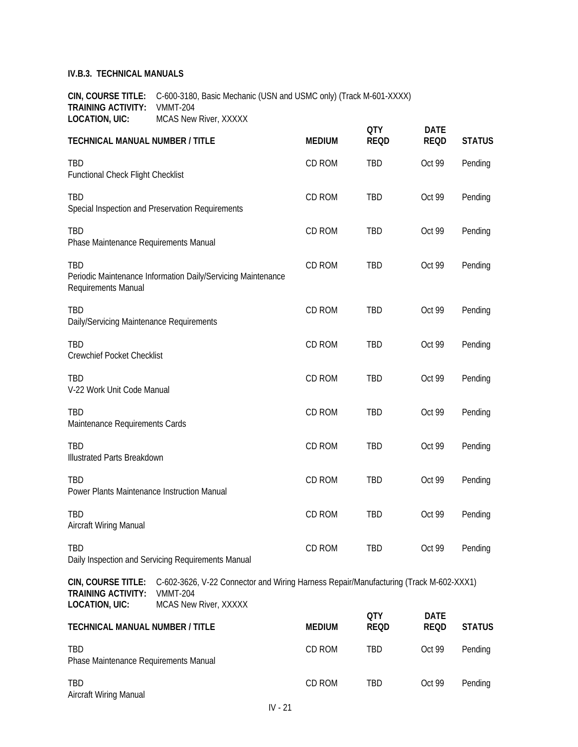Aircraft Wiring Manual

**CIN, COURSE TITLE:** C-600-3180, Basic Mechanic (USN and USMC only) (Track M-601-XXXX) **TRAINING ACTIVITY:** VMMT-204 **LOCATION, UIC:** MCAS New River, XXXXX

| <b>TECHNICAL MANUAL NUMBER / TITLE</b>                                   |                                                                                                                                   | <b>MEDIUM</b> | <b>QTY</b><br><b>REQD</b> | <b>DATE</b><br><b>REQD</b> | <b>STATUS</b> |
|--------------------------------------------------------------------------|-----------------------------------------------------------------------------------------------------------------------------------|---------------|---------------------------|----------------------------|---------------|
| TBD<br><b>Functional Check Flight Checklist</b>                          |                                                                                                                                   | CD ROM        | TBD                       | Oct 99                     | Pending       |
| TBD                                                                      | Special Inspection and Preservation Requirements                                                                                  | CD ROM        | TBD                       | Oct 99                     | Pending       |
| TBD<br>Phase Maintenance Requirements Manual                             |                                                                                                                                   | CD ROM        | TBD                       | Oct 99                     | Pending       |
| TBD<br>Requirements Manual                                               | Periodic Maintenance Information Daily/Servicing Maintenance                                                                      | CD ROM        | TBD                       | Oct 99                     | Pending       |
| TBD<br>Daily/Servicing Maintenance Requirements                          |                                                                                                                                   | CD ROM        | TBD                       | Oct 99                     | Pending       |
| TBD<br><b>Crewchief Pocket Checklist</b>                                 |                                                                                                                                   | CD ROM        | TBD                       | Oct 99                     | Pending       |
| TBD<br>V-22 Work Unit Code Manual                                        |                                                                                                                                   | CD ROM        | TBD                       | Oct 99                     | Pending       |
| TBD<br>Maintenance Requirements Cards                                    |                                                                                                                                   | CD ROM        | TBD                       | Oct 99                     | Pending       |
| TBD<br><b>Illustrated Parts Breakdown</b>                                |                                                                                                                                   | CD ROM        | TBD                       | Oct 99                     | Pending       |
| TBD<br>Power Plants Maintenance Instruction Manual                       |                                                                                                                                   | CD ROM        | TBD                       | Oct 99                     | Pending       |
| TBD<br>Aircraft Wiring Manual                                            |                                                                                                                                   | CD ROM        | TBD                       | Oct 99                     | Pending       |
| TBD.                                                                     | Daily Inspection and Servicing Requirements Manual                                                                                | CD ROM        | TBD                       | Oct 99                     | Pending       |
| CIN, COURSE TITLE:<br><b>TRAINING ACTIVITY:</b><br><b>LOCATION, UIC:</b> | C-602-3626, V-22 Connector and Wiring Harness Repair/Manufacturing (Track M-602-XXX1)<br><b>VMMT-204</b><br>MCAS New River, XXXXX |               |                           |                            |               |
| <b>TECHNICAL MANUAL NUMBER / TITLE</b>                                   |                                                                                                                                   | <b>MEDIUM</b> | <b>QTY</b><br><b>REQD</b> | <b>DATE</b><br><b>REQD</b> | <b>STATUS</b> |
| TBD<br>Phase Maintenance Requirements Manual                             |                                                                                                                                   | CD ROM        | TBD                       | Oct 99                     | Pending       |
|                                                                          |                                                                                                                                   |               |                           |                            |               |

TBD CD ROM TBD Oct 99 Pending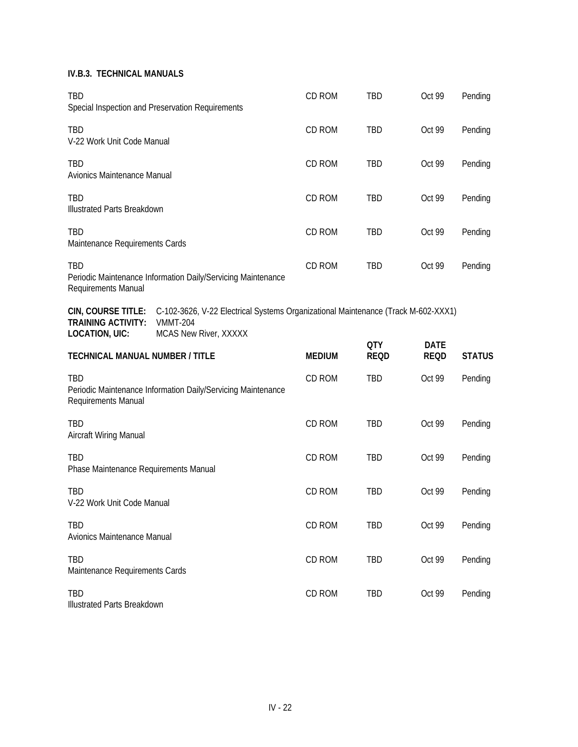| TBD                                                                      | Special Inspection and Preservation Requirements                                                                              | CD ROM        | <b>TBD</b>  | Oct 99      | Pending       |
|--------------------------------------------------------------------------|-------------------------------------------------------------------------------------------------------------------------------|---------------|-------------|-------------|---------------|
| TBD<br>V-22 Work Unit Code Manual                                        |                                                                                                                               | CD ROM        | TBD         | Oct 99      | Pending       |
| <b>TBD</b><br>Avionics Maintenance Manual                                |                                                                                                                               | CD ROM        | TBD         | Oct 99      | Pending       |
| <b>TBD</b><br><b>Illustrated Parts Breakdown</b>                         |                                                                                                                               | CD ROM        | TBD         | Oct 99      | Pending       |
| <b>TBD</b><br>Maintenance Requirements Cards                             |                                                                                                                               | CD ROM        | <b>TBD</b>  | Oct 99      | Pending       |
| <b>TBD</b><br>Requirements Manual                                        | Periodic Maintenance Information Daily/Servicing Maintenance                                                                  | CD ROM        | <b>TBD</b>  | Oct 99      | Pending       |
| CIN, COURSE TITLE:<br><b>TRAINING ACTIVITY:</b><br><b>LOCATION, UIC:</b> | C-102-3626, V-22 Electrical Systems Organizational Maintenance (Track M-602-XXX1)<br><b>VMMT-204</b><br>MCAS New River, XXXXX |               |             |             |               |
|                                                                          |                                                                                                                               |               | <b>QTY</b>  | <b>DATE</b> |               |
| <b>TECHNICAL MANUAL NUMBER / TITLE</b>                                   |                                                                                                                               | <b>MEDIUM</b> | <b>REQD</b> | <b>REQD</b> | <b>STATUS</b> |
| TBD<br>Requirements Manual                                               | Periodic Maintenance Information Daily/Servicing Maintenance                                                                  | CD ROM        | <b>TBD</b>  | Oct 99      | Pending       |
| TBD<br>Aircraft Wiring Manual                                            |                                                                                                                               | CD ROM        | <b>TBD</b>  | Oct 99      | Pending       |
| TBD<br>Phase Maintenance Requirements Manual                             |                                                                                                                               | CD ROM        | <b>TBD</b>  | Oct 99      | Pending       |
| <b>TBD</b><br>V-22 Work Unit Code Manual                                 |                                                                                                                               | CD ROM        | <b>TBD</b>  | Oct 99      | Pending       |
| <b>TBD</b><br>Avionics Maintenance Manual                                |                                                                                                                               | CD ROM        | TBD         | Oct 99      | Pending       |
| TBD<br>Maintenance Requirements Cards                                    |                                                                                                                               | CD ROM        | TBD         | Oct 99      | Pending       |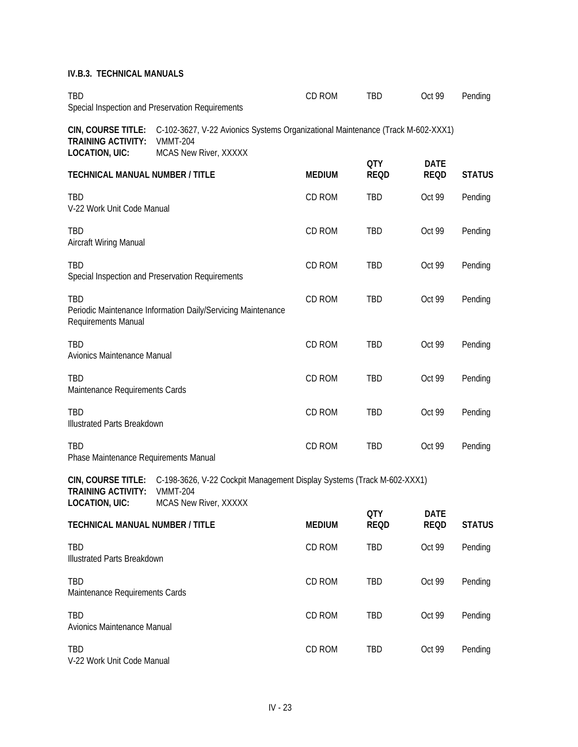| TBD                                                 | Special Inspection and Preservation Requirements                                                                                               | CD ROM        | <b>TBD</b>                | Oct 99                     | Pending       |
|-----------------------------------------------------|------------------------------------------------------------------------------------------------------------------------------------------------|---------------|---------------------------|----------------------------|---------------|
| <b>TRAINING ACTIVITY:</b><br><b>LOCATION, UIC:</b>  | CIN, COURSE TITLE: C-102-3627, V-22 Avionics Systems Organizational Maintenance (Track M-602-XXX1)<br><b>VMMT-204</b><br>MCAS New River, XXXXX |               |                           |                            |               |
| <b>TECHNICAL MANUAL NUMBER / TITLE</b>              |                                                                                                                                                | <b>MEDIUM</b> | <b>QTY</b><br><b>REQD</b> | <b>DATE</b><br><b>REQD</b> | <b>STATUS</b> |
| TBD<br>V-22 Work Unit Code Manual                   |                                                                                                                                                | CD ROM        | <b>TBD</b>                | Oct 99                     | Pending       |
| <b>TBD</b><br>Aircraft Wiring Manual                |                                                                                                                                                | CD ROM        | <b>TBD</b>                | Oct 99                     | Pending       |
| <b>TBD</b>                                          | Special Inspection and Preservation Requirements                                                                                               | CD ROM        | <b>TBD</b>                | Oct 99                     | Pending       |
| TBD<br>Requirements Manual                          | Periodic Maintenance Information Daily/Servicing Maintenance                                                                                   | CD ROM        | TBD                       | Oct 99                     | Pending       |
| TBD<br>Avionics Maintenance Manual                  |                                                                                                                                                | CD ROM        | TBD                       | Oct 99                     | Pending       |
| TBD<br>Maintenance Requirements Cards               |                                                                                                                                                | CD ROM        | TBD                       | Oct 99                     | Pending       |
| TBD<br><b>Illustrated Parts Breakdown</b>           |                                                                                                                                                | CD ROM        | <b>TBD</b>                | Oct 99                     | Pending       |
| <b>TBD</b><br>Phase Maintenance Requirements Manual |                                                                                                                                                | CD ROM        | <b>TBD</b>                | Oct 99                     | Pending       |

**CIN, COURSE TITLE:** C-198-3626, V-22 Cockpit Management Display Systems (Track M-602-XXX1) **TRAINING ACTIVITY:** VMMT-204 **LOCATION, UIC:** MCAS New River, XXXXX **QTY DATE**

| <b>TECHNICAL MANUAL NUMBER / TITLE</b>       | <b>MEDIUM</b> | UIY<br><b>REQD</b> | DAIL<br><b>REQD</b> | <b>STATUS</b> |
|----------------------------------------------|---------------|--------------------|---------------------|---------------|
| TBD<br><b>Illustrated Parts Breakdown</b>    | CD ROM        | TBD                | Oct 99              | Pending       |
| <b>TBD</b><br>Maintenance Requirements Cards | CD ROM        | <b>TBD</b>         | Oct 99              | Pending       |
| <b>TBD</b><br>Avionics Maintenance Manual    | CD ROM        | TBD                | Oct 99              | Pending       |
| <b>TBD</b><br>V-22 Work Unit Code Manual     | CD ROM        | <b>TBD</b>         | Oct 99              | Pending       |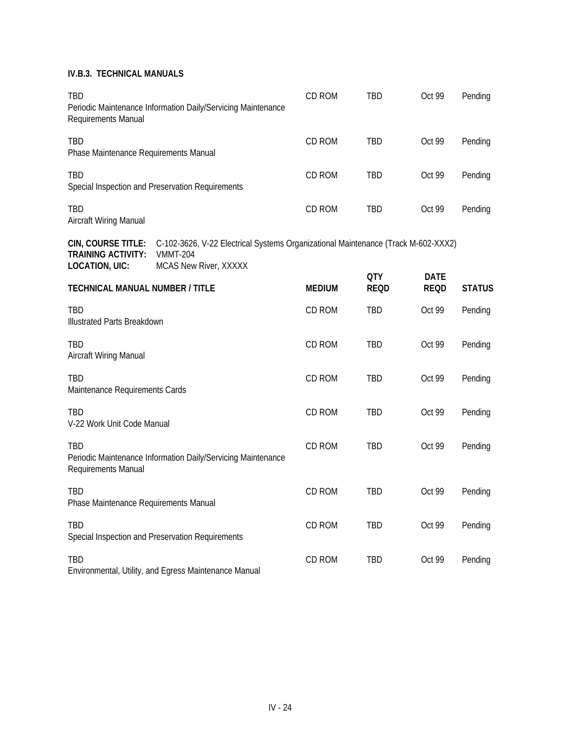| <b>TBD</b><br>Requirements Manual                                        | Periodic Maintenance Information Daily/Servicing Maintenance                                                           | CD ROM        | <b>TBD</b>                | Oct 99                     | Pending       |
|--------------------------------------------------------------------------|------------------------------------------------------------------------------------------------------------------------|---------------|---------------------------|----------------------------|---------------|
| <b>TBD</b><br>Phase Maintenance Requirements Manual                      |                                                                                                                        | CD ROM        | <b>TBD</b>                | Oct 99                     | Pending       |
| <b>TBD</b>                                                               | Special Inspection and Preservation Requirements                                                                       | CD ROM        | <b>TBD</b>                | Oct 99                     | Pending       |
| <b>TBD</b><br>Aircraft Wiring Manual                                     |                                                                                                                        | CD ROM        | <b>TBD</b>                | Oct 99                     | Pending       |
| CIN, COURSE TITLE:<br><b>TRAINING ACTIVITY:</b><br><b>LOCATION, UIC:</b> | C-102-3626, V-22 Electrical Systems Organizational Maintenance (Track M-602-XXX2)<br>VMMT-204<br>MCAS New River, XXXXX |               |                           |                            |               |
| <b>TECHNICAL MANUAL NUMBER / TITLE</b>                                   |                                                                                                                        | <b>MEDIUM</b> | <b>QTY</b><br><b>REQD</b> | <b>DATE</b><br><b>REQD</b> | <b>STATUS</b> |
| <b>TBD</b><br><b>Illustrated Parts Breakdown</b>                         |                                                                                                                        | CD ROM        | <b>TBD</b>                | Oct 99                     | Pending       |
| TBD<br>Aircraft Wiring Manual                                            |                                                                                                                        | CD ROM        | <b>TBD</b>                | Oct 99                     | Pending       |
| <b>TBD</b><br>Maintenance Requirements Cards                             |                                                                                                                        | CD ROM        | <b>TBD</b>                | Oct 99                     | Pending       |
| TBD<br>V-22 Work Unit Code Manual                                        |                                                                                                                        | CD ROM        | <b>TBD</b>                | Oct 99                     | Pending       |
| <b>TBD</b><br>Requirements Manual                                        | Periodic Maintenance Information Daily/Servicing Maintenance                                                           | CD ROM        | <b>TBD</b>                | Oct 99                     | Pending       |
| <b>TBD</b><br>Phase Maintenance Requirements Manual                      |                                                                                                                        | CD ROM        | <b>TBD</b>                | Oct 99                     | Pending       |
| TBD                                                                      | Special Inspection and Preservation Requirements                                                                       | CD ROM        | <b>TBD</b>                | Oct 99                     | Pending       |
| <b>TBD</b>                                                               | Environmental, Utility, and Egress Maintenance Manual                                                                  | CD ROM        | <b>TBD</b>                | Oct 99                     | Pending       |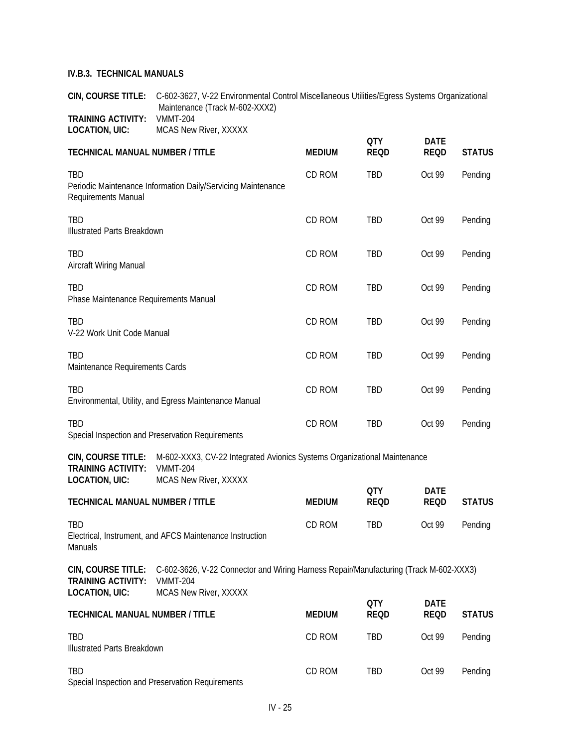**CIN, COURSE TITLE:** C-602-3627, V-22 Environmental Control Miscellaneous Utilities/Egress Systems Organizational Maintenance (Track M-602-XXX2) **TRAINING ACTIVITY: VMMT-204**<br>**LOCATION, UIC:** MCAS New **MCAS New River, XXXXX** 

|                                                                          |                                                                                                                                   |               | <b>QTY</b>                | <b>DATE</b>                |               |
|--------------------------------------------------------------------------|-----------------------------------------------------------------------------------------------------------------------------------|---------------|---------------------------|----------------------------|---------------|
| <b>TECHNICAL MANUAL NUMBER / TITLE</b>                                   |                                                                                                                                   | <b>MEDIUM</b> | <b>REQD</b>               | <b>REQD</b>                | <b>STATUS</b> |
| TBD<br>Requirements Manual                                               | Periodic Maintenance Information Daily/Servicing Maintenance                                                                      | CD ROM        | TBD                       | Oct 99                     | Pending       |
| <b>TBD</b><br><b>Illustrated Parts Breakdown</b>                         |                                                                                                                                   | CD ROM        | TBD                       | Oct 99                     | Pending       |
| TBD<br>Aircraft Wiring Manual                                            |                                                                                                                                   | CD ROM        | TBD                       | Oct 99                     | Pending       |
| <b>TBD</b><br>Phase Maintenance Requirements Manual                      |                                                                                                                                   | CD ROM        | TBD                       | Oct 99                     | Pending       |
| TBD<br>V-22 Work Unit Code Manual                                        |                                                                                                                                   | CD ROM        | TBD                       | Oct 99                     | Pending       |
| TBD<br>Maintenance Requirements Cards                                    |                                                                                                                                   | CD ROM        | TBD                       | Oct 99                     | Pending       |
| <b>TBD</b>                                                               | Environmental, Utility, and Egress Maintenance Manual                                                                             | CD ROM        | TBD                       | Oct 99                     | Pending       |
| <b>TBD</b>                                                               | Special Inspection and Preservation Requirements                                                                                  | CD ROM        | TBD                       | Oct 99                     | Pending       |
| CIN, COURSE TITLE:<br><b>TRAINING ACTIVITY:</b><br><b>LOCATION, UIC:</b> | M-602-XXX3, CV-22 Integrated Avionics Systems Organizational Maintenance<br><b>VMMT-204</b><br>MCAS New River, XXXXX              |               |                           |                            |               |
| <b>TECHNICAL MANUAL NUMBER / TITLE</b>                                   |                                                                                                                                   | <b>MEDIUM</b> | <b>QTY</b><br><b>REQD</b> | <b>DATE</b><br><b>REQD</b> | <b>STATUS</b> |
| TBD<br>Manuals                                                           | Electrical, Instrument, and AFCS Maintenance Instruction                                                                          | CD ROM        | TBD                       | Oct 99                     | Pending       |
| CIN, COURSE TITLE:<br><b>TRAINING ACTIVITY:</b><br><b>LOCATION, UIC:</b> | C-602-3626, V-22 Connector and Wiring Harness Repair/Manufacturing (Track M-602-XXX3)<br><b>VMMT-204</b><br>MCAS New River, XXXXX |               |                           |                            |               |
| <b>TECHNICAL MANUAL NUMBER / TITLE</b>                                   |                                                                                                                                   | <b>MEDIUM</b> | <b>QTY</b><br><b>REQD</b> | <b>DATE</b><br><b>REQD</b> | <b>STATUS</b> |
| TBD<br><b>Illustrated Parts Breakdown</b>                                |                                                                                                                                   | CD ROM        | TBD                       | Oct 99                     | Pending       |
| TBD                                                                      |                                                                                                                                   | CD ROM        | <b>TBD</b>                | Oct 99                     | Pending       |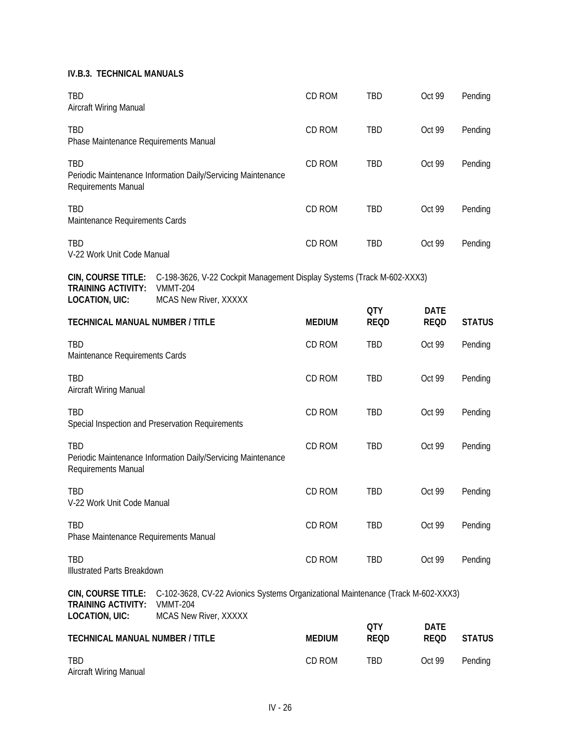| TBD<br>Aircraft Wiring Manual                                            |                                                                                                                              | CD ROM        | <b>TBD</b>                | Oct 99                     | Pending       |
|--------------------------------------------------------------------------|------------------------------------------------------------------------------------------------------------------------------|---------------|---------------------------|----------------------------|---------------|
| TBD<br>Phase Maintenance Requirements Manual                             |                                                                                                                              | CD ROM        | TBD                       | Oct 99                     | Pending       |
| TBD<br>Requirements Manual                                               | Periodic Maintenance Information Daily/Servicing Maintenance                                                                 | CD ROM        | TBD                       | Oct 99                     | Pending       |
| <b>TBD</b><br>Maintenance Requirements Cards                             |                                                                                                                              | CD ROM        | TBD                       | Oct 99                     | Pending       |
| <b>TBD</b><br>V-22 Work Unit Code Manual                                 |                                                                                                                              | CD ROM        | TBD                       | Oct 99                     | Pending       |
| CIN, COURSE TITLE:<br><b>TRAINING ACTIVITY:</b><br><b>LOCATION, UIC:</b> | C-198-3626, V-22 Cockpit Management Display Systems (Track M-602-XXX3)<br><b>VMMT-204</b><br>MCAS New River, XXXXX           |               |                           |                            |               |
| <b>TECHNICAL MANUAL NUMBER / TITLE</b>                                   |                                                                                                                              | <b>MEDIUM</b> | <b>QTY</b><br><b>REQD</b> | <b>DATE</b><br><b>REQD</b> | <b>STATUS</b> |
| TBD<br>Maintenance Requirements Cards                                    |                                                                                                                              | CD ROM        | TBD                       | Oct 99                     | Pending       |
| TBD<br>Aircraft Wiring Manual                                            |                                                                                                                              | CD ROM        | TBD                       | Oct 99                     | Pending       |
| TBD                                                                      | Special Inspection and Preservation Requirements                                                                             | CD ROM        | TBD                       | Oct 99                     | Pending       |
| TBD<br>Requirements Manual                                               | Periodic Maintenance Information Daily/Servicing Maintenance                                                                 | CD ROM        | TBD                       | Oct 99                     | Pending       |
| TBD<br>V-22 Work Unit Code Manual                                        |                                                                                                                              | CD ROM        | TBD                       | Oct 99                     | Pending       |
| <b>TBD</b><br>Phase Maintenance Requirements Manual                      |                                                                                                                              | CD ROM        | TBD                       | Oct 99                     | Pending       |
| TBD<br><b>Illustrated Parts Breakdown</b>                                |                                                                                                                              | CD ROM        | TBD                       | Oct 99                     | Pending       |
| CIN, COURSE TITLE:<br><b>TRAINING ACTIVITY:</b><br><b>LOCATION, UIC:</b> | C-102-3628, CV-22 Avionics Systems Organizational Maintenance (Track M-602-XXX3)<br><b>VMMT-204</b><br>MCAS New River, XXXXX |               |                           |                            |               |
| <b>TECHNICAL MANUAL NUMBER / TITLE</b>                                   |                                                                                                                              | <b>MEDIUM</b> | <b>QTY</b><br><b>REQD</b> | <b>DATE</b><br><b>REQD</b> | <b>STATUS</b> |
| <b>TBD</b><br>Aircraft Wiring Manual                                     |                                                                                                                              | CD ROM        | TBD                       | Oct 99                     | Pending       |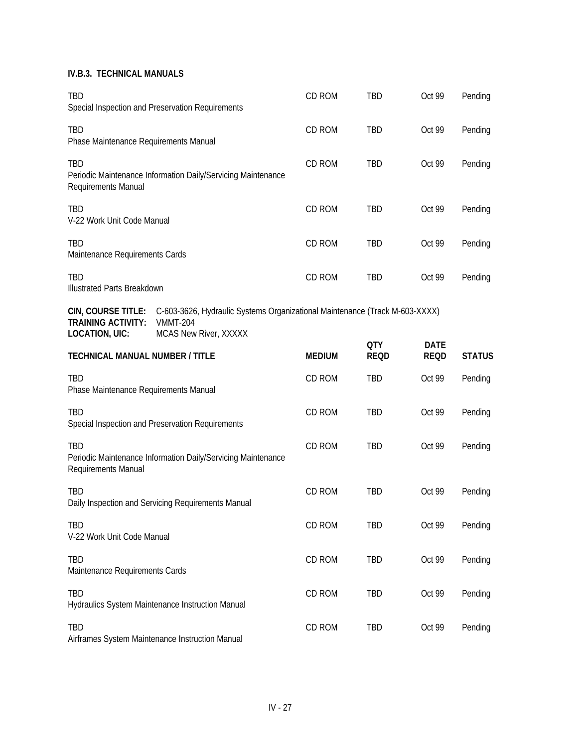| TBD                                                                      | Special Inspection and Preservation Requirements             | CD ROM                                                                      | <b>TBD</b>                | Oct 99                     | Pending       |  |  |
|--------------------------------------------------------------------------|--------------------------------------------------------------|-----------------------------------------------------------------------------|---------------------------|----------------------------|---------------|--|--|
| <b>TBD</b><br>Phase Maintenance Requirements Manual                      |                                                              | CD ROM                                                                      | TBD                       | Oct 99                     | Pending       |  |  |
| <b>TBD</b><br>Requirements Manual                                        | Periodic Maintenance Information Daily/Servicing Maintenance | CD ROM                                                                      | TBD                       | Oct 99                     | Pending       |  |  |
| TBD<br>V-22 Work Unit Code Manual                                        |                                                              | CD ROM                                                                      | TBD                       | Oct 99                     | Pending       |  |  |
| TBD<br>Maintenance Requirements Cards                                    |                                                              | CD ROM                                                                      | TBD                       | Oct 99                     | Pending       |  |  |
| <b>TBD</b><br>Illustrated Parts Breakdown                                |                                                              | CD ROM                                                                      | TBD                       | Oct 99                     | Pending       |  |  |
| CIN, COURSE TITLE:<br><b>TRAINING ACTIVITY:</b><br><b>LOCATION, UIC:</b> | <b>VMMT-204</b><br>MCAS New River, XXXXX                     | C-603-3626, Hydraulic Systems Organizational Maintenance (Track M-603-XXXX) |                           |                            |               |  |  |
| <b>TECHNICAL MANUAL NUMBER / TITLE</b>                                   |                                                              | <b>MEDIUM</b>                                                               | <b>QTY</b><br><b>REQD</b> | <b>DATE</b><br><b>REQD</b> | <b>STATUS</b> |  |  |
| TBD<br>Phase Maintenance Requirements Manual                             |                                                              | CD ROM                                                                      | <b>TBD</b>                | Oct 99                     | Pending       |  |  |
| <b>TBD</b>                                                               | Special Inspection and Preservation Requirements             | CD ROM                                                                      | <b>TBD</b>                | Oct 99                     | Pending       |  |  |
| <b>TBD</b><br>Requirements Manual                                        | Periodic Maintenance Information Daily/Servicing Maintenance | CD ROM                                                                      | <b>TBD</b>                | Oct 99                     | Pending       |  |  |
| TBD                                                                      |                                                              | CD ROM                                                                      | <b>TBD</b>                | Oct 99                     | Pending       |  |  |
|                                                                          | Daily Inspection and Servicing Requirements Manual           |                                                                             |                           |                            |               |  |  |
| TBD<br>V-22 Work Unit Code Manual                                        |                                                              | CD ROM                                                                      | TBD                       | Oct 99                     | Pending       |  |  |
| TBD<br>Maintenance Requirements Cards                                    |                                                              | CD ROM                                                                      | TBD                       | Oct 99                     | Pending       |  |  |
| TBD                                                                      | Hydraulics System Maintenance Instruction Manual             | CD ROM                                                                      | TBD                       | Oct 99                     | Pending       |  |  |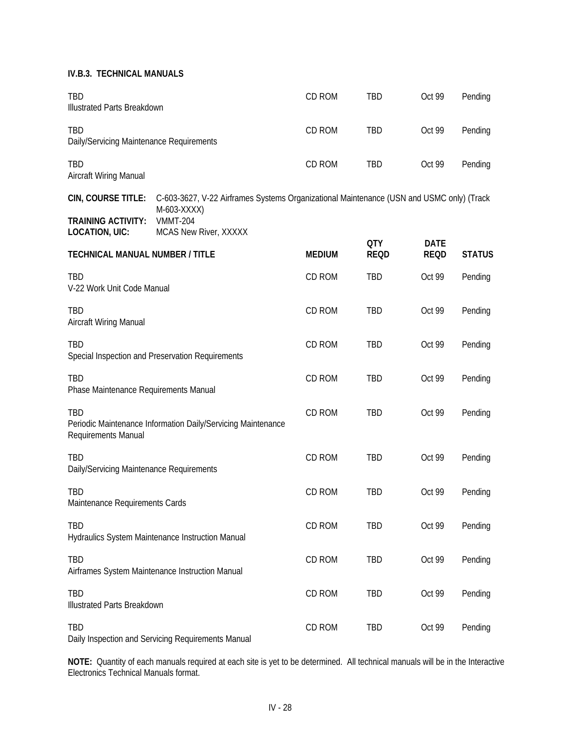| <b>TBD</b><br>Illustrated Parts Breakdown              |                                                                                                         | CD ROM        | <b>TBD</b>                | Oct 99                     | Pending       |
|--------------------------------------------------------|---------------------------------------------------------------------------------------------------------|---------------|---------------------------|----------------------------|---------------|
| <b>TBD</b><br>Daily/Servicing Maintenance Requirements |                                                                                                         | CD ROM        | TBD                       | Oct 99                     | Pending       |
| <b>TBD</b><br>Aircraft Wiring Manual                   |                                                                                                         | CD ROM        | TBD                       | Oct 99                     | Pending       |
| CIN, COURSE TITLE:                                     | C-603-3627, V-22 Airframes Systems Organizational Maintenance (USN and USMC only) (Track<br>M-603-XXXX) |               |                           |                            |               |
| <b>TRAINING ACTIVITY:</b><br><b>LOCATION, UIC:</b>     | <b>VMMT-204</b><br>MCAS New River, XXXXX                                                                |               |                           |                            |               |
| <b>TECHNICAL MANUAL NUMBER / TITLE</b>                 |                                                                                                         | <b>MEDIUM</b> | <b>QTY</b><br><b>REQD</b> | <b>DATE</b><br><b>REQD</b> | <b>STATUS</b> |
| TBD<br>V-22 Work Unit Code Manual                      |                                                                                                         | CD ROM        | TBD                       | Oct 99                     | Pending       |
| TBD<br>Aircraft Wiring Manual                          |                                                                                                         | CD ROM        | TBD                       | Oct 99                     | Pending       |
| TBD                                                    | Special Inspection and Preservation Requirements                                                        | CD ROM        | TBD                       | Oct 99                     | Pending       |
| TBD<br>Phase Maintenance Requirements Manual           |                                                                                                         | CD ROM        | TBD                       | Oct 99                     | Pending       |
| <b>TBD</b><br>Requirements Manual                      | Periodic Maintenance Information Daily/Servicing Maintenance                                            | CD ROM        | TBD                       | Oct 99                     | Pending       |
| TBD<br>Daily/Servicing Maintenance Requirements        |                                                                                                         | CD ROM        | TBD                       | Oct 99                     | Pending       |
| TBD<br>Maintenance Requirements Cards                  |                                                                                                         | CD ROM        | TBD                       | Oct 99                     | Pending       |
| TBD                                                    | Hydraulics System Maintenance Instruction Manual                                                        | CD ROM        | <b>TBD</b>                | Oct 99                     | Pending       |
| <b>TBD</b>                                             | Airframes System Maintenance Instruction Manual                                                         | CD ROM        | <b>TBD</b>                | Oct 99                     | Pending       |
| TBD<br>Illustrated Parts Breakdown                     |                                                                                                         | CD ROM        | <b>TBD</b>                | Oct 99                     | Pending       |
| TBD                                                    | Daily Inspection and Servicing Requirements Manual                                                      | CD ROM        | <b>TBD</b>                | Oct 99                     | Pending       |

**NOTE:** Quantity of each manuals required at each site is yet to be determined. All technical manuals will be in the Interactive Electronics Technical Manuals format.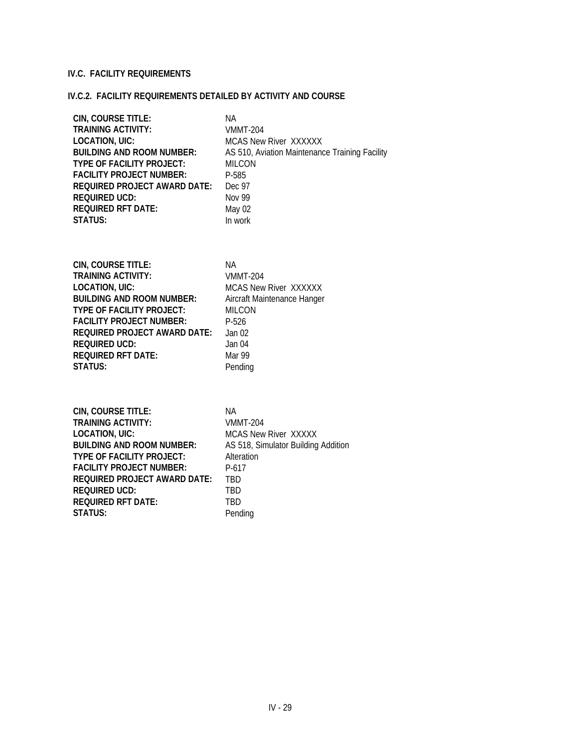#### **IV.C. FACILITY REQUIREMENTS**

# **IV.C.2. FACILITY REQUIREMENTS DETAILED BY ACTIVITY AND COURSE**

| CIN, COURSE TITLE:                  | ΝA                                             |
|-------------------------------------|------------------------------------------------|
| <b>TRAINING ACTIVITY:</b>           | <b>VMMT-204</b>                                |
| <b>LOCATION, UIC:</b>               | <b>MCAS New River XXXXXX</b>                   |
| <b>BUILDING AND ROOM NUMBER:</b>    | AS 510, Aviation Maintenance Training Facility |
| <b>TYPE OF FACILITY PROJECT:</b>    | <b>MILCON</b>                                  |
| <b>FACILITY PROJECT NUMBER:</b>     | P-585                                          |
| <b>REQUIRED PROJECT AWARD DATE:</b> | Dec 97                                         |
| <b>REQUIRED UCD:</b>                | <b>Nov 99</b>                                  |
| <b>REQUIRED RFT DATE:</b>           | May 02                                         |
| <b>STATUS:</b>                      | In work                                        |
| CIN, COURSE TITLE:                  | <b>NA</b>                                      |
| <b>TRAINING ACTIVITY:</b>           | <b>VMMT-204</b>                                |
| <b>LOCATION, UIC:</b>               | <b>MCAS New River XXXXXX</b>                   |
| <b>BUILDING AND ROOM NUMBER:</b>    | Aircraft Maintenance Hanger                    |
| TYPE OF FACILITY PROJECT:           | <b>MILCON</b>                                  |
| <b>FACILITY PROJECT NUMBER:</b>     | P-526                                          |
| <b>REQUIRED PROJECT AWARD DATE:</b> | Jan <sub>02</sub>                              |
| <b>REQUIRED UCD:</b>                | Jan 04                                         |
| <b>REQUIRED RFT DATE:</b>           | Mar 99                                         |
| STATUS:                             | Pending                                        |
| CIN, COURSE TITLE:                  | <b>NA</b>                                      |
| <b>TRAINING ACTIVITY:</b>           | <b>VMMT-204</b>                                |
| <b>LOCATION, UIC:</b>               | MCAS New River XXXXX                           |
| <b>BUILDING AND ROOM NUMBER:</b>    | AS 518, Simulator Building Addition            |
| <b>TYPE OF FACILITY PROJECT:</b>    | Alteration                                     |
| <b>FACILITY PROJECT NUMBER:</b>     | $P-617$                                        |
| <b>REQUIRED PROJECT AWARD DATE:</b> | <b>TBD</b>                                     |
| <b>REQUIRED UCD:</b>                | <b>TBD</b>                                     |
| <b>REQUIRED RFT DATE:</b>           | <b>TBD</b>                                     |
| <b>STATUS:</b>                      | Pending                                        |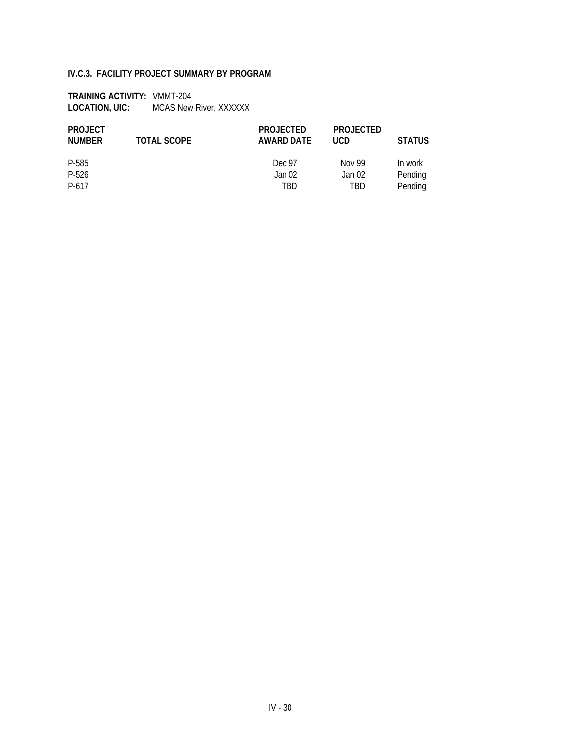#### **IV.C.3. FACILITY PROJECT SUMMARY BY PROGRAM**

**TRAINING ACTIVITY:** VMMT-204 LOCATION, UIC: MCAS New River, XXXXXX

| <b>PROJECT</b><br>NUMBER | <b>TOTAL SCOPE</b> | <b>PROJECTED</b><br>AWARD DATE | <b>PROJECTED</b><br><b>UCD</b> | <b>STATUS</b> |
|--------------------------|--------------------|--------------------------------|--------------------------------|---------------|
| P-585                    |                    | Dec 97                         | Nov 99                         | In work       |
| P-526                    |                    | Jan 02                         | Jan 02                         | Pending       |
| P-617                    |                    | TBD                            | TBD                            | Pending       |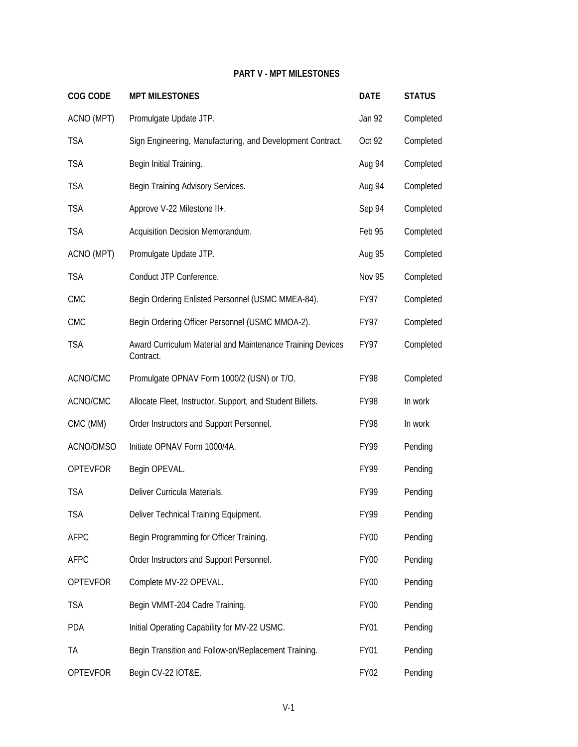### **PART V - MPT MILESTONES**

| <b>COG CODE</b> | <b>MPT MILESTONES</b>                                                   | <b>DATE</b>   | <b>STATUS</b> |
|-----------------|-------------------------------------------------------------------------|---------------|---------------|
| ACNO (MPT)      | Promulgate Update JTP.                                                  | Jan 92        | Completed     |
| <b>TSA</b>      | Sign Engineering, Manufacturing, and Development Contract.              | Oct 92        | Completed     |
| <b>TSA</b>      | Begin Initial Training.                                                 | Aug 94        | Completed     |
| <b>TSA</b>      | Begin Training Advisory Services.                                       | Aug 94        | Completed     |
| <b>TSA</b>      | Approve V-22 Milestone II+.                                             | Sep 94        | Completed     |
| <b>TSA</b>      | Acquisition Decision Memorandum.                                        | Feb 95        | Completed     |
| ACNO (MPT)      | Promulgate Update JTP.                                                  | Aug 95        | Completed     |
| <b>TSA</b>      | Conduct JTP Conference.                                                 | <b>Nov 95</b> | Completed     |
| <b>CMC</b>      | Begin Ordering Enlisted Personnel (USMC MMEA-84).                       | FY97          | Completed     |
| <b>CMC</b>      | Begin Ordering Officer Personnel (USMC MMOA-2).                         | FY97          | Completed     |
| <b>TSA</b>      | Award Curriculum Material and Maintenance Training Devices<br>Contract. | FY97          | Completed     |
| ACNO/CMC        | Promulgate OPNAV Form 1000/2 (USN) or T/O.                              | FY98          | Completed     |
| ACNO/CMC        | Allocate Fleet, Instructor, Support, and Student Billets.               | FY98          | In work       |
| CMC (MM)        | Order Instructors and Support Personnel.                                | <b>FY98</b>   | In work       |
| ACNO/DMSO       | Initiate OPNAV Form 1000/4A.                                            | FY99          | Pending       |
| <b>OPTEVFOR</b> | Begin OPEVAL.                                                           | FY99          | Pending       |
| <b>TSA</b>      | Deliver Curricula Materials.                                            | <b>FY99</b>   | Pending       |
| <b>TSA</b>      | Deliver Technical Training Equipment.                                   | FY99          | Pending       |
| <b>AFPC</b>     | Begin Programming for Officer Training.                                 | <b>FY00</b>   | Pending       |
| <b>AFPC</b>     | Order Instructors and Support Personnel.                                | FY00          | Pending       |
| <b>OPTEVFOR</b> | Complete MV-22 OPEVAL.                                                  | FY00          | Pending       |
| <b>TSA</b>      | Begin VMMT-204 Cadre Training.                                          | FY00          | Pending       |
| PDA             | Initial Operating Capability for MV-22 USMC.                            | FY01          | Pending       |
| TA              | Begin Transition and Follow-on/Replacement Training.                    | FY01          | Pending       |
| <b>OPTEVFOR</b> | Begin CV-22 IOT&E.                                                      | <b>FY02</b>   | Pending       |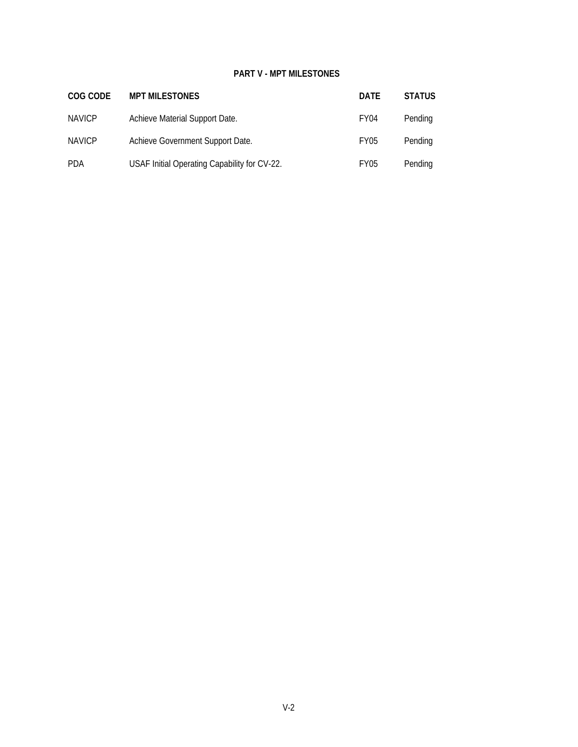#### **PART V - MPT MILESTONES**

| COG CODE      | <b>MPT MILESTONES</b>                        | <b>DATE</b>      | <b>STATUS</b> |
|---------------|----------------------------------------------|------------------|---------------|
| <b>NAVICP</b> | Achieve Material Support Date.               | FY <sub>04</sub> | Pending       |
| <b>NAVICP</b> | Achieve Government Support Date.             | FY05             | Pending       |
| <b>PDA</b>    | USAF Initial Operating Capability for CV-22. | FY05             | Pending       |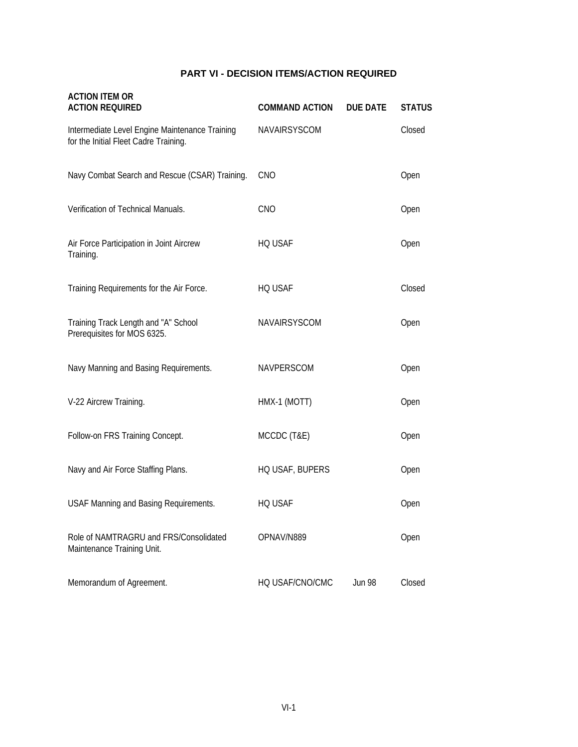# **PART VI - DECISION ITEMS/ACTION REQUIRED**

| <b>ACTION ITEM OR</b><br><b>ACTION REQUIRED</b>                                         | <b>COMMAND ACTION</b> | <b>DUE DATE</b> | <b>STATUS</b> |
|-----------------------------------------------------------------------------------------|-----------------------|-----------------|---------------|
| Intermediate Level Engine Maintenance Training<br>for the Initial Fleet Cadre Training. | NAVAIRSYSCOM          |                 | Closed        |
| Navy Combat Search and Rescue (CSAR) Training.                                          | CNO                   |                 | Open          |
| Verification of Technical Manuals.                                                      | CNO                   |                 | Open          |
| Air Force Participation in Joint Aircrew<br>Training.                                   | HQ USAF               |                 | Open          |
| Training Requirements for the Air Force.                                                | HQ USAF               |                 | Closed        |
| Training Track Length and "A" School<br>Prerequisites for MOS 6325.                     | NAVAIRSYSCOM          |                 | Open          |
| Navy Manning and Basing Requirements.                                                   | NAVPERSCOM            |                 | Open          |
| V-22 Aircrew Training.                                                                  | HMX-1 (MOTT)          |                 | Open          |
| Follow-on FRS Training Concept.                                                         | MCCDC (T&E)           |                 | Open          |
| Navy and Air Force Staffing Plans.                                                      | HQ USAF, BUPERS       |                 | Open          |
| USAF Manning and Basing Requirements.                                                   | <b>HQ USAF</b>        |                 | Open          |
| Role of NAMTRAGRU and FRS/Consolidated<br>Maintenance Training Unit.                    | OPNAV/N889            |                 | Open          |
| Memorandum of Agreement.                                                                | HQ USAF/CNO/CMC       | <b>Jun 98</b>   | Closed        |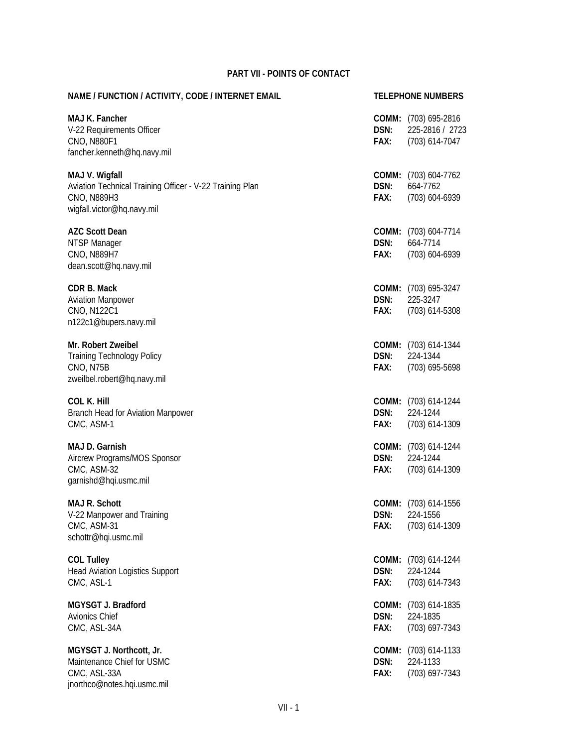| NAME / FUNCTION / ACTIVITY, CODE / INTERNET EMAIL                                                                       |                       | <b>TELEPHONE NUMBERS</b>                                           |  |
|-------------------------------------------------------------------------------------------------------------------------|-----------------------|--------------------------------------------------------------------|--|
| MAJ K. Fancher<br>V-22 Requirements Officer<br><b>CNO, N880F1</b><br>fancher.kenneth@hq.navy.mil                        | DSN:<br>FAX:          | <b>COMM:</b> (703) 695-2816<br>225-2816 / 2723<br>$(703)$ 614-7047 |  |
| MAJ V. Wigfall<br>Aviation Technical Training Officer - V-22 Training Plan<br>CNO, N889H3<br>wigfall.victor@hq.navy.mil | DSN:<br>FAX:          | COMM: (703) 604-7762<br>664-7762<br>$(703)$ 604-6939               |  |
| <b>AZC Scott Dean</b><br>NTSP Manager<br>CNO, N889H7<br>dean.scott@hq.navy.mil                                          | DSN:<br>FAX:          | COMM: (703) 604-7714<br>664-7714<br>$(703)$ 604-6939               |  |
| CDR B. Mack<br><b>Aviation Manpower</b><br>CNO, N122C1<br>n122c1@bupers.navy.mil                                        | DSN:<br>FAX:          | COMM: (703) 695-3247<br>225-3247<br>(703) 614-5308                 |  |
| Mr. Robert Zweibel<br><b>Training Technology Policy</b><br>CNO, N75B<br>zweilbel.robert@hq.navy.mil                     | DSN:<br>FAX:          | COMM: (703) 614-1344<br>224-1344<br>$(703)$ 695-5698               |  |
| <b>COL K. Hill</b><br>Branch Head for Aviation Manpower<br>CMC, ASM-1                                                   | DSN:<br>FAX:          | COMM: (703) 614-1244<br>224-1244<br>$(703)$ 614-1309               |  |
| MAJ D. Garnish<br>Aircrew Programs/MOS Sponsor<br>CMC, ASM-32<br>garnishd@hqi.usmc.mil                                  | DSN:<br>FAX:          | COMM: (703) 614-1244<br>224-1244<br>$(703)$ 614-1309               |  |
| <b>MAJ R. Schott</b><br>V-22 Manpower and Training<br>CMC, ASM-31<br>schottr@hqi.usmc.mil                               | FAX:                  | COMM: (703) 614-1556<br><b>DSN:</b> 224-1556<br>$(703)$ 614-1309   |  |
| <b>COL Tulley</b><br><b>Head Aviation Logistics Support</b><br>CMC, ASL-1                                               | COMM:<br>DSN:<br>FAX: | $(703)$ 614-1244<br>224-1244<br>$(703)$ 614-7343                   |  |
| MGYSGT J. Bradford<br>Avionics Chief<br>CMC, ASL-34A                                                                    | COMM:<br>DSN:<br>FAX: | (703) 614-1835<br>224-1835<br>(703) 697-7343                       |  |
| MGYSGT J. Northcott, Jr.<br>Maintenance Chief for USMC<br>CMC, ASL-33A<br>jnorthco@notes.hqi.usmc.mil                   | COMM:<br>DSN:<br>FAX: | $(703)$ 614-1133<br>224-1133<br>(703) 697-7343                     |  |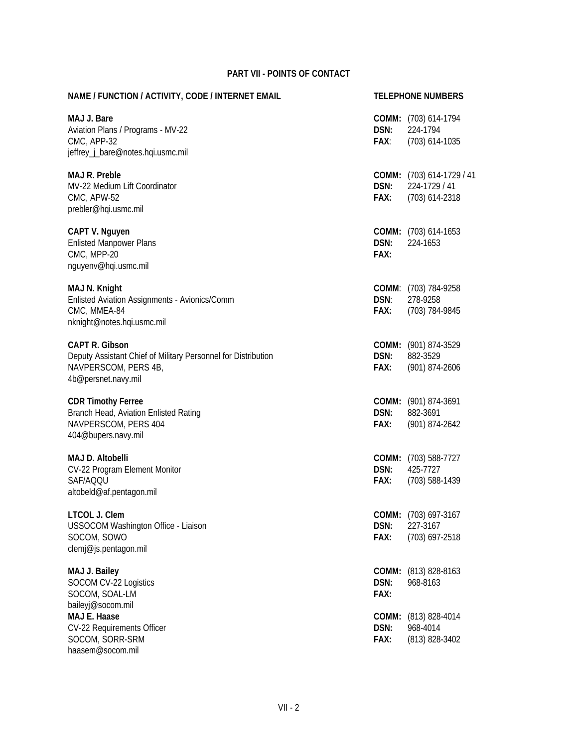| NAME / FUNCTION / ACTIVITY, CODE / INTERNET EMAIL                                                                                     |                       | <b>TELEPHONE NUMBERS</b>                                     |
|---------------------------------------------------------------------------------------------------------------------------------------|-----------------------|--------------------------------------------------------------|
| MAJ J. Bare<br>Aviation Plans / Programs - MV-22<br>CMC, APP-32<br>jeffrey_j_bare@notes.hqi.usmc.mil                                  | DSN:<br>FAX:          | COMM: (703) 614-1794<br>224-1794<br>$(703)$ 614-1035         |
| <b>MAJ R. Preble</b><br>MV-22 Medium Lift Coordinator<br>CMC, APW-52<br>prebler@hqi.usmc.mil                                          | DSN:<br>FAX:          | COMM: (703) 614-1729 / 41<br>224-1729 / 41<br>(703) 614-2318 |
| CAPT V. Nguyen<br><b>Enlisted Manpower Plans</b><br>CMC, MPP-20<br>nguyenv@hqi.usmc.mil                                               | DSN:<br>FAX:          | <b>COMM:</b> (703) 614-1653<br>224-1653                      |
| MAJ N. Knight<br>Enlisted Aviation Assignments - Avionics/Comm<br>CMC, MMEA-84<br>nknight@notes.hqi.usmc.mil                          | DSN:<br>FAX:          | COMM: (703) 784-9258<br>278-9258<br>(703) 784-9845           |
| <b>CAPT R. Gibson</b><br>Deputy Assistant Chief of Military Personnel for Distribution<br>NAVPERSCOM, PERS 4B,<br>4b@persnet.navy.mil | DSN:<br>FAX:          | COMM: (901) 874-3529<br>882-3529<br>(901) 874-2606           |
| <b>CDR Timothy Ferree</b><br>Branch Head, Aviation Enlisted Rating<br>NAVPERSCOM, PERS 404<br>404@bupers.navy.mil                     | DSN:<br>FAX:          | COMM: (901) 874-3691<br>882-3691<br>(901) 874-2642           |
| <b>MAJ D. Altobelli</b><br>CV-22 Program Element Monitor<br>SAF/AQQU<br>altobeld@af.pentagon.mil                                      | DSN:<br>FAX:          | COMM: (703) 588-7727<br>425-7727<br>(703) 588-1439           |
| LTCOL J. Clem<br>USSOCOM Washington Office - Liaison<br>SOCOM, SOWO<br>clemj@js.pentagon.mil                                          | DSN:<br>FAX:          | COMM: (703) 697-3167<br>227-3167<br>(703) 697-2518           |
| MAJ J. Bailey<br>SOCOM CV-22 Logistics<br>SOCOM, SOAL-LM                                                                              | COMM:<br>DSN:<br>FAX: | $(813) 828 - 8163$<br>968-8163                               |
| baileyj@socom.mil<br>MAJ E. Haase<br>CV-22 Requirements Officer<br>SOCOM, SORR-SRM<br>haasem@socom.mil                                | COMM:<br>DSN:<br>FAX: | $(813)$ 828-4014<br>968-4014<br>$(813)$ 828-3402             |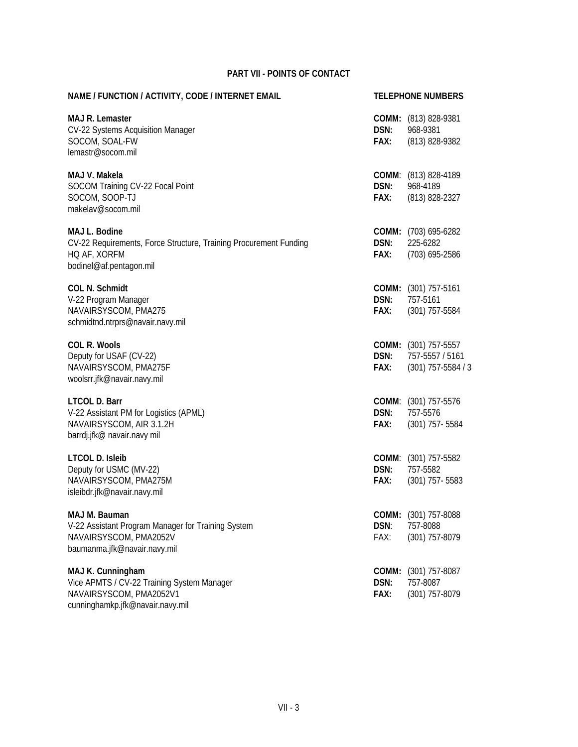| NAME / FUNCTION / ACTIVITY, CODE / INTERNET EMAIL                                                                              |              | <b>TELEPHONE NUMBERS</b>                                               |  |  |
|--------------------------------------------------------------------------------------------------------------------------------|--------------|------------------------------------------------------------------------|--|--|
| <b>MAJ R. Lemaster</b><br>CV-22 Systems Acquisition Manager<br>SOCOM, SOAL-FW<br>lemastr@socom.mil                             | DSN:<br>FAX: | COMM: (813) 828-9381<br>968-9381<br>(813) 828-9382                     |  |  |
| MAJ V. Makela<br>SOCOM Training CV-22 Focal Point<br>SOCOM, SOOP-TJ<br>makelav@socom.mil                                       | DSN:<br>FAX: | COMM: (813) 828-4189<br>968-4189<br>(813) 828-2327                     |  |  |
| MAJ L. Bodine<br>CV-22 Requirements, Force Structure, Training Procurement Funding<br>HQ AF, XORFM<br>bodinel@af.pentagon.mil  | DSN:<br>FAX: | COMM: (703) 695-6282<br>225-6282<br>(703) 695-2586                     |  |  |
| <b>COL N. Schmidt</b><br>V-22 Program Manager<br>NAVAIRSYSCOM, PMA275<br>schmidtnd.ntrprs@navair.navy.mil                      | DSN:<br>FAX: | <b>COMM:</b> (301) 757-5161<br>757-5161<br>$(301)$ 757-5584            |  |  |
| <b>COL R. Wools</b><br>Deputy for USAF (CV-22)<br>NAVAIRSYSCOM, PMA275F<br>woolsrr.jfk@navair.navy.mil                         | DSN:<br>FAX: | <b>COMM:</b> (301) 757-5557<br>757-5557 / 5161<br>$(301)$ 757-5584 / 3 |  |  |
| <b>LTCOL D. Barr</b><br>V-22 Assistant PM for Logistics (APML)<br>NAVAIRSYSCOM, AIR 3.1.2H<br>barrdj.jfk@ navair.navy mil      | DSN:<br>FAX: | COMM: (301) 757-5576<br>757-5576<br>$(301)$ 757-5584                   |  |  |
| <b>LTCOL D. Isleib</b><br>Deputy for USMC (MV-22)<br>NAVAIRSYSCOM, PMA275M<br>isleibdr.jfk@navair.navy.mil                     | DSN:<br>FAX: | COMM: (301) 757-5582<br>757-5582<br>$(301)$ 757-5583                   |  |  |
| MAJ M. Bauman<br>V-22 Assistant Program Manager for Training System<br>NAVAIRSYSCOM, PMA2052V<br>baumanma.jfk@navair.navy.mil  | DSN:<br>FAX: | COMM: (301) 757-8088<br>757-8088<br>(301) 757-8079                     |  |  |
| MAJ K. Cunningham<br>Vice APMTS / CV-22 Training System Manager<br>NAVAIRSYSCOM, PMA2052V1<br>cunninghamkp.jfk@navair.navy.mil | DSN:<br>FAX: | <b>COMM:</b> (301) 757-8087<br>757-8087<br>(301) 757-8079              |  |  |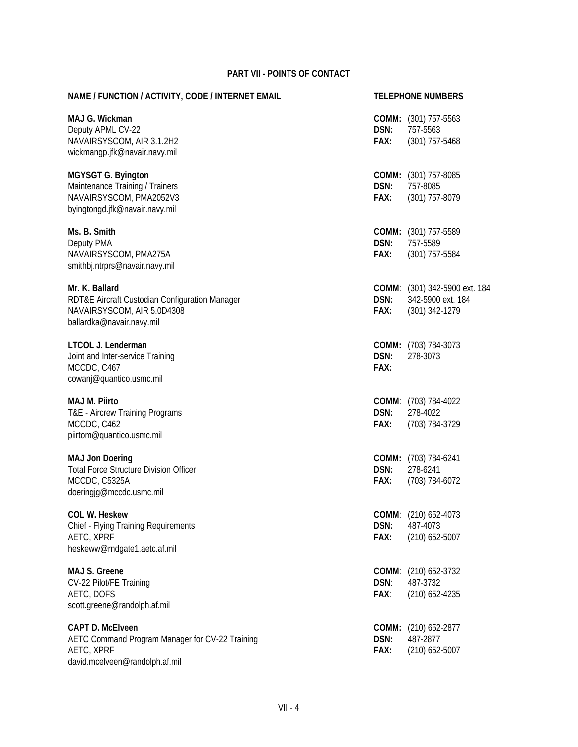| NAME / FUNCTION / ACTIVITY, CODE / INTERNET EMAIL                                                                           |                       | <b>TELEPHONE NUMBERS</b>                                             |
|-----------------------------------------------------------------------------------------------------------------------------|-----------------------|----------------------------------------------------------------------|
| MAJ G. Wickman<br>Deputy APML CV-22<br>NAVAIRSYSCOM, AIR 3.1.2H2<br>wickmangp.jfk@navair.navy.mil                           | DSN:<br>FAX:          | <b>COMM:</b> (301) 757-5563<br>757-5563<br>$(301)$ 757-5468          |
| <b>MGYSGT G. Byington</b><br>Maintenance Training / Trainers<br>NAVAIRSYSCOM, PMA2052V3<br>byingtongd.jfk@navair.navy.mil   | DSN:<br>FAX:          | COMM: (301) 757-8085<br>757-8085<br>(301) 757-8079                   |
| Ms. B. Smith<br>Deputy PMA<br>NAVAIRSYSCOM, PMA275A<br>smithbj.ntrprs@navair.navy.mil                                       | DSN:<br>FAX:          | COMM: (301) 757-5589<br>757-5589<br>$(301)$ 757-5584                 |
| Mr. K. Ballard<br>RDT&E Aircraft Custodian Configuration Manager<br>NAVAIRSYSCOM, AIR 5.0D4308<br>ballardka@navair.navy.mil | DSN:<br>FAX:          | COMM: (301) 342-5900 ext. 184<br>342-5900 ext. 184<br>(301) 342-1279 |
| LTCOL J. Lenderman<br>Joint and Inter-service Training<br>MCCDC, C467<br>cowanj@quantico.usmc.mil                           | DSN:<br>FAX:          | COMM: (703) 784-3073<br>278-3073                                     |
| <b>MAJ M. Piirto</b><br>T&E - Aircrew Training Programs<br>MCCDC, C462<br>piirtom@quantico.usmc.mil                         | DSN:<br>FAX:          | COMM: (703) 784-4022<br>278-4022<br>(703) 784-3729                   |
| <b>MAJ Jon Doering</b><br><b>Total Force Structure Division Officer</b><br>MCCDC, C5325A<br>doeringjg@mccdc.usmc.mil        | DSN:<br>FAX:          | COMM: (703) 784-6241<br>278-6241<br>(703) 784-6072                   |
| <b>COL W. Heskew</b><br>Chief - Flying Training Requirements<br>AETC, XPRF<br>heskeww@rndgate1.aetc.af.mil                  | COMM:<br>DSN:<br>FAX: | $(210)$ 652-4073<br>487-4073<br>$(210)$ 652-5007                     |
| MAJ S. Greene<br>CV-22 Pilot/FE Training<br>AETC, DOFS<br>scott.greene@randolph.af.mil                                      | COMM:<br>DSN:<br>FAX: | $(210)$ 652-3732<br>487-3732<br>$(210)$ 652-4235                     |
| <b>CAPT D. McElveen</b><br>AETC Command Program Manager for CV-22 Training<br>AETC, XPRF<br>david.mcelveen@randolph.af.mil  | COMM:<br>DSN:<br>FAX: | $(210)$ 652-2877<br>487-2877<br>$(210)$ 652-5007                     |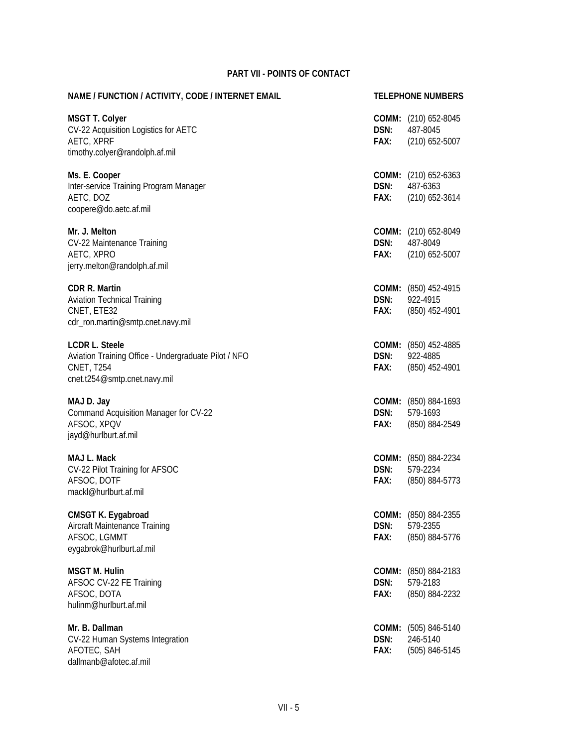| NAME / FUNCTION / ACTIVITY, CODE / INTERNET EMAIL                                                                                  |                       | <b>TELEPHONE NUMBERS</b>                                    |
|------------------------------------------------------------------------------------------------------------------------------------|-----------------------|-------------------------------------------------------------|
| <b>MSGT T. Colyer</b><br>CV-22 Acquisition Logistics for AETC<br>AETC, XPRF<br>timothy.colyer@randolph.af.mil                      | DSN:<br>FAX:          | <b>COMM:</b> (210) 652-8045<br>487-8045<br>$(210)$ 652-5007 |
| Ms. E. Cooper<br>Inter-service Training Program Manager<br>AETC, DOZ<br>coopere@do.aetc.af.mil                                     | DSN:<br>FAX:          | COMM: (210) 652-6363<br>487-6363<br>$(210)$ 652-3614        |
| Mr. J. Melton<br>CV-22 Maintenance Training<br>AETC, XPRO<br>jerry.melton@randolph.af.mil                                          | DSN:<br>FAX:          | COMM: (210) 652-8049<br>487-8049<br>$(210)$ 652-5007        |
| <b>CDR R. Martin</b><br><b>Aviation Technical Training</b><br>CNET, ETE32<br>cdr_ron.martin@smtp.cnet.navy.mil                     | DSN:<br>Fax:          | COMM: (850) 452-4915<br>922-4915<br>(850) 452-4901          |
| <b>LCDR L. Steele</b><br>Aviation Training Office - Undergraduate Pilot / NFO<br><b>CNET, T254</b><br>cnet.t254@smtp.cnet.navy.mil | DSN:<br>FAX:          | COMM: (850) 452-4885<br>922-4885<br>(850) 452-4901          |
| MAJ D. Jay<br>Command Acquisition Manager for CV-22<br>AFSOC, XPQV<br>jayd@hurlburt.af.mil                                         | DSN:<br>FAX:          | COMM: (850) 884-1693<br>579-1693<br>(850) 884-2549          |
| MAJ L. Mack<br>CV-22 Pilot Training for AFSOC<br>AFSOC, DOTF<br>mackl@hurlburt.af.mil                                              | DSN:<br>FAX:          | COMM: (850) 884-2234<br>579-2234<br>(850) 884-5773          |
| CMSGT K. Eygabroad<br>Aircraft Maintenance Training<br>AFSOC, LGMMT<br>eygabrok@hurlburt.af.mil                                    | DSN:<br>FAX:          | COMM: (850) 884-2355<br>579-2355<br>(850) 884-5776          |
| <b>MSGT M. Hulin</b><br>AFSOC CV-22 FE Training<br>AFSOC, DOTA<br>hulinm@hurlburt.af.mil                                           | COMM:<br>DSN:<br>FAX: | (850) 884-2183<br>579-2183<br>(850) 884-2232                |
| Mr. B. Dallman<br>CV-22 Human Systems Integration<br>AFOTEC, SAH<br>dallmanb@afotec.af.mil                                         | COMM:<br>DSN:<br>FAX: | (505) 846-5140<br>246-5140<br>(505) 846-5145                |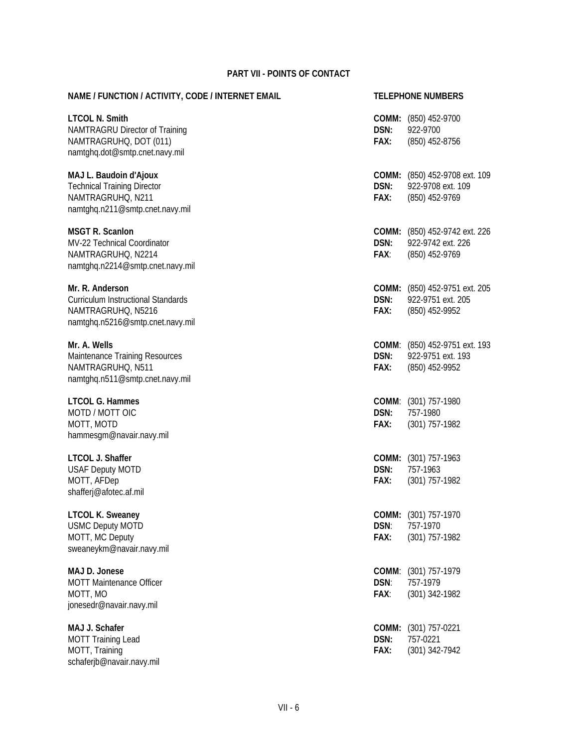| NAME / FUNCTION / ACTIVITY, CODE / INTERNET EMAIL                                                                      |                       | <b>TELEPHONE NUMBERS</b>                                                    |
|------------------------------------------------------------------------------------------------------------------------|-----------------------|-----------------------------------------------------------------------------|
| <b>LTCOL N. Smith</b><br>NAMTRAGRU Director of Training<br>NAMTRAGRUHQ, DOT (011)<br>namtghq.dot@smtp.cnet.navy.mil    | DSN:<br>FAX:          | COMM: (850) 452-9700<br>922-9700<br>(850) 452-8756                          |
| MAJ L. Baudoin d'Ajoux<br><b>Technical Training Director</b><br>NAMTRAGRUHQ, N211<br>namtghq.n211@smtp.cnet.navy.mil   | DSN:<br>FAX:          | COMM: (850) 452-9708 ext. 109<br>922-9708 ext. 109<br>(850) 452-9769        |
| <b>MSGT R. Scanlon</b><br>MV-22 Technical Coordinator<br>NAMTRAGRUHQ, N2214<br>namtghq.n2214@smtp.cnet.navy.mil        | DSN:<br>FAX:          | <b>COMM:</b> (850) 452-9742 ext. 226<br>922-9742 ext. 226<br>(850) 452-9769 |
| Mr. R. Anderson<br><b>Curriculum Instructional Standards</b><br>NAMTRAGRUHQ, N5216<br>namtghq.n5216@smtp.cnet.navy.mil | DSN:<br>FAX:          | COMM: (850) 452-9751 ext. 205<br>922-9751 ext. 205<br>(850) 452-9952        |
| Mr. A. Wells<br>Maintenance Training Resources<br>NAMTRAGRUHQ, N511<br>namtghq.n511@smtp.cnet.navy.mil                 | DSN:<br>FAX:          | COMM: (850) 452-9751 ext. 193<br>922-9751 ext. 193<br>(850) 452-9952        |
| <b>LTCOL G. Hammes</b><br>MOTD / MOTT OIC<br>MOTT, MOTD<br>hammesgm@navair.navy.mil                                    | DSN:<br>FAX:          | COMM: (301) 757-1980<br>757-1980<br>(301) 757-1982                          |
| LTCOL J. Shaffer<br><b>USAF Deputy MOTD</b><br>MOTT, AFDep<br>shafferj@afotec.af.mil                                   | DSN:<br>FAX:          | COMM: (301) 757-1963<br>757-1963<br>(301) 757-1982                          |
| <b>LTCOL K. Sweaney</b><br><b>USMC Deputy MOTD</b><br>MOTT, MC Deputy<br>sweaneykm@navair.navy.mil                     | COMM:<br>DSN:<br>FAX: | (301) 757-1970<br>757-1970<br>(301) 757-1982                                |
| MAJ D. Jonese<br><b>MOTT Maintenance Officer</b><br>MOTT, MO<br>jonesedr@navair.navy.mil                               | COMM:<br>DSN:<br>FAX: | $(301)$ 757-1979<br>757-1979<br>(301) 342-1982                              |
| MAJ J. Schafer<br><b>MOTT Training Lead</b><br>MOTT, Training<br>schaferjb@navair.navy.mil                             | COMM:<br>DSN:<br>FAX: | $(301)$ 757-0221<br>757-0221<br>(301) 342-7942                              |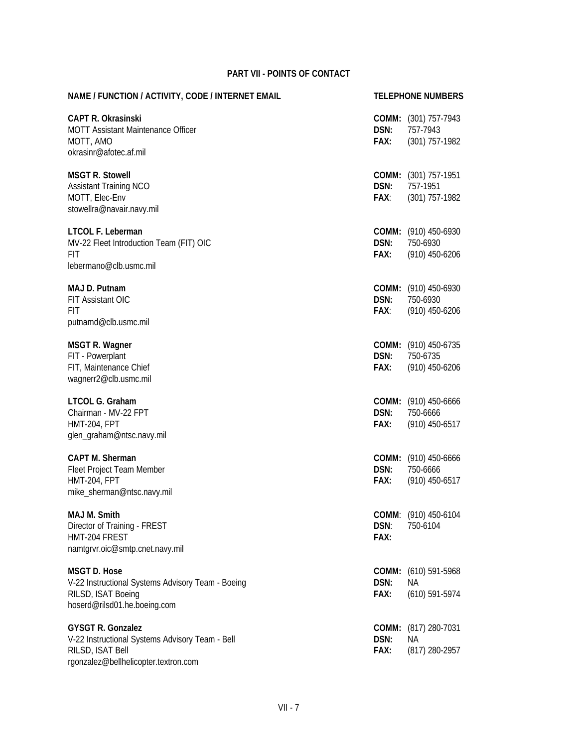| NAME / FUNCTION / ACTIVITY, CODE / INTERNET EMAIL                                                                                       |                       | <b>TELEPHONE NUMBERS</b>                                    |
|-----------------------------------------------------------------------------------------------------------------------------------------|-----------------------|-------------------------------------------------------------|
| <b>CAPT R. Okrasinski</b><br>MOTT Assistant Maintenance Officer<br>MOTT, AMO<br>okrasinr@afotec.af.mil                                  | DSN:<br>FAX:          | <b>COMM:</b> (301) 757-7943<br>757-7943<br>$(301)$ 757-1982 |
| <b>MSGT R. Stowell</b><br><b>Assistant Training NCO</b><br>MOTT, Elec-Env<br>stowellra@navair.navy.mil                                  | DSN:<br>FAX:          | <b>COMM:</b> (301) 757-1951<br>757-1951<br>$(301)$ 757-1982 |
| LTCOL F. Leberman<br>MV-22 Fleet Introduction Team (FIT) OIC<br>FIT<br>lebermano@clb.usmc.mil                                           | DSN:<br>FAX:          | <b>COMM:</b> (910) 450-6930<br>750-6930<br>$(910)$ 450-6206 |
| MAJ D. Putnam<br>FIT Assistant OIC<br>FIT<br>putnamd@clb.usmc.mil                                                                       | DSN:<br>FAX:          | COMM: (910) 450-6930<br>750-6930<br>$(910)$ 450-6206        |
| <b>MSGT R. Wagner</b><br>FIT - Powerplant<br>FIT, Maintenance Chief<br>wagnerr2@clb.usmc.mil                                            | DSN:<br>FAX:          | COMM: (910) 450-6735<br>750-6735<br>$(910)$ 450-6206        |
| LTCOL G. Graham<br>Chairman - MV-22 FPT<br><b>HMT-204, FPT</b><br>glen_graham@ntsc.navy.mil                                             | DSN:<br>FAX:          | COMM: (910) 450-6666<br>750-6666<br>$(910)$ 450-6517        |
| <b>CAPT M. Sherman</b><br>Fleet Project Team Member<br><b>HMT-204, FPT</b><br>mike_sherman@ntsc.navy.mil                                | DSN:<br>FAX:          | COMM: (910) 450-6666<br>750-6666<br>$(910)$ 450-6517        |
| MAJ M. Smith<br>Director of Training - FREST<br>HMT-204 FREST<br>namtgrvr.oic@smtp.cnet.navy.mil                                        | DSN:<br>FAX:          | COMM: (910) 450-6104<br>750-6104                            |
| <b>MSGT D. Hose</b><br>V-22 Instructional Systems Advisory Team - Boeing<br>RILSD, ISAT Boeing<br>hoserd@rilsd01.he.boeing.com          | COMM:<br>DSN:<br>FAX: | (610) 591-5968<br>ΝA<br>$(610)$ 591-5974                    |
| <b>GYSGT R. Gonzalez</b><br>V-22 Instructional Systems Advisory Team - Bell<br>RILSD, ISAT Bell<br>rgonzalez@bellhelicopter.textron.com | COMM:<br>DSN:<br>FAX: | (817) 280-7031<br>ΝA<br>(817) 280-2957                      |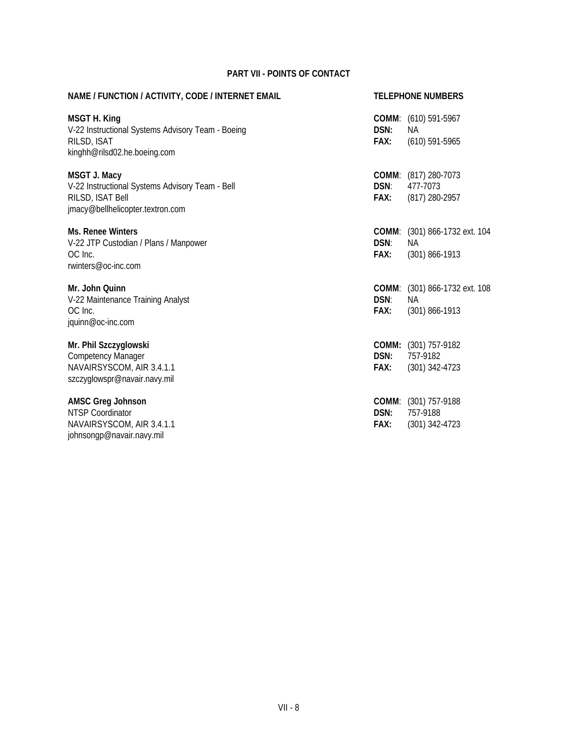| NAME / FUNCTION / ACTIVITY, CODE / INTERNET EMAIL                                                                              |              | <b>TELEPHONE NUMBERS</b>                                                |  |
|--------------------------------------------------------------------------------------------------------------------------------|--------------|-------------------------------------------------------------------------|--|
| <b>MSGT H. King</b><br>V-22 Instructional Systems Advisory Team - Boeing<br>RILSD, ISAT<br>kinghh@rilsd02.he.boeing.com        | DSN:<br>FAX: | COMM: (610) 591-5967<br>NA.<br>$(610)$ 591-5965                         |  |
| <b>MSGT J. Macy</b><br>V-22 Instructional Systems Advisory Team - Bell<br>RILSD, ISAT Bell<br>jmacy@bellhelicopter.textron.com | DSN:<br>FAX: | COMM: (817) 280-7073<br>477-7073<br>(817) 280-2957                      |  |
| <b>Ms. Renee Winters</b><br>V-22 JTP Custodian / Plans / Manpower<br>OC Inc.<br>rwinters@oc-inc.com                            | DSN:<br>FAX: | COMM: (301) 866-1732 ext. 104<br>NA.<br>$(301) 866 - 1913$              |  |
| Mr. John Quinn<br>V-22 Maintenance Training Analyst<br>OC Inc.<br>jquinn@oc-inc.com                                            | DSN:<br>FAX: | <b>COMM:</b> (301) 866-1732 ext. 108<br><b>NA</b><br>$(301) 866 - 1913$ |  |
| Mr. Phil Szczyglowski<br><b>Competency Manager</b><br>NAVAIRSYSCOM, AIR 3.4.1.1<br>szczyglowspr@navair.navy.mil                | DSN:<br>FAX: | COMM: (301) 757-9182<br>757-9182<br>$(301)$ 342-4723                    |  |
| <b>AMSC Greg Johnson</b><br><b>NTSP Coordinator</b><br>NAVAIRSYSCOM, AIR 3.4.1.1<br>johnsongp@navair.navy.mil                  | DSN:<br>FAX: | COMM: (301) 757-9188<br>757-9188<br>$(301)$ 342-4723                    |  |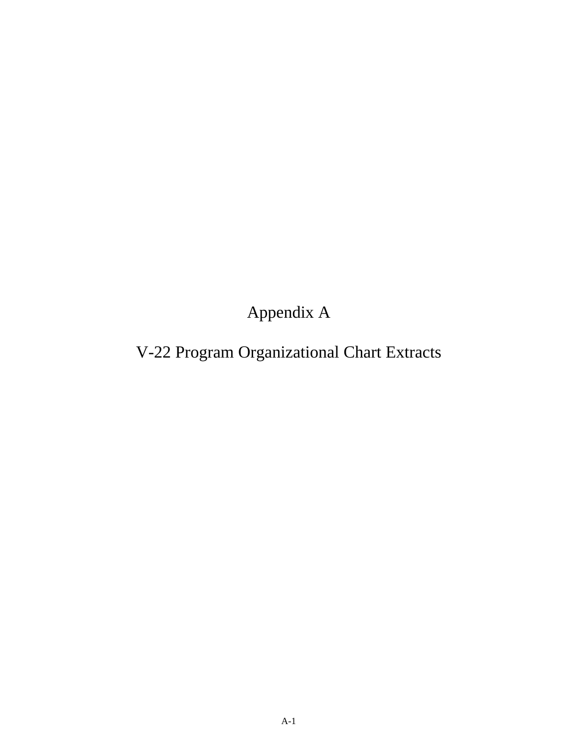Appendix A

# V-22 Program Organizational Chart Extracts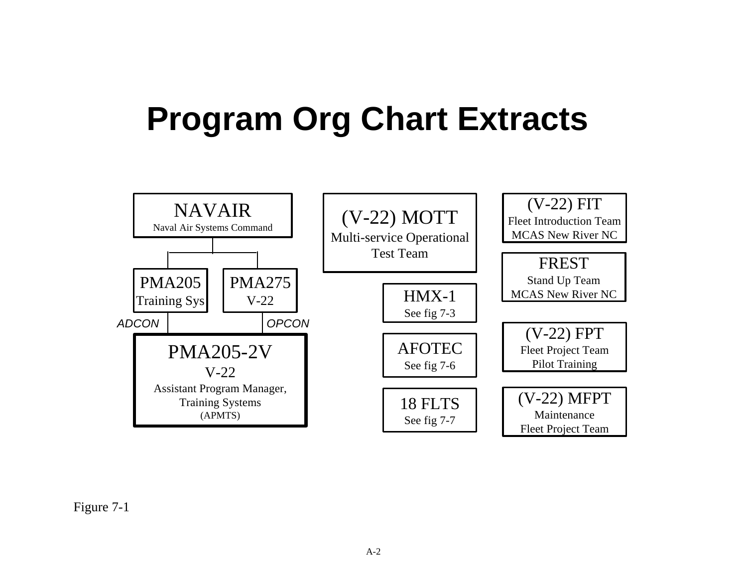# <span id="page-132-0"></span>**Program Org Chart Extracts**



Figure 7-1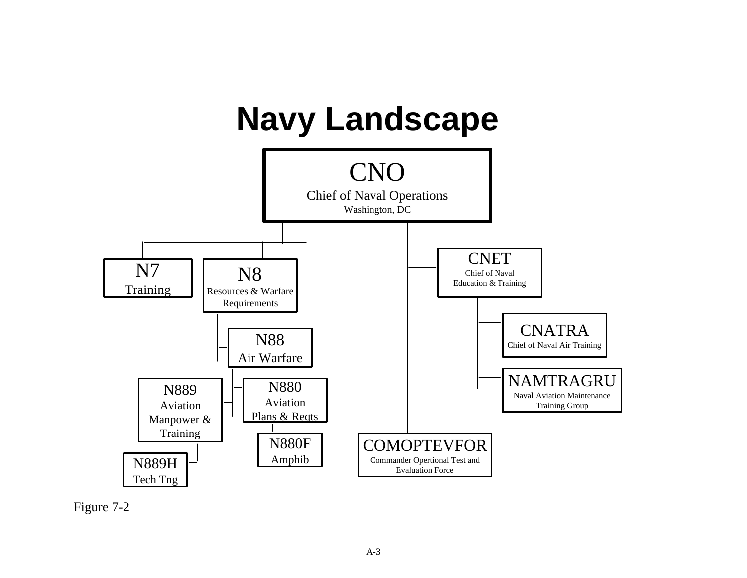

Figure 7-2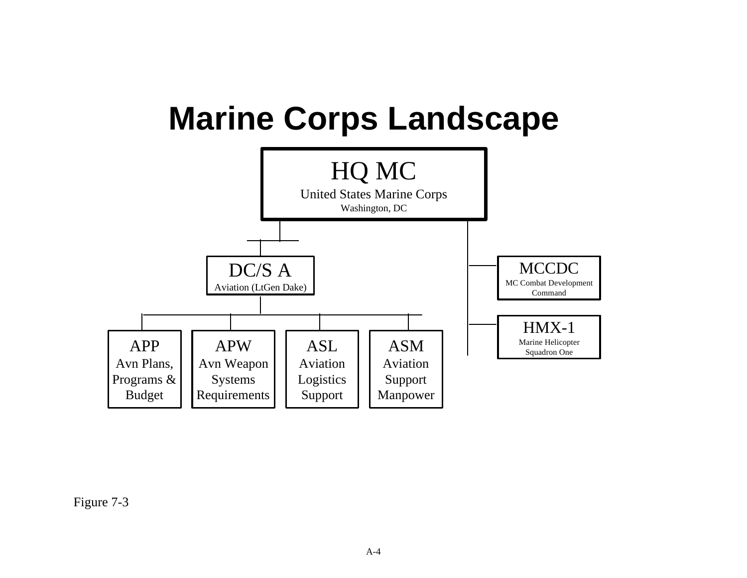<span id="page-134-0"></span>

Figure 7-3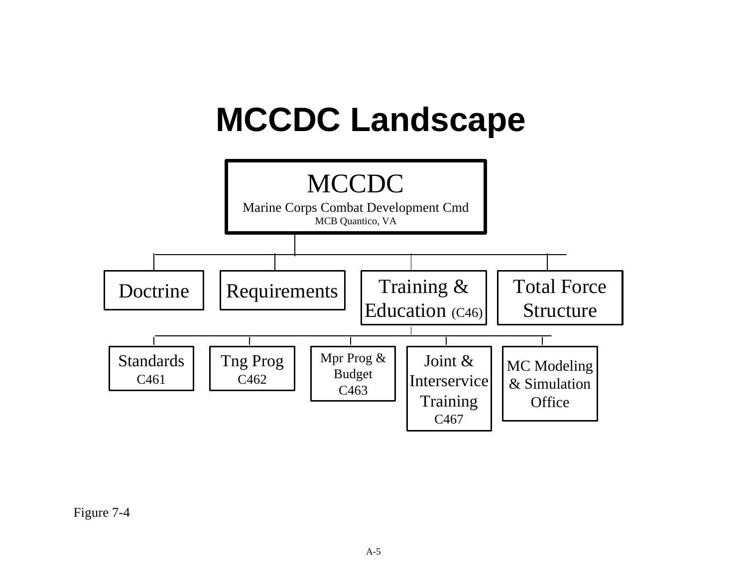# **MCCDC Landscape**



Figure 7-4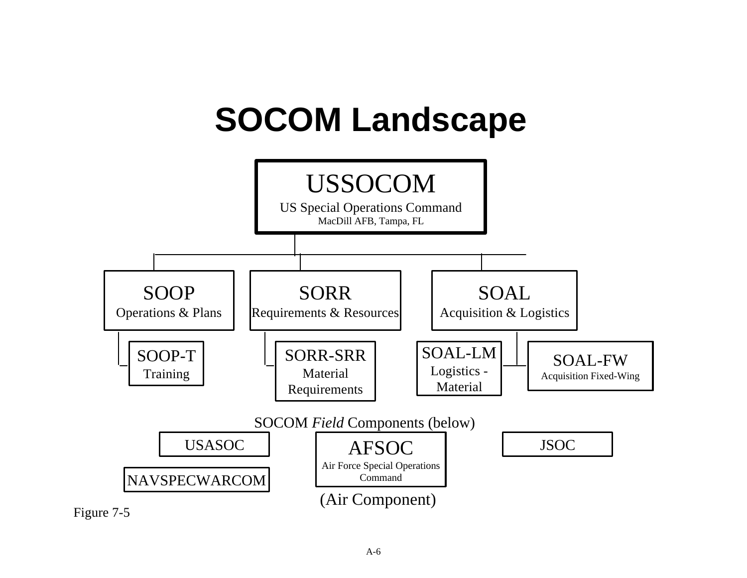

#### A-6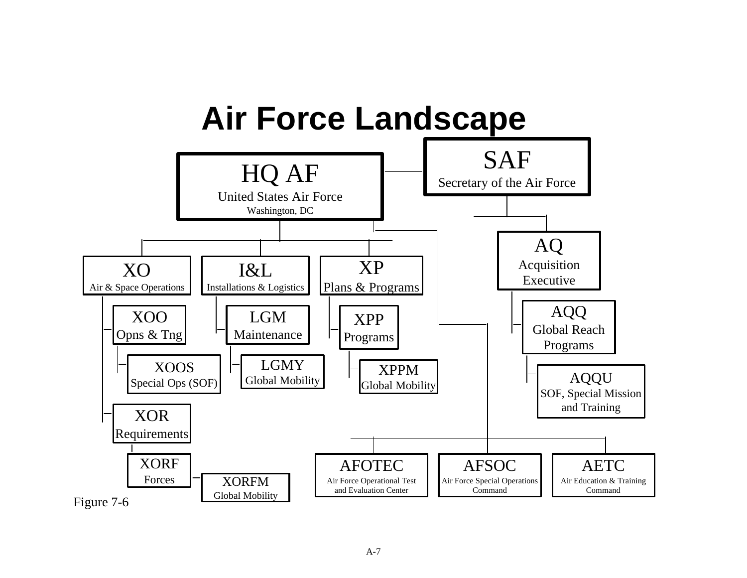<span id="page-137-0"></span>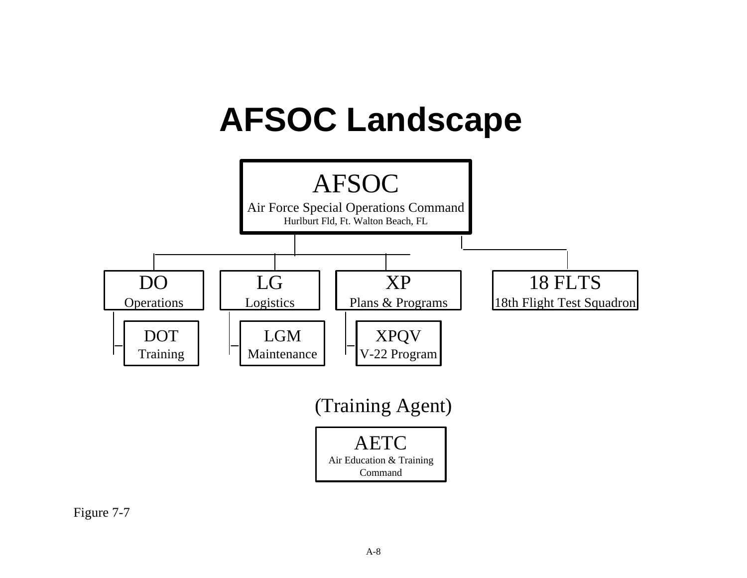<span id="page-138-0"></span>

Figure 7-7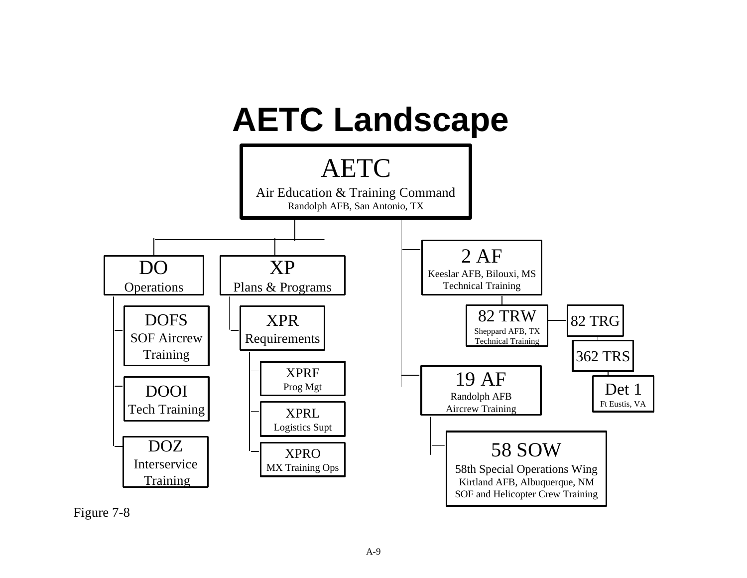<span id="page-139-0"></span>

Figure 7-8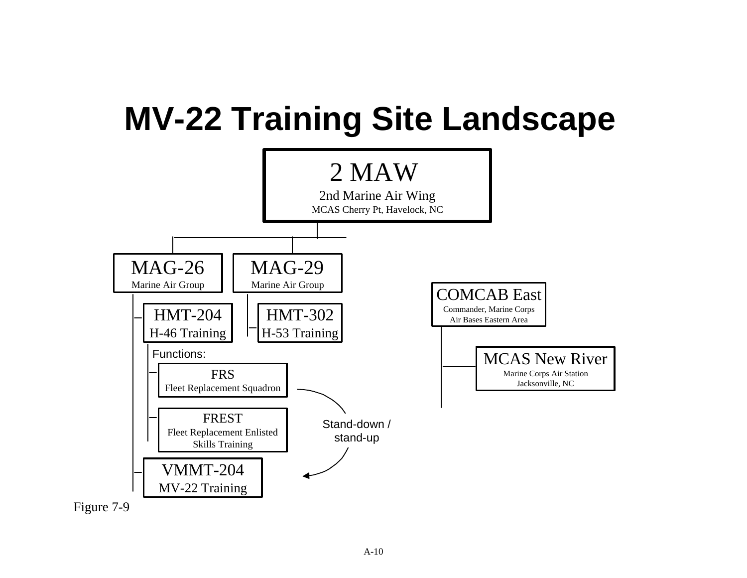

Figure 7-9